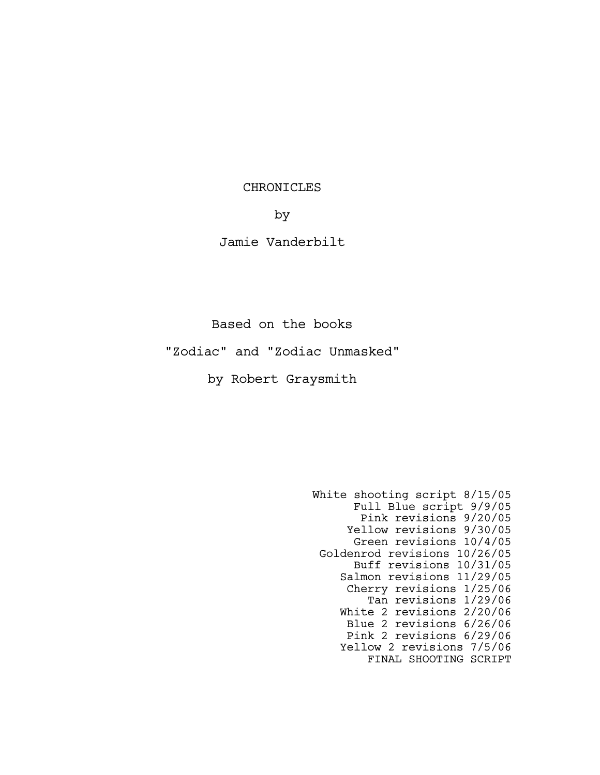## CHRONICLES

by

# Jamie Vanderbilt

Based on the books

"Zodiac" and "Zodiac Unmasked"

by Robert Graysmith

White shooting script 8/15/05 Full Blue script 9/9/05 Pink revisions 9/20/05 Yellow revisions 9/30/05 Green revisions 10/4/05 Goldenrod revisions 10/26/05 Buff revisions 10/31/05 Salmon revisions 11/29/05 Cherry revisions 1/25/06 Tan revisions 1/29/06 White 2 revisions 2/20/06 Blue 2 revisions 6/26/06 Pink 2 revisions 6/29/06 Yellow 2 revisions 7/5/06 FINAL SHOOTING SCRIPT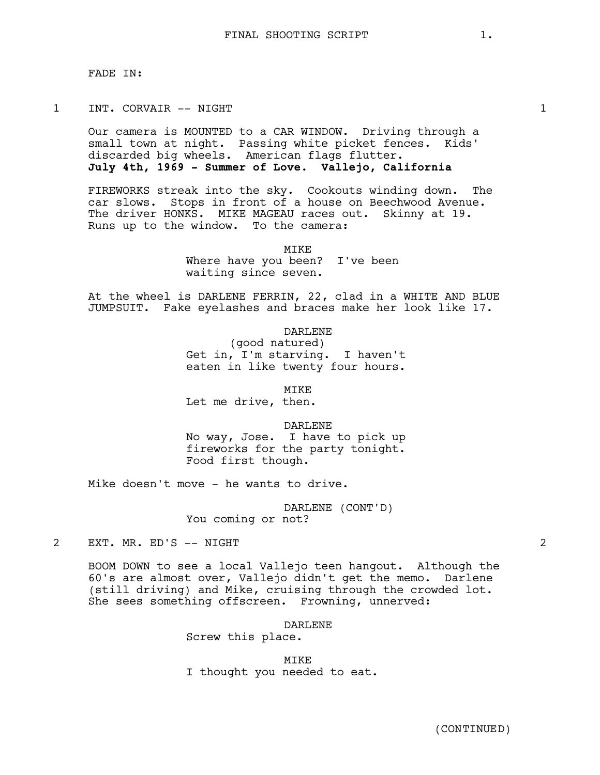## 1 INT. CORVAIR -- NIGHT 1

Our camera is MOUNTED to a CAR WINDOW. Driving through a small town at night. Passing white picket fences. Kids' discarded big wheels. American flags flutter. **July 4th, 1969 - Summer of Love. Vallejo, California**

FIREWORKS streak into the sky. Cookouts winding down. The car slows. Stops in front of a house on Beechwood Avenue. The driver HONKS. MIKE MAGEAU races out. Skinny at 19. Runs up to the window. To the camera:

MIKE

Where have you been? I've been waiting since seven.

At the wheel is DARLENE FERRIN, 22, clad in a WHITE AND BLUE JUMPSUIT. Fake eyelashes and braces make her look like 17.

DARLENE

(good natured) Get in, I'm starving. I haven't eaten in like twenty four hours.

MIKE

Let me drive, then.

DARLENE

No way, Jose. I have to pick up fireworks for the party tonight. Food first though.

Mike doesn't move - he wants to drive.

DARLENE (CONT'D) You coming or not?

2 EXT. MR. ED'S -- NIGHT 2

BOOM DOWN to see a local Vallejo teen hangout. Although the 60's are almost over, Vallejo didn't get the memo. Darlene (still driving) and Mike, cruising through the crowded lot. She sees something offscreen. Frowning, unnerved:

DARLENE

Screw this place.

MIKE I thought you needed to eat.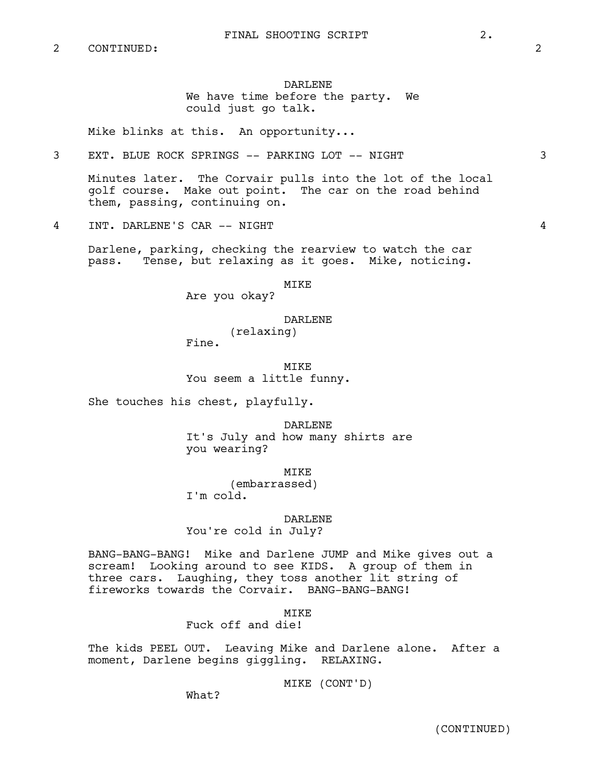## DARLENE We have time before the party. We could just go talk.

Mike blinks at this. An opportunity...

3 EXT. BLUE ROCK SPRINGS -- PARKING LOT -- NIGHT 3

Minutes later. The Corvair pulls into the lot of the local golf course. Make out point. The car on the road behind them, passing, continuing on.

4 INT. DARLENE'S CAR -- NIGHT 4

Darlene, parking, checking the rearview to watch the car pass. Tense, but relaxing as it goes. Mike, noticing.

MIKE

Are you okay?

#### DARLENE

(relaxing) Fine.

MIKE You seem a little funny.

She touches his chest, playfully.

DARLENE It's July and how many shirts are you wearing?

MIKE (embarrassed) I'm cold.

DARLENE You're cold in July?

BANG-BANG-BANG! Mike and Darlene JUMP and Mike gives out a scream! Looking around to see KIDS. A group of them in three cars. Laughing, they toss another lit string of fireworks towards the Corvair. BANG-BANG-BANG!

**MTKE** 

Fuck off and die!

The kids PEEL OUT. Leaving Mike and Darlene alone. After a moment, Darlene begins giggling. RELAXING.

MIKE (CONT'D)

What?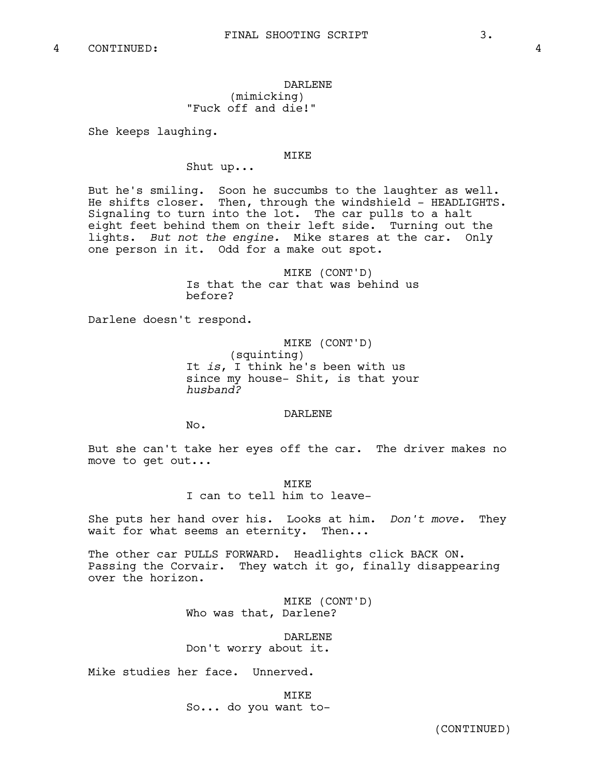# DARLENE (mimicking) "Fuck off and die!"

She keeps laughing.

### MIKE

Shut up...

But he's smiling. Soon he succumbs to the laughter as well. He shifts closer. Then, through the windshield - HEADLIGHTS. Signaling to turn into the lot. The car pulls to a halt eight feet behind them on their left side. Turning out the lights. *But not the engine.* Mike stares at the car. Only one person in it. Odd for a make out spot.

> MIKE (CONT'D) Is that the car that was behind us before?

Darlene doesn't respond.

MIKE (CONT'D) (squinting) It *is*, I think he's been with us since my house- Shit, is that your *husband?*

DARLENE

No.

But she can't take her eyes off the car. The driver makes no move to get out...

MTKE

I can to tell him to leave-

She puts her hand over his. Looks at him. *Don't move.* They wait for what seems an eternity. Then...

The other car PULLS FORWARD. Headlights click BACK ON. Passing the Corvair. They watch it go, finally disappearing over the horizon.

> MIKE (CONT'D) Who was that, Darlene?

DARLENE Don't worry about it.

Mike studies her face. Unnerved.

MIKE So... do you want to-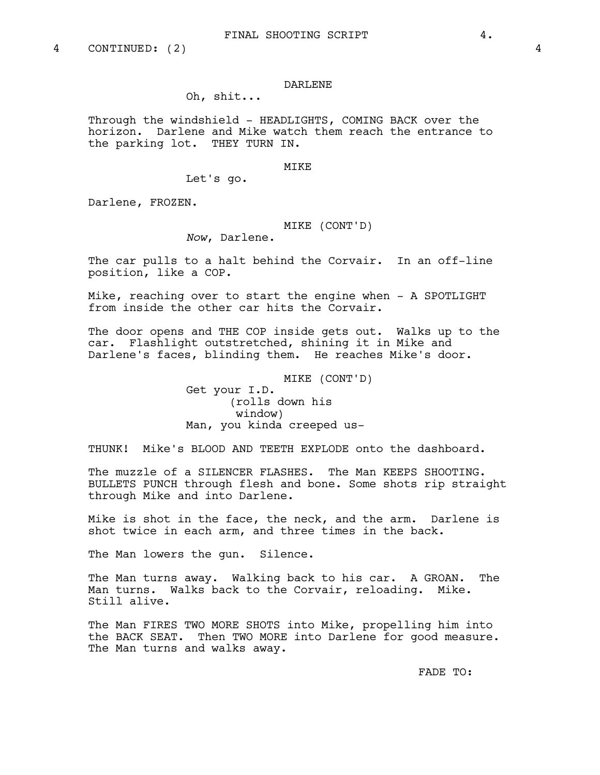#### DARLENE

# Oh, shit...

Through the windshield - HEADLIGHTS, COMING BACK over the horizon. Darlene and Mike watch them reach the entrance to the parking lot. THEY TURN IN.

#### MIKE

Let's go.

Darlene, FROZEN.

# MIKE (CONT'D)

*Now*, Darlene.

The car pulls to a halt behind the Corvair. In an off-line position, like a COP.

Mike, reaching over to start the engine when - A SPOTLIGHT from inside the other car hits the Corvair.

The door opens and THE COP inside gets out. Walks up to the car. Flashlight outstretched, shining it in Mike and Darlene's faces, blinding them. He reaches Mike's door.

### MIKE (CONT'D)

Get your I.D. (rolls down his window) Man, you kinda creeped us-

THUNK! Mike's BLOOD AND TEETH EXPLODE onto the dashboard.

The muzzle of a SILENCER FLASHES. The Man KEEPS SHOOTING. BULLETS PUNCH through flesh and bone. Some shots rip straight through Mike and into Darlene.

Mike is shot in the face, the neck, and the arm. Darlene is shot twice in each arm, and three times in the back.

The Man lowers the gun. Silence.

The Man turns away. Walking back to his car. A GROAN. The Man turns. Walks back to the Corvair, reloading. Mike. Still alive.

The Man FIRES TWO MORE SHOTS into Mike, propelling him into the BACK SEAT. Then TWO MORE into Darlene for good measure. The Man turns and walks away.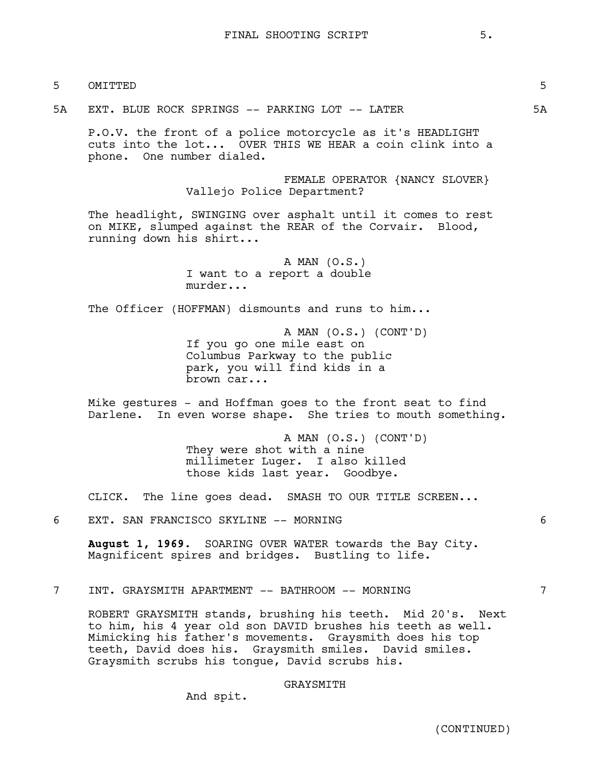- 5 OMITTED 5
- 5A EXT. BLUE ROCK SPRINGS -- PARKING LOT -- LATER 5A

P.O.V. the front of a police motorcycle as it's HEADLIGHT cuts into the lot... OVER THIS WE HEAR a coin clink into a phone. One number dialed.

> FEMALE OPERATOR {NANCY SLOVER} Vallejo Police Department?

The headlight, SWINGING over asphalt until it comes to rest on MIKE, slumped against the REAR of the Corvair. Blood, running down his shirt...

> A MAN (O.S.) I want to a report a double murder...

The Officer (HOFFMAN) dismounts and runs to him...

A MAN (O.S.) (CONT'D) If you go one mile east on Columbus Parkway to the public park, you will find kids in a brown car...

Mike gestures - and Hoffman goes to the front seat to find Darlene. In even worse shape. She tries to mouth something.

> A MAN (O.S.) (CONT'D) They were shot with a nine millimeter Luger. I also killed those kids last year. Goodbye.

CLICK. The line goes dead. SMASH TO OUR TITLE SCREEN...

6 EXT. SAN FRANCISCO SKYLINE -- MORNING 6

**August 1, 1969.** SOARING OVER WATER towards the Bay City. Magnificent spires and bridges. Bustling to life.

7 INT. GRAYSMITH APARTMENT -- BATHROOM -- MORNING 7

ROBERT GRAYSMITH stands, brushing his teeth. Mid 20's. Next to him, his 4 year old son DAVID brushes his teeth as well. Mimicking his father's movements. Graysmith does his top teeth, David does his. Graysmith smiles. David smiles. Graysmith scrubs his tongue, David scrubs his.

## GRAYSMITH

And spit.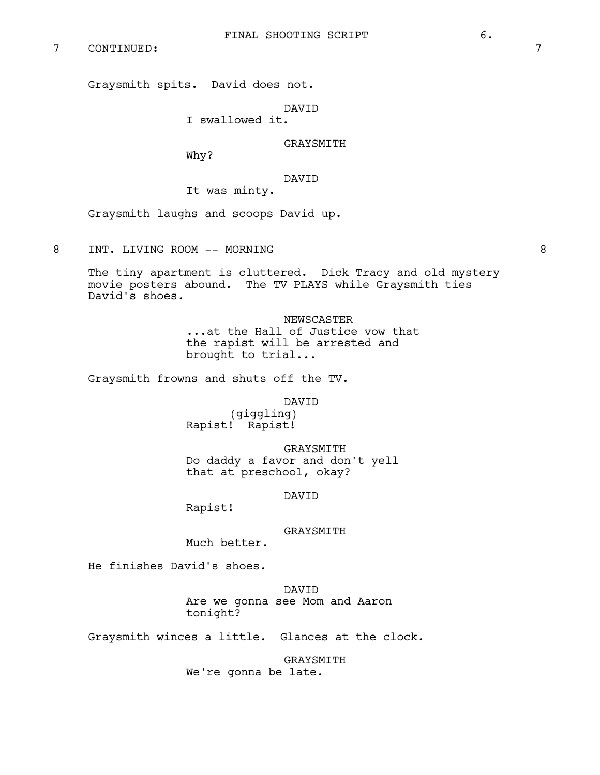7 CONTINUED: 7

Graysmith spits. David does not.

DAVID

I swallowed it.

GRAYSMITH

Why?

DAVID

It was minty.

Graysmith laughs and scoops David up.

8 INT. LIVING ROOM -- MORNING 8

The tiny apartment is cluttered. Dick Tracy and old mystery movie posters abound. The TV PLAYS while Graysmith ties David's shoes.

> NEWSCASTER ...at the Hall of Justice vow that the rapist will be arrested and brought to trial...

Graysmith frowns and shuts off the TV.

DAVID

(giggling) Rapist! Rapist!

GRAYSMITH Do daddy a favor and don't yell that at preschool, okay?

DAVID

Rapist!

GRAYSMITH

Much better.

He finishes David's shoes.

DAVID Are we gonna see Mom and Aaron tonight?

Graysmith winces a little. Glances at the clock.

GRAYSMITH We're gonna be late.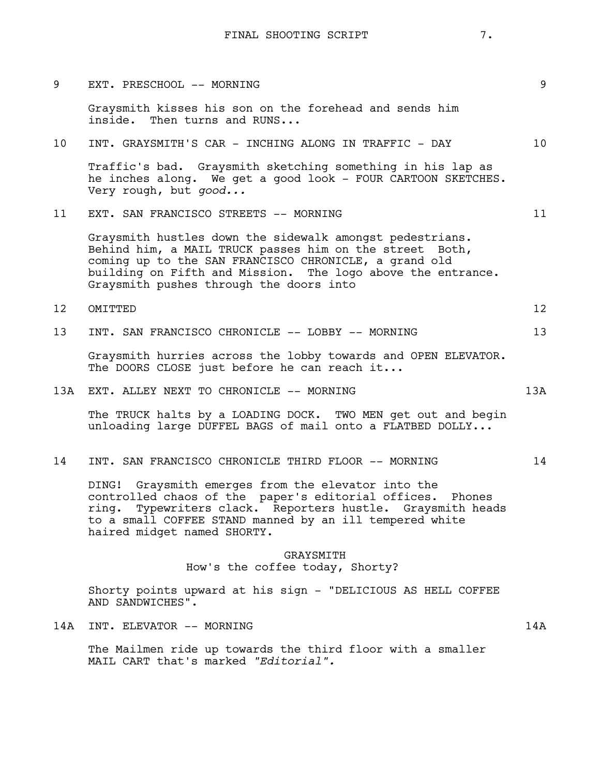| 9               | EXT. PRESCHOOL -- MORNING                                                                                                                                                                                                                                                              | 9                 |
|-----------------|----------------------------------------------------------------------------------------------------------------------------------------------------------------------------------------------------------------------------------------------------------------------------------------|-------------------|
|                 | Graysmith kisses his son on the forehead and sends him<br>inside. Then turns and RUNS                                                                                                                                                                                                  |                   |
| 10 <sub>o</sub> | INT. GRAYSMITH'S CAR - INCHING ALONG IN TRAFFIC - DAY                                                                                                                                                                                                                                  | 10                |
|                 | Traffic's bad. Graysmith sketching something in his lap as<br>he inches along. We get a good look - FOUR CARTOON SKETCHES.<br>Very rough, but good                                                                                                                                     |                   |
| 11              | EXT. SAN FRANCISCO STREETS -- MORNING                                                                                                                                                                                                                                                  | 11                |
|                 | Graysmith hustles down the sidewalk amongst pedestrians.<br>Behind him, a MAIL TRUCK passes him on the street Both,<br>coming up to the SAN FRANCISCO CHRONICLE, a grand old<br>building on Fifth and Mission. The logo above the entrance.<br>Graysmith pushes through the doors into |                   |
| 12              | OMITTED                                                                                                                                                                                                                                                                                | $12 \overline{ }$ |
| 13              | INT. SAN FRANCISCO CHRONICLE -- LOBBY -- MORNING                                                                                                                                                                                                                                       | 13                |
|                 | Graysmith hurries across the lobby towards and OPEN ELEVATOR.<br>The DOORS CLOSE just before he can reach it                                                                                                                                                                           |                   |
| 13A             | EXT. ALLEY NEXT TO CHRONICLE -- MORNING                                                                                                                                                                                                                                                | 13A               |
|                 | The TRUCK halts by a LOADING DOCK. TWO MEN get out and begin<br>unloading large DUFFEL BAGS of mail onto a FLATBED DOLLY                                                                                                                                                               |                   |
| 14              | INT. SAN FRANCISCO CHRONICLE THIRD FLOOR -- MORNING                                                                                                                                                                                                                                    | 14                |
|                 | DING! Graysmith emerges from the elevator into the<br>controlled chaos of the paper's editorial offices.<br>Phones<br>Typewriters clack. Reporters hustle. Graysmith heads<br>ring.<br>to a small COFFEE STAND manned by an ill tempered white<br>haired midget named SHORTY.          |                   |
|                 | GRAYSMITH<br>How's the coffee today, Shorty?                                                                                                                                                                                                                                           |                   |
|                 | Shorty points upward at his sign - "DELICIOUS AS HELL COFFEE<br>AND SANDWICHES".                                                                                                                                                                                                       |                   |
| 14A             | INT. ELEVATOR -- MORNING                                                                                                                                                                                                                                                               | 14A               |
|                 | The Mailmen ride up towards the third floor with a smaller<br>MAIL CART that's marked "Editorial".                                                                                                                                                                                     |                   |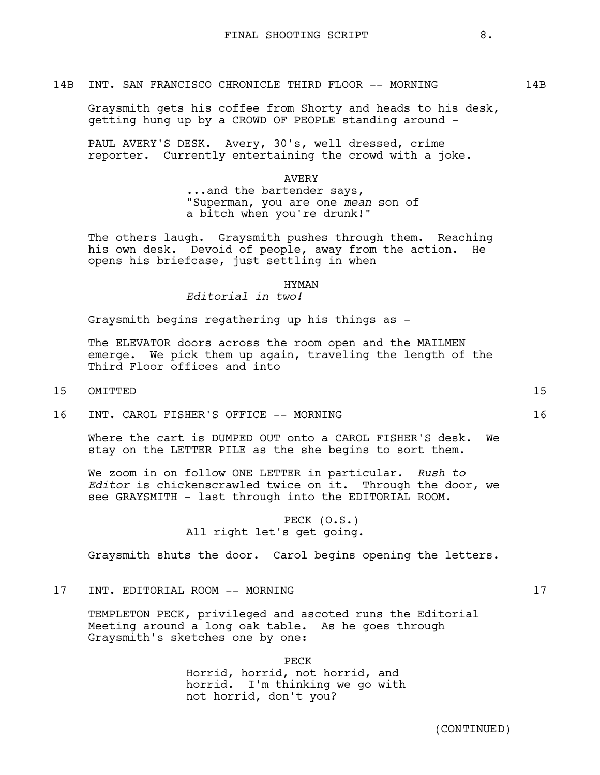#### 14B INT. SAN FRANCISCO CHRONICLE THIRD FLOOR -- MORNING 14B

Graysmith gets his coffee from Shorty and heads to his desk, getting hung up by a CROWD OF PEOPLE standing around -

PAUL AVERY'S DESK. Avery, 30's, well dressed, crime reporter. Currently entertaining the crowd with a joke.

AVERY

...and the bartender says, "Superman, you are one *mean* son of a bitch when you're drunk!"

The others laugh. Graysmith pushes through them. Reaching his own desk. Devoid of people, away from the action. He opens his briefcase, just settling in when

### HYMAN

*Editorial in two!*

Graysmith begins regathering up his things as -

The ELEVATOR doors across the room open and the MAILMEN emerge. We pick them up again, traveling the length of the Third Floor offices and into

- 15 OMITTED 15
- 16 INT. CAROL FISHER'S OFFICE -- MORNING 16

Where the cart is DUMPED OUT onto a CAROL FISHER'S desk. We stay on the LETTER PILE as the she begins to sort them.

We zoom in on follow ONE LETTER in particular. *Rush to Editor* is chickenscrawled twice on it. Through the door, we see GRAYSMITH - last through into the EDITORIAL ROOM.

> PECK (O.S.) All right let's get going.

Graysmith shuts the door. Carol begins opening the letters.

17 INT. EDITORIAL ROOM -- MORNING 17

TEMPLETON PECK, privileged and ascoted runs the Editorial Meeting around a long oak table. As he goes through Graysmith's sketches one by one:

> PECK Horrid, horrid, not horrid, and horrid. I'm thinking we go with not horrid, don't you?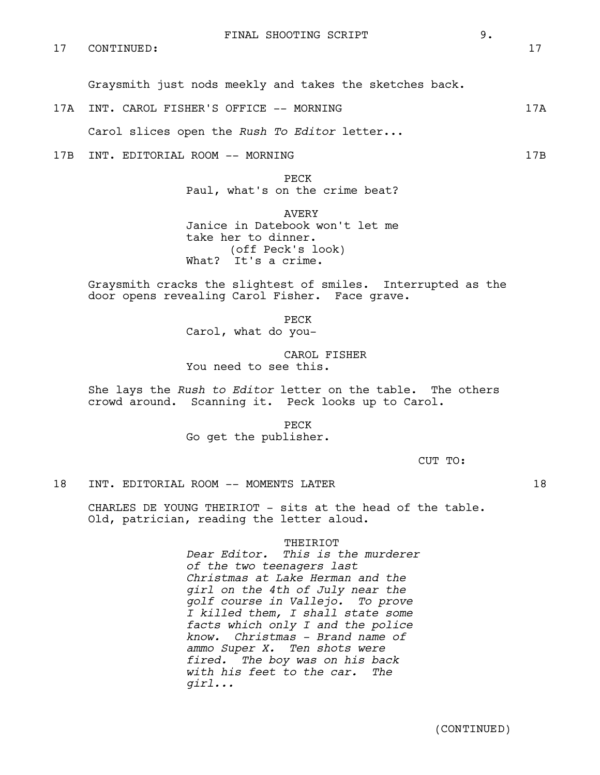Graysmith just nods meekly and takes the sketches back.

17A INT. CAROL FISHER'S OFFICE -- MORNING 17A

Carol slices open the *Rush To Editor* letter...

17B INT. EDITORIAL ROOM -- MORNING 17B

PECK Paul, what's on the crime beat?

AVERY Janice in Datebook won't let me take her to dinner. (off Peck's look) What? It's a crime.

Graysmith cracks the slightest of smiles. Interrupted as the door opens revealing Carol Fisher. Face grave.

PECK

Carol, what do you-

CAROL FISHER You need to see this.

She lays the *Rush to Editor* letter on the table. The others crowd around. Scanning it. Peck looks up to Carol.

> PECK Go get the publisher.

> > CUT TO:

## 18 INT. EDITORIAL ROOM -- MOMENTS LATER 18

CHARLES DE YOUNG THEIRIOT - sits at the head of the table. Old, patrician, reading the letter aloud.

THEIRIOT

*Dear Editor. This is the murderer of the two teenagers last Christmas at Lake Herman and the girl on the 4th of July near the golf course in Vallejo. To prove I killed them, I shall state some facts which only I and the police know. Christmas - Brand name of ammo Super X. Ten shots were fired. The boy was on his back with his feet to the car. The girl...*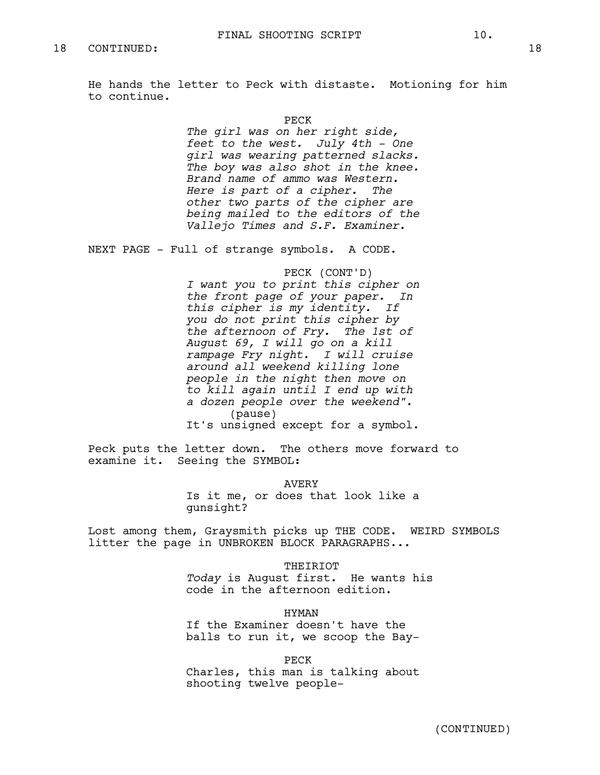He hands the letter to Peck with distaste. Motioning for him to continue.

> PECK *The girl was on her right side, feet to the west. July 4th - One girl was wearing patterned slacks. The boy was also shot in the knee. Brand name of ammo was Western. Here is part of a cipher. The other two parts of the cipher are being mailed to the editors of the Vallejo Times and S.F. Examiner.*

NEXT PAGE - Full of strange symbols. A CODE.

PECK (CONT'D) *I want you to print this cipher on the front page of your paper. In this cipher is my identity. If you do not print this cipher by the afternoon of Fry. The 1st of August 69, I will go on a kill rampage Fry night. I will cruise around all weekend killing lone people in the night then move on to kill again until I end up with a dozen people over the weekend".* (pause) It's unsigned except for a symbol.

Peck puts the letter down. The others move forward to examine it. Seeing the SYMBOL:

> AVERY Is it me, or does that look like a gunsight?

Lost among them, Graysmith picks up THE CODE. WEIRD SYMBOLS litter the page in UNBROKEN BLOCK PARAGRAPHS...

THEIRIOT

*Today* is August first. He wants his code in the afternoon edition.

HYMAN

If the Examiner doesn't have the balls to run it, we scoop the Bay-

PECK

Charles, this man is talking about shooting twelve people-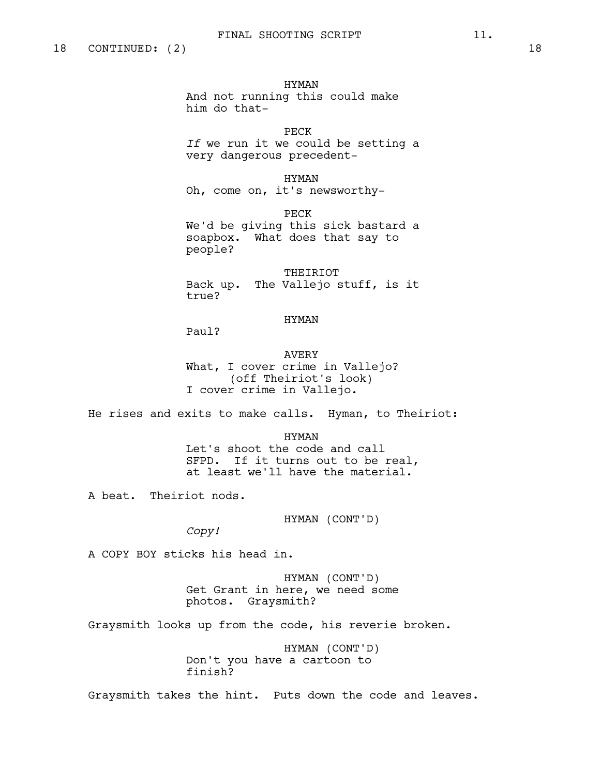HYMAN And not running this could make him do that-

PECK *If* we run it we could be setting a very dangerous precedent-

HYMAN Oh, come on, it's newsworthy-

PECK We'd be giving this sick bastard a soapbox. What does that say to people?

THEIRIOT Back up. The Vallejo stuff, is it true?

### HYMAN

Paul?

AVERY What, I cover crime in Vallejo? (off Theiriot's look) I cover crime in Vallejo.

He rises and exits to make calls. Hyman, to Theiriot:

HYMAN Let's shoot the code and call SFPD. If it turns out to be real, at least we'll have the material.

A beat. Theiriot nods.

HYMAN (CONT'D)

*Copy!*

A COPY BOY sticks his head in.

HYMAN (CONT'D) Get Grant in here, we need some photos. Graysmith?

Graysmith looks up from the code, his reverie broken.

HYMAN (CONT'D) Don't you have a cartoon to finish?

Graysmith takes the hint. Puts down the code and leaves.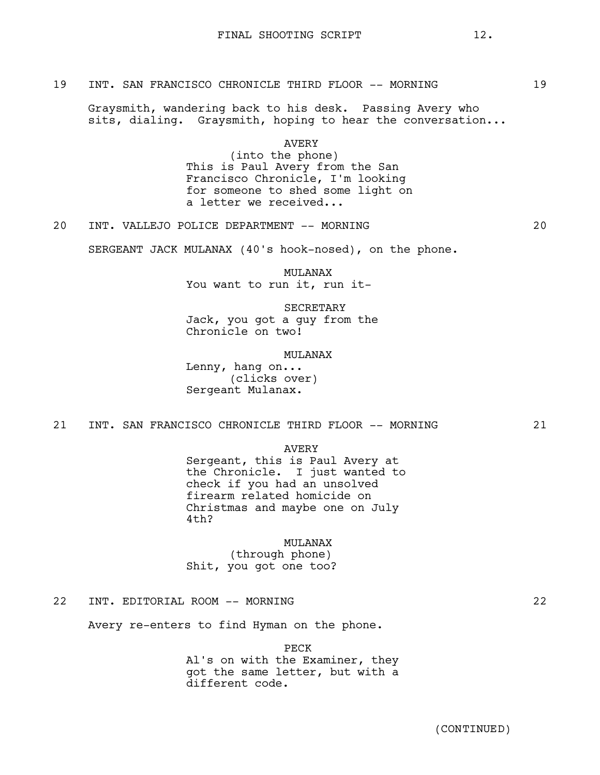## 19 INT. SAN FRANCISCO CHRONICLE THIRD FLOOR -- MORNING 19

Graysmith, wandering back to his desk. Passing Avery who sits, dialing. Graysmith, hoping to hear the conversation...

> AVERY (into the phone) This is Paul Avery from the San Francisco Chronicle, I'm looking for someone to shed some light on a letter we received...

20 INT. VALLEJO POLICE DEPARTMENT -- MORNING 20

SERGEANT JACK MULANAX (40's hook-nosed), on the phone.

MULANAX You want to run it, run it-

SECRETARY Jack, you got a guy from the Chronicle on two!

MULANAX

Lenny, hang on... (clicks over) Sergeant Mulanax.

# 21 INT. SAN FRANCISCO CHRONICLE THIRD FLOOR -- MORNING 21

AVERY

Sergeant, this is Paul Avery at the Chronicle. I just wanted to check if you had an unsolved firearm related homicide on Christmas and maybe one on July 4th?

#### MULANAX

(through phone) Shit, you got one too?

22 INT. EDITORIAL ROOM -- MORNING 22

Avery re-enters to find Hyman on the phone.

PECK Al's on with the Examiner, they got the same letter, but with a different code.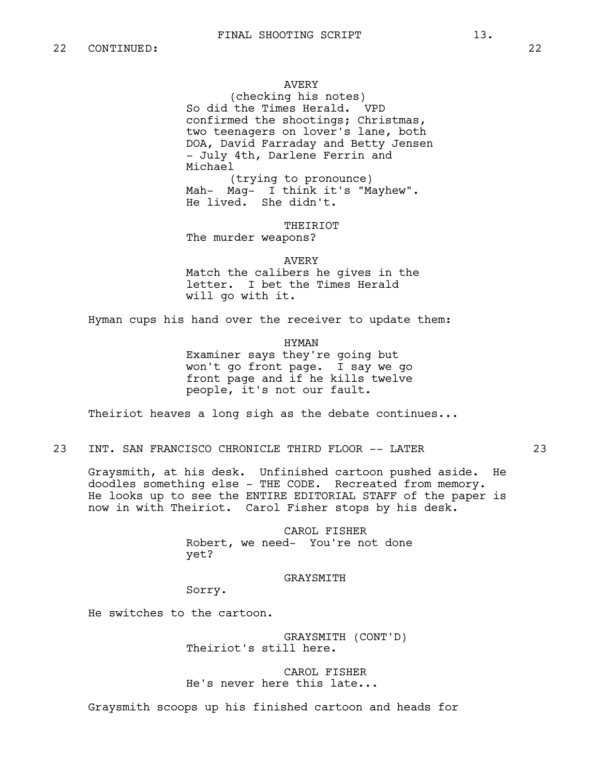### AVERY

(checking his notes) So did the Times Herald. VPD confirmed the shootings; Christmas, two teenagers on lover's lane, both DOA, David Farraday and Betty Jensen - July 4th, Darlene Ferrin and Michael (trying to pronounce)

Mah- Mag- I think it's "Mayhew". He lived. She didn't.

THEIRIOT

The murder weapons?

#### AVERY

Match the calibers he gives in the letter. I bet the Times Herald will go with it.

Hyman cups his hand over the receiver to update them:

HYMAN

Examiner says they're going but won't go front page. I say we go front page and if he kills twelve people, it's not our fault.

Theiriot heaves a long sigh as the debate continues...

# 23 INT. SAN FRANCISCO CHRONICLE THIRD FLOOR -- LATER 23

Graysmith, at his desk. Unfinished cartoon pushed aside. He doodles something else - THE CODE. Recreated from memory. He looks up to see the ENTIRE EDITORIAL STAFF of the paper is now in with Theiriot. Carol Fisher stops by his desk.

> CAROL FISHER Robert, we need- You're not done yet?

#### GRAYSMITH

Sorry.

He switches to the cartoon.

GRAYSMITH (CONT'D) Theiriot's still here.

CAROL FISHER He's never here this late...

Graysmith scoops up his finished cartoon and heads for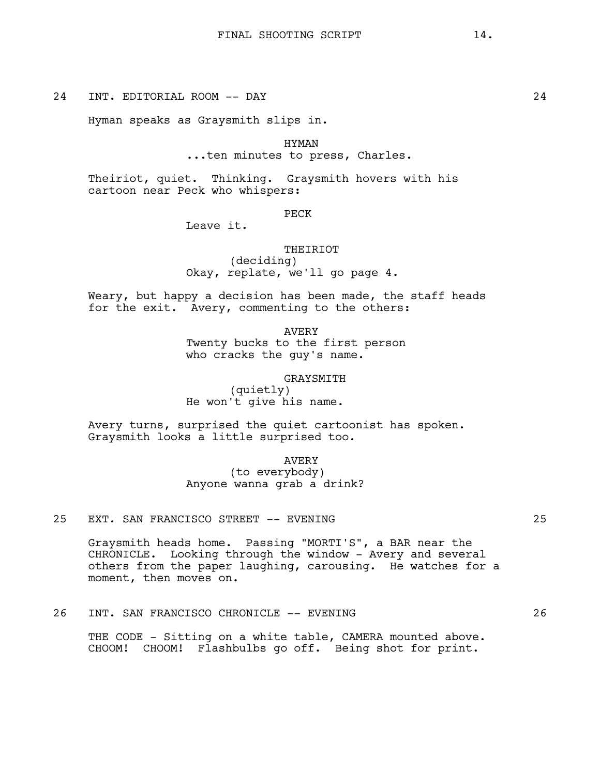24 INT. EDITORIAL ROOM -- DAY 24

Hyman speaks as Graysmith slips in.

HYMAN ...ten minutes to press, Charles.

Theiriot, quiet. Thinking. Graysmith hovers with his cartoon near Peck who whispers:

PECK

Leave it.

THEIRIOT

(deciding) Okay, replate, we'll go page 4.

Weary, but happy a decision has been made, the staff heads for the exit. Avery, commenting to the others:

> AVERY Twenty bucks to the first person who cracks the guy's name.

> > GRAYSMITH

(quietly) He won't give his name.

Avery turns, surprised the quiet cartoonist has spoken. Graysmith looks a little surprised too.

> AVERY (to everybody) Anyone wanna grab a drink?

25 EXT. SAN FRANCISCO STREET -- EVENING 25

Graysmith heads home. Passing "MORTI'S", a BAR near the CHRONICLE. Looking through the window - Avery and several others from the paper laughing, carousing. He watches for a moment, then moves on.

26 INT. SAN FRANCISCO CHRONICLE -- EVENING 26

THE CODE - Sitting on a white table, CAMERA mounted above. CHOOM! CHOOM! Flashbulbs go off. Being shot for print.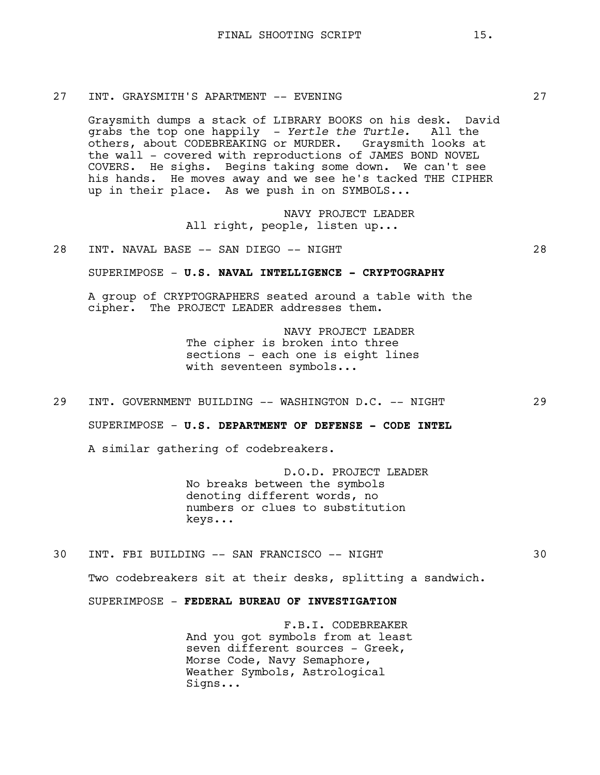# 27 INT. GRAYSMITH'S APARTMENT -- EVENING 27

Graysmith dumps a stack of LIBRARY BOOKS on his desk. David grabs the top one happily - *Yertle the Turtle.* All the others, about CODEBREAKING or MURDER. Graysmith looks at the wall - covered with reproductions of JAMES BOND NOVEL COVERS. He sighs. Begins taking some down. We can't see his hands. He moves away and we see he's tacked THE CIPHER up in their place. As we push in on SYMBOLS...

> NAVY PROJECT LEADER All right, people, listen up...

# 28 INT. NAVAL BASE -- SAN DIEGO -- NIGHT 28

SUPERIMPOSE - **U.S. NAVAL INTELLIGENCE - CRYPTOGRAPHY**

A group of CRYPTOGRAPHERS seated around a table with the cipher. The PROJECT LEADER addresses them.

> NAVY PROJECT LEADER The cipher is broken into three sections - each one is eight lines with seventeen symbols...

29 INT. GOVERNMENT BUILDING -- WASHINGTON D.C. -- NIGHT 29

SUPERIMPOSE - **U.S. DEPARTMENT OF DEFENSE - CODE INTEL**

A similar gathering of codebreakers.

D.O.D. PROJECT LEADER No breaks between the symbols denoting different words, no numbers or clues to substitution keys...

30 INT. FBI BUILDING -- SAN FRANCISCO -- NIGHT 30

Two codebreakers sit at their desks, splitting a sandwich.

SUPERIMPOSE - **FEDERAL BUREAU OF INVESTIGATION**

F.B.I. CODEBREAKER And you got symbols from at least seven different sources - Greek, Morse Code, Navy Semaphore, Weather Symbols, Astrological Signs...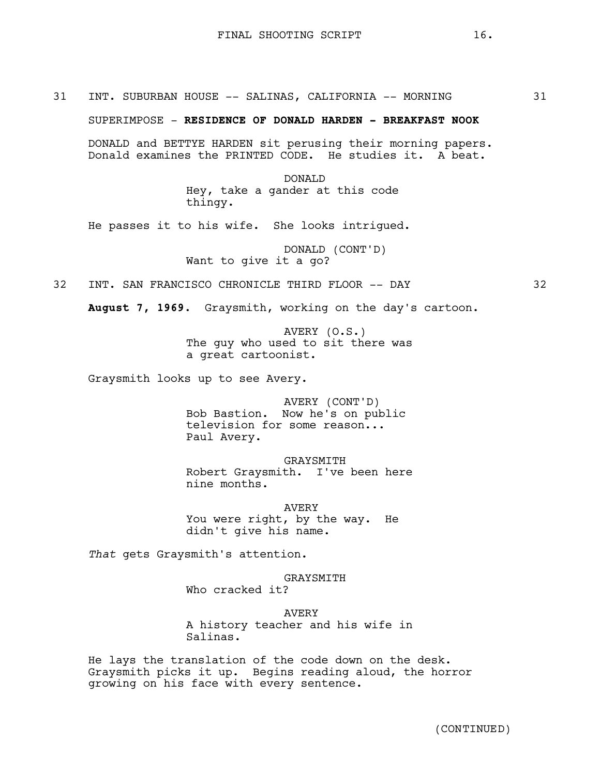31 INT. SUBURBAN HOUSE -- SALINAS, CALIFORNIA -- MORNING 31

SUPERIMPOSE - **RESIDENCE OF DONALD HARDEN - BREAKFAST NOOK**

DONALD and BETTYE HARDEN sit perusing their morning papers. Donald examines the PRINTED CODE. He studies it. A beat.

> DONALD Hey, take a gander at this code thingy.

He passes it to his wife. She looks intrigued.

DONALD (CONT'D) Want to give it a go?

32 INT. SAN FRANCISCO CHRONICLE THIRD FLOOR -- DAY 32

**August 7, 1969.** Graysmith, working on the day's cartoon.

AVERY (O.S.) The guy who used to sit there was a great cartoonist.

Graysmith looks up to see Avery.

AVERY (CONT'D) Bob Bastion. Now he's on public television for some reason... Paul Avery.

GRAYSMITH Robert Graysmith. I've been here nine months.

AVERY You were right, by the way. He didn't give his name.

*That* gets Graysmith's attention.

GRAYSMITH

Who cracked it?

AVERY A history teacher and his wife in Salinas.

He lays the translation of the code down on the desk. Graysmith picks it up. Begins reading aloud, the horror growing on his face with every sentence.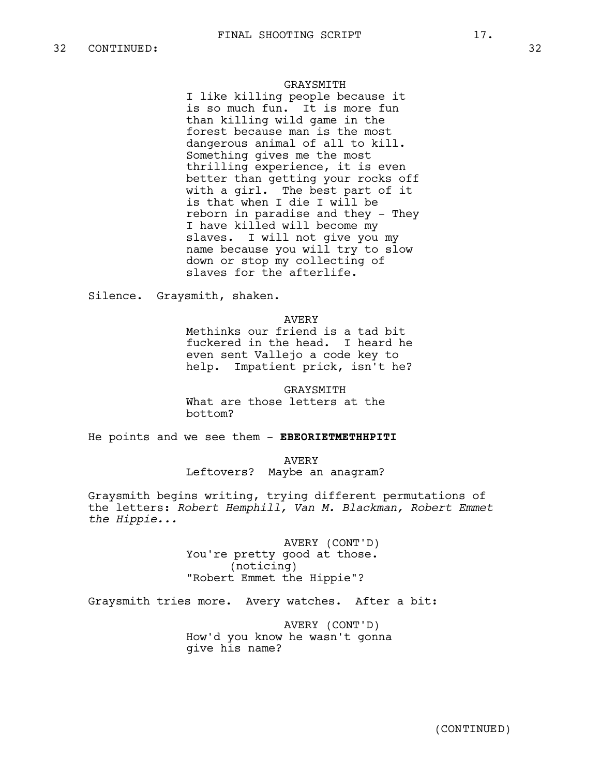### GRAYSMITH

I like killing people because it is so much fun. It is more fun than killing wild game in the forest because man is the most dangerous animal of all to kill. Something gives me the most thrilling experience, it is even better than getting your rocks off with a girl. The best part of it is that when I die I will be reborn in paradise and they - They I have killed will become my slaves. I will not give you my name because you will try to slow down or stop my collecting of slaves for the afterlife.

Silence. Graysmith, shaken.

#### AVERY

Methinks our friend is a tad bit fuckered in the head. I heard he even sent Vallejo a code key to help. Impatient prick, isn't he?

GRAYSMITH What are those letters at the bottom?

He points and we see them - **EBEORIETMETHHPITI**

AVERY Leftovers? Maybe an anagram?

Graysmith begins writing, trying different permutations of the letters: *Robert Hemphill, Van M. Blackman, Robert Emmet the Hippie...*

> AVERY (CONT'D) You're pretty good at those. (noticing) "Robert Emmet the Hippie"?

Graysmith tries more. Avery watches. After a bit:

AVERY (CONT'D) How'd you know he wasn't gonna give his name?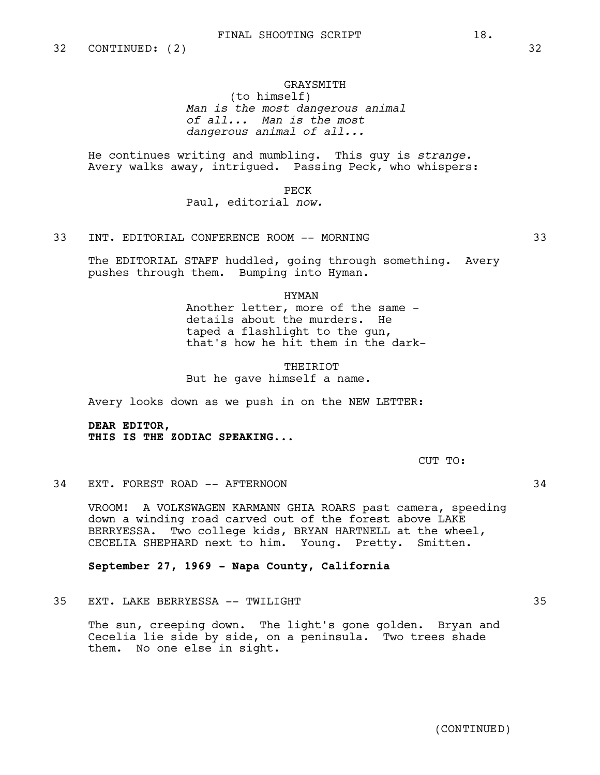## GRAYSMITH (to himself) *Man is the most dangerous animal of all... Man is the most dangerous animal of all...*

He continues writing and mumbling. This guy is *strange.* Avery walks away, intrigued. Passing Peck, who whispers:

PECK

Paul, editorial *now.*

# 33 INT. EDITORIAL CONFERENCE ROOM -- MORNING 33

The EDITORIAL STAFF huddled, going through something. Avery pushes through them. Bumping into Hyman.

HYMAN

Another letter, more of the same details about the murders. He taped a flashlight to the gun, that's how he hit them in the dark-

THEIRIOT But he gave himself a name.

Avery looks down as we push in on the NEW LETTER:

**DEAR EDITOR, THIS IS THE ZODIAC SPEAKING...**

CUT TO:

## 34 EXT. FOREST ROAD -- AFTERNOON 34

VROOM! A VOLKSWAGEN KARMANN GHIA ROARS past camera, speeding down a winding road carved out of the forest above LAKE BERRYESSA. Two college kids, BRYAN HARTNELL at the wheel, CECELIA SHEPHARD next to him. Young. Pretty. Smitten.

## **September 27, 1969 - Napa County, California**

35 EXT. LAKE BERRYESSA -- TWILIGHT 35

The sun, creeping down. The light's gone golden. Bryan and Cecelia lie side by side, on a peninsula. Two trees shade them. No one else in sight.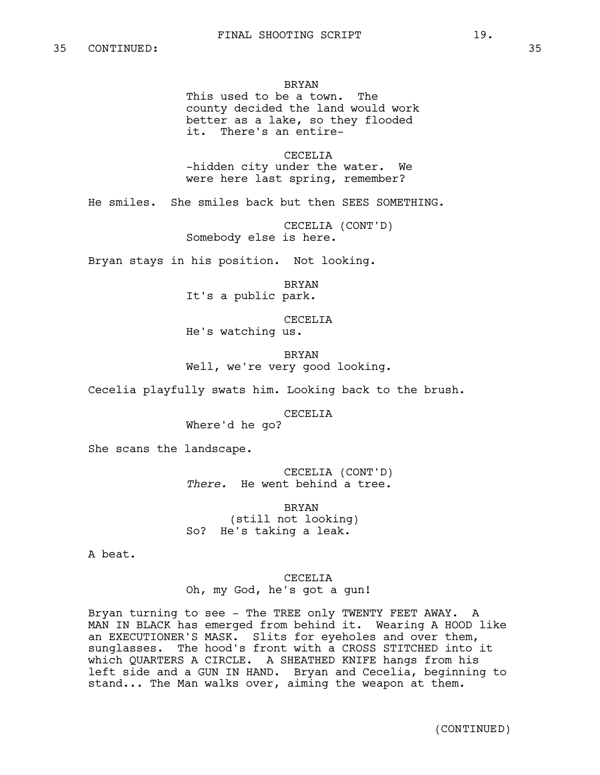### BRYAN

This used to be a town. The county decided the land would work better as a lake, so they flooded it. There's an entire-

CECELIA -hidden city under the water. We were here last spring, remember?

He smiles. She smiles back but then SEES SOMETHING.

CECELIA (CONT'D) Somebody else is here.

Bryan stays in his position. Not looking.

BRYAN

It's a public park.

CECELIA

He's watching us.

BRYAN Well, we're very good looking.

Cecelia playfully swats him. Looking back to the brush.

CECELIA

Where'd he go?

She scans the landscape.

CECELIA (CONT'D) *There.* He went behind a tree.

BRYAN (still not looking) So? He's taking a leak.

A beat.

CECELIA Oh, my God, he's got a gun!

Bryan turning to see - The TREE only TWENTY FEET AWAY. A MAN IN BLACK has emerged from behind it. Wearing A HOOD like an EXECUTIONER'S MASK. Slits for eyeholes and over them, sunglasses. The hood's front with a CROSS STITCHED into it which QUARTERS A CIRCLE. A SHEATHED KNIFE hangs from his left side and a GUN IN HAND. Bryan and Cecelia, beginning to stand... The Man walks over, aiming the weapon at them.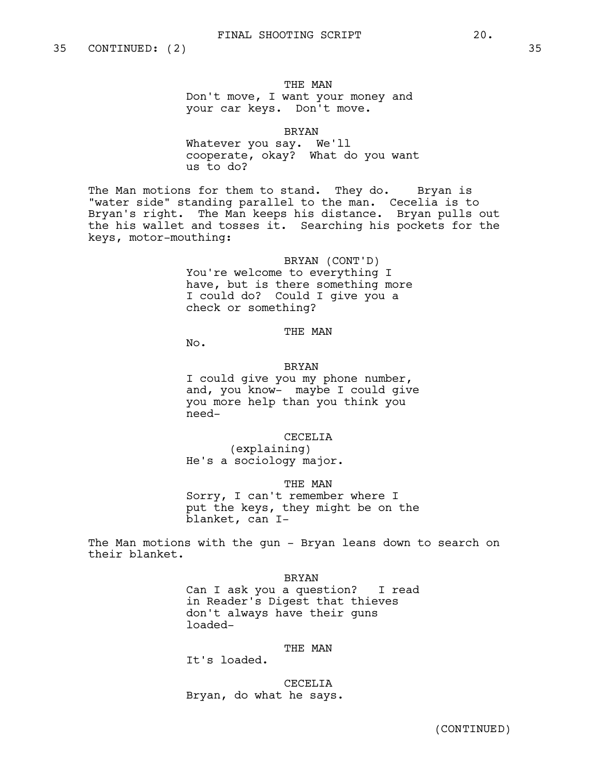THE MAN Don't move, I want your money and your car keys. Don't move.

#### BRYAN

Whatever you say. We'll cooperate, okay? What do you want us to do?

The Man motions for them to stand. They do. Bryan is "water side" standing parallel to the man. Cecelia is to Bryan's right. The Man keeps his distance. Bryan pulls out the his wallet and tosses it. Searching his pockets for the keys, motor-mouthing:

> BRYAN (CONT'D) You're welcome to everything I have, but is there something more I could do? Could I give you a check or something?

### THE MAN

No.

#### BRYAN

I could give you my phone number, and, you know- maybe I could give you more help than you think you need-

CECELIA

(explaining) He's a sociology major.

THE MAN

Sorry, I can't remember where I put the keys, they might be on the blanket, can I-

The Man motions with the gun - Bryan leans down to search on their blanket.

BRYAN

Can I ask you a question? I read in Reader's Digest that thieves don't always have their guns loaded-

## THE MAN

It's loaded.

CECELIA Bryan, do what he says.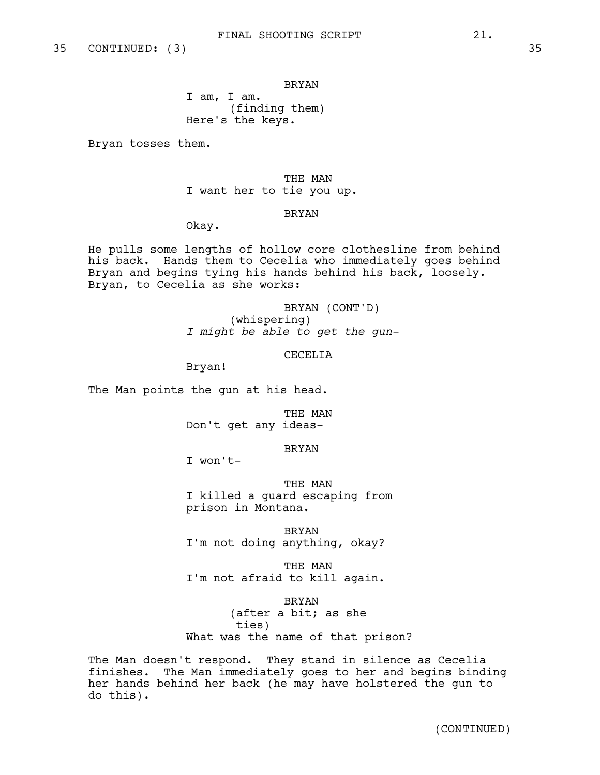BRYAN

I am, I am. (finding them) Here's the keys.

Bryan tosses them.

THE MAN I want her to tie you up.

#### BRYAN

Okay.

He pulls some lengths of hollow core clothesline from behind his back. Hands them to Cecelia who immediately goes behind Bryan and begins tying his hands behind his back, loosely. Bryan, to Cecelia as she works:

> BRYAN (CONT'D) (whispering) *I might be able to get the gun-*

> > CECELIA

Bryan!

The Man points the gun at his head.

THE MAN Don't get any ideas-

BRYAN

I won't-

THE MAN I killed a guard escaping from prison in Montana.

BRYAN I'm not doing anything, okay?

THE MAN I'm not afraid to kill again.

BRYAN (after a bit; as she ties) What was the name of that prison?

The Man doesn't respond. They stand in silence as Cecelia finishes. The Man immediately goes to her and begins binding her hands behind her back (he may have holstered the gun to do this).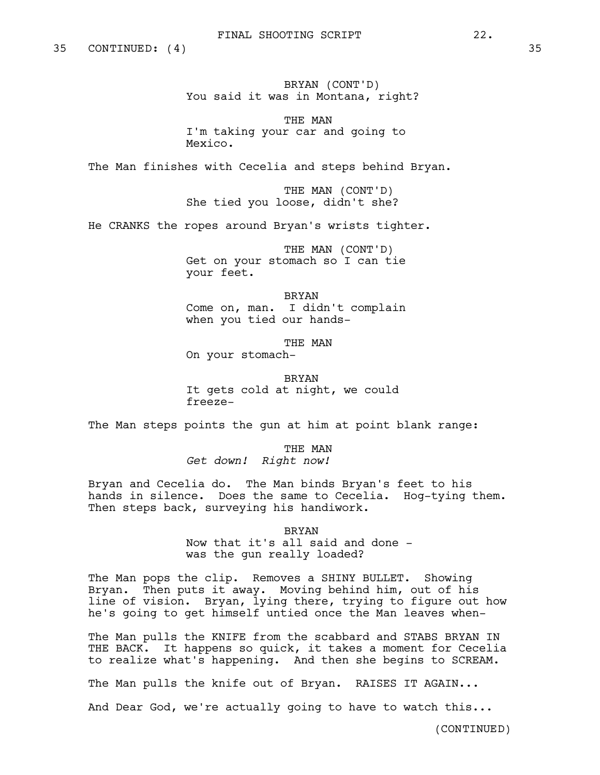35 CONTINUED: (4) 35

BRYAN (CONT'D) You said it was in Montana, right?

THE MAN I'm taking your car and going to Mexico.

The Man finishes with Cecelia and steps behind Bryan.

THE MAN (CONT'D) She tied you loose, didn't she?

He CRANKS the ropes around Bryan's wrists tighter.

THE MAN (CONT'D) Get on your stomach so I can tie your feet.

BRYAN Come on, man. I didn't complain when you tied our hands-

THE MAN On your stomach-

BRYAN It gets cold at night, we could freeze-

The Man steps points the qun at him at point blank range:

THE MAN *Get down! Right now!*

Bryan and Cecelia do. The Man binds Bryan's feet to his hands in silence. Does the same to Cecelia. Hog-tying them. Then steps back, surveying his handiwork.

> **BRYAN** Now that it's all said and done was the gun really loaded?

The Man pops the clip. Removes a SHINY BULLET. Showing Bryan. Then puts it away. Moving behind him, out of his line of vision. Bryan, lying there, trying to figure out how he's going to get himself untied once the Man leaves when-

The Man pulls the KNIFE from the scabbard and STABS BRYAN IN THE BACK. It happens so quick, it takes a moment for Cecelia to realize what's happening. And then she begins to SCREAM.

The Man pulls the knife out of Bryan. RAISES IT AGAIN...

And Dear God, we're actually going to have to watch this...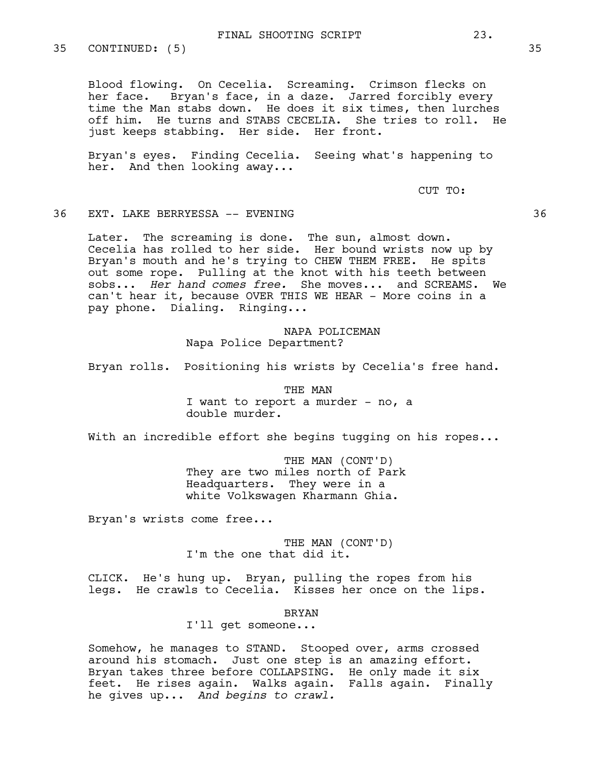35 CONTINUED: (5) 35

Blood flowing. On Cecelia. Screaming. Crimson flecks on her face. Bryan's face, in a daze. Jarred forcibly every time the Man stabs down. He does it six times, then lurches off him. He turns and STABS CECELIA. She tries to roll. He just keeps stabbing. Her side. Her front.

Bryan's eyes. Finding Cecelia. Seeing what's happening to her. And then looking away...

CUT TO:

## 36 EXT. LAKE BERRYESSA -- EVENING 36

Later. The screaming is done. The sun, almost down. Cecelia has rolled to her side. Her bound wrists now up by Bryan's mouth and he's trying to CHEW THEM FREE. He spits out some rope. Pulling at the knot with his teeth between sobs... *Her hand comes free.* She moves... and SCREAMS. We can't hear it, because OVER THIS WE HEAR - More coins in a pay phone. Dialing. Ringing...

> NAPA POLICEMAN Napa Police Department?

Bryan rolls. Positioning his wrists by Cecelia's free hand.

THE MAN I want to report a murder - no, a double murder.

With an incredible effort she begins tugging on his ropes...

THE MAN (CONT'D) They are two miles north of Park Headquarters. They were in a white Volkswagen Kharmann Ghia.

Bryan's wrists come free...

THE MAN (CONT'D) I'm the one that did it.

CLICK. He's hung up. Bryan, pulling the ropes from his legs. He crawls to Cecelia. Kisses her once on the lips.

#### BRYAN

I'll get someone...

Somehow, he manages to STAND. Stooped over, arms crossed around his stomach. Just one step is an amazing effort. Bryan takes three before COLLAPSING. He only made it six feet. He rises again. Walks again. Falls again. Finally he gives up... *And begins to crawl.*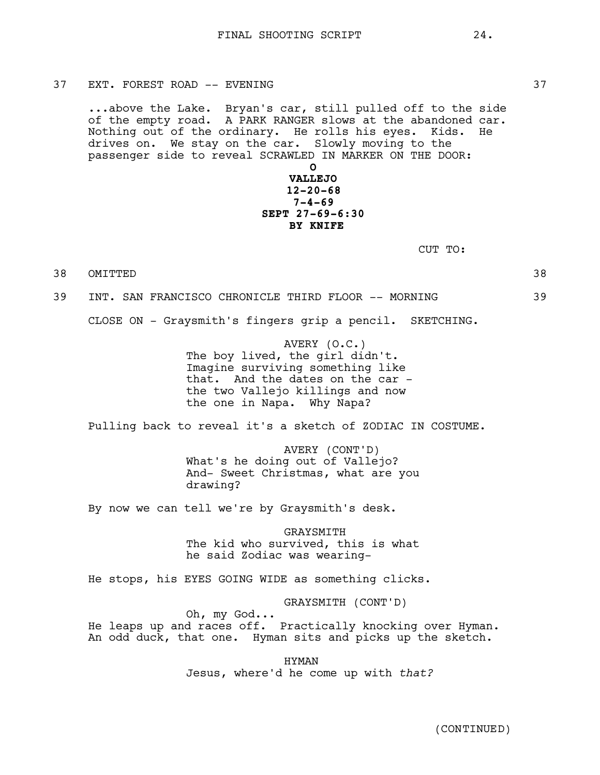37 EXT. FOREST ROAD -- EVENING 37 SALLARY STATES AND THE STATES AND THE STATES STATES AND THE STATES STATES AND THE STATES AND THE STATES OF STATES AND THE STATES AND THE STATES OF STATES AND THE STATES OF STATES AND THE S

...above the Lake. Bryan's car, still pulled off to the side of the empty road. A PARK RANGER slows at the abandoned car. Nothing out of the ordinary. He rolls his eyes. Kids. He drives on. We stay on the car. Slowly moving to the passenger side to reveal SCRAWLED IN MARKER ON THE DOOR:

# **O VALLEJO 12-20-68 7-4-69 SEPT 27-69-6:30 BY KNIFE**

CUT TO:

38 OMITTED 38 39 INT. SAN FRANCISCO CHRONICLE THIRD FLOOR -- MORNING 39

CLOSE ON - Graysmith's fingers grip a pencil. SKETCHING.

AVERY (O.C.) The boy lived, the girl didn't. Imagine surviving something like that. And the dates on the car the two Vallejo killings and now the one in Napa. Why Napa?

Pulling back to reveal it's a sketch of ZODIAC IN COSTUME.

AVERY (CONT'D) What's he doing out of Vallejo? And- Sweet Christmas, what are you drawing?

By now we can tell we're by Graysmith's desk.

GRAYSMITH The kid who survived, this is what he said Zodiac was wearing-

He stops, his EYES GOING WIDE as something clicks.

GRAYSMITH (CONT'D)

Oh, my God...

He leaps up and races off. Practically knocking over Hyman. An odd duck, that one. Hyman sits and picks up the sketch.

> HYMAN Jesus, where'd he come up with *that?*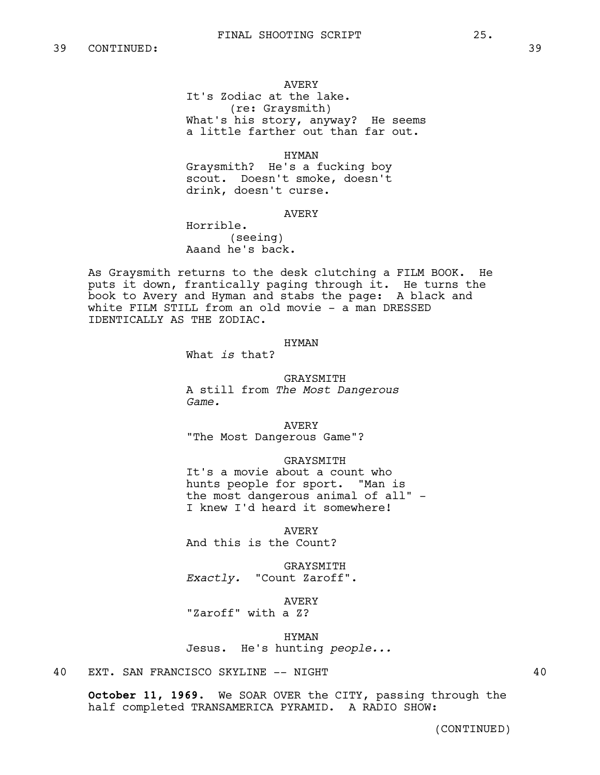### AVERY

It's Zodiac at the lake. (re: Graysmith) What's his story, anyway? He seems a little farther out than far out.

HYMAN

Graysmith? He's a fucking boy scout. Doesn't smoke, doesn't drink, doesn't curse.

AVERY

Horrible. (seeing) Aaand he's back.

As Graysmith returns to the desk clutching a FILM BOOK. He puts it down, frantically paging through it. He turns the book to Avery and Hyman and stabs the page: A black and white FILM STILL from an old movie - a man DRESSED IDENTICALLY AS THE ZODIAC.

#### HYMAN

What *is* that?

GRAYSMITH A still from *The Most Dangerous* 

*Game.*

AVERY "The Most Dangerous Game"?

GRAYSMITH

It's a movie about a count who hunts people for sport. "Man is the most dangerous animal of all" - I knew I'd heard it somewhere!

AVERY And this is the Count?

GRAYSMITH *Exactly.* "Count Zaroff".

AVERY "Zaroff" with a Z?

HYMAN Jesus. He's hunting *people...*

40 EXT. SAN FRANCISCO SKYLINE -- NIGHT 40

**October 11, 1969.** We SOAR OVER the CITY, passing through the half completed TRANSAMERICA PYRAMID. A RADIO SHOW: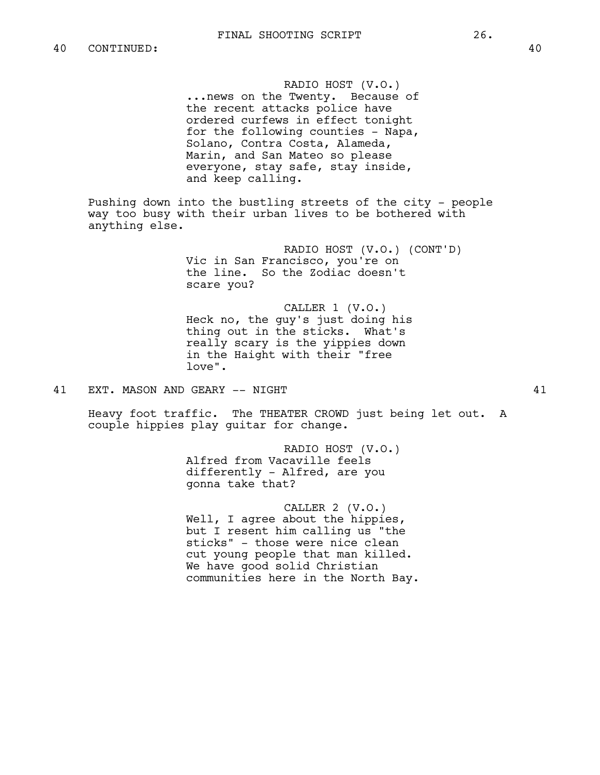RADIO HOST (V.O.) ...news on the Twenty. Because of the recent attacks police have ordered curfews in effect tonight for the following counties - Napa, Solano, Contra Costa, Alameda, Marin, and San Mateo so please everyone, stay safe, stay inside, and keep calling.

Pushing down into the bustling streets of the city - people way too busy with their urban lives to be bothered with anything else.

> RADIO HOST (V.O.) (CONT'D) Vic in San Francisco, you're on the line. So the Zodiac doesn't scare you?

CALLER 1 (V.O.) Heck no, the guy's just doing his thing out in the sticks. What's really scary is the yippies down in the Haight with their "free love".

41 EXT. MASON AND GEARY -- NIGHT 41

Heavy foot traffic. The THEATER CROWD just being let out. A couple hippies play guitar for change.

> RADIO HOST (V.O.) Alfred from Vacaville feels differently - Alfred, are you gonna take that?

CALLER 2 (V.O.) Well, I agree about the hippies, but I resent him calling us "the sticks" - those were nice clean cut young people that man killed. We have good solid Christian communities here in the North Bay.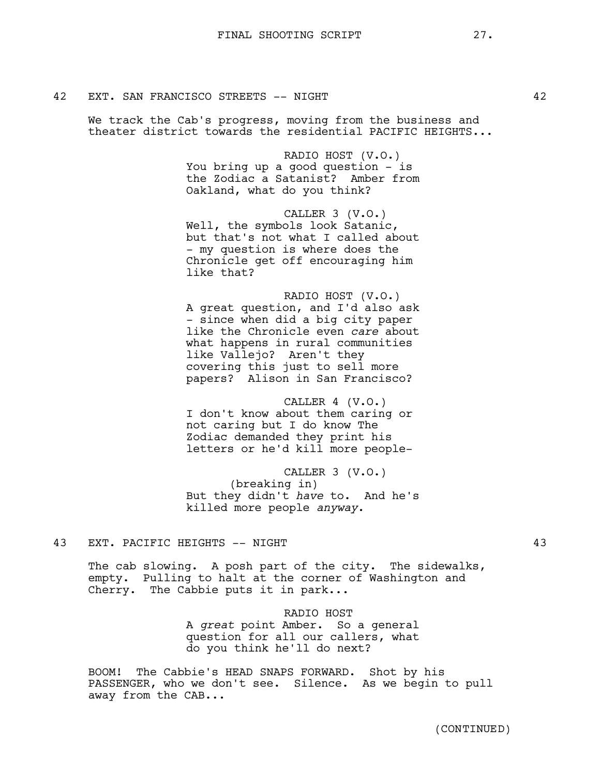We track the Cab's progress, moving from the business and theater district towards the residential PACIFIC HEIGHTS...

Oakland, what do you think?

like Vallejo? Aren't they

like that?

You bring up a good question - is the Zodiac a Satanist? Amber from

Well, the symbols look Satanic, but that's not what I called about - my question is where does the Chronicle get off encouraging him

RADIO HOST (V.O.)

CALLER 3 (V.O.)

RADIO HOST (V.O.)

CALLER 4 (V.O.) I don't know about them caring or not caring but I do know The Zodiac demanded they print his letters or he'd kill more people-

A great question, and I'd also ask - since when did a big city paper like the Chronicle even *care* about what happens in rural communities

CALLER 3 (V.O.) (breaking in) But they didn't *have* to. And he's killed more people *anyway*.

43 EXT. PACIFIC HEIGHTS -- NIGHT 43

The cab slowing. A posh part of the city. The sidewalks, empty. Pulling to halt at the corner of Washington and Cherry. The Cabbie puts it in park...

RADIO HOST

A *great* point Amber. So a general question for all our callers, what do you think he'll do next?

BOOM! The Cabbie's HEAD SNAPS FORWARD. Shot by his PASSENGER, who we don't see. Silence. As we begin to pull away from the CAB...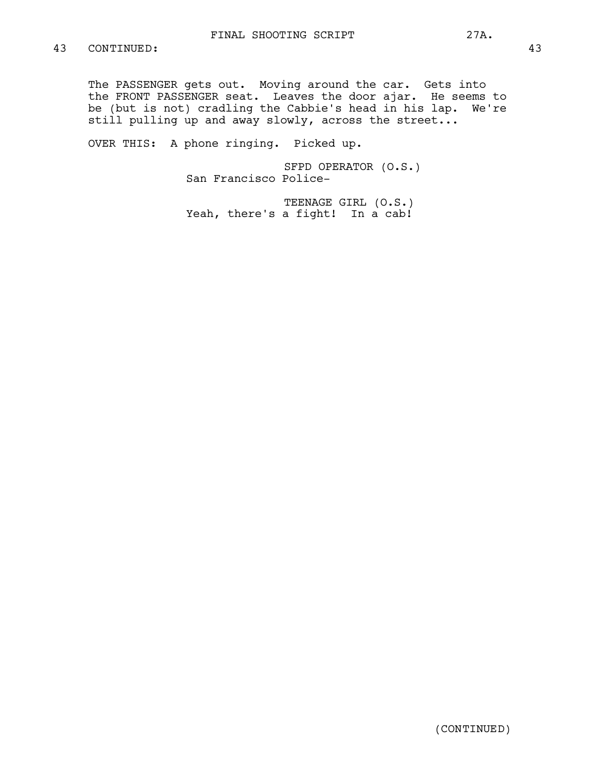The PASSENGER gets out. Moving around the car. Gets into the FRONT PASSENGER seat. Leaves the door ajar. He seems to be (but is not) cradling the Cabbie's head in his lap. We're still pulling up and away slowly, across the street...

OVER THIS: A phone ringing. Picked up.

SFPD OPERATOR (O.S.) San Francisco Police-

TEENAGE GIRL (O.S.) Yeah, there's a fight! In a cab!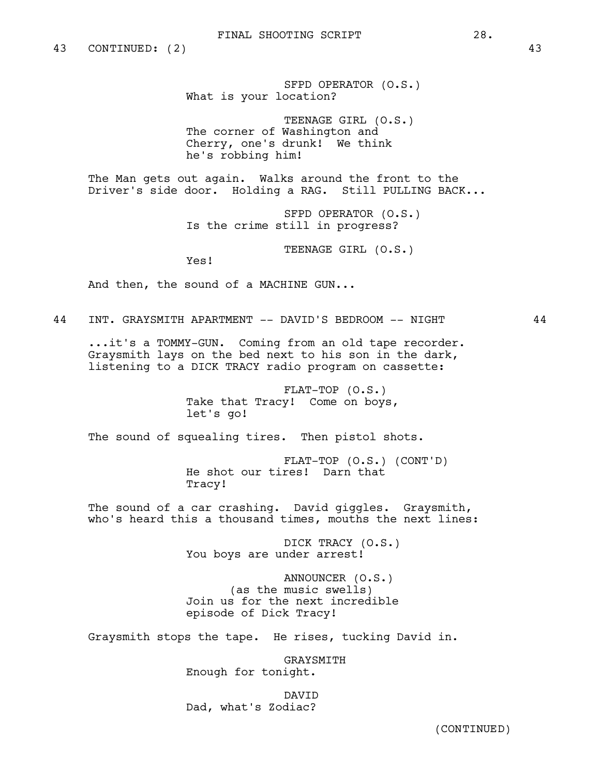SFPD OPERATOR (O.S.) What is your location?

TEENAGE GIRL (O.S.) The corner of Washington and Cherry, one's drunk! We think he's robbing him!

The Man gets out again. Walks around the front to the Driver's side door. Holding a RAG. Still PULLING BACK...

> SFPD OPERATOR (O.S.) Is the crime still in progress?

> > TEENAGE GIRL (O.S.)

Yes!

And then, the sound of a MACHINE GUN...

44 INT. GRAYSMITH APARTMENT -- DAVID'S BEDROOM -- NIGHT 44

...it's a TOMMY-GUN. Coming from an old tape recorder. Graysmith lays on the bed next to his son in the dark, listening to a DICK TRACY radio program on cassette:

> FLAT-TOP (O.S.) Take that Tracy! Come on boys, let's go!

The sound of squealing tires. Then pistol shots.

FLAT-TOP (O.S.) (CONT'D) He shot our tires! Darn that Tracy!

The sound of a car crashing. David giggles. Graysmith, who's heard this a thousand times, mouths the next lines:

> DICK TRACY (O.S.) You boys are under arrest!

ANNOUNCER (O.S.) (as the music swells) Join us for the next incredible episode of Dick Tracy!

Graysmith stops the tape. He rises, tucking David in.

GRAYSMITH Enough for tonight.

DAVID Dad, what's Zodiac?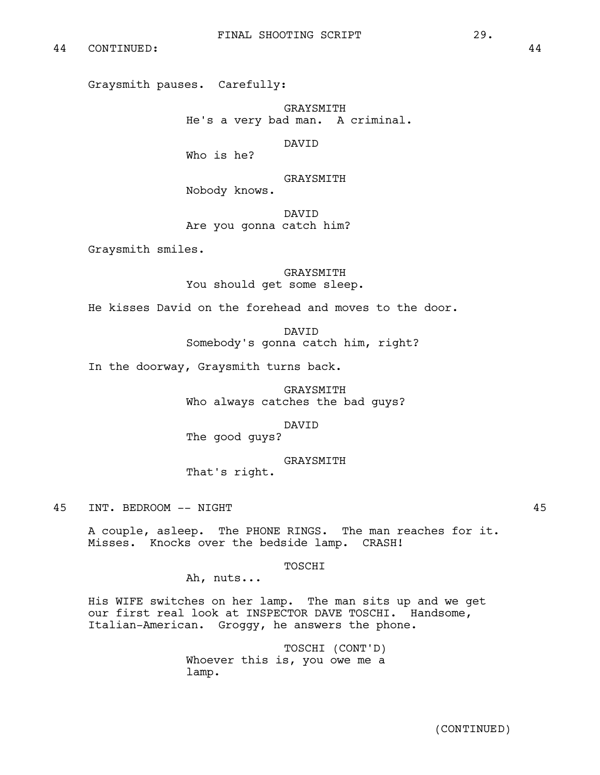Graysmith pauses. Carefully:

GRAYSMITH He's a very bad man. A criminal.

DAVID

Who is he?

GRAYSMITH

Nobody knows.

DAVID Are you gonna catch him?

Graysmith smiles.

**GRAYSMITH** You should get some sleep.

He kisses David on the forehead and moves to the door.

**DAVTD** Somebody's gonna catch him, right?

In the doorway, Graysmith turns back.

GRAYSMITH Who always catches the bad guys?

DAVID

The good guys?

GRAYSMITH

That's right.

45 INT. BEDROOM -- NIGHT 45

A couple, asleep. The PHONE RINGS. The man reaches for it. Misses. Knocks over the bedside lamp. CRASH!

TOSCHI

Ah, nuts...

His WIFE switches on her lamp. The man sits up and we get our first real look at INSPECTOR DAVE TOSCHI. Handsome, Italian-American. Groggy, he answers the phone.

> TOSCHI (CONT'D) Whoever this is, you owe me a lamp.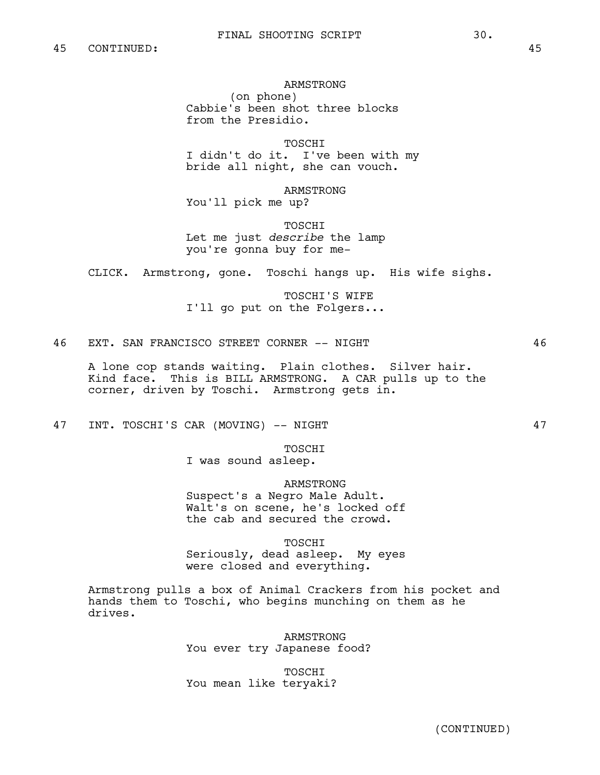ARMSTRONG

(on phone) Cabbie's been shot three blocks from the Presidio.

TOSCHI

I didn't do it. I've been with my bride all night, she can vouch.

ARMSTRONG You'll pick me up?

TOSCHI Let me just *describe* the lamp you're gonna buy for me-

CLICK. Armstrong, gone. Toschi hangs up. His wife sighs.

TOSCHI'S WIFE I'll go put on the Folgers...

46 EXT. SAN FRANCISCO STREET CORNER -- NIGHT 46

A lone cop stands waiting. Plain clothes. Silver hair. Kind face. This is BILL ARMSTRONG. A CAR pulls up to the corner, driven by Toschi. Armstrong gets in.

47 INT. TOSCHI'S CAR (MOVING) -- NIGHT 47

TOSCHI

I was sound asleep.

ARMSTRONG

Suspect's a Negro Male Adult. Walt's on scene, he's locked off the cab and secured the crowd.

TOSCHI

Seriously, dead asleep. My eyes were closed and everything.

Armstrong pulls a box of Animal Crackers from his pocket and hands them to Toschi, who begins munching on them as he drives.

> ARMSTRONG You ever try Japanese food?

TOSCHI You mean like teryaki?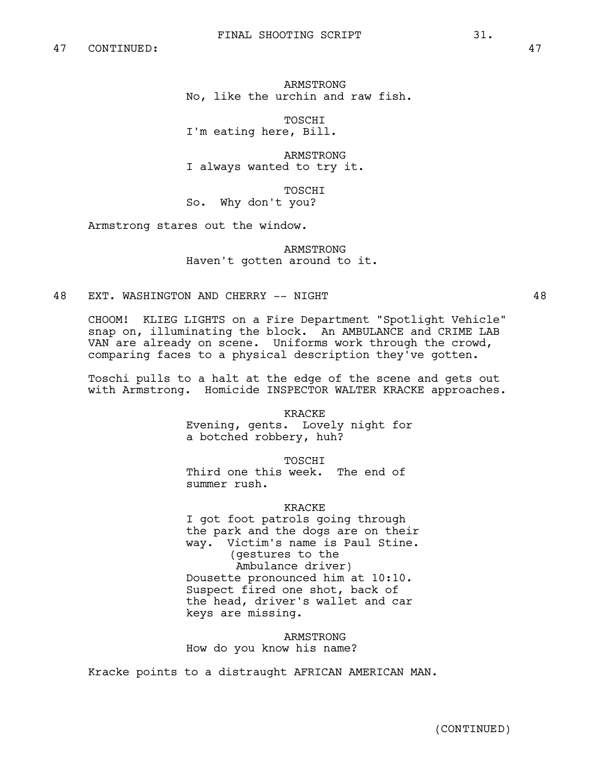ARMSTRONG No, like the urchin and raw fish.

TOSCHI I'm eating here, Bill.

ARMSTRONG I always wanted to try it.

TOSCHI So. Why don't you?

Armstrong stares out the window.

ARMSTRONG Haven't gotten around to it.

48 EXT. WASHINGTON AND CHERRY -- NIGHT 48

CHOOM! KLIEG LIGHTS on a Fire Department "Spotlight Vehicle" snap on, illuminating the block. An AMBULANCE and CRIME LAB VAN are already on scene. Uniforms work through the crowd, comparing faces to a physical description they've gotten.

Toschi pulls to a halt at the edge of the scene and gets out with Armstrong. Homicide INSPECTOR WALTER KRACKE approaches.

KRACKE

Evening, gents. Lovely night for a botched robbery, huh?

TOSCHI

Third one this week. The end of summer rush.

KRACKE

I got foot patrols going through the park and the dogs are on their way. Victim's name is Paul Stine. (gestures to the Ambulance driver) Dousette pronounced him at 10:10. Suspect fired one shot, back of the head, driver's wallet and car keys are missing.

ARMSTRONG How do you know his name?

Kracke points to a distraught AFRICAN AMERICAN MAN.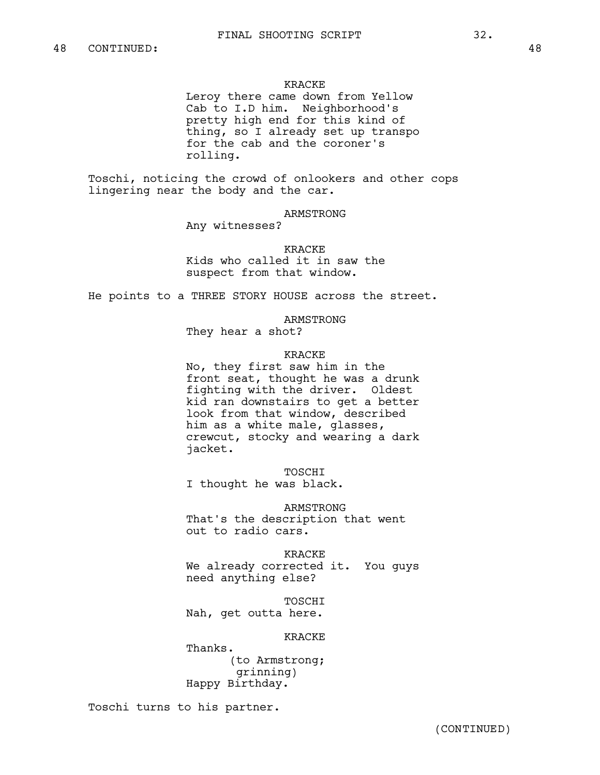#### KRACKE

Leroy there came down from Yellow Cab to I.D him. Neighborhood's pretty high end for this kind of thing, so I already set up transpo for the cab and the coroner's rolling.

Toschi, noticing the crowd of onlookers and other cops lingering near the body and the car.

ARMSTRONG

Any witnesses?

**KRACKE** Kids who called it in saw the suspect from that window.

He points to a THREE STORY HOUSE across the street.

ARMSTRONG

They hear a shot?

### KRACKE

No, they first saw him in the front seat, thought he was a drunk fighting with the driver. Oldest kid ran downstairs to get a better look from that window, described him as a white male, glasses, crewcut, stocky and wearing a dark jacket.

TOSCHI I thought he was black.

ARMSTRONG That's the description that went out to radio cars.

KRACKE We already corrected it. You guys need anything else?

TOSCHI Nah, get outta here.

KRACKE

Thanks. (to Armstrong; grinning) Happy Birthday.

Toschi turns to his partner.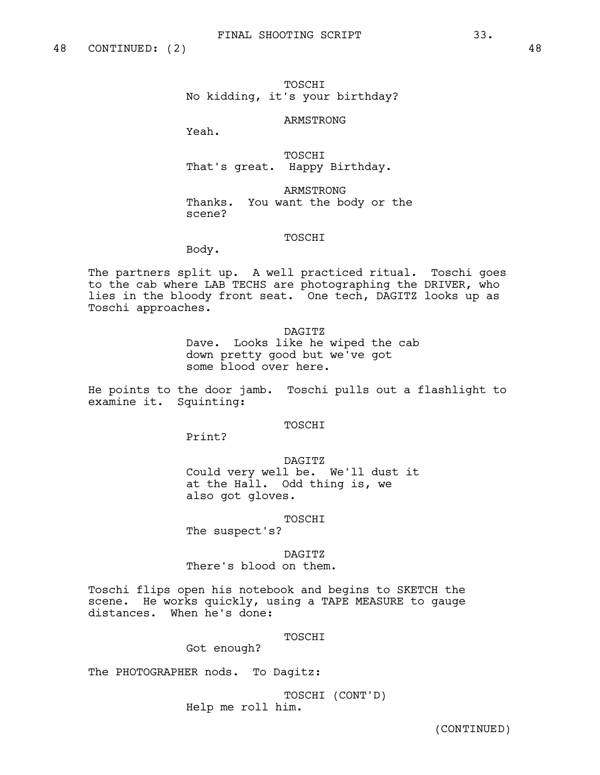# TOSCHI No kidding, it's your birthday?

### ARMSTRONG

Yeah.

TOSCHI That's great. Happy Birthday.

ARMSTRONG Thanks. You want the body or the scene?

### TOSCHI

Body.

The partners split up. A well practiced ritual. Toschi goes to the cab where LAB TECHS are photographing the DRIVER, who lies in the bloody front seat. One tech, DAGITZ looks up as Toschi approaches.

DAGTTZ

Dave. Looks like he wiped the cab down pretty good but we've got some blood over here.

He points to the door jamb. Toschi pulls out a flashlight to examine it. Squinting:

TOSCHI

Print?

DAGITZ Could very well be. We'll dust it at the Hall. Odd thing is, we also got gloves.

TOSCHI

The suspect's?

DAGITZ

There's blood on them.

Toschi flips open his notebook and begins to SKETCH the scene. He works quickly, using a TAPE MEASURE to gauge distances. When he's done:

TOSCHI

Got enough?

The PHOTOGRAPHER nods. To Dagitz:

TOSCHI (CONT'D) Help me roll him.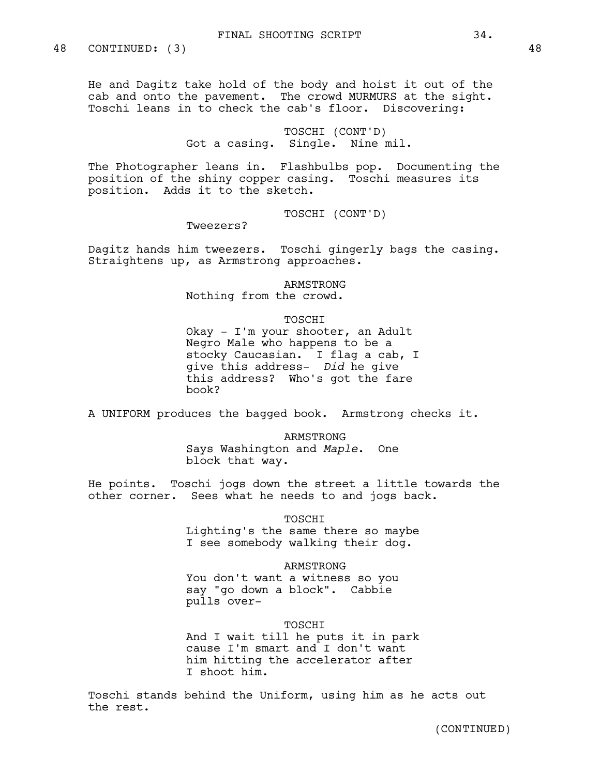He and Dagitz take hold of the body and hoist it out of the cab and onto the pavement. The crowd MURMURS at the sight. Toschi leans in to check the cab's floor. Discovering:

> TOSCHI (CONT'D) Got a casing. Single. Nine mil.

The Photographer leans in. Flashbulbs pop. Documenting the position of the shiny copper casing. Toschi measures its position. Adds it to the sketch.

TOSCHI (CONT'D)

Tweezers?

Dagitz hands him tweezers. Toschi gingerly bags the casing. Straightens up, as Armstrong approaches.

ARMSTRONG

Nothing from the crowd.

TOSCHI

Okay - I'm your shooter, an Adult Negro Male who happens to be a stocky Caucasian. I flag a cab, I give this address- *Did* he give this address? Who's got the fare book?

A UNIFORM produces the bagged book. Armstrong checks it.

ARMSTRONG Says Washington and *Maple*. One block that way.

He points. Toschi jogs down the street a little towards the other corner. Sees what he needs to and jogs back.

TOSCHI

Lighting's the same there so maybe I see somebody walking their dog.

ARMSTRONG You don't want a witness so you say "go down a block". Cabbie pulls over-

TOSCHI

And I wait till he puts it in park cause I'm smart and I don't want him hitting the accelerator after I shoot him.

Toschi stands behind the Uniform, using him as he acts out the rest.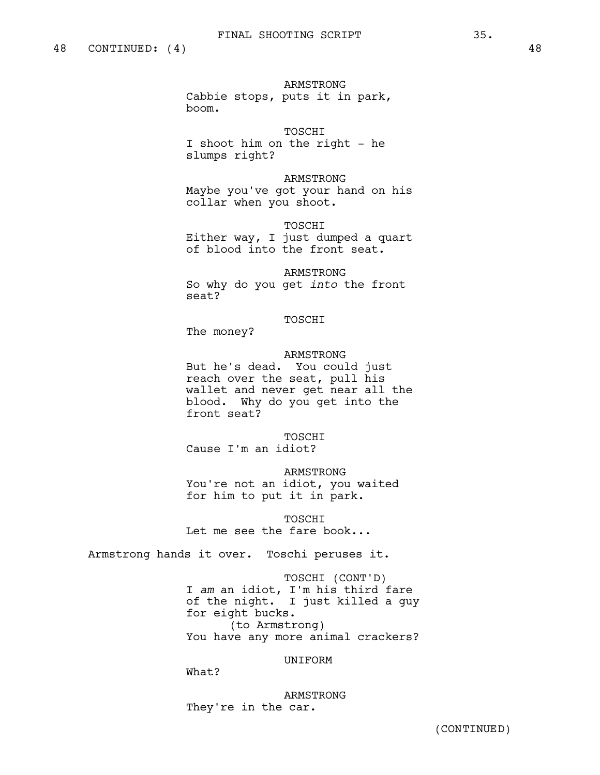ARMSTRONG Cabbie stops, puts it in park, boom.

TOSCHI I shoot him on the right - he slumps right?

ARMSTRONG Maybe you've got your hand on his collar when you shoot.

TOSCHI Either way, I just dumped a quart of blood into the front seat.

ARMSTRONG So why do you get *into* the front seat?

#### TOSCHI

The money?

### ARMSTRONG

But he's dead. You could just reach over the seat, pull his wallet and never get near all the blood. Why do you get into the front seat?

TOSCHI Cause I'm an idiot?

ARMSTRONG You're not an idiot, you waited for him to put it in park.

**TOSCHT** Let me see the fare book...

Armstrong hands it over. Toschi peruses it.

TOSCHI (CONT'D) I *am* an idiot, I'm his third fare of the night. I just killed a guy for eight bucks. (to Armstrong) You have any more animal crackers?

### UNIFORM

What?

ARMSTRONG They're in the car.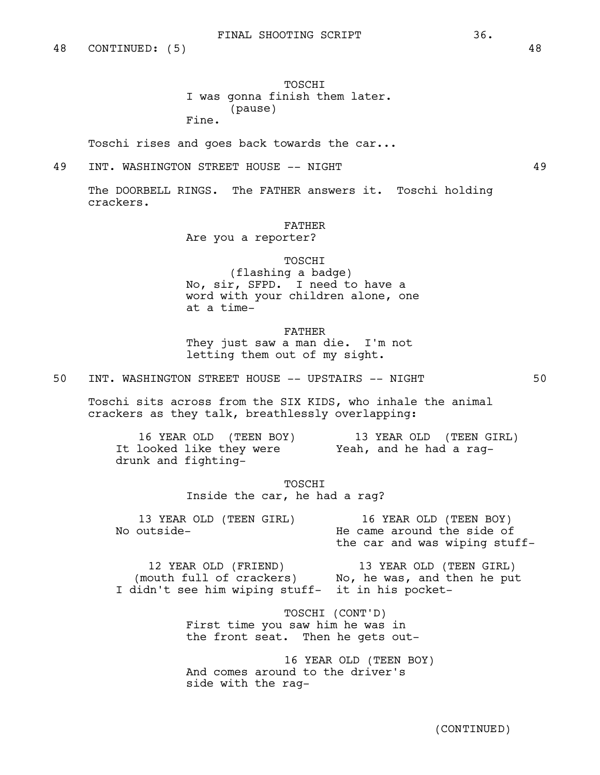TOSCHI I was gonna finish them later. (pause) Fine.

Toschi rises and goes back towards the car...

# 49 INT. WASHINGTON STREET HOUSE -- NIGHT 49

The DOORBELL RINGS. The FATHER answers it. Toschi holding crackers.

#### FATHER

Are you a reporter?

### TOSCHI

(flashing a badge) No, sir, SFPD. I need to have a word with your children alone, one at a time-

FATHER They just saw a man die. I'm not letting them out of my sight.

50 INT. WASHINGTON STREET HOUSE -- UPSTAIRS -- NIGHT 50

Toschi sits across from the SIX KIDS, who inhale the animal crackers as they talk, breathlessly overlapping:

16 YEAR OLD (TEEN BOY) It looked like they were drunk and fighting-13 YEAR OLD (TEEN GIRL) Yeah, and he had a rag-

> TOSCHI Inside the car, he had a rag?

| 13 YEAR OLD (TEEN GIRL)<br>No outside- |                               | 16 YEAR OLD (TEEN BOY)<br>He came around the side of |  |  |  |
|----------------------------------------|-------------------------------|------------------------------------------------------|--|--|--|
|                                        | the car and was wiping stuff- |                                                      |  |  |  |
|                                        |                               |                                                      |  |  |  |

12 YEAR OLD (FRIEND) (mouth full of crackers) I didn't see him wiping stuff-13 YEAR OLD (TEEN GIRL) No, he was, and then he put it in his pocket-

> TOSCHI (CONT'D) First time you saw him he was in the front seat. Then he gets out-

16 YEAR OLD (TEEN BOY) And comes around to the driver's side with the rag-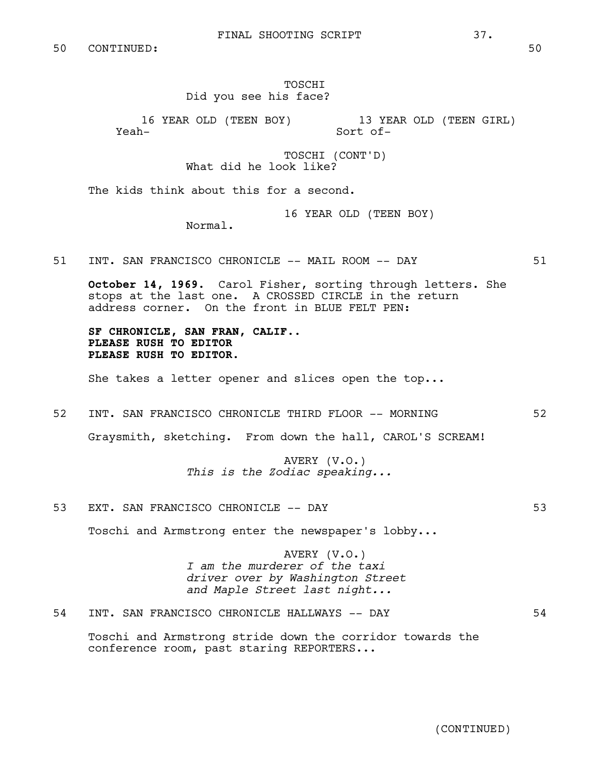TOSCHI Did you see his face?

16 YEAR OLD (TEEN BOY) Yeah-13 YEAR OLD (TEEN GIRL) Sort of-

> TOSCHI (CONT'D) What did he look like?

The kids think about this for a second.

16 YEAR OLD (TEEN BOY)

Normal.

51 INT. SAN FRANCISCO CHRONICLE -- MAIL ROOM -- DAY 51

**October 14, 1969**. Carol Fisher, sorting through letters. She stops at the last one. A CROSSED CIRCLE in the return address corner. On the front in BLUE FELT PEN:

SF CHRONICLE, SAN FRAN, CALIF..<br>PLEASE RUSH TO EDITOR<br>PLEASE RUSH TO EDITOR.

She takes a letter opener and slices open the top...

52 INT. SAN FRANCISCO CHRONICLE THIRD FLOOR -- MORNING 52

Graysmith, sketching. From down the hall, CAROL'S SCREAM!

AVERY (V.O.) *This is the Zodiac speaking...*

53 EXT. SAN FRANCISCO CHRONICLE -- DAY 53

Toschi and Armstrong enter the newspaper's lobby...

AVERY (V.O.) *I am the murderer of the taxi driver over by Washington Street and Maple Street last night...* 

54 INT. SAN FRANCISCO CHRONICLE HALLWAYS -- DAY 54

Toschi and Armstrong stride down the corridor towards the conference room, past staring REPORTERS...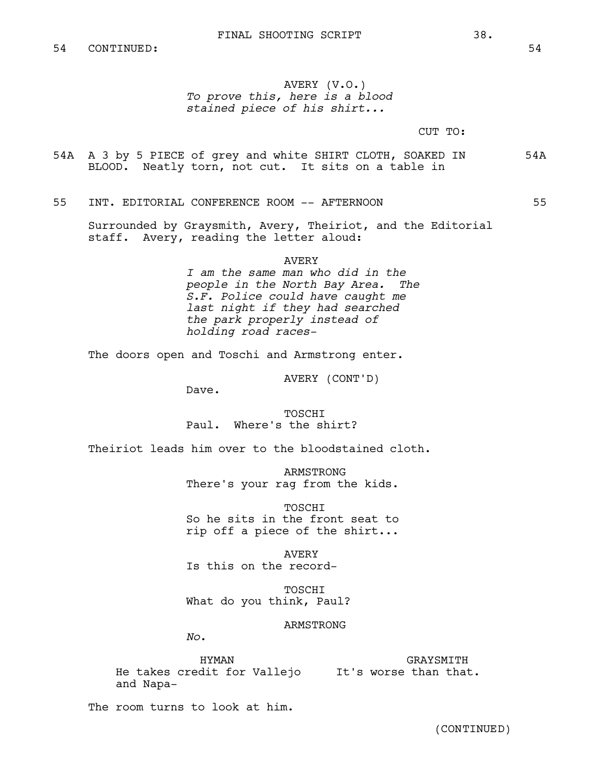# AVERY (V.O.) *To prove this, here is a blood stained piece of his shirt...*

CUT TO:

54A A 3 by 5 PIECE of grey and white SHIRT CLOTH, SOAKED IN 54A BLOOD. Neatly torn, not cut. It sits on a table in

55 INT. EDITORIAL CONFERENCE ROOM -- AFTERNOON 55

Surrounded by Graysmith, Avery, Theiriot, and the Editorial staff. Avery, reading the letter aloud:

#### AVERY

*I am the same man who did in the people in the North Bay Area. S.F. Police could have caught me last night if they had searched the park properly instead of holding road races-*

The doors open and Toschi and Armstrong enter.

AVERY (CONT'D)

Dave.

TOSCHI Paul. Where's the shirt?

Theiriot leads him over to the bloodstained cloth.

ARMSTRONG There's your rag from the kids.

TOSCHI So he sits in the front seat to rip off a piece of the shirt...

AVERY Is this on the record-

**TOSCHT** What do you think, Paul?

ARMSTRONG

*No*.

HYMAN He takes credit for Vallejo It's worse than that. and Napa-GRAYSMITH

The room turns to look at him.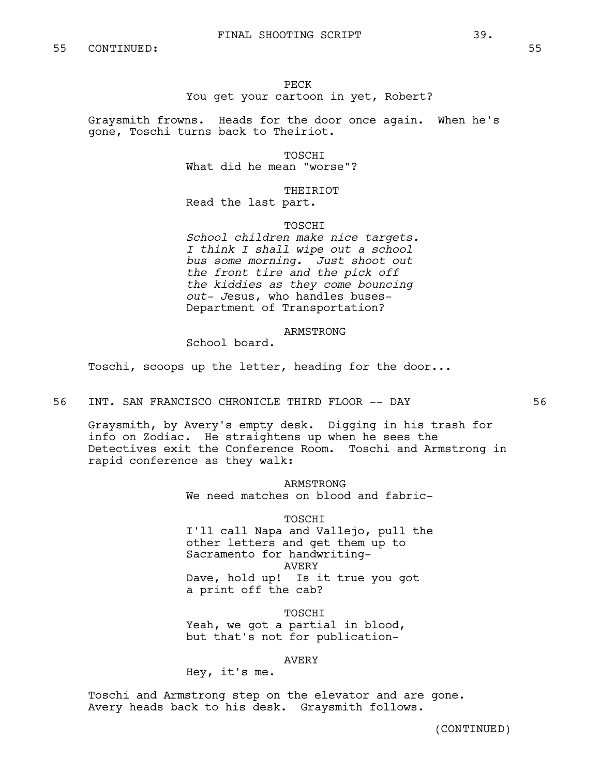## PECK You get your cartoon in yet, Robert?

Graysmith frowns. Heads for the door once again. When he's gone, Toschi turns back to Theiriot.

TOSCHI

What did he mean "worse"?

THEIRIOT

Read the last part.

**TOSCHT** 

*School children make nice targets. I think I shall wipe out a school bus some morning. Just shoot out the front tire and the pick off the kiddies as they come bouncing out- J*esus, who handles buses-Department of Transportation?

## ARMSTRONG

School board.

Toschi, scoops up the letter, heading for the door...

56 INT. SAN FRANCISCO CHRONICLE THIRD FLOOR -- DAY 56

Graysmith, by Avery's empty desk. Digging in his trash for info on Zodiac. He straightens up when he sees the Detectives exit the Conference Room. Toschi and Armstrong in rapid conference as they walk:

> ARMSTRONG We need matches on blood and fabric-

> > TOSCHI

I'll call Napa and Vallejo, pull the other letters and get them up to Sacramento for handwriting-AVERY Dave, hold up! Is it true you got a print off the cab?

TOSCHI Yeah, we got a partial in blood, but that's not for publication-

AVERY

Hey, it's me.

Toschi and Armstrong step on the elevator and are gone. Avery heads back to his desk. Graysmith follows.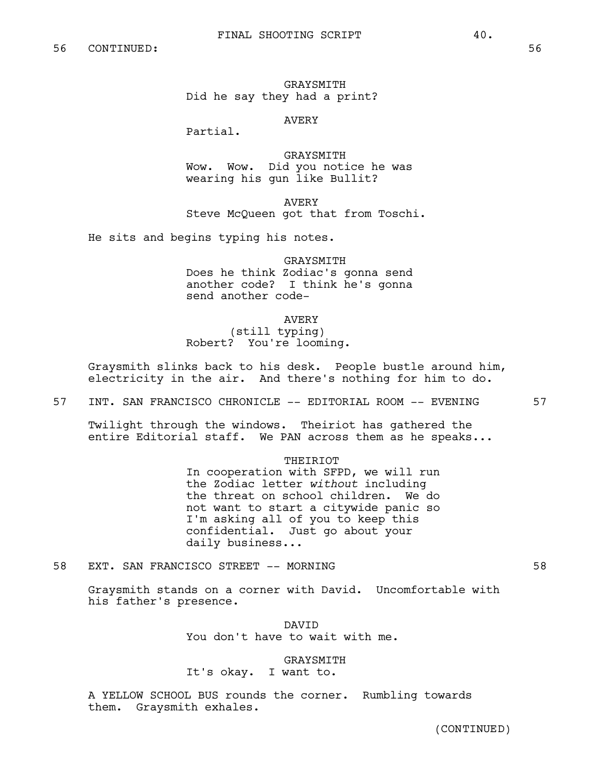GRAYSMITH Did he say they had a print?

## AVERY

Partial.

GRAYSMITH Wow. Wow. Did you notice he was wearing his gun like Bullit?

AVERY Steve McQueen got that from Toschi.

He sits and begins typing his notes.

#### GRAYSMITH

Does he think Zodiac's gonna send another code? I think he's gonna send another code-

AVERY

# (still typing) Robert? You're looming.

Graysmith slinks back to his desk. People bustle around him, electricity in the air. And there's nothing for him to do.

57 INT. SAN FRANCISCO CHRONICLE -- EDITORIAL ROOM -- EVENING 57

Twilight through the windows. Theiriot has gathered the entire Editorial staff. We PAN across them as he speaks...

#### **THEIRIOT**

In cooperation with SFPD, we will run the Zodiac letter *without* including the threat on school children. We do not want to start a citywide panic so I'm asking all of you to keep this confidential. Just go about your daily business...

58 EXT. SAN FRANCISCO STREET -- MORNING 58

Graysmith stands on a corner with David. Uncomfortable with his father's presence.

> DAVID You don't have to wait with me.

GRAYSMITH It's okay. I want to.

A YELLOW SCHOOL BUS rounds the corner. Rumbling towards them. Graysmith exhales.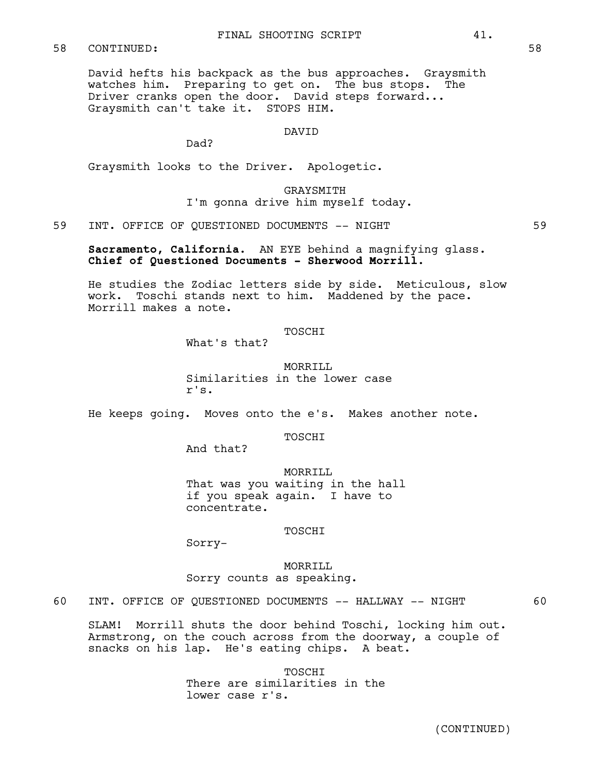## FINAL SHOOTING SCRIPT 41.

## 58 CONTINUED: 58

David hefts his backpack as the bus approaches. Graysmith watches him. Preparing to get on. The bus stops. The Driver cranks open the door. David steps forward... Graysmith can't take it. STOPS HIM.

### DAVID

Dad?

Graysmith looks to the Driver. Apologetic.

GRAYSMITH I'm gonna drive him myself today.

59 INT. OFFICE OF QUESTIONED DOCUMENTS -- NIGHT

**Sacramento, California.** AN EYE behind a magnifying glass. **Chief of Questioned Documents - Sherwood Morrill.**

He studies the Zodiac letters side by side. Meticulous, slow work. Toschi stands next to him. Maddened by the pace. Morrill makes a note.

### **TOSCHT**

What's that?

MORRILL Similarities in the lower case r's.

He keeps going. Moves onto the e's. Makes another note.

TOSCHI

And that?

MORRILL That was you waiting in the hall if you speak again. I have to concentrate.

TOSCHI

Sorry-

MORRILL Sorry counts as speaking.

60 INT. OFFICE OF QUESTIONED DOCUMENTS -- HALLWAY -- NIGHT 60

SLAM! Morrill shuts the door behind Toschi, locking him out. Armstrong, on the couch across from the doorway, a couple of snacks on his lap. He's eating chips. A beat.

> TOSCHI There are similarities in the lower case r's.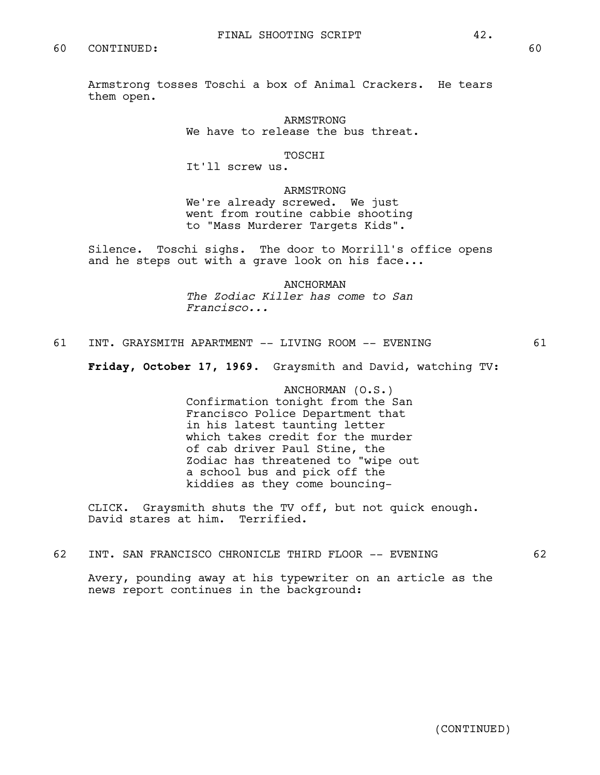Armstrong tosses Toschi a box of Animal Crackers. He tears them open.

> ARMSTRONG We have to release the bus threat.

### TOSCHI

It'll screw us.

ARMSTRONG We're already screwed. We just went from routine cabbie shooting to "Mass Murderer Targets Kids".

Silence. Toschi sighs. The door to Morrill's office opens and he steps out with a grave look on his face...

> ANCHORMAN *The Zodiac Killer has come to San Francisco...*

61 INT. GRAYSMITH APARTMENT -- LIVING ROOM -- EVENING 61

**Friday, October 17, 1969.** Graysmith and David, watching TV:

ANCHORMAN (O.S.) Confirmation tonight from the San Francisco Police Department that in his latest taunting letter which takes credit for the murder of cab driver Paul Stine, the Zodiac has threatened to "wipe out a school bus and pick off the kiddies as they come bouncing-

CLICK. Graysmith shuts the TV off, but not quick enough. David stares at him. Terrified.

62 INT. SAN FRANCISCO CHRONICLE THIRD FLOOR -- EVENING 62

Avery, pounding away at his typewriter on an article as the news report continues in the background: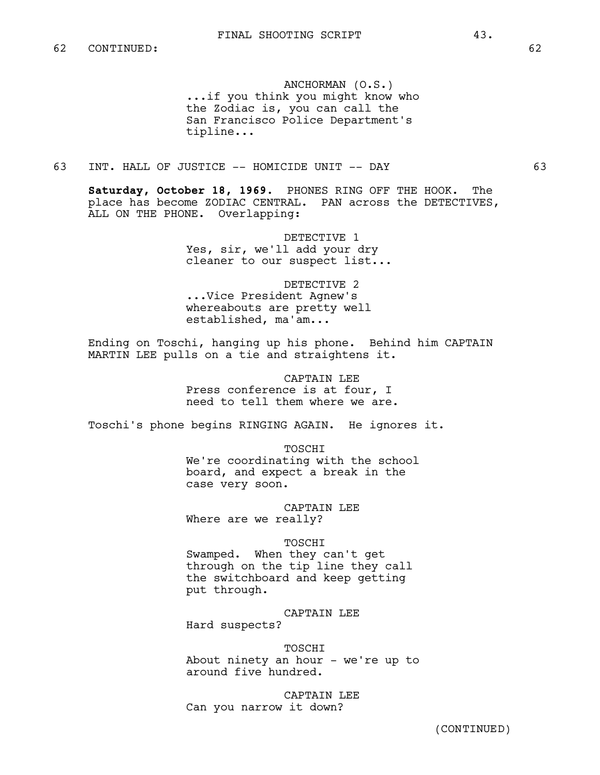ANCHORMAN (O.S.) ...if you think you might know who the Zodiac is, you can call the San Francisco Police Department's tipline...

# 63 INT. HALL OF JUSTICE -- HOMICIDE UNIT -- DAY 63

**Saturday, October 18, 1969.** PHONES RING OFF THE HOOK. The place has become ZODIAC CENTRAL. PAN across the DETECTIVES, ALL ON THE PHONE. Overlapping:

> DETECTIVE 1 Yes, sir, we'll add your dry cleaner to our suspect list...

DETECTIVE 2 ...Vice President Agnew's whereabouts are pretty well established, ma'am...

Ending on Toschi, hanging up his phone. Behind him CAPTAIN MARTIN LEE pulls on a tie and straightens it.

> CAPTAIN LEE Press conference is at four, I need to tell them where we are.

Toschi's phone begins RINGING AGAIN. He ignores it.

TOSCHI We're coordinating with the school board, and expect a break in the case very soon.

CAPTAIN LEE Where are we really?

TOSCHI

Swamped. When they can't get through on the tip line they call the switchboard and keep getting put through.

CAPTAIN LEE Hard suspects?

TOSCHI About ninety an hour - we're up to around five hundred.

CAPTAIN LEE Can you narrow it down?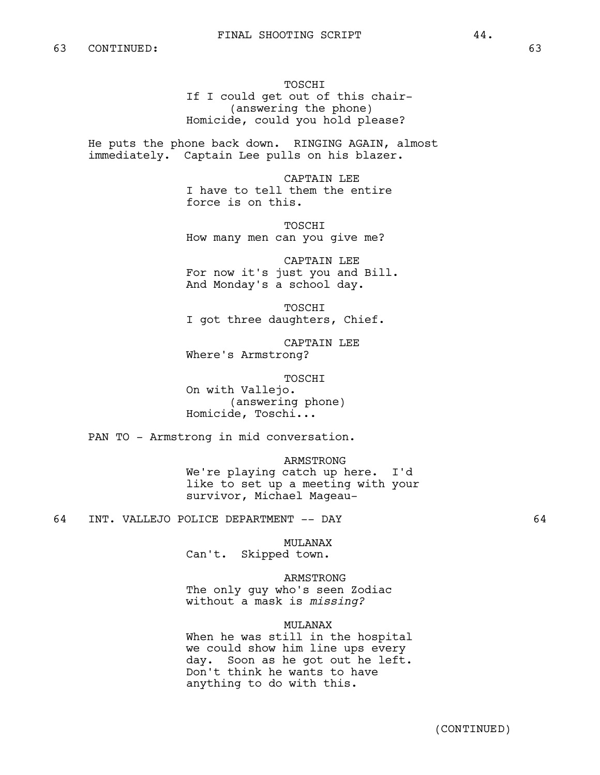TOSCHI If I could get out of this chair- (answering the phone) Homicide, could you hold please?

He puts the phone back down. RINGING AGAIN, almost immediately. Captain Lee pulls on his blazer.

> CAPTAIN LEE I have to tell them the entire force is on this.

TOSCHI How many men can you give me?

CAPTAIN LEE For now it's just you and Bill. And Monday's a school day.

TOSCHI I got three daughters, Chief.

CAPTAIN LEE Where's Armstrong?

TOSCHI

On with Vallejo. (answering phone) Homicide, Toschi...

PAN TO - Armstrong in mid conversation.

ARMSTRONG

We're playing catch up here. I'd like to set up a meeting with your survivor, Michael Mageau-

64 INT. VALLEJO POLICE DEPARTMENT -- DAY 64

MULANAX

Can't. Skipped town.

ARMSTRONG The only guy who's seen Zodiac without a mask is *missing?*

### MULANAX

When he was still in the hospital we could show him line ups every day. Soon as he got out he left. Don't think he wants to have anything to do with this.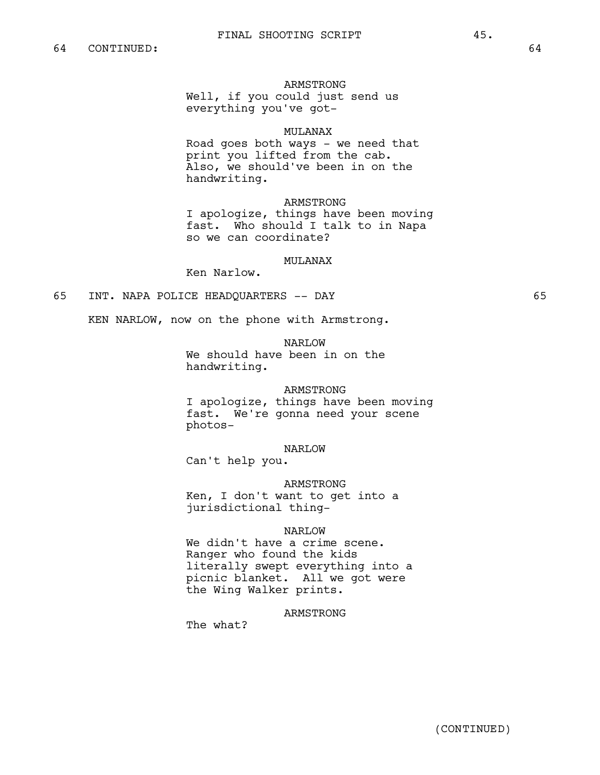## ARMSTRONG

Well, if you could just send us everything you've got-

#### MULANAX

Road goes both ways - we need that print you lifted from the cab. Also, we should've been in on the handwriting.

ARMSTRONG

I apologize, things have been moving fast. Who should I talk to in Napa so we can coordinate?

### MULANAX

Ken Narlow.

# 65 INT. NAPA POLICE HEADQUARTERS -- DAY 65

KEN NARLOW, now on the phone with Armstrong.

NARLOW

We should have been in on the handwriting.

#### ARMSTRONG

I apologize, things have been moving fast. We're gonna need your scene photos-

#### NARLOW

Can't help you.

### ARMSTRONG

Ken, I don't want to get into a jurisdictional thing-

### NARLOW

We didn't have a crime scene. Ranger who found the kids literally swept everything into a picnic blanket. All we got were the Wing Walker prints.

## ARMSTRONG

The what?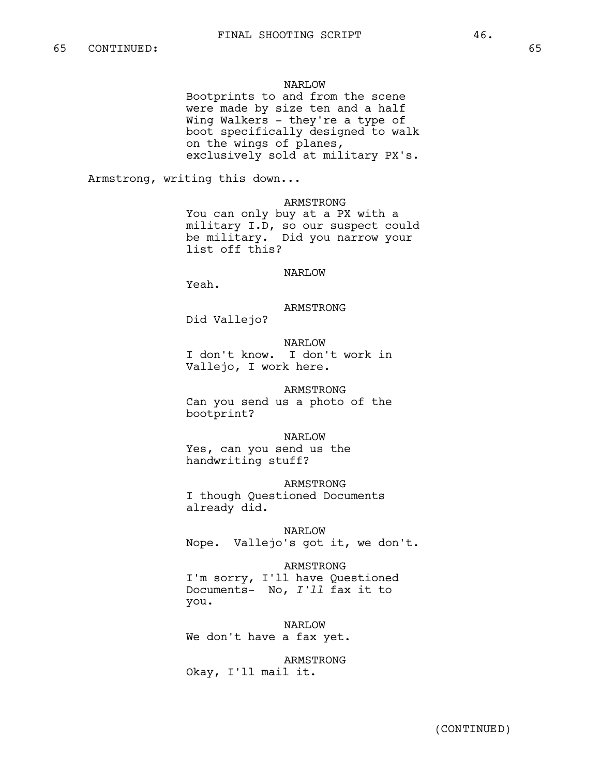### NARLOW

Bootprints to and from the scene were made by size ten and a half Wing Walkers - they're a type of boot specifically designed to walk on the wings of planes, exclusively sold at military PX's.

Armstrong, writing this down...

ARMSTRONG

You can only buy at a PX with a military I.D, so our suspect could be military. Did you narrow your list off this?

# NARLOW

Yeah.

### ARMSTRONG

Did Vallejo?

NARLOW I don't know. I don't work in Vallejo, I work here.

ARMSTRONG Can you send us a photo of the bootprint?

NARLOW Yes, can you send us the handwriting stuff?

ARMSTRONG I though Questioned Documents already did.

NARLOW Nope. Vallejo's got it, we don't.

ARMSTRONG

I'm sorry, I'll have Questioned Documents- No, *I'll* fax it to you.

NARLOW We don't have a fax yet.

ARMSTRONG Okay, I'll mail it.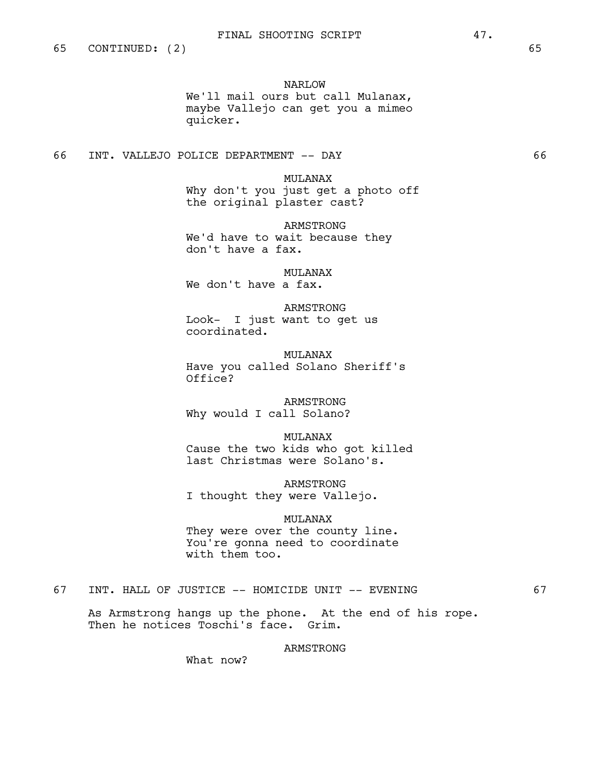NARLOW

We'll mail ours but call Mulanax, maybe Vallejo can get you a mimeo quicker.

66 INT. VALLEJO POLICE DEPARTMENT -- DAY 66

MULANAX Why don't you just get a photo off the original plaster cast?

ARMSTRONG We'd have to wait because they don't have a fax.

MULANAX We don't have a fax.

ARMSTRONG Look- I just want to get us coordinated.

MULANAX Have you called Solano Sheriff's Office?

ARMSTRONG Why would I call Solano?

MULANAX Cause the two kids who got killed last Christmas were Solano's.

ARMSTRONG I thought they were Vallejo.

### MULANAX

They were over the county line. You're gonna need to coordinate with them too.

## 67 INT. HALL OF JUSTICE -- HOMICIDE UNIT -- EVENING 67

As Armstrong hangs up the phone. At the end of his rope. Then he notices Toschi's face. Grim.

## ARMSTRONG

What now?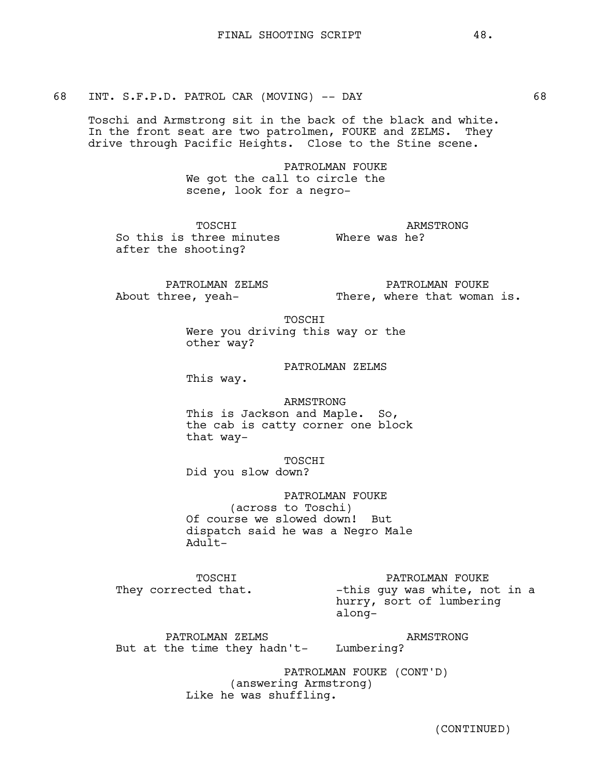68 INT. S.F.P.D. PATROL CAR (MOVING) -- DAY 68

Toschi and Armstrong sit in the back of the black and white. In the front seat are two patrolmen, FOUKE and ZELMS. They drive through Pacific Heights. Close to the Stine scene.

> PATROLMAN FOUKE We got the call to circle the scene, look for a negro-

TOSCHI So this is three minutes **Where was he?** after the shooting?

ARMSTRONG

PATROLMAN ZELMS About three, yeah-

PATROLMAN FOUKE There, where that woman is.

TOSCHI

Were you driving this way or the other way?

## PATROLMAN ZELMS

This way.

ARMSTRONG This is Jackson and Maple. So, the cab is catty corner one block that way-

**TOSCHT** Did you slow down?

PATROLMAN FOUKE (across to Toschi) Of course we slowed down! But dispatch said he was a Negro Male Adult-

TOSCHI They corrected that. PATROLMAN FOUKE

-this guy was white, not in a hurry, sort of lumbering along-

PATROLMAN ZELMS But at the time they hadn't*-*Lumbering? ARMSTRONG

> PATROLMAN FOUKE (CONT'D) (answering Armstrong) Like he was shuffling.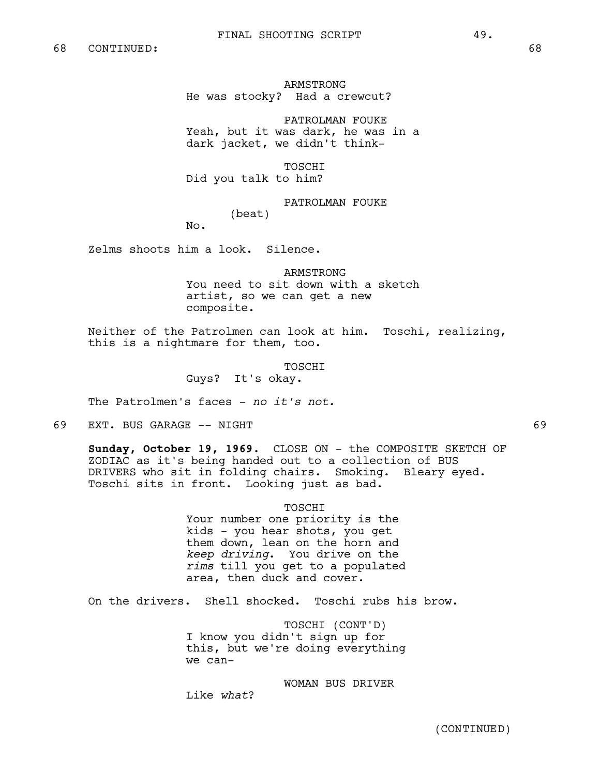ARMSTRONG He was stocky? Had a crewcut?

PATROLMAN FOUKE Yeah, but it was dark, he was in a dark jacket, we didn't think-

TOSCHI Did you talk to him?

PATROLMAN FOUKE

(beat)

No.

Zelms shoots him a look. Silence.

ARMSTRONG You need to sit down with a sketch artist, so we can get a new composite.

Neither of the Patrolmen can look at him. Toschi, realizing, this is a nightmare for them, too.

TOSCHI

Guys? It's okay.

The Patrolmen's faces - *no it's not.*

69 EXT. BUS GARAGE -- NIGHT 69

**Sunday, October 19, 1969.** CLOSE ON - the COMPOSITE SKETCH OF ZODIAC as it's being handed out to a collection of BUS DRIVERS who sit in folding chairs. Smoking. Bleary eyed. Toschi sits in front. Looking just as bad.

TOSCHI

Your number one priority is the kids - you hear shots, you get them down, lean on the horn and *keep driving*. You drive on the *rims* till you get to a populated area, then duck and cover.

On the drivers. Shell shocked. Toschi rubs his brow.

TOSCHI (CONT'D) I know you didn't sign up for this, but we're doing everything we can-

WOMAN BUS DRIVER Like *what*?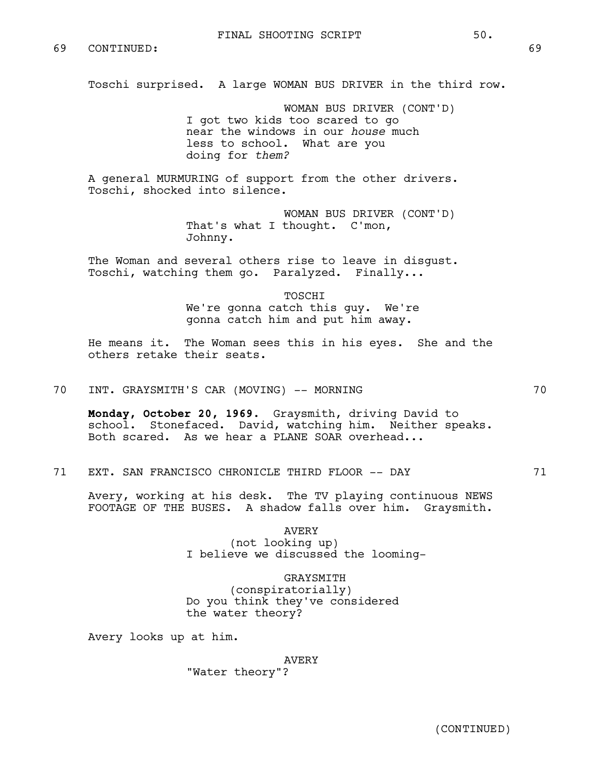Toschi surprised. A large WOMAN BUS DRIVER in the third row.

WOMAN BUS DRIVER (CONT'D) I got two kids too scared to go near the windows in our *house* much less to school. What are you doing for *them?*

A general MURMURING of support from the other drivers. Toschi, shocked into silence.

> WOMAN BUS DRIVER (CONT'D) That's what I thought. C'mon, Johnny.

The Woman and several others rise to leave in disgust. Toschi, watching them go. Paralyzed. Finally...

> TOSCHI We're gonna catch this guy. We're gonna catch him and put him away.

He means it. The Woman sees this in his eyes. She and the others retake their seats.

70 INT. GRAYSMITH'S CAR (MOVING) -- MORNING 70

**Monday, October 20, 1969.** Graysmith, driving David to school. Stonefaced. David, watching him. Neither speaks. Both scared. As we hear a PLANE SOAR overhead...

71 EXT. SAN FRANCISCO CHRONICLE THIRD FLOOR -- DAY 71

Avery, working at his desk. The TV playing continuous NEWS FOOTAGE OF THE BUSES. A shadow falls over him. Graysmith.

> AVERY (not looking up) I believe we discussed the looming-

GRAYSMITH (conspiratorially) Do you think they've considered the water theory?

Avery looks up at him.

AVERY

"Water theory"?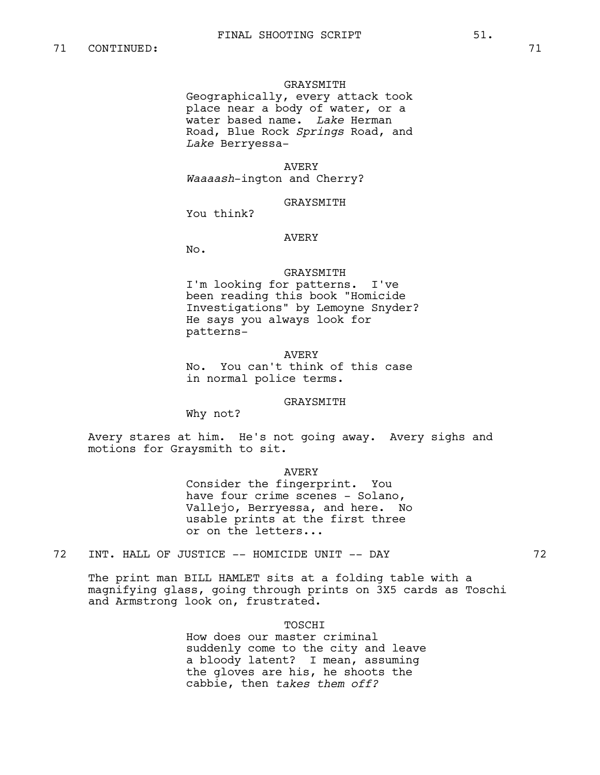#### GRAYSMITH

Geographically, every attack took place near a body of water, or a water based name. *Lake* Herman Road, Blue Rock *Springs* Road, and *Lake* Berryessa-

### AVERY

*Waaaash*-ington and Cherry?

## GRAYSMITH

You think?

### AVERY

No.

#### GRAYSMITH

I'm looking for patterns. I've been reading this book "Homicide Investigations" by Lemoyne Snyder? He says you always look for patterns-

#### AVERY

No. You can't think of this case in normal police terms.

## GRAYSMITH

Why not?

Avery stares at him. He's not going away. Avery sighs and motions for Graysmith to sit.

### AVERY

Consider the fingerprint. You have four crime scenes - Solano, Vallejo, Berryessa, and here. No usable prints at the first three or on the letters...

72 INT. HALL OF JUSTICE -- HOMICIDE UNIT -- DAY 72

The print man BILL HAMLET sits at a folding table with a magnifying glass, going through prints on 3X5 cards as Toschi and Armstrong look on, frustrated.

### TOSCHI

How does our master criminal suddenly come to the city and leave a bloody latent? I mean, assuming the gloves are his, he shoots the cabbie, then *takes them off?*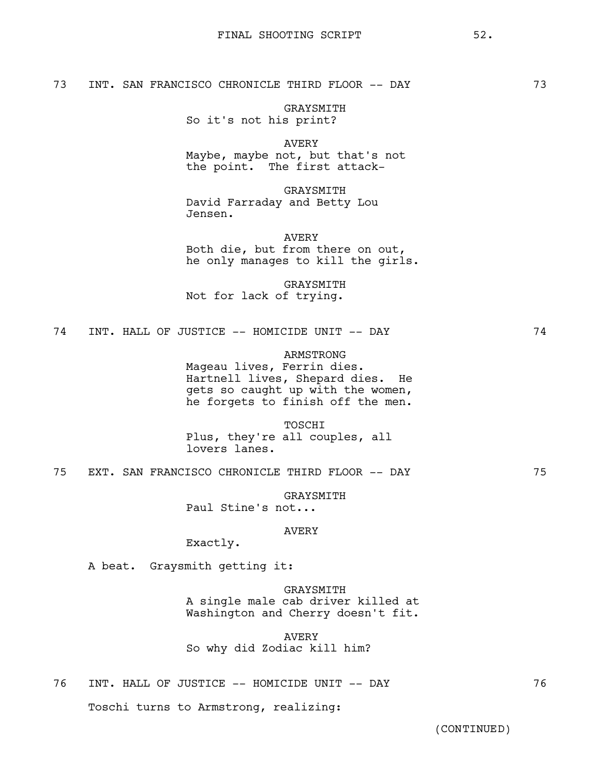## 73 INT. SAN FRANCISCO CHRONICLE THIRD FLOOR -- DAY 73

GRAYSMITH So it's not his print?

AVERY Maybe, maybe not, but that's not the point. The first attack-

GRAYSMITH David Farraday and Betty Lou Jensen.

AVERY Both die, but from there on out, he only manages to kill the girls.

GRAYSMITH Not for lack of trying.

74 INT. HALL OF JUSTICE -- HOMICIDE UNIT -- DAY 74

## ARMSTRONG

Mageau lives, Ferrin dies. Hartnell lives, Shepard dies. He gets so caught up with the women, he forgets to finish off the men.

TOSCHI

Plus, they're all couples, all lovers lanes.

75 EXT. SAN FRANCISCO CHRONICLE THIRD FLOOR -- DAY 75

GRAYSMITH

Paul Stine's not...

# AVERY

Exactly.

A beat. Graysmith getting it:

GRAYSMITH A single male cab driver killed at Washington and Cherry doesn't fit.

AVERY So why did Zodiac kill him?

76 INT. HALL OF JUSTICE -- HOMICIDE UNIT -- DAY 76 Toschi turns to Armstrong, realizing: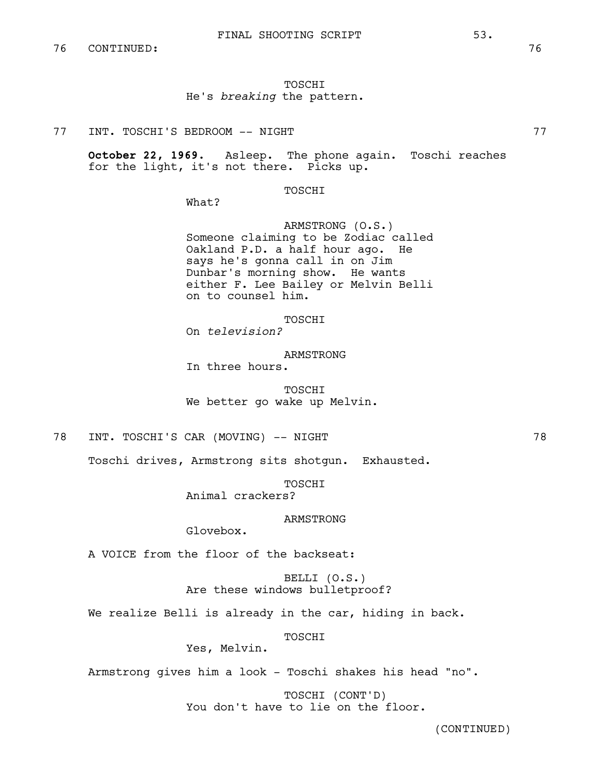## TOSCHI He's *breaking* the pattern.

77 INT. TOSCHI'S BEDROOM -- NIGHT 77

**October 22, 1969.** Asleep. The phone again. Toschi reaches for the light, it's not there. Picks up.

TOSCHI

What?

ARMSTRONG (O.S.) Someone claiming to be Zodiac called Oakland P.D. a half hour ago. He says he's gonna call in on Jim Dunbar's morning show. He wants either F. Lee Bailey or Melvin Belli on to counsel him.

TOSCHI

On *television?*

ARMSTRONG In three hours.

TOSCHI We better go wake up Melvin.

78 INT. TOSCHI'S CAR (MOVING) -- NIGHT

Toschi drives, Armstrong sits shotgun. Exhausted.

TOSCHI

Animal crackers?

ARMSTRONG

Glovebox.

A VOICE from the floor of the backseat:

BELLI (O.S.) Are these windows bulletproof?

We realize Belli is already in the car, hiding in back.

TOSCHI

Yes, Melvin.

Armstrong gives him a look - Toschi shakes his head "no".

TOSCHI (CONT'D) You don't have to lie on the floor.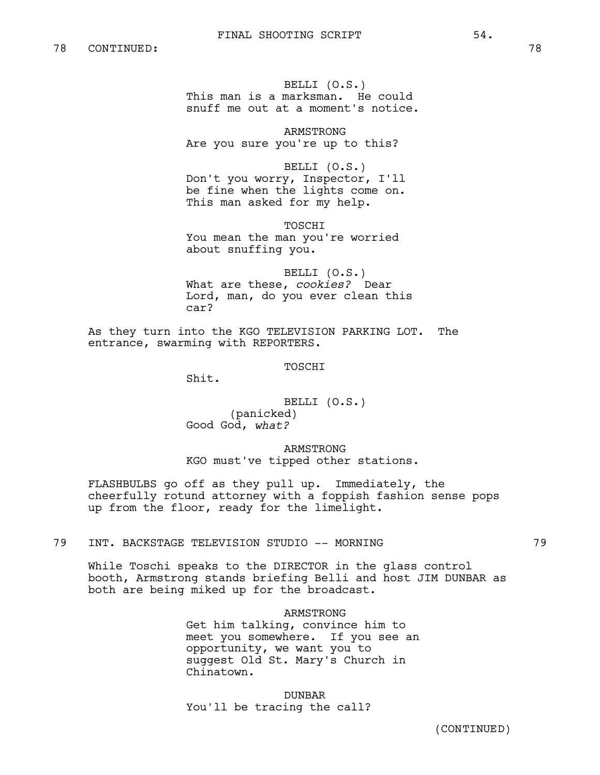BELLI (O.S.) This man is a marksman. He could snuff me out at a moment's notice.

ARMSTRONG Are you sure you're up to this?

BELLI (O.S.) Don't you worry, Inspector, I'll be fine when the lights come on. This man asked for my help.

TOSCHI You mean the man you're worried about snuffing you.

BELLI (O.S.) What are these, *cookies?* Dear Lord, man, do you ever clean this car?

As they turn into the KGO TELEVISION PARKING LOT. The entrance, swarming with REPORTERS.

TOSCHI

Shit.

BELLI (O.S.) (panicked) Good God, *what?*

ARMSTRONG KGO must've tipped other stations.

FLASHBULBS go off as they pull up. Immediately, the cheerfully rotund attorney with a foppish fashion sense pops up from the floor, ready for the limelight.

79 INT. BACKSTAGE TELEVISION STUDIO -- MORNING 79

While Toschi speaks to the DIRECTOR in the glass control booth, Armstrong stands briefing Belli and host JIM DUNBAR as both are being miked up for the broadcast.

> ARMSTRONG Get him talking, convince him to meet you somewhere. If you see an opportunity, we want you to suggest Old St. Mary's Church in Chinatown.

DUNBAR You'll be tracing the call?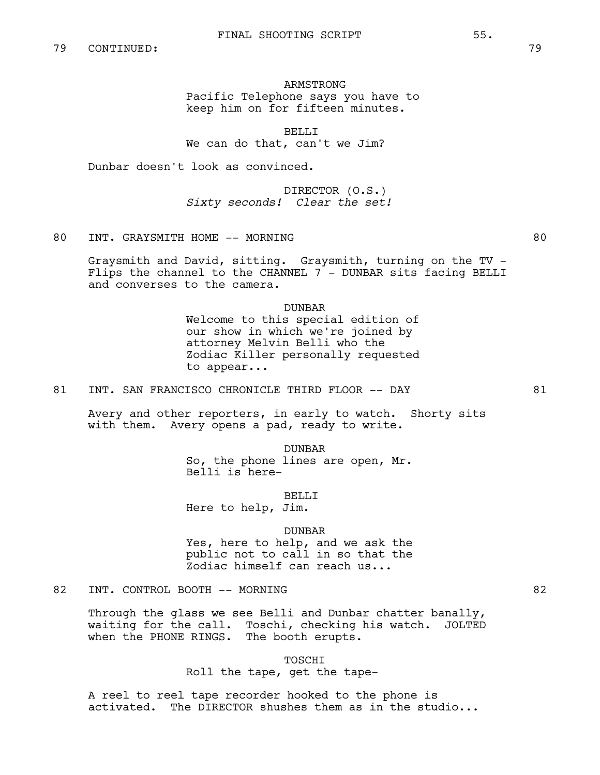# ARMSTRONG Pacific Telephone says you have to keep him on for fifteen minutes.

BELLI<sub>J</sub>

We can do that, can't we Jim?

Dunbar doesn't look as convinced.

DIRECTOR (O.S.) *Sixty seconds! Clear the set!*

# 80 INT. GRAYSMITH HOME -- MORNING 80

Graysmith and David, sitting. Graysmith, turning on the TV - Flips the channel to the CHANNEL  $7 -$  DUNBAR sits facing BELLI and converses to the camera.

### DUNBAR

Welcome to this special edition of our show in which we're joined by attorney Melvin Belli who the Zodiac Killer personally requested to appear...

## 81 INT. SAN FRANCISCO CHRONICLE THIRD FLOOR -- DAY 61

Avery and other reporters, in early to watch. Shorty sits with them. Avery opens a pad, ready to write.

> DUNBAR So, the phone lines are open, Mr. Belli is here-

> > BELLI

Here to help, Jim.

### DUNBAR

Yes, here to help, and we ask the public not to call in so that the Zodiac himself can reach us...

### 82 INT. CONTROL BOOTH -- MORNING 82

Through the glass we see Belli and Dunbar chatter banally, waiting for the call. Toschi, checking his watch. JOLTED when the PHONE RINGS. The booth erupts.

> TOSCHI Roll the tape, get the tape-

A reel to reel tape recorder hooked to the phone is activated. The DIRECTOR shushes them as in the studio...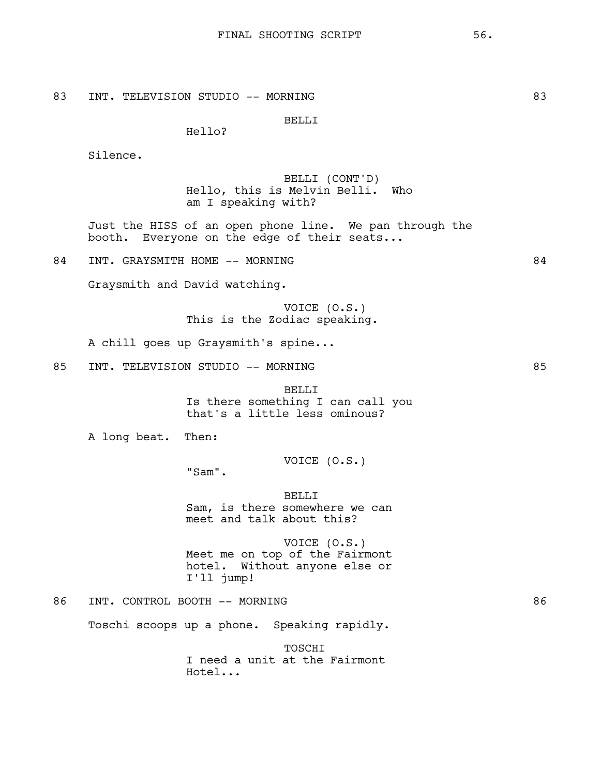Hello?

Silence.

BELLI (CONT'D) Hello, this is Melvin Belli. Who am I speaking with?

Just the HISS of an open phone line. We pan through the booth. Everyone on the edge of their seats...

84 INT. GRAYSMITH HOME -- MORNING 84

Graysmith and David watching.

VOICE (O.S.) This is the Zodiac speaking.

A chill goes up Graysmith's spine...

85 INT. TELEVISION STUDIO -- MORNING 85

BELLI Is there something I can call you that's a little less ominous?

A long beat. Then:

VOICE (O.S.)

"Sam".

BELLI Sam, is there somewhere we can meet and talk about this?

VOICE (O.S.) Meet me on top of the Fairmont hotel. Without anyone else or I'll jump!

86 INT. CONTROL BOOTH -- MORNING 86

Toschi scoops up a phone. Speaking rapidly.

TOSCHI I need a unit at the Fairmont Hotel...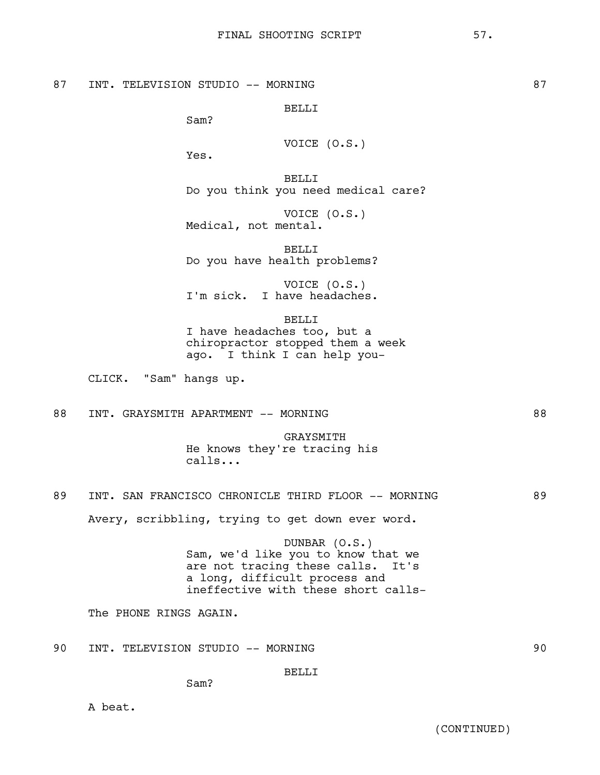87 INT. TELEVISION STUDIO -- MORNING 87 STUDIO -- MORNING 87

BELLI

Sam?

VOTCE 
$$
(0.S.)
$$

Yes.

BELLI Do you think you need medical care?

VOICE (O.S.) Medical, not mental.

BELLI Do you have health problems?

VOICE (O.S.) I'm sick. I have headaches.

BELLI I have headaches too, but a

chiropractor stopped them a week ago. I think I can help you-

CLICK. "Sam" hangs up.

## 88 INT. GRAYSMITH APARTMENT -- MORNING 88

GRAYSMITH He knows they're tracing his calls...

# 89 INT. SAN FRANCISCO CHRONICLE THIRD FLOOR -- MORNING 89

Avery, scribbling, trying to get down ever word.

DUNBAR (O.S.) Sam, we'd like you to know that we are not tracing these calls. It's a long, difficult process and ineffective with these short calls-

The PHONE RINGS AGAIN.

90 INT. TELEVISION STUDIO -- MORNING 90

BELLI

Sam?

A beat.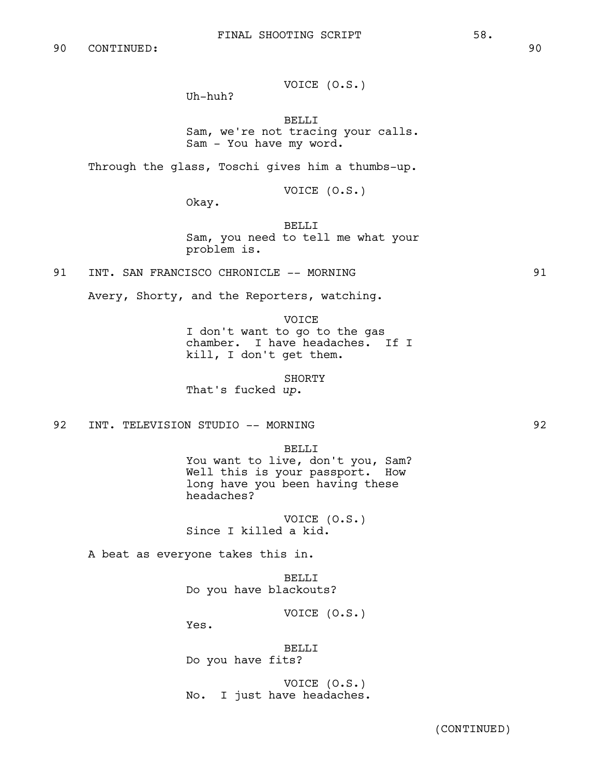VOICE (O.S.)

Uh-huh?

BELLI

Sam, we're not tracing your calls. Sam - You have my word.

Through the glass, Toschi gives him a thumbs-up.

VOICE (O.S.)

Okay.

BELLI Sam, you need to tell me what your problem is.

91 INT. SAN FRANCISCO CHRONICLE -- MORNING  $91$  91

Avery, Shorty, and the Reporters, watching.

VOICE

I don't want to go to the gas chamber. I have headaches. If I kill, I don't get them.

SHORTY

That's fucked *up*.

92 INT. TELEVISION STUDIO -- MORNING 92

BELLI

You want to live, don't you, Sam? Well this is your passport. How long have you been having these headaches?

VOICE (O.S.) Since I killed a kid.

A beat as everyone takes this in.

BELLI Do you have blackouts?

VOICE (O.S.)

Yes.

BELLI Do you have fits?

VOICE (O.S.) No. I just have headaches.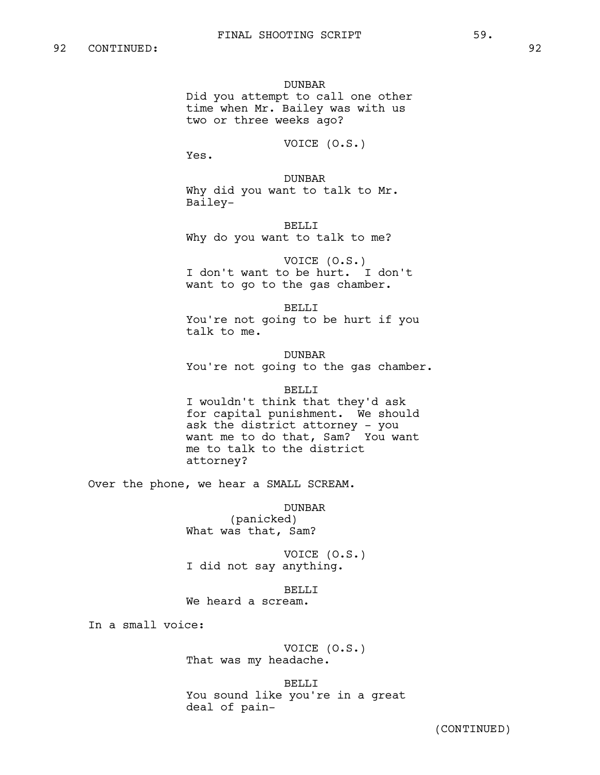DUNBAR Did you attempt to call one other time when Mr. Bailey was with us two or three weeks ago?

VOICE (O.S.)

Yes.

DUNBAR Why did you want to talk to Mr. Bailey-

BELLI Why do you want to talk to me?

VOICE (O.S.) I don't want to be hurt. I don't want to go to the gas chamber.

BELLI You're not going to be hurt if you talk to me.

DUNBAR You're not going to the gas chamber.

#### BELLI

I wouldn't think that they'd ask for capital punishment. We should ask the district attorney - you want me to do that, Sam? You want me to talk to the district attorney?

Over the phone, we hear a SMALL SCREAM.

DUNBAR (panicked) What was that, Sam?

VOICE (O.S.) I did not say anything.

BELLI We heard a scream.

In a small voice:

VOICE (O.S.) That was my headache.

BELLI You sound like you're in a great deal of pain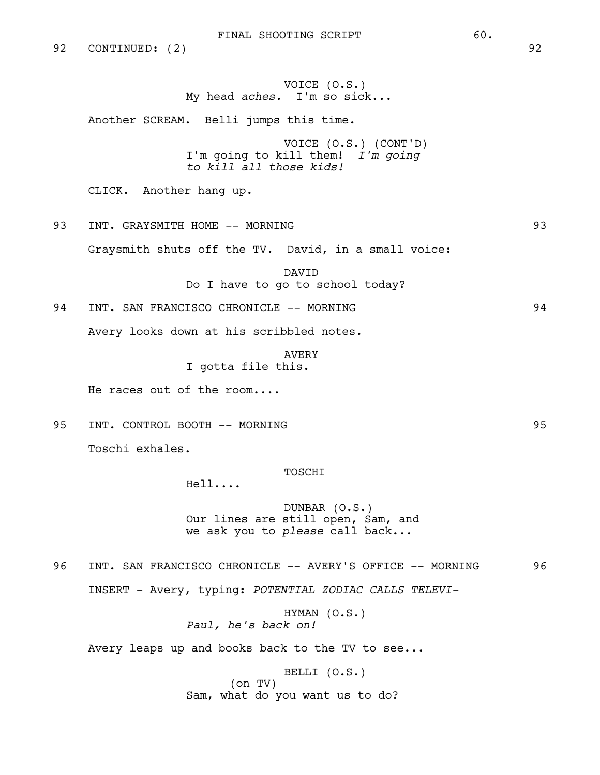92 CONTINUED: (2) 92

# VOICE (O.S.) My head *aches.* I'm so sick...

Another SCREAM. Belli jumps this time.

VOICE (O.S.) (CONT'D) I'm going to kill them! *I'm going to kill all those kids!*

CLICK. Another hang up.

93 INT. GRAYSMITH HOME -- MORNING 93

Graysmith shuts off the TV. David, in a small voice:

**DAVTD** Do I have to go to school today?

94 INT. SAN FRANCISCO CHRONICLE -- MORNING 84 Avery looks down at his scribbled notes.

> AVERY I gotta file this.

He races out of the room....

95 INT. CONTROL BOOTH -- MORNING 95 Toschi exhales.

#### TOSCHI

Hell....

DUNBAR (O.S.) Our lines are still open, Sam, and we ask you to *please* call back...

96 INT. SAN FRANCISCO CHRONICLE -- AVERY'S OFFICE -- MORNING 96 INSERT - Avery, typing: *POTENTIAL ZODIAC CALLS TELEVI-*

> HYMAN (O.S.) *Paul, he's back on!*

Avery leaps up and books back to the TV to see...

BELLI (O.S.) (on TV) Sam, what do you want us to do?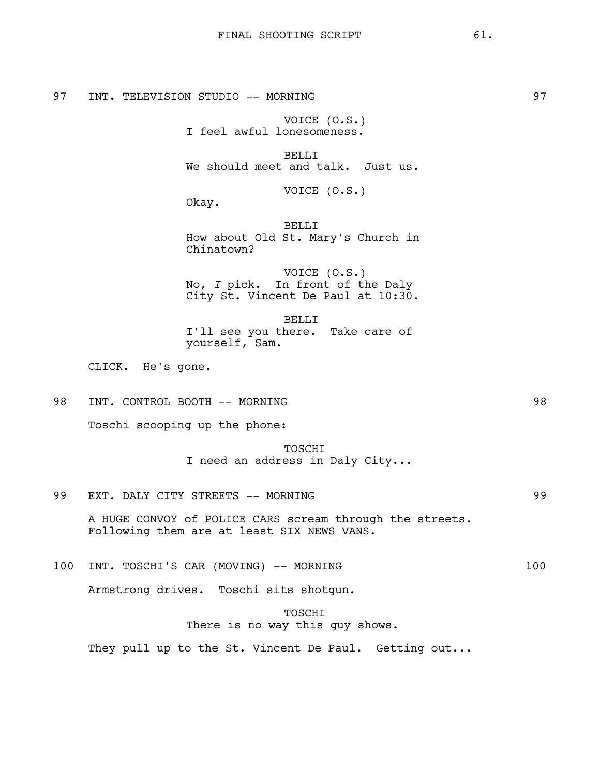VOICE (O.S.) I feel awful lonesomeness.

BELLI We should meet and talk. Just us.

VOICE (O.S.)

Okay.

BELLI How about Old St. Mary's Church in Chinatown?

VOICE (O.S.) No, *I* pick. In front of the Daly City St. Vincent De Paul at 10:30.

BELLI I'll see you there. Take care of yourself, Sam.

CLICK. He's gone.

98 INT. CONTROL BOOTH -- MORNING 98

Toschi scooping up the phone:

TOSCHI I need an address in Daly City...

99 EXT. DALY CITY STREETS -- MORNING 2002 2003

A HUGE CONVOY of POLICE CARS scream through the streets. Following them are at least SIX NEWS VANS.

100 INT. TOSCHI'S CAR (MOVING) -- MORNING 100

Armstrong drives. Toschi sits shotgun.

TOSCHI There is no way this guy shows.

They pull up to the St. Vincent De Paul. Getting out...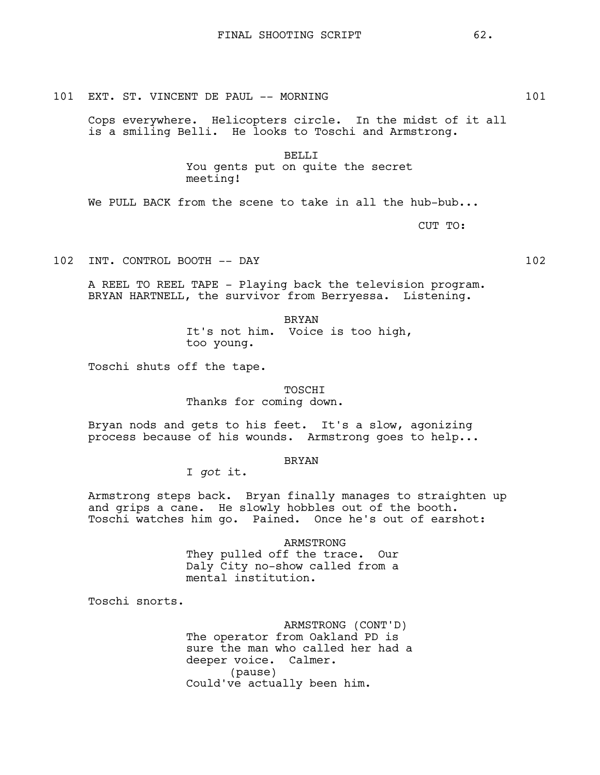101 EXT. ST. VINCENT DE PAUL -- MORNING 101 101

Cops everywhere. Helicopters circle. In the midst of it all is a smiling Belli. He looks to Toschi and Armstrong.

> BELLI You gents put on quite the secret meeting!

We PULL BACK from the scene to take in all the hub-bub...

CUT TO:

102 INT. CONTROL BOOTH -- DAY 102

A REEL TO REEL TAPE - Playing back the television program. BRYAN HARTNELL, the survivor from Berryessa. Listening.

> BRYAN It's not him. Voice is too high, too young.

Toschi shuts off the tape.

**TOSCHT** 

Thanks for coming down.

Bryan nods and gets to his feet. It's a slow, agonizing process because of his wounds. Armstrong goes to help...

BRYAN

I *got* it.

Armstrong steps back. Bryan finally manages to straighten up and grips a cane. He slowly hobbles out of the booth. Toschi watches him go. Pained. Once he's out of earshot:

> ARMSTRONG They pulled off the trace. Our Daly City no-show called from a mental institution.

Toschi snorts.

ARMSTRONG (CONT'D) The operator from Oakland PD is sure the man who called her had a deeper voice. Calmer. (pause) Could've actually been him.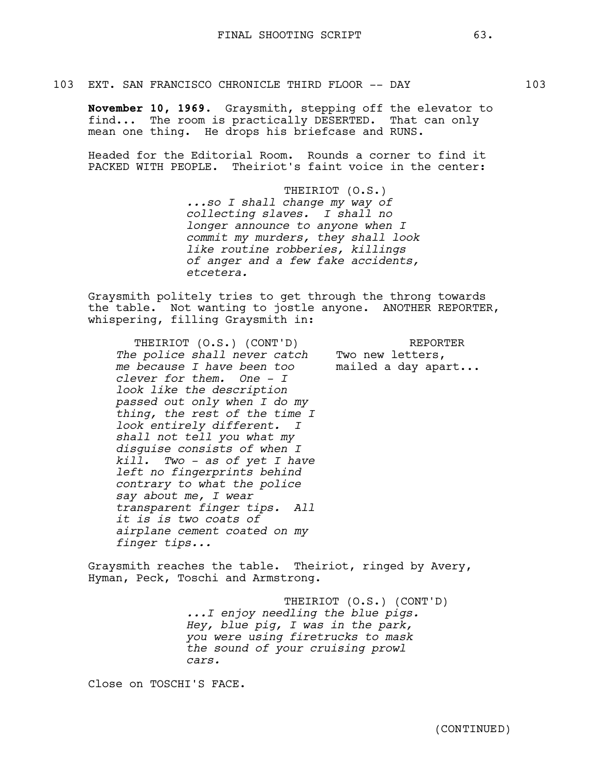#### 103 EXT. SAN FRANCISCO CHRONICLE THIRD FLOOR -- DAY 103

**November 10, 1969.** Graysmith, stepping off the elevator to find... The room is practically DESERTED. That can only mean one thing. He drops his briefcase and RUNS.

Headed for the Editorial Room. Rounds a corner to find it PACKED WITH PEOPLE. Theiriot's faint voice in the center:

> THEIRIOT (O.S.) *...so I shall change my way of collecting slaves. I shall no longer announce to anyone when I commit my murders, they shall look like routine robberies, killings of anger and a few fake accidents, etcetera.*

Graysmith politely tries to get through the throng towards the table. Not wanting to jostle anyone. ANOTHER REPORTER, whispering, filling Graysmith in:

THEIRIOT (O.S.) (CONT'D) *The police shall never catch me because I have been too clever for them. One - I look like the description passed out only when I do my thing, the rest of the time I look entirely different. I shall not tell you what my disguise consists of when I kill. Two - as of yet I have left no fingerprints behind contrary to what the police say about me, I wear transparent finger tips. All it is is two coats of airplane cement coated on my finger tips...* REPORTER KEPOR!<br>Two new letters,<br>model mailed a day apart...

Graysmith reaches the table. Theiriot, ringed by Avery, Hyman, Peck, Toschi and Armstrong.

> THEIRIOT (O.S.) (CONT'D) *...I enjoy needling the blue pigs. Hey, blue pig, I was in the park, you were using firetrucks to mask the sound of your cruising prowl cars.*

Close on TOSCHI'S FACE.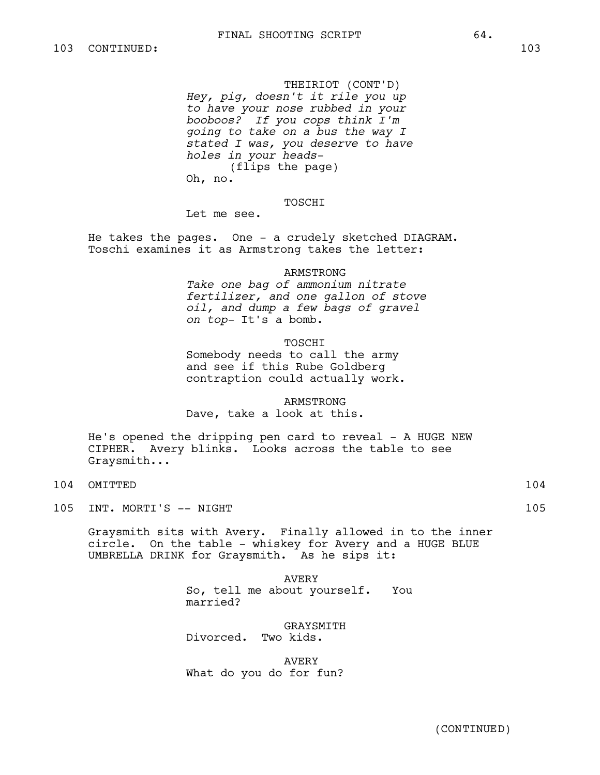THEIRIOT (CONT'D) *Hey, pig, doesn't it rile you up to have your nose rubbed in your booboos? If you cops think I'm going to take on a bus the way I stated I was, you deserve to have holes in your heads-*  (flips the page) Oh, no.

### **TOSCHT**

Let me see.

He takes the pages. One - a crudely sketched DIAGRAM. Toschi examines it as Armstrong takes the letter:

#### ARMSTRONG

*Take one bag of ammonium nitrate fertilizer, and one gallon of stove oil, and dump a few bags of gravel on top-* It's a bomb.

## TOSCHI

Somebody needs to call the army and see if this Rube Goldberg contraption could actually work.

ARMSTRONG Dave, take a look at this.

He's opened the dripping pen card to reveal - A HUGE NEW CIPHER. Avery blinks. Looks across the table to see Graysmith...

- 104 OMITTED 104
- 105 INT. MORTI'S -- NIGHT 105

Graysmith sits with Avery. Finally allowed in to the inner circle. On the table - whiskey for Avery and a HUGE BLUE UMBRELLA DRINK for Graysmith. As he sips it:

> AVERY So, tell me about yourself. You married?

GRAYSMITH Divorced. Two kids.

AVERY What do you do for fun?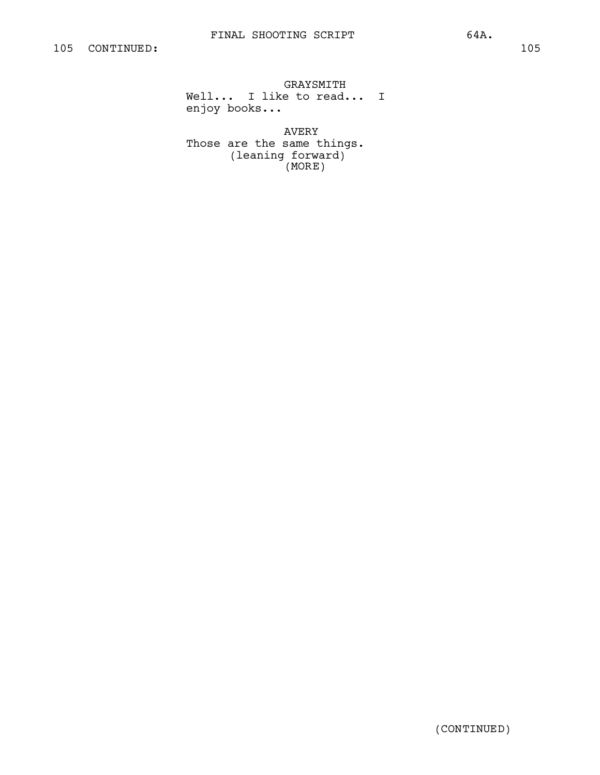GRAYSMITH Well... I like to read... I enjoy books...

AVERY Those are the same things. (leaning forward) (MORE)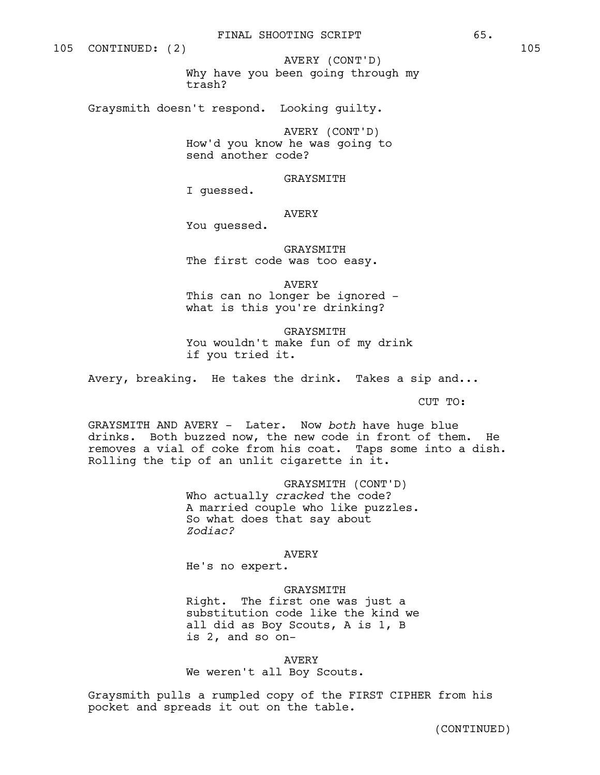Why have you been going through my trash? AVERY (CONT'D)

Graysmith doesn't respond. Looking guilty.

AVERY (CONT'D) How'd you know he was going to send another code?

GRAYSMITH

I guessed.

## AVERY

You guessed.

GRAYSMITH The first code was too easy.

AVERY

This can no longer be ignored what is this you're drinking?

**GRAYSMITH** You wouldn't make fun of my drink if you tried it.

Avery, breaking. He takes the drink. Takes a sip and...

CUT TO:

GRAYSMITH AND AVERY - Later. Now *both* have huge blue drinks. Both buzzed now, the new code in front of them. He removes a vial of coke from his coat. Taps some into a dish. Rolling the tip of an unlit cigarette in it.

> GRAYSMITH (CONT'D) Who actually *cracked* the code? A married couple who like puzzles. So what does that say about *Zodiac?*

> > AVERY

He's no expert.

### GRAYSMITH

Right. The first one was just a substitution code like the kind we all did as Boy Scouts, A is 1, B is 2, and so on-

AVERY We weren't all Boy Scouts.

Graysmith pulls a rumpled copy of the FIRST CIPHER from his pocket and spreads it out on the table.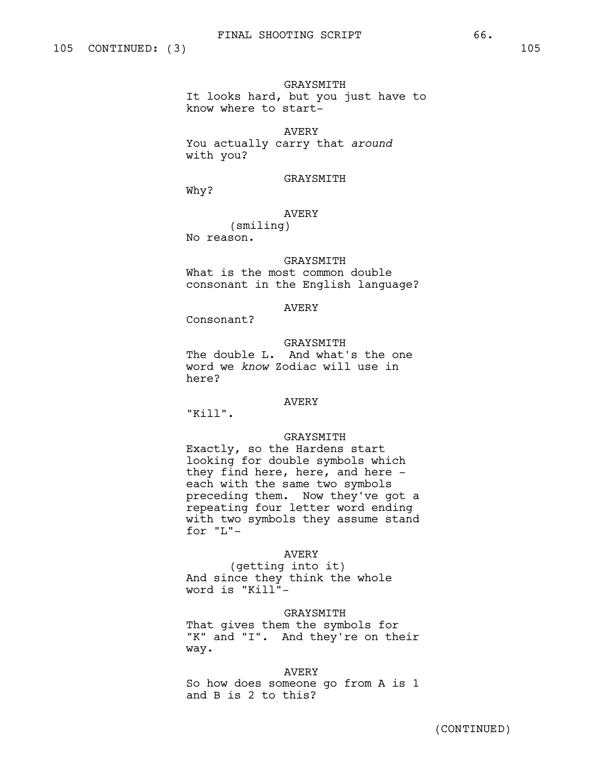GRAYSMITH It looks hard, but you just have to know where to start-

# AVERY

You actually carry that *around* with you?

GRAYSMITH

Why?

AVERY

(smiling) No reason.

#### **GRAYSMITH**

What is the most common double consonant in the English language?

# AVERY

Consonant?

GRAYSMITH The double L. And what's the one word we *know* Zodiac will use in here?

## AVERY

"Kill".

### GRAYSMITH

Exactly, so the Hardens start looking for double symbols which they find here, here, and here each with the same two symbols preceding them. Now they've got a repeating four letter word ending with two symbols they assume stand for "L"-

### AVERY

(getting into it) And since they think the whole word is "Kill"-

## GRAYSMITH

That gives them the symbols for "K" and "I". And they're on their way.

### AVERY

So how does someone go from A is 1 and B is 2 to this?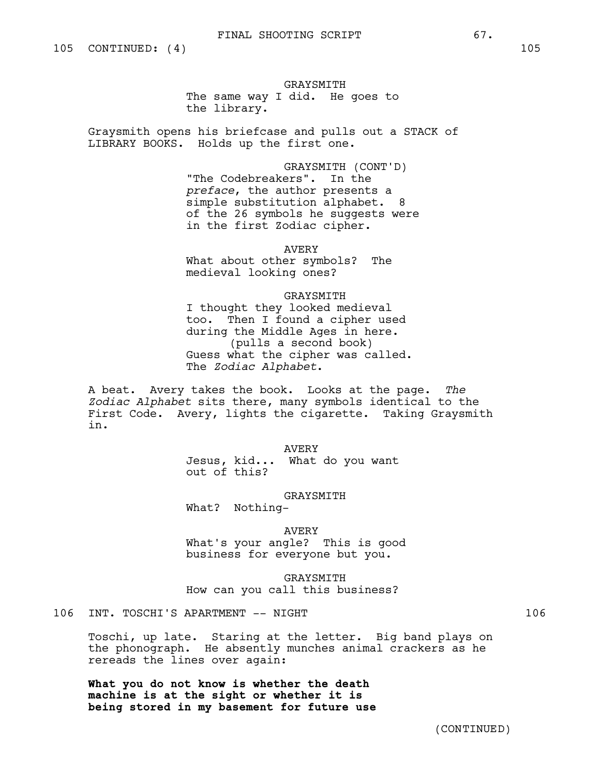GRAYSMITH The same way I did. He goes to the library.

Graysmith opens his briefcase and pulls out a STACK of LIBRARY BOOKS. Holds up the first one.

> GRAYSMITH (CONT'D) "The Codebreakers". In the *preface*, the author presents a simple substitution alphabet. 8 of the 26 symbols he suggests were in the first Zodiac cipher.

AVERY What about other symbols? The medieval looking ones?

GRAYSMITH I thought they looked medieval too. Then I found a cipher used during the Middle Ages in here. (pulls a second book) Guess what the cipher was called. The *Zodiac Alphabet*.

A beat. Avery takes the book. Looks at the page. *The Zodiac Alphabet* sits there, many symbols identical to the First Code. Avery, lights the cigarette. Taking Graysmith in.

AVERY

Jesus, kid... What do you want out of this?

#### GRAYSMITH

What? Nothing-

AVERY

What's your angle? This is good business for everyone but you.

GRAYSMITH How can you call this business?

# 106 INT. TOSCHI'S APARTMENT -- NIGHT 106

Toschi, up late. Staring at the letter. Big band plays on the phonograph. He absently munches animal crackers as he rereads the lines over again:

**What you do not know is whether the death machine is at the sight or whether it is being stored in my basement for future use**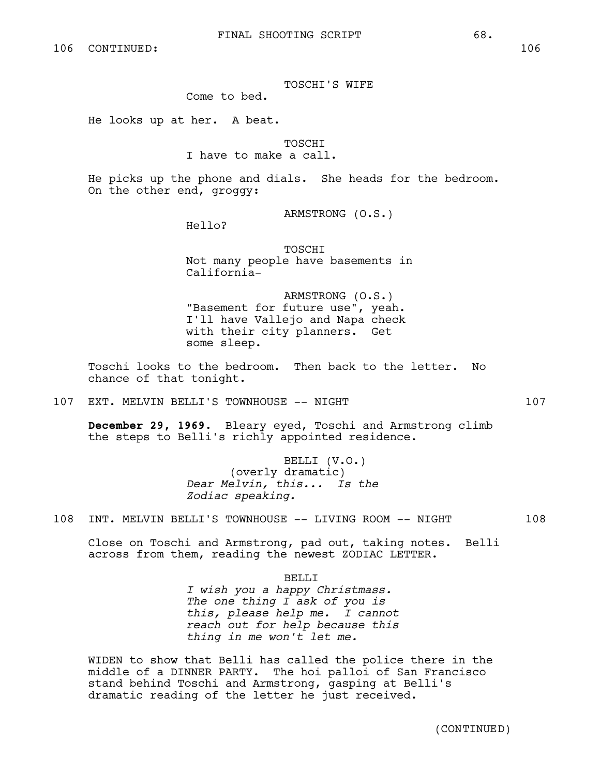TOSCHI'S WIFE

Come to bed.

He looks up at her. A beat.

**TOSCHT** 

I have to make a call.

He picks up the phone and dials. She heads for the bedroom. On the other end, groggy:

ARMSTRONG (O.S.)

Hello?

TOSCHI Not many people have basements in California-

ARMSTRONG (O.S.) "Basement for future use", yeah. I'll have Vallejo and Napa check with their city planners. Get some sleep.

Toschi looks to the bedroom. Then back to the letter. No chance of that tonight.

107 EXT. MELVIN BELLI'S TOWNHOUSE -- NIGHT 107

**December 29, 1969.** Bleary eyed, Toschi and Armstrong climb the steps to Belli's richly appointed residence.

> BELLI (V.O.) (overly dramatic) *Dear Melvin, this... Is the Zodiac speaking.*

108 INT. MELVIN BELLI'S TOWNHOUSE -- LIVING ROOM -- NIGHT 108

Close on Toschi and Armstrong, pad out, taking notes. Belli across from them, reading the newest ZODIAC LETTER.

BELLI

*I wish you a happy Christmass. The one thing I ask of you is this, please help me. I cannot reach out for help because this thing in me won't let me.*

WIDEN to show that Belli has called the police there in the middle of a DINNER PARTY. The hoi palloi of San Francisco stand behind Toschi and Armstrong, gasping at Belli's dramatic reading of the letter he just received.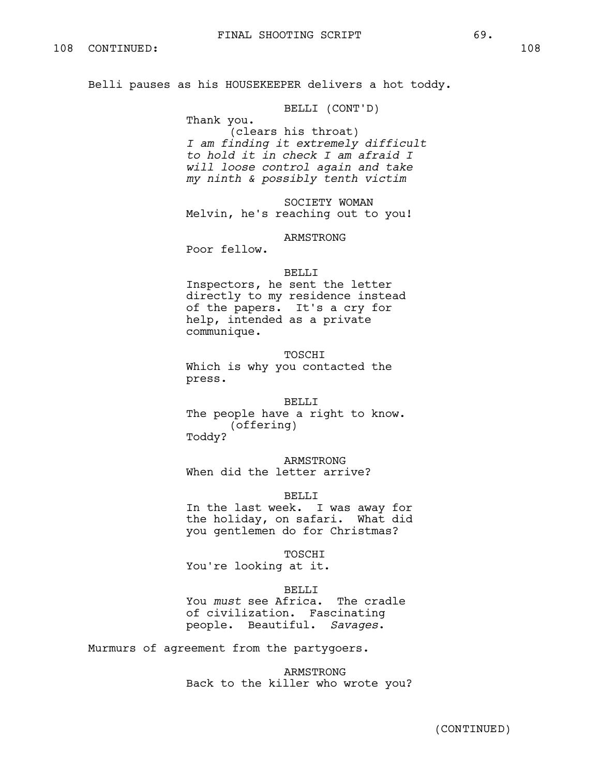Belli pauses as his HOUSEKEEPER delivers a hot toddy.

BELLI (CONT'D)

Thank you. (clears his throat) *I am finding it extremely difficult to hold it in check I am afraid I will loose control again and take my ninth & possibly tenth victim* 

SOCIETY WOMAN Melvin, he's reaching out to you!

ARMSTRONG

Poor fellow.

#### BELLI

Inspectors, he sent the letter directly to my residence instead of the papers. It's a cry for help, intended as a private communique.

**TOSCHT** Which is why you contacted the press.

#### BELLI

The people have a right to know. (offering) Toddy?

ARMSTRONG When did the letter arrive?

### BELLI

In the last week. I was away for the holiday, on safari. What did you gentlemen do for Christmas?

TOSCHI

You're looking at it.

#### BELLI<sub>J</sub>

You *must* see Africa. The cradle of civilization. Fascinating people. Beautiful. *Savages*.

Murmurs of agreement from the partygoers.

ARMSTRONG Back to the killer who wrote you?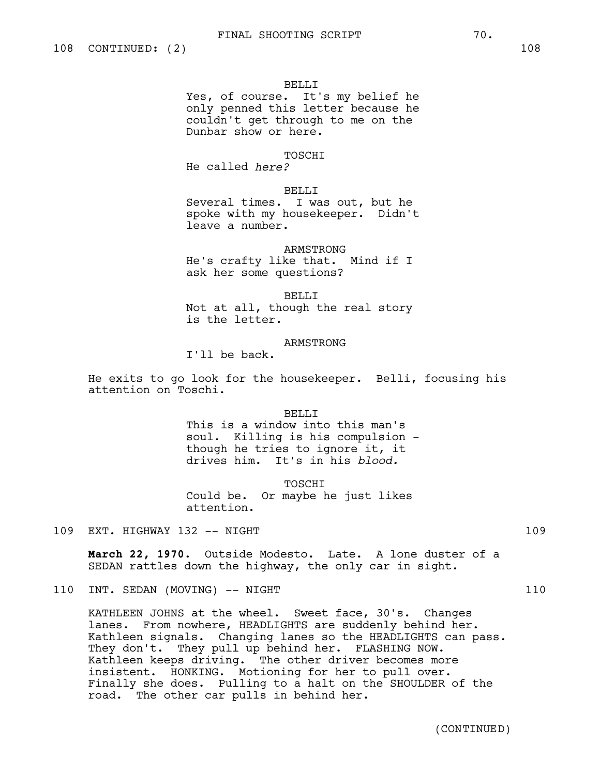#### BELLI

Yes, of course. It's my belief he only penned this letter because he couldn't get through to me on the Dunbar show or here.

# TOSCHI

He called *here?*

## BELLI

Several times. I was out, but he spoke with my housekeeper. Didn't leave a number.

# ARMSTRONG He's crafty like that. Mind if I ask her some questions?

BELLI Not at all, though the real story is the letter.

### ARMSTRONG

I'll be back.

He exits to go look for the housekeeper. Belli, focusing his attention on Toschi.

#### BELLI

This is a window into this man's soul. Killing is his compulsion though he tries to ignore it, it drives him. It's in his *blood.*

**TOSCHT** Could be. Or maybe he just likes attention.

109 EXT. HIGHWAY 132 -- NIGHT 109

**March 22, 1970.** Outside Modesto. Late. A lone duster of a SEDAN rattles down the highway, the only car in sight.

# 110 INT. SEDAN (MOVING) -- NIGHT 110

KATHLEEN JOHNS at the wheel. Sweet face, 30's. Changes lanes. From nowhere, HEADLIGHTS are suddenly behind her. Kathleen signals. Changing lanes so the HEADLIGHTS can pass. They don't. They pull up behind her. FLASHING NOW. Kathleen keeps driving. The other driver becomes more insistent. HONKING. Motioning for her to pull over. Finally she does. Pulling to a halt on the SHOULDER of the road. The other car pulls in behind her.

(CONTINUED)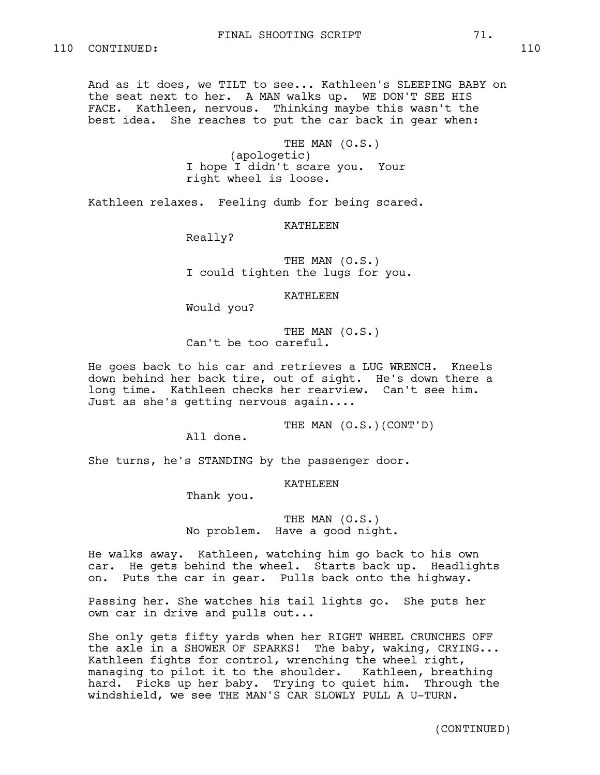And as it does, we TILT to see... Kathleen's SLEEPING BABY on the seat next to her. A MAN walks up. WE DON'T SEE HIS FACE. Kathleen, nervous. Thinking maybe this wasn't the best idea. She reaches to put the car back in gear when:

> THE MAN (O.S.) (apologetic) I hope I didn't scare you. Your right wheel is loose.

Kathleen relaxes. Feeling dumb for being scared.

KATHLEEN

Really?

THE MAN (O.S.) I could tighten the lugs for you.

KATHLEEN

Would you?

THE MAN (O.S.) Can't be too careful.

He goes back to his car and retrieves a LUG WRENCH. Kneels down behind her back tire, out of sight. He's down there a long time. Kathleen checks her rearview. Can't see him. Just as she's getting nervous again....

THE MAN (O.S.)(CONT'D)

All done.

She turns, he's STANDING by the passenger door.

KATHLEEN

Thank you.

THE MAN (O.S.) No problem. Have a good night.

He walks away. Kathleen, watching him go back to his own car. He gets behind the wheel. Starts back up. Headlights on. Puts the car in gear. Pulls back onto the highway.

Passing her. She watches his tail lights go. She puts her own car in drive and pulls out...

She only gets fifty yards when her RIGHT WHEEL CRUNCHES OFF the axle in a SHOWER OF SPARKS! The baby, waking, CRYING... Kathleen fights for control, wrenching the wheel right, managing to pilot it to the shoulder. Kathleen, breathing hard. Picks up her baby. Trying to quiet him. Through the windshield, we see THE MAN'S CAR SLOWLY PULL A U-TURN.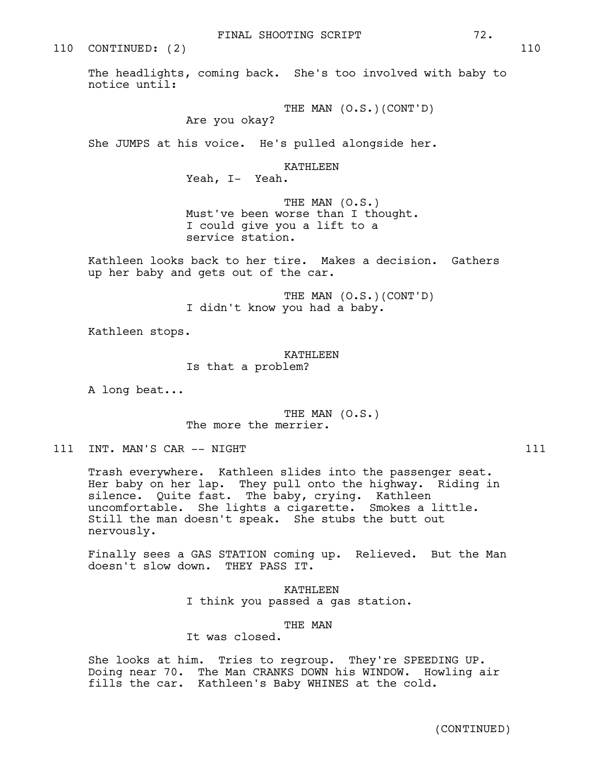110 CONTINUED: (2) 110

The headlights, coming back. She's too involved with baby to notice until:

THE MAN (O.S.)(CONT'D)

Are you okay?

She JUMPS at his voice. He's pulled alongside her.

KATHLEEN

Yeah, I- Yeah.

THE MAN (O.S.) Must've been worse than I thought. I could give you a lift to a service station.

Kathleen looks back to her tire. Makes a decision. Gathers up her baby and gets out of the car.

> THE MAN (O.S.)(CONT'D) I didn't know you had a baby.

Kathleen stops.

KATHLEEN Is that a problem?

A long beat...

THE MAN (O.S.) The more the merrier.

111 INT. MAN'S CAR -- NIGHT 111

Trash everywhere. Kathleen slides into the passenger seat. Her baby on her lap. They pull onto the highway. Riding in silence. Quite fast. The baby, crying. Kathleen uncomfortable. She lights a cigarette. Smokes a little. Still the man doesn't speak. She stubs the butt out nervously.

Finally sees a GAS STATION coming up. Relieved. But the Man doesn't slow down. THEY PASS IT.

> KATHLEEN I think you passed a gas station.

> > THE MAN

It was closed.

She looks at him. Tries to regroup. They're SPEEDING UP. Doing near 70. The Man CRANKS DOWN his WINDOW. Howling air fills the car. Kathleen's Baby WHINES at the cold.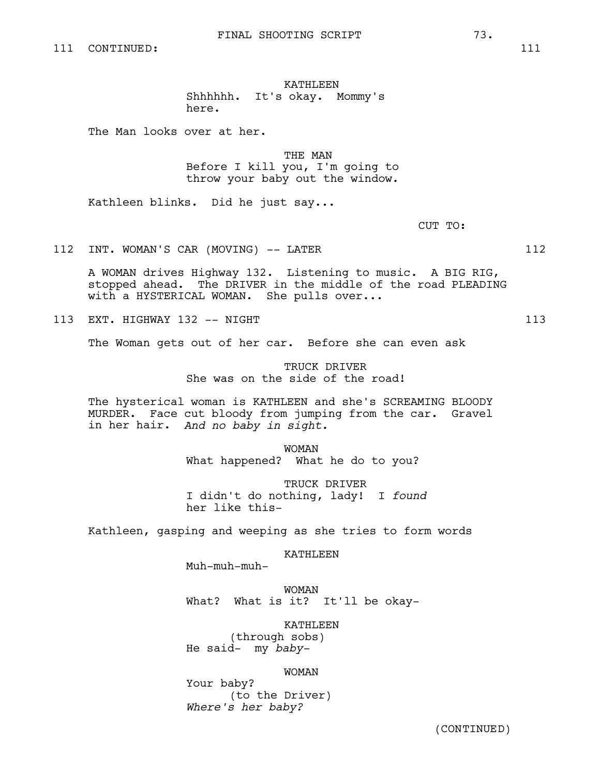KATHLEEN

Shhhhhh. It's okay. Mommy's here.

The Man looks over at her.

THE MAN Before I kill you, I'm going to

throw your baby out the window.

Kathleen blinks. Did he just say...

CUT TO:

112 INT. WOMAN'S CAR (MOVING) -- LATER 112

A WOMAN drives Highway 132. Listening to music. A BIG RIG, stopped ahead. The DRIVER in the middle of the road PLEADING with a HYSTERICAL WOMAN. She pulls over...

113 EXT. HIGHWAY 132 -- NIGHT 113 113

The Woman gets out of her car. Before she can even ask

TRUCK DRIVER She was on the side of the road!

The hysterical woman is KATHLEEN and she's SCREAMING BLOODY MURDER. Face cut bloody from jumping from the car. Gravel in her hair. *And no baby in sight.*

> WOMAN What happened? What he do to you?

TRUCK DRIVER I didn't do nothing, lady! I *found* her like this-

Kathleen, gasping and weeping as she tries to form words

KATHLEEN

Muh-muh-muh-

WOMAN What? What is it? It'll be okay-

KATHLEEN

(through sobs) He said- my *baby-*

# WOMAN

Your baby? (to the Driver) *Where's her baby?*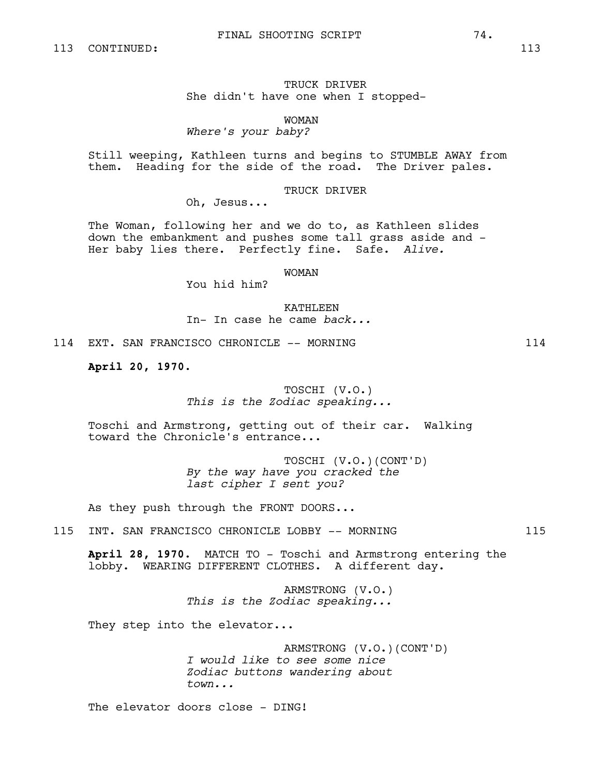TRUCK DRIVER She didn't have one when I stopped-

WOMAN *Where's your baby?*

Still weeping, Kathleen turns and begins to STUMBLE AWAY from them. Heading for the side of the road. The Driver pales.

TRUCK DRIVER

Oh, Jesus...

The Woman, following her and we do to, as Kathleen slides down the embankment and pushes some tall grass aside and - Her baby lies there. Perfectly fine. Safe. *Alive.*

WOMAN

You hid him?

KATHLEEN In- In case he came *back...*

114 EXT. SAN FRANCISCO CHRONICLE -- MORNING 114

**April 20, 1970.** 

# TOSCHI (V.O.) *This is the Zodiac speaking...*

Toschi and Armstrong, getting out of their car. Walking toward the Chronicle's entrance...

> TOSCHI (V.O.)(CONT'D) *By the way have you cracked the last cipher I sent you?*

As they push through the FRONT DOORS...

115 INT. SAN FRANCISCO CHRONICLE LOBBY -- MORNING  $115$ 

**April 28, 1970.** MATCH TO - Toschi and Armstrong entering the lobby. WEARING DIFFERENT CLOTHES. A different day.

> ARMSTRONG (V.O.) *This is the Zodiac speaking...*

They step into the elevator...

ARMSTRONG (V.O.)(CONT'D) *I would like to see some nice Zodiac buttons wandering about town...*

The elevator doors close - DING!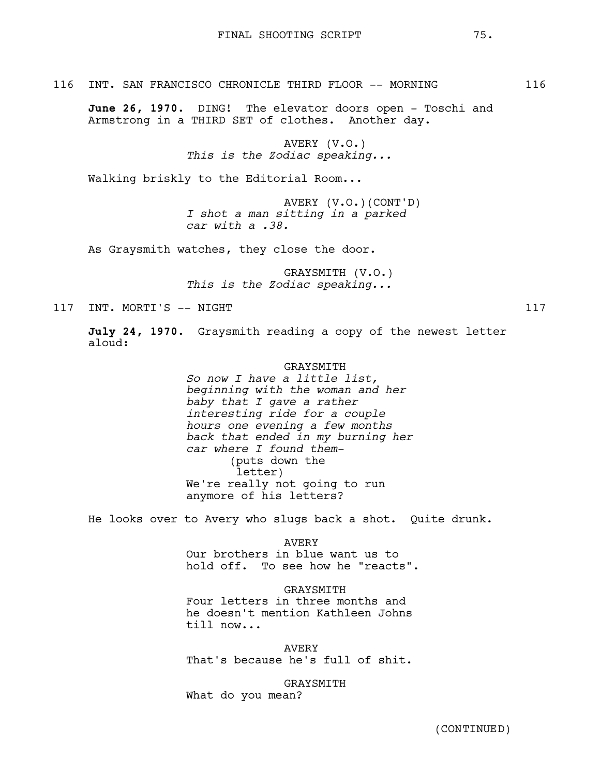116 INT. SAN FRANCISCO CHRONICLE THIRD FLOOR -- MORNING 116

**June 26, 1970.** DING! The elevator doors open - Toschi and Armstrong in a THIRD SET of clothes. Another day.

> AVERY (V.O.) *This is the Zodiac speaking...*

Walking briskly to the Editorial Room...

AVERY (V.O.)(CONT'D) *I shot a man sitting in a parked car with a .38.*

As Graysmith watches, they close the door.

GRAYSMITH (V.O.) *This is the Zodiac speaking...*

117 INT. MORTI'S -- NIGHT

**July 24, 1970.** Graysmith reading a copy of the newest letter aloud:

## GRAYSMITH

*So now I have a little list, beginning with the woman and her baby that I gave a rather interesting ride for a couple hours one evening a few months back that ended in my burning her car where I found them-* (puts down the letter) We're really not going to run anymore of his letters?

He looks over to Avery who slugs back a shot. Quite drunk.

AVERY Our brothers in blue want us to hold off. To see how he "reacts".

**GRAYSMITH** Four letters in three months and he doesn't mention Kathleen Johns till now...

AVERY That's because he's full of shit.

GRAYSMITH What do you mean?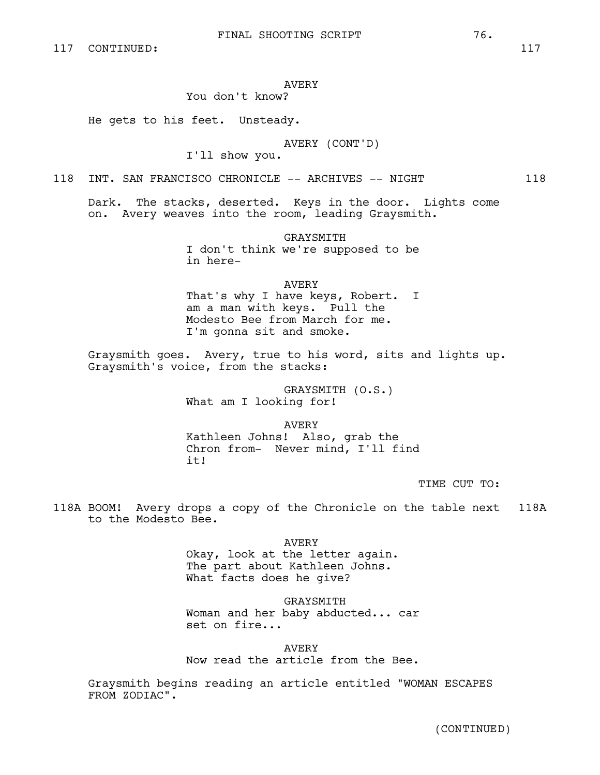# AVERY

# You don't know?

He gets to his feet. Unsteady.

# AVERY (CONT'D)

I'll show you.

118 INT. SAN FRANCISCO CHRONICLE -- ARCHIVES -- NIGHT 118

Dark. The stacks, deserted. Keys in the door. Lights come on. Avery weaves into the room, leading Graysmith.

> GRAYSMITH I don't think we're supposed to be in here-

## AVERY

That's why I have keys, Robert. I am a man with keys. Pull the Modesto Bee from March for me. I'm gonna sit and smoke.

Graysmith goes. Avery, true to his word, sits and lights up. Graysmith's voice, from the stacks:

> GRAYSMITH (O.S.) What am I looking for!

AVERY Kathleen Johns! Also, grab the Chron from- Never mind, I'll find it!

TIME CUT TO:

118A BOOM! Avery drops a copy of the Chronicle on the table next 118A to the Modesto Bee.

> AVERY Okay, look at the letter again. The part about Kathleen Johns. What facts does he give?

GRAYSMITH Woman and her baby abducted... car set on fire...

AVERY Now read the article from the Bee.

Graysmith begins reading an article entitled "WOMAN ESCAPES FROM ZODIAC".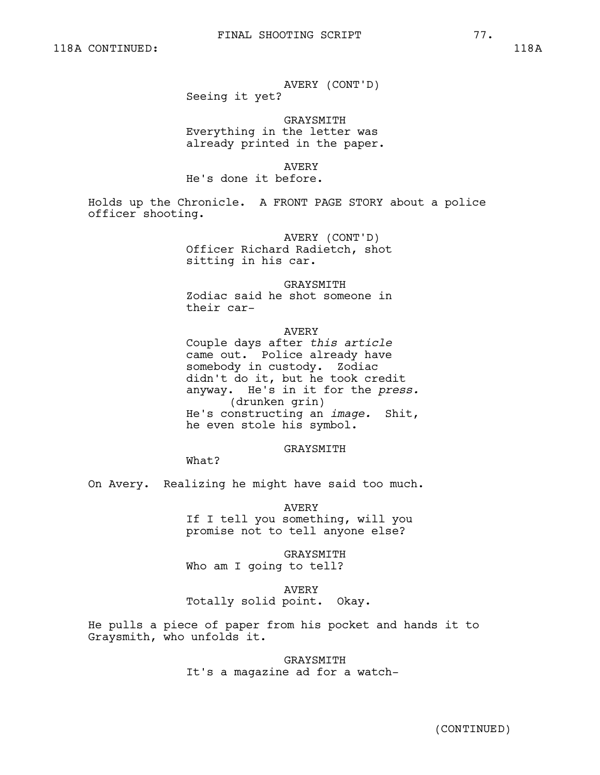AVERY (CONT'D)

Seeing it yet?

GRAYSMITH Everything in the letter was already printed in the paper.

AVERY

He's done it before.

Holds up the Chronicle. A FRONT PAGE STORY about a police officer shooting.

> AVERY (CONT'D) Officer Richard Radietch, shot sitting in his car.

> > GRAYSMITH

Zodiac said he shot someone in their car-

# AVERY

Couple days after *this article* came out. Police already have somebody in custody. Zodiac didn't do it, but he took credit anyway. He's in it for the *press.* (drunken grin) He's constructing an *image.* Shit, he even stole his symbol.

#### GRAYSMITH

What?

On Avery. Realizing he might have said too much.

AVERY If I tell you something, will you promise not to tell anyone else?

GRAYSMITH Who am I going to tell?

AVERY Totally solid point. Okay.

He pulls a piece of paper from his pocket and hands it to Graysmith, who unfolds it.

> GRAYSMITH It's a magazine ad for a watch-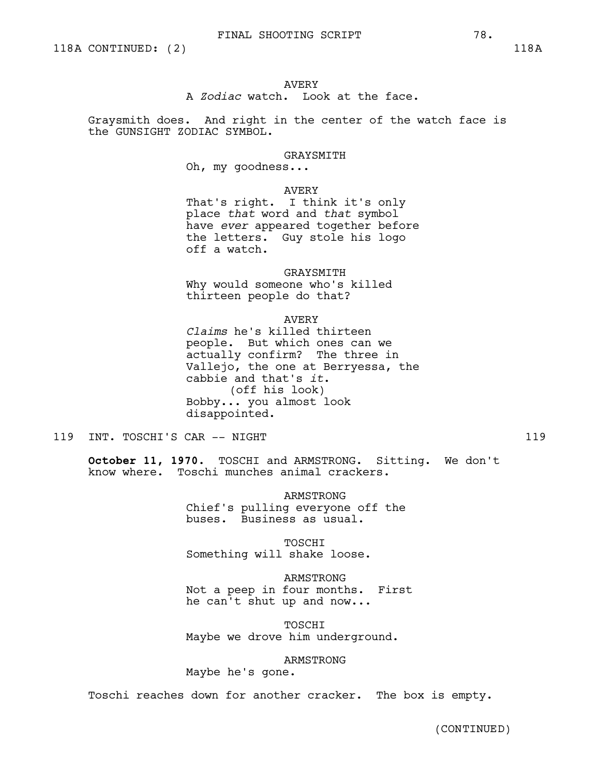# AVERY

A *Zodiac* watch. Look at the face.

Graysmith does. And right in the center of the watch face is the GUNSIGHT ZODIAC SYMBOL.

GRAYSMITH

Oh, my goodness...

#### AVERY

That's right. I think it's only place *that* word and *that* symbol have *ever* appeared together before the letters. Guy stole his logo off a watch.

GRAYSMITH

Why would someone who's killed thirteen people do that?

#### AVERY

*Claims* he's killed thirteen people. But which ones can we actually confirm? The three in Vallejo, the one at Berryessa, the cabbie and that's *it*. (off his look) Bobby... you almost look disappointed.

119 INT. TOSCHI'S CAR -- NIGHT 119

**October 11, 1970.** TOSCHI and ARMSTRONG. Sitting. We don't know where. Toschi munches animal crackers.

> ARMSTRONG Chief's pulling everyone off the buses. Business as usual.

TOSCHI Something will shake loose.

ARMSTRONG Not a peep in four months. First he can't shut up and now...

TOSCHI Maybe we drove him underground.

ARMSTRONG Maybe he's gone.

Toschi reaches down for another cracker. The box is empty.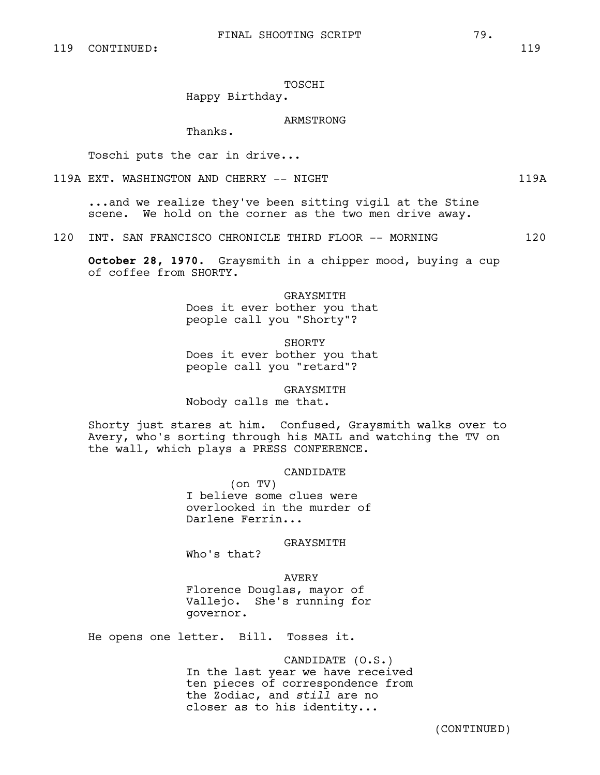TOSCHI

# Happy Birthday.

# ARMSTRONG

Thanks.

Toschi puts the car in drive...

119A EXT. WASHINGTON AND CHERRY -- NIGHT 119A 119A

...and we realize they've been sitting vigil at the Stine scene. We hold on the corner as the two men drive away.

120 INT. SAN FRANCISCO CHRONICLE THIRD FLOOR -- MORNING 120

**October 28, 1970.** Graysmith in a chipper mood, buying a cup of coffee from SHORTY.

> GRAYSMITH Does it ever bother you that people call you "Shorty"?

> SHORTY Does it ever bother you that people call you "retard"?

GRAYSMITH Nobody calls me that.

Shorty just stares at him. Confused, Graysmith walks over to Avery, who's sorting through his MAIL and watching the TV on the wall, which plays a PRESS CONFERENCE.

CANDIDATE

(on TV) I believe some clues were overlooked in the murder of Darlene Ferrin...

GRAYSMITH

Who's that?

AVERY Florence Douglas, mayor of

Vallejo. She's running for governor.

He opens one letter. Bill. Tosses it.

CANDIDATE (O.S.) In the last year we have received ten pieces of correspondence from the Zodiac, and *still* are no closer as to his identity...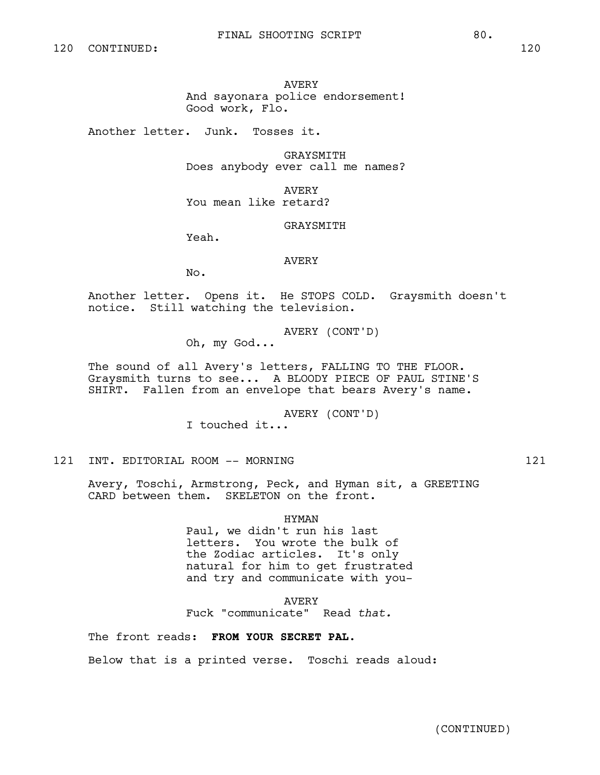AVERY

And sayonara police endorsement! Good work, Flo.

Another letter. Junk. Tosses it.

GRAYSMITH Does anybody ever call me names?

AVERY

You mean like retard?

GRAYSMITH

Yeah.

AVERY

No.

Another letter. Opens it. He STOPS COLD. Graysmith doesn't notice. Still watching the television.

AVERY (CONT'D)

Oh, my God...

The sound of all Avery's letters, FALLING TO THE FLOOR. Graysmith turns to see... A BLOODY PIECE OF PAUL STINE'S SHIRT. Fallen from an envelope that bears Avery's name.

AVERY (CONT'D)

I touched it...

121 INT. EDITORIAL ROOM -- MORNING 121

Avery, Toschi, Armstrong, Peck, and Hyman sit, a GREETING CARD between them. SKELETON on the front.

# HYMAN

Paul, we didn't run his last letters. You wrote the bulk of the Zodiac articles. It's only natural for him to get frustrated and try and communicate with you-

AVERY Fuck "communicate" Read *that.*

The front reads: **FROM YOUR SECRET PAL.**

Below that is a printed verse. Toschi reads aloud: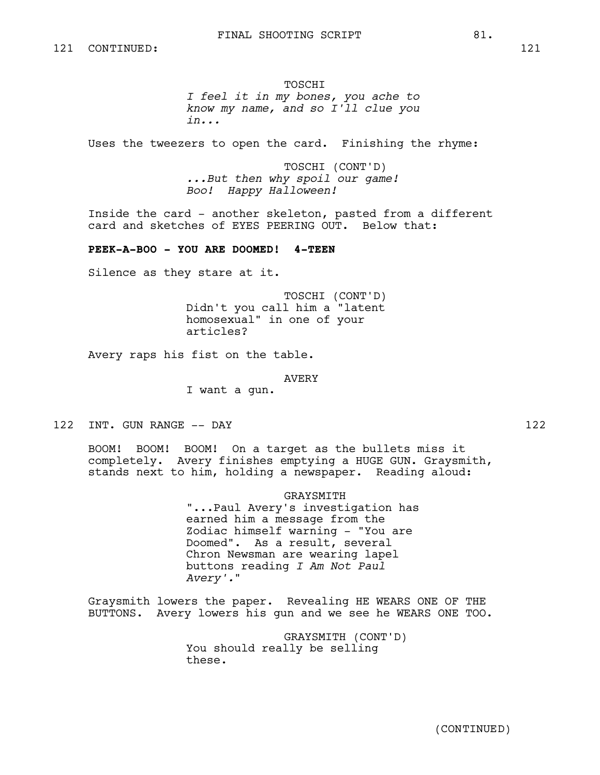#### TOSCHI

*I feel it in my bones, you ache to know my name, and so I'll clue you in...*

Uses the tweezers to open the card. Finishing the rhyme:

TOSCHI (CONT'D) *...But then why spoil our game! Boo! Happy Halloween!*

Inside the card - another skeleton, pasted from a different card and sketches of EYES PEERING OUT. Below that:

# **PEEK-A-BOO - YOU ARE DOOMED! 4-TEEN**

Silence as they stare at it.

TOSCHI (CONT'D) Didn't you call him a "latent homosexual" in one of your articles?

Avery raps his fist on the table.

AVERY

I want a gun.

122 INT. GUN RANGE -- DAY 122

BOOM! BOOM! BOOM! On a target as the bullets miss it completely. Avery finishes emptying a HUGE GUN. Graysmith, stands next to him, holding a newspaper. Reading aloud:

GRAYSMITH

"...Paul Avery's investigation has earned him a message from the Zodiac himself warning - "You are Doomed". As a result, several Chron Newsman are wearing lapel buttons reading *I Am Not Paul Avery'.*"

Graysmith lowers the paper. Revealing HE WEARS ONE OF THE BUTTONS. Avery lowers his gun and we see he WEARS ONE TOO.

> GRAYSMITH (CONT'D) You should really be selling these.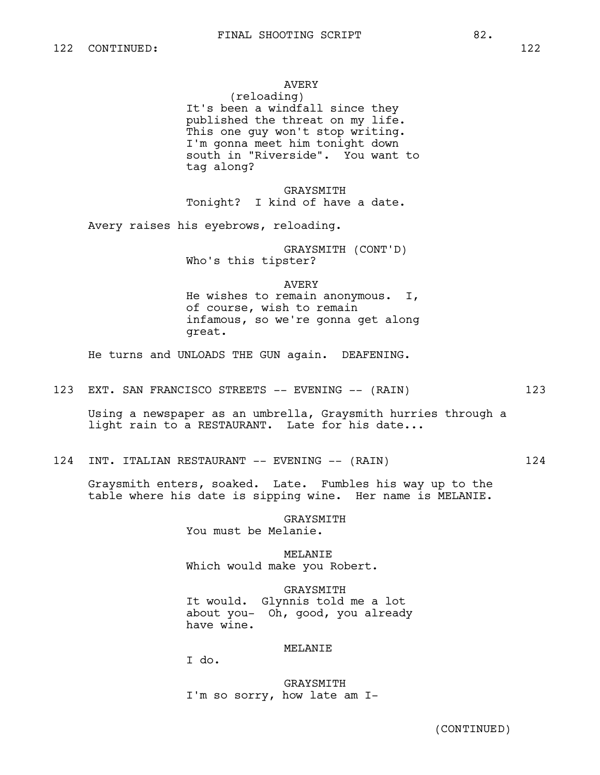# AVERY

(reloading) It's been a windfall since they published the threat on my life. This one guy won't stop writing. I'm gonna meet him tonight down south in "Riverside". You want to tag along?

GRAYSMITH Tonight? I kind of have a date.

Avery raises his eyebrows, reloading.

GRAYSMITH (CONT'D) Who's this tipster?

#### AVERY

He wishes to remain anonymous. I, of course, wish to remain infamous, so we're gonna get along great.

He turns and UNLOADS THE GUN again. DEAFENING.

123 EXT. SAN FRANCISCO STREETS -- EVENING -- (RAIN) 123

Using a newspaper as an umbrella, Graysmith hurries through a light rain to a RESTAURANT. Late for his date...

124 INT. ITALIAN RESTAURANT -- EVENING -- (RAIN) 124

Graysmith enters, soaked. Late. Fumbles his way up to the table where his date is sipping wine. Her name is MELANIE.

> **GRAYSMITH** You must be Melanie.

MELANIE Which would make you Robert.

GRAYSMITH It would. Glynnis told me a lot about you- Oh, good, you already have wine.

#### MELANIE

I do.

GRAYSMITH I'm so sorry, how late am I-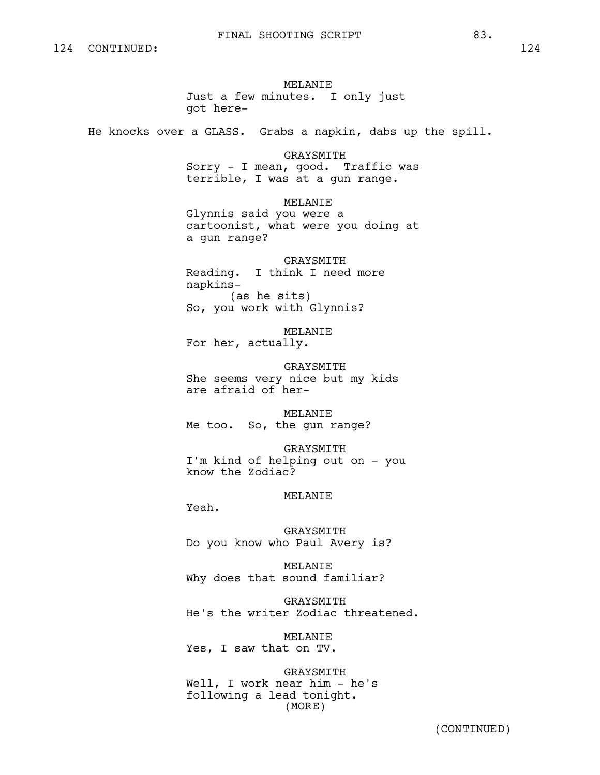MELANIE Just a few minutes. I only just got here-

He knocks over a GLASS. Grabs a napkin, dabs up the spill.

GRAYSMITH Sorry - I mean, good. Traffic was terrible, I was at a gun range.

MELANIE Glynnis said you were a cartoonist, what were you doing at a gun range?

GRAYSMITH Reading. I think I need more napkins- (as he sits) So, you work with Glynnis?

MELANIE For her, actually.

GRAYSMITH She seems very nice but my kids are afraid of her-

MELANIE Me too. So, the gun range?

GRAYSMITH I'm kind of helping out on - you know the Zodiac?

## MELANIE

Yeah.

GRAYSMITH Do you know who Paul Avery is?

MELANIE Why does that sound familiar?

GRAYSMITH He's the writer Zodiac threatened.

MELANIE Yes, I saw that on TV.

GRAYSMITH Well, I work near him - he's following a lead tonight. (MORE)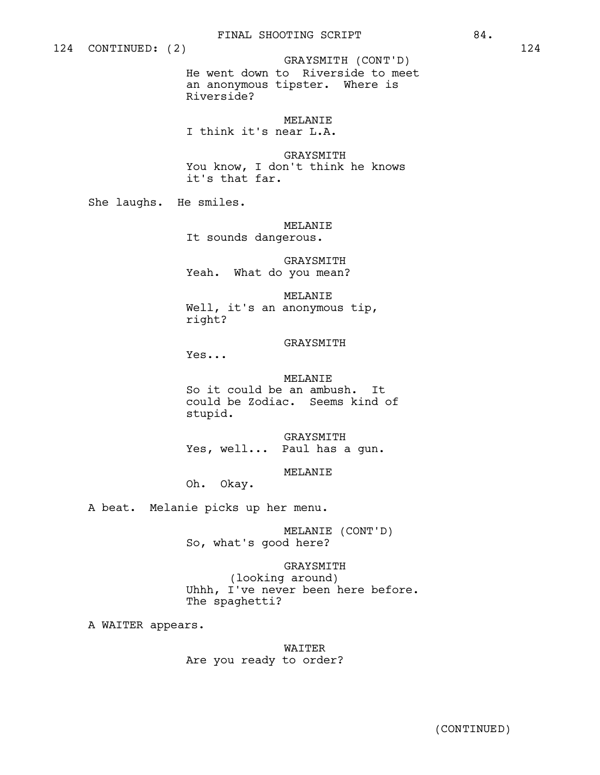# GRAYSMITH (CONT'D)

He went down to Riverside to meet an anonymous tipster. Where is Riverside?

MELANIE

I think it's near L.A.

GRAYSMITH You know, I don't think he knows it's that far.

She laughs. He smiles.

# MELANIE

It sounds dangerous.

GRAYSMITH Yeah. What do you mean?

MELANIE Well, it's an anonymous tip, right?

## GRAYSMITH

Yes...

MELANIE So it could be an ambush. It could be Zodiac. Seems kind of stupid.

GRAYSMITH Yes, well... Paul has a gun.

#### MELANIE

Oh. Okay.

A beat. Melanie picks up her menu.

MELANIE (CONT'D) So, what's good here?

GRAYSMITH (looking around) Uhhh, I've never been here before. The spaghetti?

A WAITER appears.

WAITER Are you ready to order?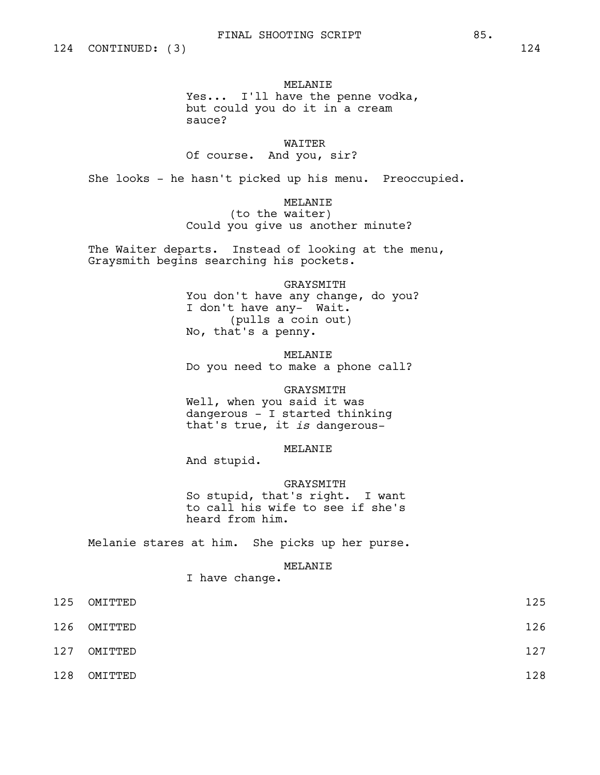# MELANIE Yes... I'll have the penne vodka, but could you do it in a cream sauce?

# WAITER Of course. And you, sir?

She looks - he hasn't picked up his menu. Preoccupied.

# MELANIE

(to the waiter) Could you give us another minute?

The Waiter departs. Instead of looking at the menu, Graysmith begins searching his pockets.

# GRAYSMITH You don't have any change, do you? I don't have any- Wait. (pulls a coin out) No, that's a penny.

MELANIE Do you need to make a phone call?

### GRAYSMITH

Well, when you said it was dangerous - I started thinking that's true, it *is* dangerous-

# MELANIE

And stupid.

# GRAYSMITH

So stupid, that's right. I want to call his wife to see if she's heard from him.

Melanie stares at him. She picks up her purse.

## MELANIE

I have change.

| 125 | OMITTED | 125 |
|-----|---------|-----|
| 126 | OMITTED | 126 |
| 127 | OMITTED | 127 |
| 128 | OMITTED | 128 |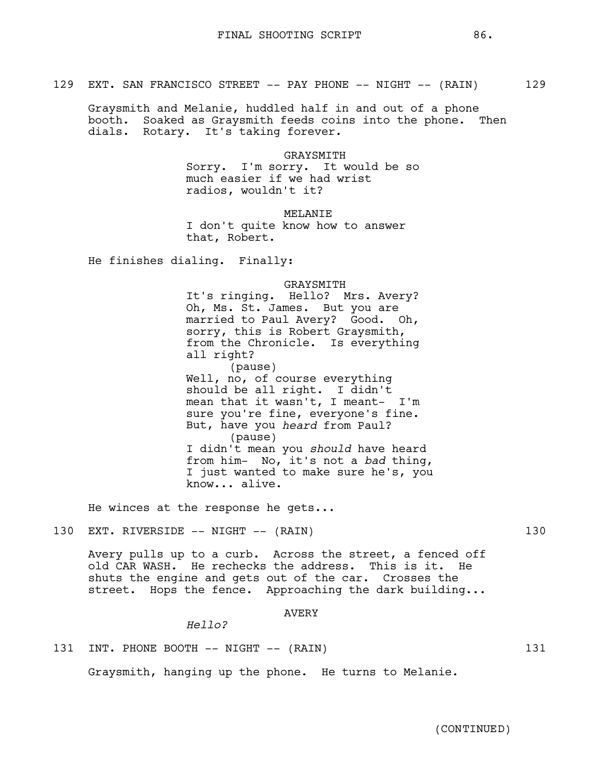Graysmith and Melanie, huddled half in and out of a phone booth. Soaked as Graysmith feeds coins into the phone. Then dials. Rotary. It's taking forever.

> GRAYSMITH Sorry. I'm sorry. It would be so much easier if we had wrist radios, wouldn't it?

> > MELANIE

I don't quite know how to answer that, Robert.

He finishes dialing. Finally:

GRAYSMITH

It's ringing. Hello? Mrs. Avery? Oh, Ms. St. James. But you are married to Paul Avery? Good. Oh, sorry, this is Robert Graysmith, from the Chronicle. Is everything all right? (pause) Well, no, of course everything should be all right. I didn't mean that it wasn't, I meant- I'm sure you're fine, everyone's fine. But, have you *heard* from Paul? (pause) I didn't mean you *should* have heard from him- No, it's not a *bad* thing, I just wanted to make sure he's, you know... alive.

He winces at the response he gets...

130 EXT. RIVERSIDE -- NIGHT -- (RAIN) 130

Avery pulls up to a curb. Across the street, a fenced off old CAR WASH. He rechecks the address. This is it. He shuts the engine and gets out of the car. Crosses the street. Hops the fence. Approaching the dark building...

AVERY

*Hello?* 

131 INT. PHONE BOOTH -- NIGHT -- (RAIN) 131

Graysmith, hanging up the phone. He turns to Melanie.

(CONTINUED)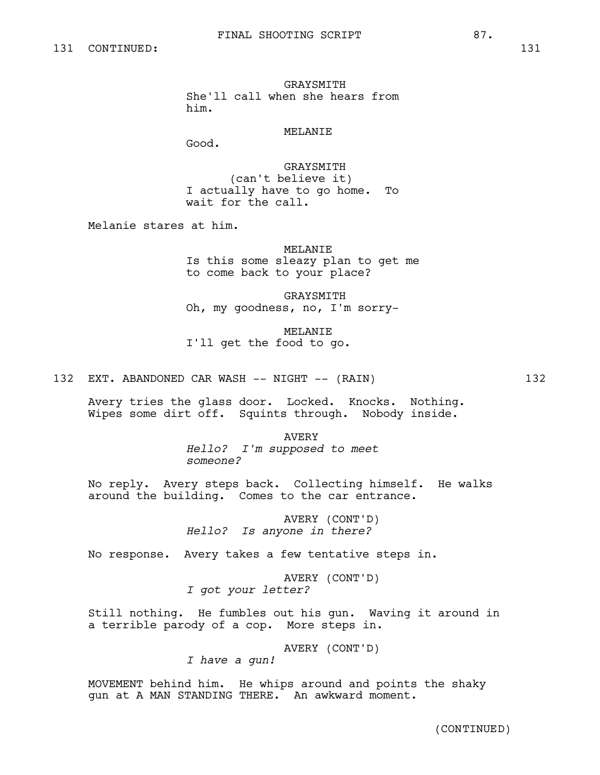GRAYSMITH She'll call when she hears from him.

# MELANIE

Good.

GRAYSMITH (can't believe it) I actually have to go home. To wait for the call.

Melanie stares at him.

MELANIE

Is this some sleazy plan to get me to come back to your place?

GRAYSMITH Oh, my goodness, no, I'm sorry-

MELANIE I'll get the food to go.

132 EXT. ABANDONED CAR WASH -- NIGHT -- (RAIN) 132

Avery tries the glass door. Locked. Knocks. Nothing. Wipes some dirt off. Squints through. Nobody inside.

> AVERY *Hello? I'm supposed to meet someone?*

No reply. Avery steps back. Collecting himself. He walks around the building. Comes to the car entrance.

> AVERY (CONT'D) *Hello? Is anyone in there?*

No response. Avery takes a few tentative steps in.

AVERY (CONT'D) *I got your letter?*

Still nothing. He fumbles out his gun. Waving it around in a terrible parody of a cop. More steps in.

AVERY (CONT'D)

*I have a gun!*

MOVEMENT behind him. He whips around and points the shaky gun at A MAN STANDING THERE. An awkward moment.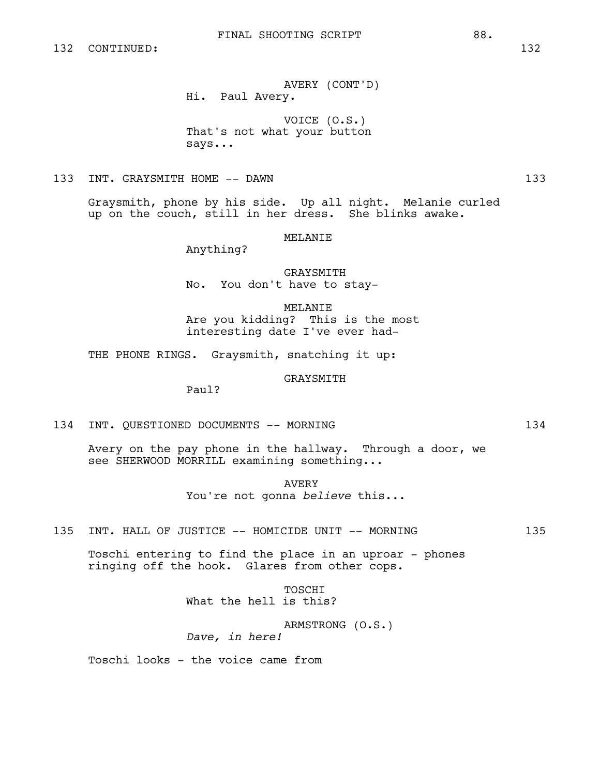AVERY (CONT'D) Hi. Paul Avery.

VOICE (O.S.) That's not what your button says...

133 INT. GRAYSMITH HOME -- DAWN 133

Graysmith, phone by his side. Up all night. Melanie curled up on the couch, still in her dress. She blinks awake.

# MELANIE

Anything?

**GRAYSMITH** No. You don't have to stay-

MELANIE Are you kidding? This is the most interesting date I've ever had-

THE PHONE RINGS. Graysmith, snatching it up:

GRAYSMITH

Paul?

134 INT. QUESTIONED DOCUMENTS -- MORNING 134

Avery on the pay phone in the hallway. Through a door, we see SHERWOOD MORRILL examining something...

> AVERY You're not gonna *believe* this...

135 INT. HALL OF JUSTICE -- HOMICIDE UNIT -- MORNING 135

Toschi entering to find the place in an uproar - phones ringing off the hook. Glares from other cops.

> **TOSCHT** What the hell is this?

ARMSTRONG (O.S.) *Dave, in here!*

Toschi looks - the voice came from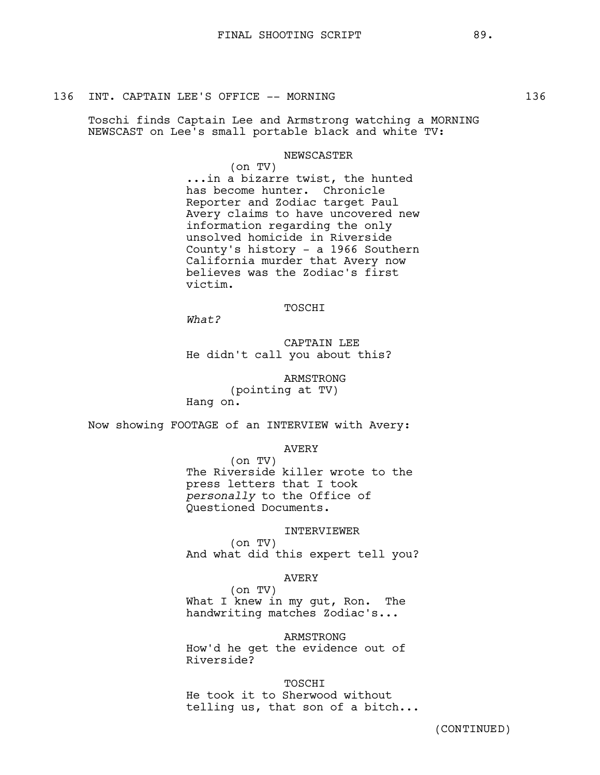# 136 INT. CAPTAIN LEE'S OFFICE -- MORNING 136

Toschi finds Captain Lee and Armstrong watching a MORNING NEWSCAST on Lee's small portable black and white TV:

# NEWSCASTER

(on TV) ...in a bizarre twist, the hunted has become hunter. Chronicle Reporter and Zodiac target Paul Avery claims to have uncovered new information regarding the only unsolved homicide in Riverside County's history - a 1966 Southern California murder that Avery now believes was the Zodiac's first victim.

# TOSCHI

*What?* 

CAPTAIN LEE He didn't call you about this?

ARMSTRONG (pointing at TV) Hang on.

Now showing FOOTAGE of an INTERVIEW with Avery:

#### AVERY

(on TV) The Riverside killer wrote to the press letters that I took *personally* to the Office of Questioned Documents.

### INTERVIEWER

(on TV) And what did this expert tell you?

#### AVERY

(on TV) What I knew in my gut, Ron. The handwriting matches Zodiac's...

#### ARMSTRONG

How'd he get the evidence out of Riverside?

## TOSCHI

He took it to Sherwood without telling us, that son of a bitch...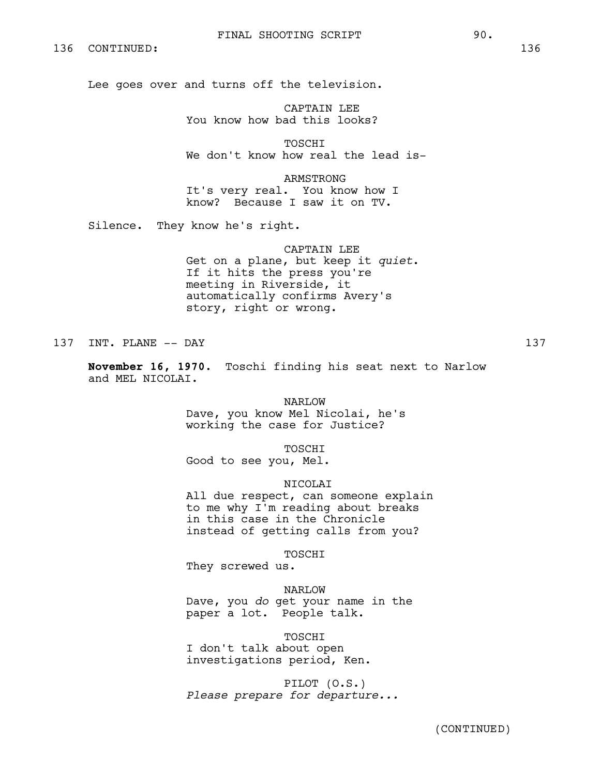# 136 CONTINUED: 136

Lee goes over and turns off the television.

CAPTAIN LEE You know how bad this looks?

TOSCHI We don't know how real the lead is-

ARMSTRONG It's very real. You know how I know? Because I saw it on TV.

Silence. They know he's right.

CAPTAIN LEE Get on a plane, but keep it *quiet*. If it hits the press you're meeting in Riverside, it automatically confirms Avery's story, right or wrong.

137 INT. PLANE -- DAY 137 137

**November 16, 1970.** Toschi finding his seat next to Narlow and MEL NICOLAI.

> NARLOW Dave, you know Mel Nicolai, he's working the case for Justice?

> > TOSCHI

Good to see you, Mel.

NICOLAI

All due respect, can someone explain to me why I'm reading about breaks in this case in the Chronicle instead of getting calls from you?

TOSCHI

They screwed us.

NARLOW

Dave, you *do* get your name in the paper a lot. People talk.

TOSCHI

I don't talk about open investigations period, Ken.

PILOT (O.S.) *Please prepare for departure...*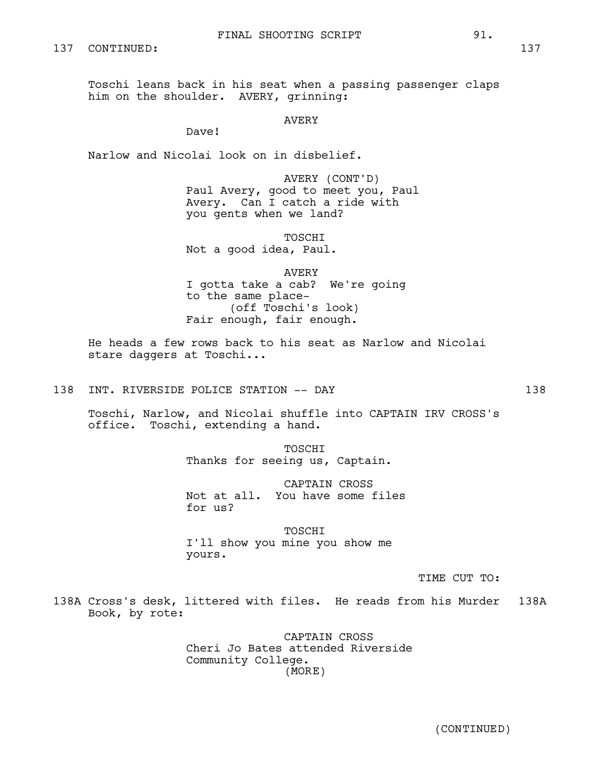Toschi leans back in his seat when a passing passenger claps him on the shoulder. AVERY, grinning:

AVERY

Dave!

Narlow and Nicolai look on in disbelief.

AVERY (CONT'D) Paul Avery, good to meet you, Paul Avery. Can I catch a ride with you gents when we land?

TOSCHI Not a good idea, Paul.

AVERY I gotta take a cab? We're going to the same place- (off Toschi's look) Fair enough, fair enough.

He heads a few rows back to his seat as Narlow and Nicolai stare daggers at Toschi...

138 INT. RIVERSIDE POLICE STATION -- DAY 138

Toschi, Narlow, and Nicolai shuffle into CAPTAIN IRV CROSS's office. Toschi, extending a hand.

> TOSCHI Thanks for seeing us, Captain.

CAPTAIN CROSS Not at all. You have some files for us?

TOSCHI I'll show you mine you show me yours.

TIME CUT TO:

138A Cross's desk, littered with files. He reads from his Murder 138A Book, by rote:

> CAPTAIN CROSS Cheri Jo Bates attended Riverside Community College. (MORE)

> > (CONTINUED)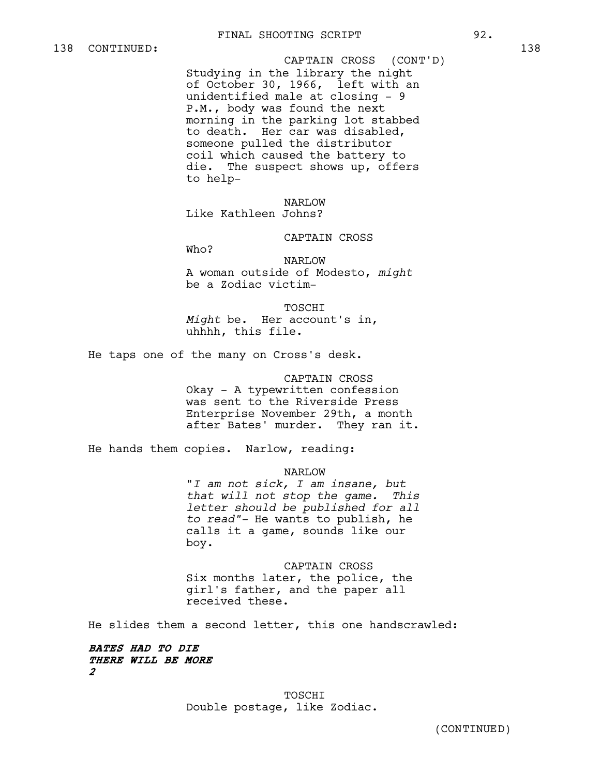Studying in the library the night of October 30, 1966, left with an unidentified male at closing - 9 P.M., body was found the next morning in the parking lot stabbed to death. Her car was disabled, someone pulled the distributor coil which caused the battery to die. The suspect shows up, offers to help-CAPTAIN CROSS (CONT'D)

NARLOW

Like Kathleen Johns?

CAPTAIN CROSS

Who?

NARLOW A woman outside of Modesto, *might* be a Zodiac victim-

TOSCHI *Might* be. Her account's in, uhhhh, this file.

He taps one of the many on Cross's desk.

## CAPTAIN CROSS

Okay - A typewritten confession was sent to the Riverside Press Enterprise November 29th, a month after Bates' murder. They ran it.

He hands them copies. Narlow, reading:

NARLOW "*I am not sick, I am insane, but that will not stop the game. This letter should be published for all to read"-* He wants to publish, he calls it a game, sounds like our boy.

CAPTAIN CROSS Six months later, the police, the girl's father, and the paper all received these.

He slides them a second letter, this one handscrawled:

**BATES HAD TO DIE THERE WILL BE MORE 2**

> TOSCHI Double postage, like Zodiac.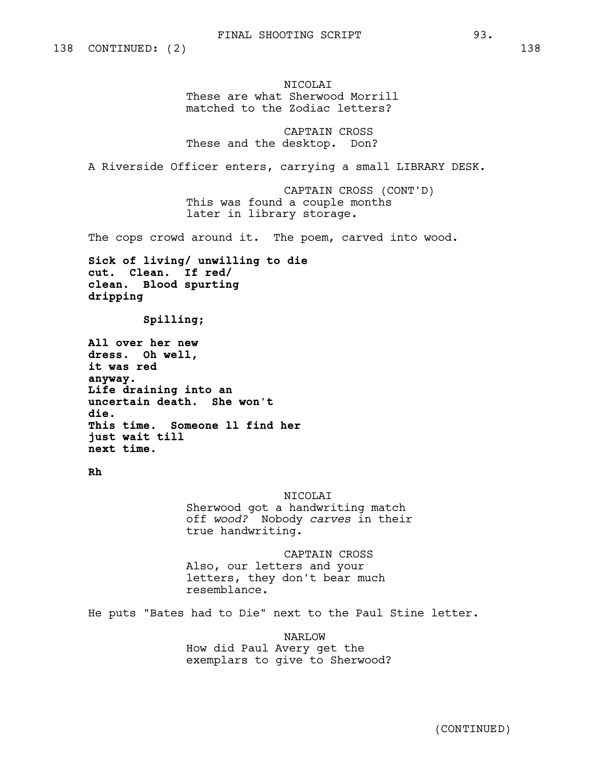NICOLAI These are what Sherwood Morrill matched to the Zodiac letters?

CAPTAIN CROSS These and the desktop. Don?

A Riverside Officer enters, carrying a small LIBRARY DESK.

CAPTAIN CROSS (CONT'D) This was found a couple months later in library storage.

The cops crowd around it. The poem, carved into wood.

**Sick of living/ unwilling to die cut. Clean. If red/ clean. Blood spurting dripping**

 **Spilling;**

**All over her new dress. Oh well, it was red anyway. Life draining into an uncertain death. She won't die. This time. Someone ll find her just wait till next time.** 

**Rh** 

#### NICOLAI

Sherwood got a handwriting match off *wood?* Nobody *carves* in their true handwriting.

CAPTAIN CROSS Also, our letters and your letters, they don't bear much resemblance.

He puts "Bates had to Die" next to the Paul Stine letter.

NARLOW How did Paul Avery get the exemplars to give to Sherwood?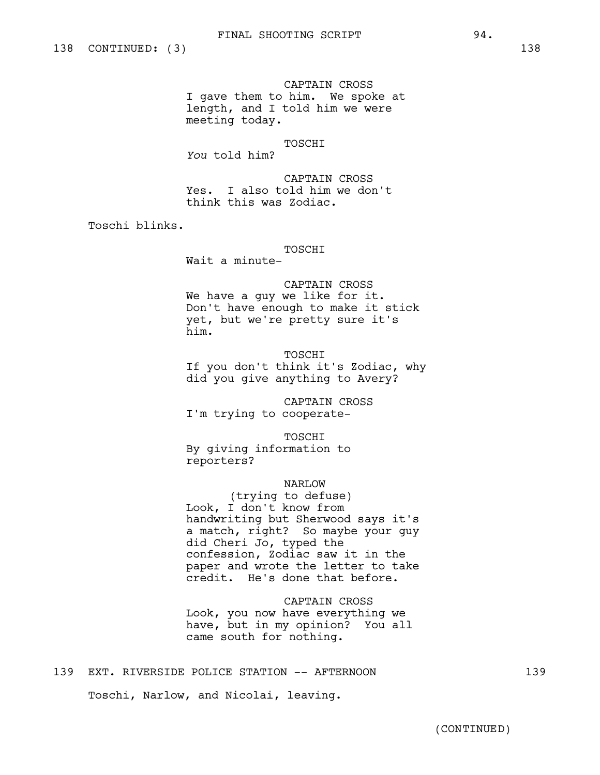CAPTAIN CROSS I gave them to him. We spoke at length, and I told him we were meeting today.

# TOSCHI

*You* told him?

CAPTAIN CROSS Yes. I also told him we don't think this was Zodiac.

Toschi blinks.

## TOSCHI

Wait a minute-

CAPTAIN CROSS We have a guy we like for it. Don't have enough to make it stick yet, but we're pretty sure it's him.

**TOSCHT** If you don't think it's Zodiac, why did you give anything to Avery?

CAPTAIN CROSS I'm trying to cooperate-

TOSCHI By giving information to reporters?

# NARLOW

(trying to defuse) Look, I don't know from handwriting but Sherwood says it's a match, right? So maybe your guy did Cheri Jo, typed the confession, Zodiac saw it in the paper and wrote the letter to take credit. He's done that before.

CAPTAIN CROSS Look, you now have everything we have, but in my opinion? You all came south for nothing.

# 139 EXT. RIVERSIDE POLICE STATION -- AFTERNOON 139

Toschi, Narlow, and Nicolai, leaving.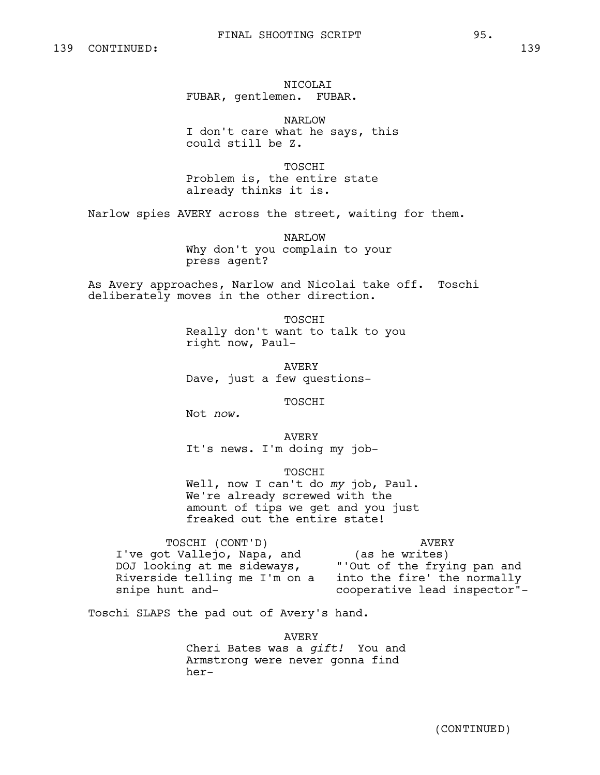NICOLAI FUBAR, gentlemen. FUBAR.

NARLOW I don't care what he says, this could still be Z.

TOSCHI Problem is, the entire state already thinks it is.

Narlow spies AVERY across the street, waiting for them.

NARLOW Why don't you complain to your press agent?

As Avery approaches, Narlow and Nicolai take off. Toschi deliberately moves in the other direction.

> TOSCHI Really don't want to talk to you right now, Paul-

AVERY Dave, just a few questions-

TOSCHI

Not *now.*

AVERY It's news. I'm doing my job-

freaked out the entire state!

TOSCHI Well, now I can't do *my* job, Paul. We're already screwed with the amount of tips we get and you just

TOSCHI (CONT'D) I've got Vallejo, Napa, and DOJ looking at me sideways, Riverside telling me I'm on a into the fire' the normally snipe hunt and-AVERY (as he writes) "'Out of the frying pan and cooperative lead inspector"-

Toschi SLAPS the pad out of Avery's hand.

AVERY Cheri Bates was a *gift!* You and Armstrong were never gonna find her-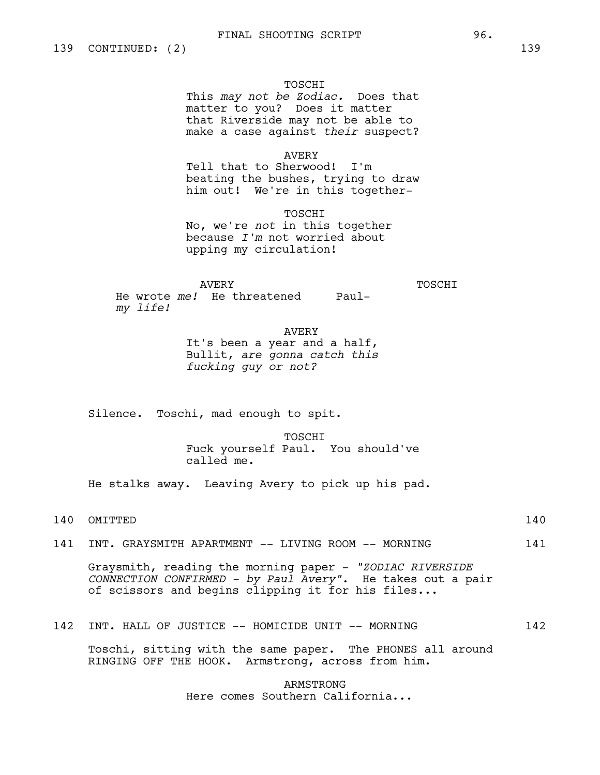#### TOSCHI

This *may not be Zodiac.* Does that matter to you? Does it matter that Riverside may not be able to make a case against *their* suspect?

# AVERY

Tell that to Sherwood! I'm beating the bushes, trying to draw him out! We're in this together-

TOSCHI No, we're *not* in this together because *I'm* not worried about upping my circulation!

AVERY

TOSCHI

He wrote *me!* He threatened Paul*my life!*

AVERY

It's been a year and a half, Bullit, *are gonna catch this fucking guy or not?* 

Silence. Toschi, mad enough to spit.

TOSCHI

Fuck yourself Paul. You should've called me.

He stalks away. Leaving Avery to pick up his pad.

140 OMITTED 140

141 INT. GRAYSMITH APARTMENT -- LIVING ROOM -- MORNING 141

Graysmith, reading the morning paper - *"ZODIAC RIVERSIDE CONNECTION CONFIRMED - by Paul Avery"*. He takes out a pair of scissors and begins clipping it for his files...

# 142 INT. HALL OF JUSTICE -- HOMICIDE UNIT -- MORNING 142

Toschi, sitting with the same paper. The PHONES all around RINGING OFF THE HOOK. Armstrong, across from him.

> ARMSTRONG Here comes Southern California...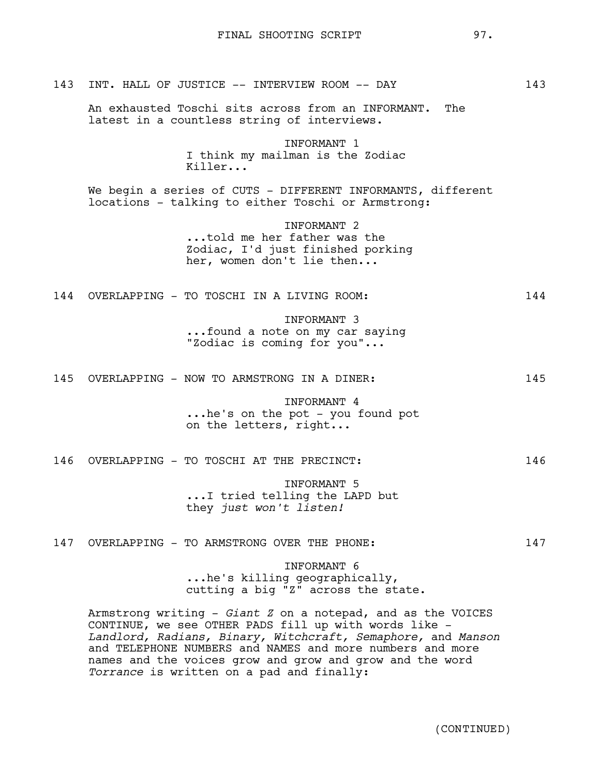| 143 | INT. HALL OF JUSTICE -- INTERVIEW ROOM -- DAY                                                                          | 143 |
|-----|------------------------------------------------------------------------------------------------------------------------|-----|
|     | An exhausted Toschi sits across from an INFORMANT. The<br>latest in a countless string of interviews.                  |     |
|     | INFORMANT 1<br>I think my mailman is the Zodiac<br>Killer                                                              |     |
|     | We begin a series of CUTS - DIFFERENT INFORMANTS, different<br>locations - talking to either Toschi or Armstrong:      |     |
|     | INFORMANT <sub>2</sub><br>told me her father was the<br>Zodiac, I'd just finished porking<br>her, women don't lie then |     |
|     | 144 OVERLAPPING - TO TOSCHI IN A LIVING ROOM:                                                                          | 144 |
|     | INFORMANT 3<br>found a note on my car saying<br>"Zodiac is coming for you"                                             |     |
| 145 | OVERLAPPING - NOW TO ARMSTRONG IN A DINER:                                                                             | 145 |
|     | INFORMANT 4<br>he's on the pot - you found pot<br>on the letters, right                                                |     |
| 146 | OVERLAPPING - TO TOSCHI AT THE PRECINCT:                                                                               | 146 |
|     | INFORMANT 5<br>I tried telling the LAPD but<br>they just won't listen!                                                 |     |
|     | 147 OVERLAPPING - TO ARMSTRONG OVER THE PHONE:                                                                         | 147 |
|     | INFORMANT 6<br>he's killing geographically,<br>cutting a big "Z" across the state.                                     |     |
|     | Armstrong writing - Giant Z on a notepad, and as the VOICES<br>CONTINUE, we see OTHER PADS fill up with words like -   |     |

CONTINUE, we see OTHER PADS fill up with words like - *Landlord, Radians, Binary, Witchcraft, Semaphore,* and *Manson* and TELEPHONE NUMBERS and NAMES and more numbers and more names and the voices grow and grow and grow and the word *Torrance* is written on a pad and finally: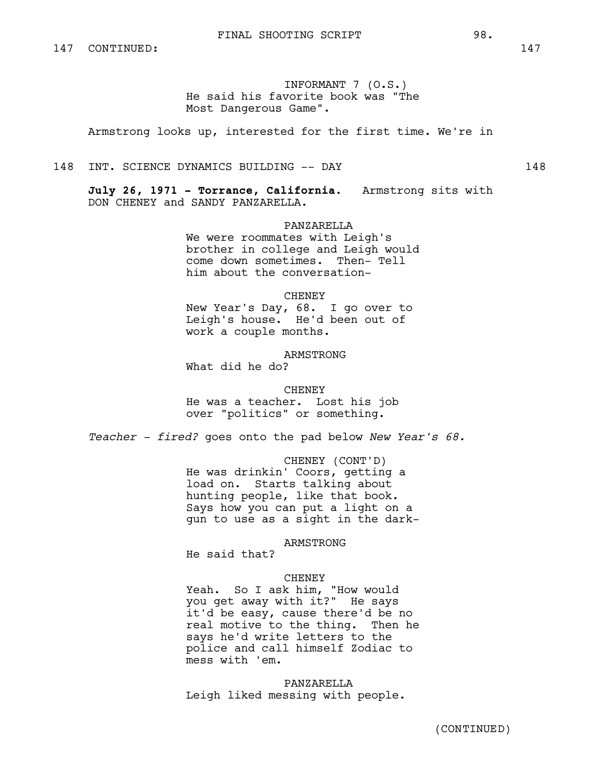INFORMANT 7 (O.S.) He said his favorite book was "The Most Dangerous Game".

Armstrong looks up, interested for the first time. We're in

148 INT. SCIENCE DYNAMICS BUILDING -- DAY 148

**July 26, 1971 - Torrance, California.** Armstrong sits with DON CHENEY and SANDY PANZARELLA.

PANZARELLA

We were roommates with Leigh's brother in college and Leigh would come down sometimes. Then- Tell him about the conversation-

**CHENEY** 

New Year's Day, 68. I go over to Leigh's house. He'd been out of work a couple months.

ARMSTRONG What did he do?

**CHENEY** He was a teacher. Lost his job over "politics" or something.

*Teacher - fired?* goes onto the pad below *New Year's 68.*

CHENEY (CONT'D) He was drinkin' Coors, getting a load on. Starts talking about hunting people, like that book. Says how you can put a light on a gun to use as a sight in the dark-

ARMSTRONG

He said that?

#### CHENEY

Yeah. So I ask him, "How would you get away with it?" He says it'd be easy, cause there'd be no real motive to the thing. Then he says he'd write letters to the police and call himself Zodiac to mess with 'em.

PANZARELLA Leigh liked messing with people.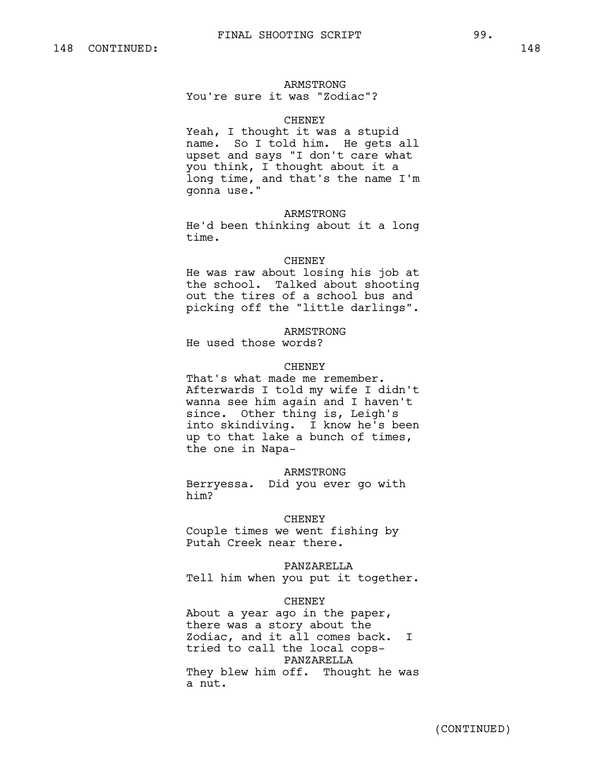#### ARMSTRONG

You're sure it was "Zodiac"?

# **CHENEY**

Yeah, I thought it was a stupid name. So I told him. He gets all upset and says "I don't care what you think, I thought about it a long time, and that's the name I'm gonna use."

#### ARMSTRONG

He'd been thinking about it a long time.

#### **CHENEY**

He was raw about losing his job at the school. Talked about shooting out the tires of a school bus and picking off the "little darlings".

#### ARMSTRONG

He used those words?

## **CHENEY**

That's what made me remember. Afterwards I told my wife I didn't wanna see him again and I haven't since. Other thing is, Leigh's into skindiving. I know he's been up to that lake a bunch of times, the one in Napa-

#### ARMSTRONG

Berryessa. Did you ever go with him?

#### CHENEY

Couple times we went fishing by Putah Creek near there.

## PANZARELLA

Tell him when you put it together.

#### **CHENEY**

About a year ago in the paper, there was a story about the Zodiac, and it all comes back. I tried to call the local cops-PANZARELLA They blew him off. Thought he was a nut.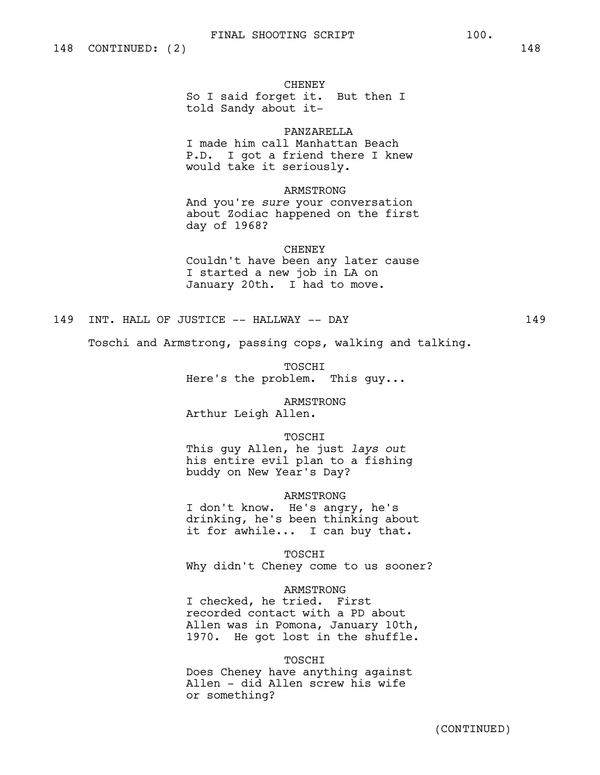#### CHENEY

So I said forget it. But then I told Sandy about it-

## PANZARELLA

I made him call Manhattan Beach P.D. I got a friend there I knew would take it seriously.

# ARMSTRONG

And you're *sure* your conversation about Zodiac happened on the first day of 1968?

# CHENEY

Couldn't have been any later cause I started a new job in LA on January 20th. I had to move.

# 149 INT. HALL OF JUSTICE -- HALLWAY -- DAY 149

Toschi and Armstrong, passing cops, walking and talking.

TOSCHI Here's the problem. This guy...

ARMSTRONG Arthur Leigh Allen.

## TOSCHI

This guy Allen, he just *lays out* his entire evil plan to a fishing buddy on New Year's Day?

### ARMSTRONG

I don't know. He's angry, he's drinking, he's been thinking about it for awhile... I can buy that.

TOSCHI Why didn't Cheney come to us sooner?

### ARMSTRONG

I checked, he tried. First recorded contact with a PD about Allen was in Pomona, January 10th, 1970. He got lost in the shuffle.

#### TOSCHI

Does Cheney have anything against Allen - did Allen screw his wife or something?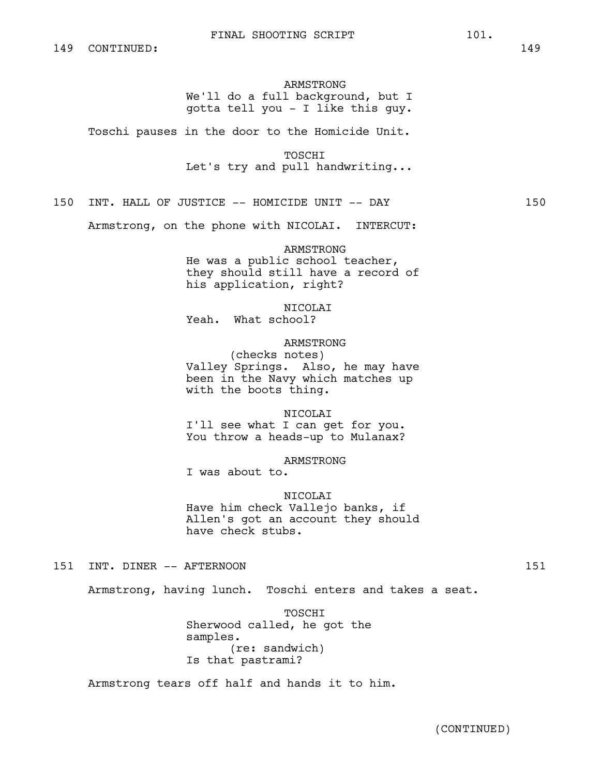# ARMSTRONG

We'll do a full background, but I gotta tell you - I like this guy.

Toschi pauses in the door to the Homicide Unit.

TOSCHI Let's try and pull handwriting...

150 INT. HALL OF JUSTICE -- HOMICIDE UNIT -- DAY 150

Armstrong, on the phone with NICOLAI. INTERCUT:

# ARMSTRONG

He was a public school teacher, they should still have a record of his application, right?

NICOLAI

Yeah. What school?

# ARMSTRONG

(checks notes) Valley Springs. Also, he may have been in the Navy which matches up with the boots thing.

NICOLAI

I'll see what I can get for you. You throw a heads-up to Mulanax?

ARMSTRONG

I was about to.

## NICOLAI

Have him check Vallejo banks, if Allen's got an account they should have check stubs.

151 INT. DINER -- AFTERNOON 151

Armstrong, having lunch. Toschi enters and takes a seat.

TOSCHI Sherwood called, he got the samples. (re: sandwich) Is that pastrami?

Armstrong tears off half and hands it to him.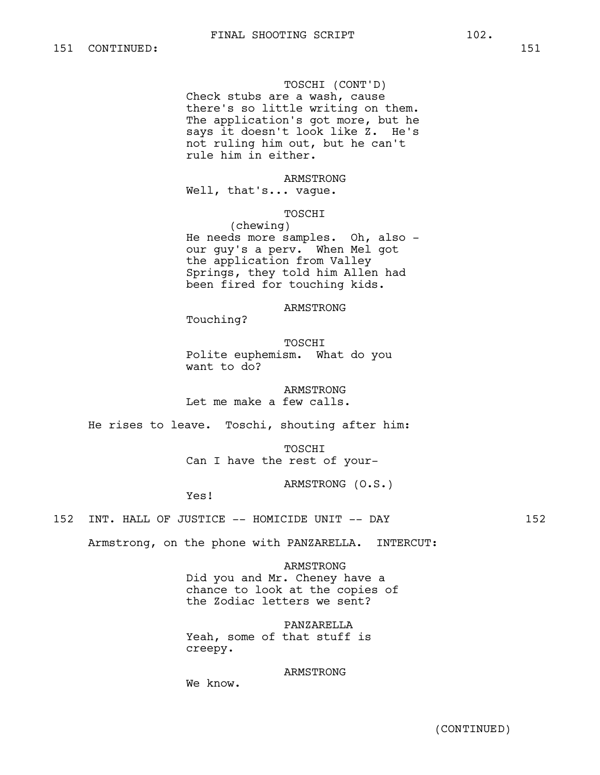### TOSCHI (CONT'D)

Check stubs are a wash, cause there's so little writing on them. The application's got more, but he says it doesn't look like Z. He's not ruling him out, but he can't rule him in either.

## ARMSTRONG

Well, that's... vague.

## TOSCHI

(chewing) He needs more samples. Oh, also our guy's a perv. When Mel got the application from Valley Springs, they told him Allen had been fired for touching kids.

ARMSTRONG

Touching?

TOSCHI Polite euphemism. What do you want to do?

ARMSTRONG Let me make a few calls.

He rises to leave. Toschi, shouting after him:

TOSCHI Can I have the rest of your-

ARMSTRONG (O.S.)

Yes!

## 152 INT. HALL OF JUSTICE -- HOMICIDE UNIT -- DAY 152

Armstrong, on the phone with PANZARELLA. INTERCUT:

ARMSTRONG Did you and Mr. Cheney have a chance to look at the copies of the Zodiac letters we sent?

PANZARELLA Yeah, some of that stuff is creepy.

## ARMSTRONG

We know.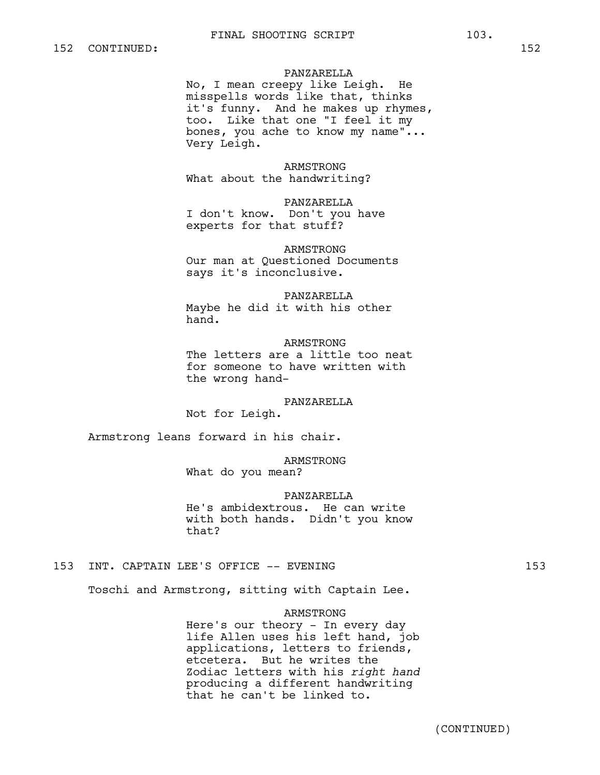# PANZARELLA

No, I mean creepy like Leigh. He misspells words like that, thinks it's funny. And he makes up rhymes, too. Like that one "I feel it my bones, you ache to know my name"... Very Leigh.

# ARMSTRONG

What about the handwriting?

## PANZARELLA

I don't know. Don't you have experts for that stuff?

# ARMSTRONG

Our man at Questioned Documents says it's inconclusive.

#### PANZARELLA

Maybe he did it with his other hand.

#### ARMSTRONG

The letters are a little too neat for someone to have written with the wrong hand-

#### PANZARELLA

Not for Leigh.

Armstrong leans forward in his chair.

# ARMSTRONG

What do you mean?

#### PANZARELLA

He's ambidextrous. He can write with both hands. Didn't you know that?

# 153 INT. CAPTAIN LEE'S OFFICE -- EVENING 153

Toschi and Armstrong, sitting with Captain Lee.

#### ARMSTRONG

Here's our theory - In every day life Allen uses his left hand, job applications, letters to friends, etcetera. But he writes the Zodiac letters with his *right hand* producing a different handwriting that he can't be linked to.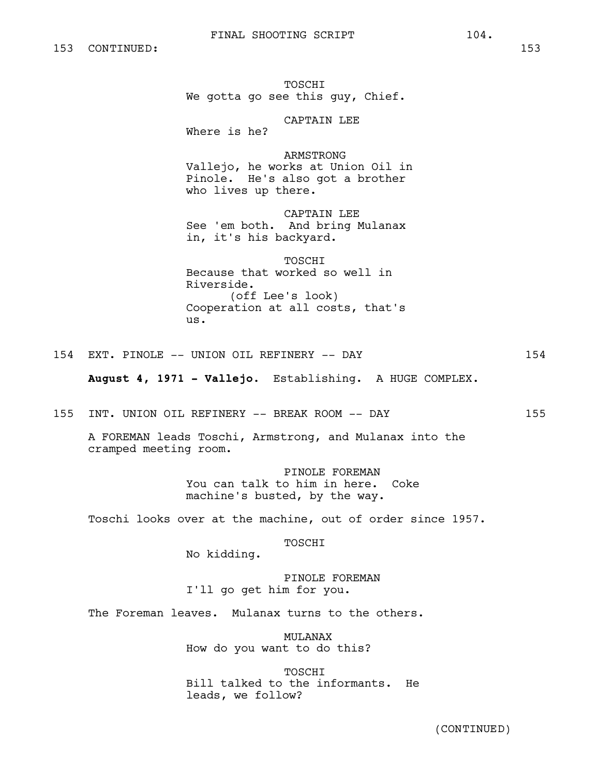TOSCHI We gotta go see this guy, Chief.

CAPTAIN LEE

Where is he?

ARMSTRONG Vallejo, he works at Union Oil in Pinole. He's also got a brother who lives up there.

CAPTAIN LEE See 'em both. And bring Mulanax in, it's his backyard.

# TOSCHI

Because that worked so well in Riverside. (off Lee's look) Cooperation at all costs, that's us.

154 EXT. PINOLE -- UNION OIL REFINERY -- DAY 154

**August 4, 1971 - Vallejo.** Establishing. A HUGE COMPLEX.

155 INT. UNION OIL REFINERY -- BREAK ROOM -- DAY 155

A FOREMAN leads Toschi, Armstrong, and Mulanax into the cramped meeting room.

> PINOLE FOREMAN You can talk to him in here. Coke machine's busted, by the way.

Toschi looks over at the machine, out of order since 1957.

TOSCHI

No kidding.

PINOLE FOREMAN I'll go get him for you.

The Foreman leaves. Mulanax turns to the others.

MULANAX How do you want to do this?

TOSCHI Bill talked to the informants. He leads, we follow?

(CONTINUED)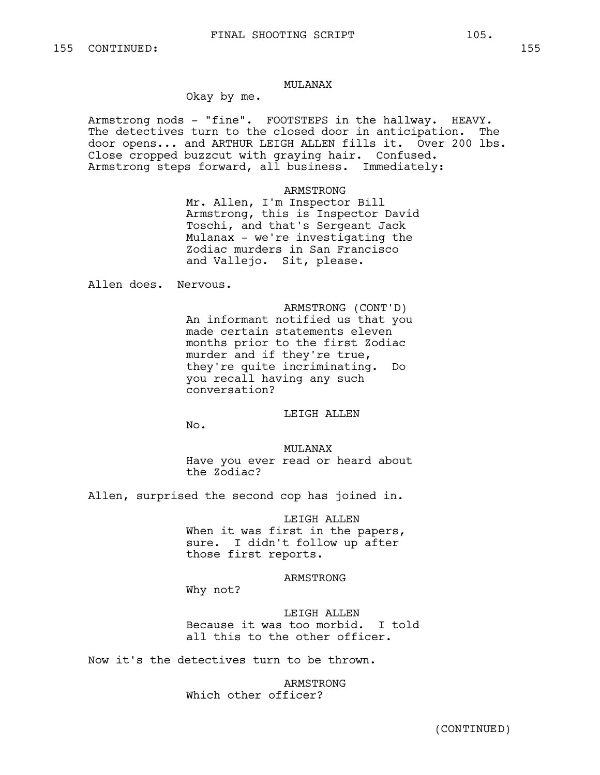### MULANAX

# Okay by me.

Armstrong nods - "fine". FOOTSTEPS in the hallway. HEAVY. The detectives turn to the closed door in anticipation. The door opens... and ARTHUR LEIGH ALLEN fills it. Over 200 lbs. Close cropped buzzcut with graying hair. Confused. Armstrong steps forward, all business. Immediately:

## ARMSTRONG

Mr. Allen, I'm Inspector Bill Armstrong, this is Inspector David Toschi, and that's Sergeant Jack Mulanax - we're investigating the Zodiac murders in San Francisco and Vallejo. Sit, please.

Allen does. Nervous.

ARMSTRONG (CONT'D) An informant notified us that you made certain statements eleven months prior to the first Zodiac murder and if they're true, they're quite incriminating. Do you recall having any such conversation?

# LEIGH ALLEN

No.

# MULANAX Have you ever read or heard about the Zodiac?

Allen, surprised the second cop has joined in.

#### LEIGH ALLEN

When it was first in the papers, sure. I didn't follow up after those first reports.

#### ARMSTRONG

Why not?

LEIGH ALLEN Because it was too morbid. I told all this to the other officer.

Now it's the detectives turn to be thrown.

ARMSTRONG Which other officer?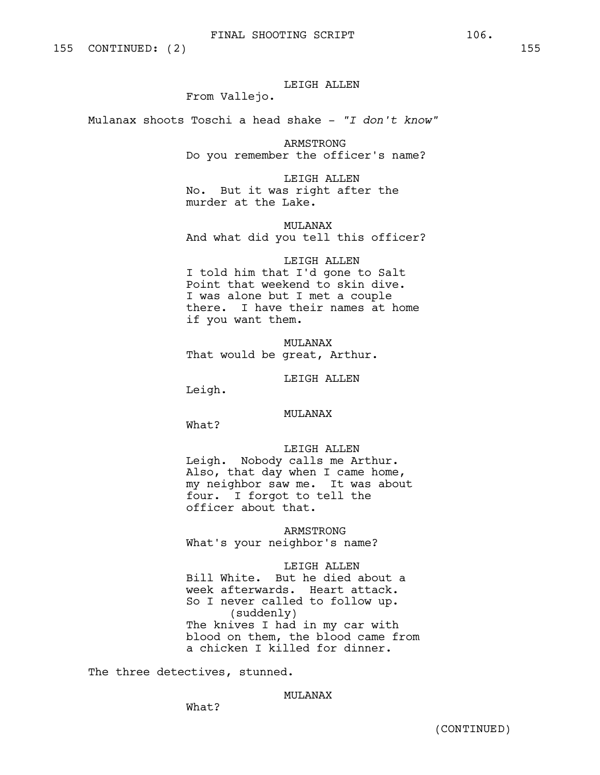# LEIGH ALLEN

From Vallejo.

Mulanax shoots Toschi a head shake - *"I don't know"*

ARMSTRONG Do you remember the officer's name?

LEIGH ALLEN No. But it was right after the murder at the Lake.

MULANAX And what did you tell this officer?

LEIGH ALLEN I told him that I'd gone to Salt Point that weekend to skin dive. I was alone but I met a couple there. I have their names at home if you want them.

MULANAX That would be great, Arthur.

LEIGH ALLEN

Leigh.

MULANAX

What?

# LEIGH ALLEN

Leigh. Nobody calls me Arthur. Also, that day when I came home, my neighbor saw me. It was about four. I forgot to tell the officer about that.

ARMSTRONG What's your neighbor's name?

#### LEIGH ALLEN

Bill White. But he died about a week afterwards. Heart attack. So I never called to follow up. (suddenly) The knives I had in my car with blood on them, the blood came from a chicken I killed for dinner.

The three detectives, stunned.

MULANAX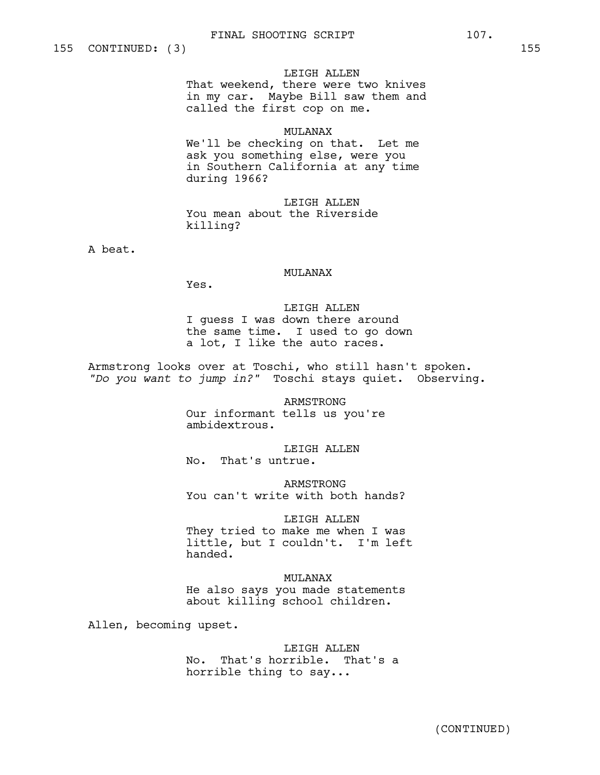#### LEIGH ALLEN

That weekend, there were two knives in my car. Maybe Bill saw them and called the first cop on me.

#### MULANAX

We'll be checking on that. Let me ask you something else, were you in Southern California at any time during 1966?

LEIGH ALLEN You mean about the Riverside killing?

A beat.

# MULANAX

Yes.

LEIGH ALLEN I guess I was down there around the same time. I used to go down a lot, I like the auto races.

Armstrong looks over at Toschi, who still hasn't spoken. *"Do you want to jump in?"* Toschi stays quiet. Observing.

> ARMSTRONG Our informant tells us you're ambidextrous.

LEIGH ALLEN No. That's untrue.

ARMSTRONG You can't write with both hands?

# LEIGH ALLEN

They tried to make me when I was little, but I couldn't. I'm left handed.

MULANAX

He also says you made statements about killing school children.

Allen, becoming upset.

# LEIGH ALLEN

No. That's horrible. That's a horrible thing to say...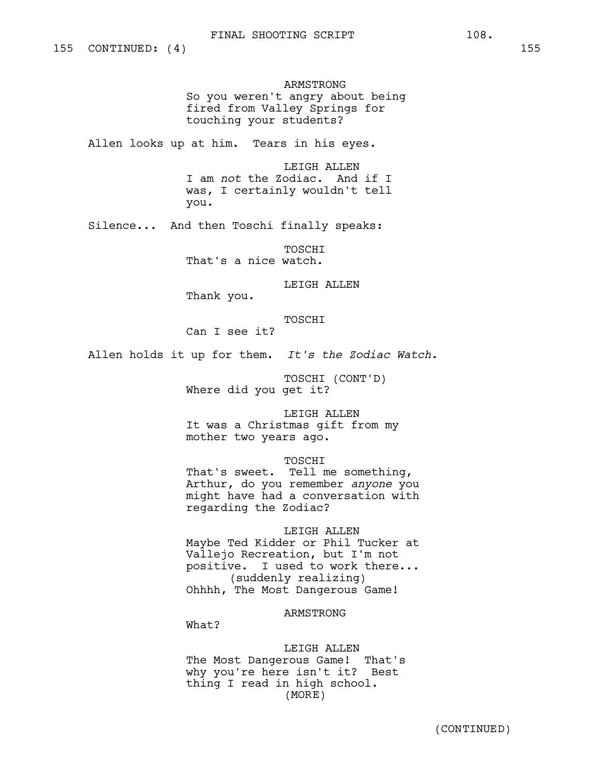ARMSTRONG So you weren't angry about being fired from Valley Springs for touching your students?

Allen looks up at him. Tears in his eyes.

LEIGH ALLEN I am *not* the Zodiac. And if I was, I certainly wouldn't tell you.

Silence... And then Toschi finally speaks:

TOSCHI That's a nice watch.

LEIGH ALLEN

Thank you.

TOSCHI

Can I see it?

Allen holds it up for them. *It's the Zodiac Watch.*

TOSCHI (CONT'D) Where did you get it?

LEIGH ALLEN It was a Christmas gift from my mother two years ago.

**TOSCHT** 

That's sweet. Tell me something, Arthur, do you remember *anyone* you might have had a conversation with regarding the Zodiac?

LEIGH ALLEN Maybe Ted Kidder or Phil Tucker at Vallejo Recreation, but I'm not positive. I used to work there... (suddenly realizing)

Ohhhh, The Most Dangerous Game!

ARMSTRONG

What?

LEIGH ALLEN The Most Dangerous Game! That's why you're here isn't it? Best thing I read in high school. (MORE)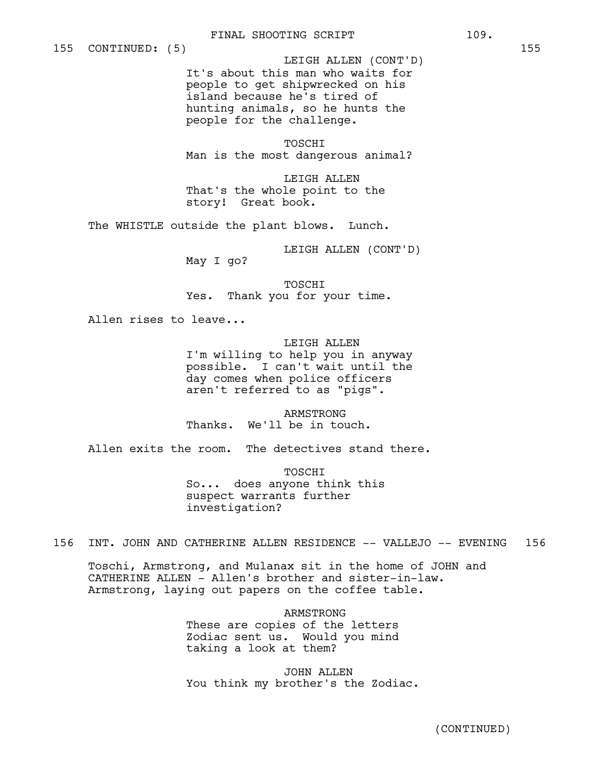It's about this man who waits for people to get shipwrecked on his island because he's tired of hunting animals, so he hunts the people for the challenge. LEIGH ALLEN (CONT'D)

TOSCHI Man is the most dangerous animal?

LEIGH ALLEN That's the whole point to the story! Great book.

The WHISTLE outside the plant blows. Lunch.

LEIGH ALLEN (CONT'D)

May I go?

TOSCHI Yes. Thank you for your time.

Allen rises to leave...

LEIGH ALLEN I'm willing to help you in anyway possible. I can't wait until the day comes when police officers aren't referred to as "pigs".

ARMSTRONG Thanks. We'll be in touch.

Allen exits the room. The detectives stand there.

TOSCHI So... does anyone think this suspect warrants further investigation?

156 INT. JOHN AND CATHERINE ALLEN RESIDENCE -- VALLEJO -- EVENING 156

Toschi, Armstrong, and Mulanax sit in the home of JOHN and CATHERINE ALLEN - Allen's brother and sister-in-law. Armstrong, laying out papers on the coffee table.

> ARMSTRONG These are copies of the letters Zodiac sent us. Would you mind taking a look at them?

JOHN ALLEN You think my brother's the Zodiac.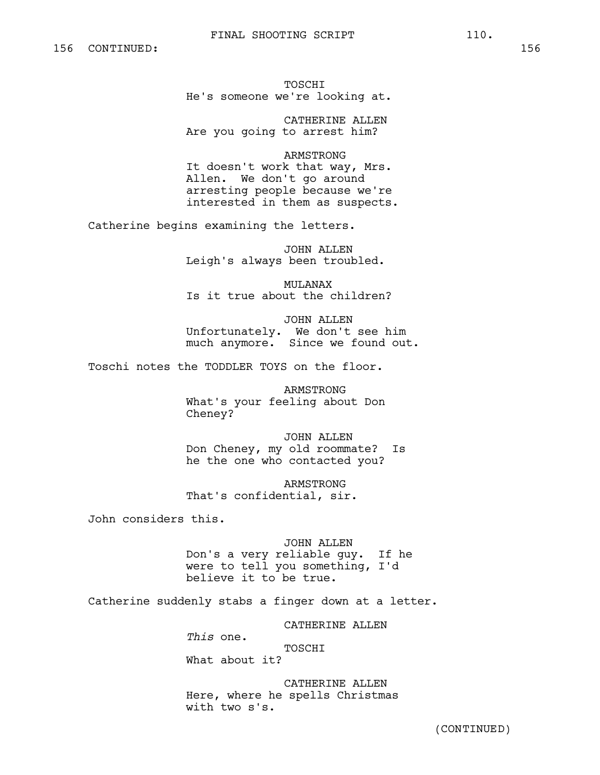# FINAL SHOOTING SCRIPT 110.

TOSCHI He's someone we're looking at.

CATHERINE ALLEN Are you going to arrest him?

ARMSTRONG It doesn't work that way, Mrs. Allen. We don't go around arresting people because we're interested in them as suspects.

Catherine begins examining the letters.

JOHN ALLEN Leigh's always been troubled.

MULANAX Is it true about the children?

JOHN ALLEN Unfortunately. We don't see him much anymore. Since we found out.

Toschi notes the TODDLER TOYS on the floor.

ARMSTRONG What's your feeling about Don Cheney?

JOHN ALLEN Don Cheney, my old roommate? Is he the one who contacted you?

ARMSTRONG That's confidential, sir.

John considers this.

JOHN ALLEN Don's a very reliable guy. If he were to tell you something, I'd believe it to be true.

Catherine suddenly stabs a finger down at a letter.

CATHERINE ALLEN

*This* one. TOSCHI What about it?

CATHERINE ALLEN Here, where he spells Christmas with two s's.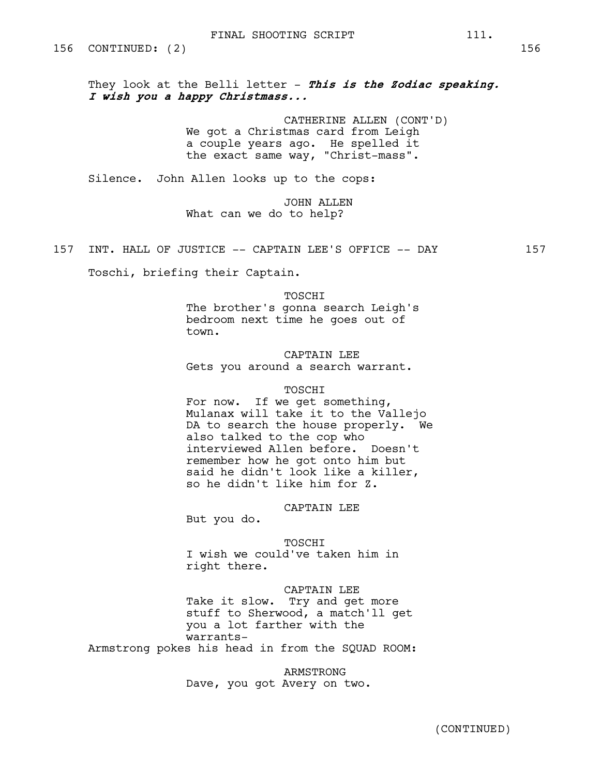They look at the Belli letter - **This is the Zodiac speaking. I wish you a happy Christmass...**

> CATHERINE ALLEN (CONT'D) We got a Christmas card from Leigh a couple years ago. He spelled it the exact same way, "Christ-mass".

Silence. John Allen looks up to the cops:

JOHN ALLEN What can we do to help?

157 INT. HALL OF JUSTICE -- CAPTAIN LEE'S OFFICE -- DAY 157

Toschi, briefing their Captain.

TOSCHI

The brother's gonna search Leigh's bedroom next time he goes out of town.

CAPTAIN LEE Gets you around a search warrant.

#### TOSCHI

For now. If we get something, Mulanax will take it to the Vallejo DA to search the house properly. We also talked to the cop who interviewed Allen before. Doesn't remember how he got onto him but said he didn't look like a killer, so he didn't like him for Z.

CAPTAIN LEE

But you do.

TOSCHI

I wish we could've taken him in right there.

# CAPTAIN LEE

Take it slow. Try and get more stuff to Sherwood, a match'll get you a lot farther with the warrants-

Armstrong pokes his head in from the SQUAD ROOM:

ARMSTRONG Dave, you got Avery on two.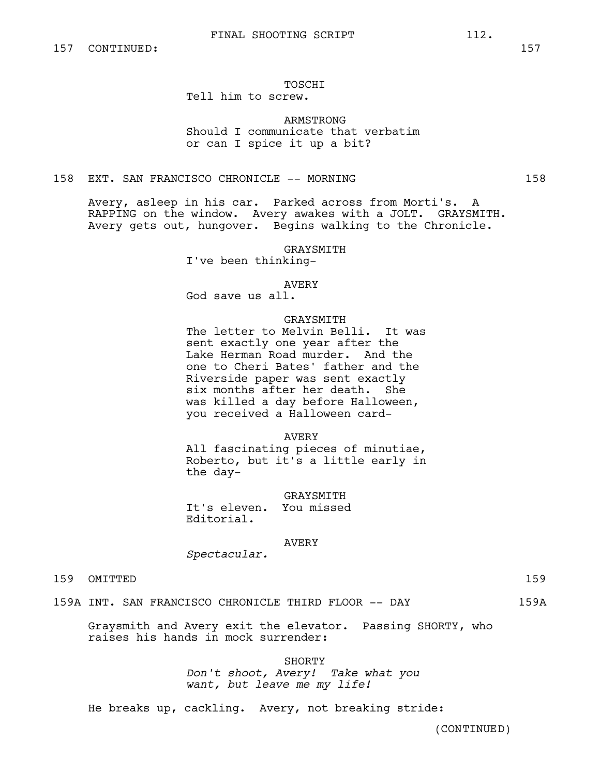# TOSCHI

# Tell him to screw.

# ARMSTRONG Should I communicate that verbatim or can I spice it up a bit?

# 158 EXT. SAN FRANCISCO CHRONICLE -- MORNING 158

Avery, asleep in his car. Parked across from Morti's. A RAPPING on the window. Avery awakes with a JOLT. GRAYSMITH. Avery gets out, hungover. Begins walking to the Chronicle.

GRAYSMITH

I've been thinking-

# AVERY

God save us all.

# GRAYSMITH

The letter to Melvin Belli. It was sent exactly one year after the Lake Herman Road murder. And the one to Cheri Bates' father and the Riverside paper was sent exactly six months after her death. She was killed a day before Halloween, you received a Halloween card-

#### AVERY

All fascinating pieces of minutiae, Roberto, but it's a little early in the day-

GRAYSMITH It's eleven. You missed Editorial.

#### AVERY

*Spectacular.*

# 159 OMITTED 159

# 159A INT. SAN FRANCISCO CHRONICLE THIRD FLOOR -- DAY 159A

Graysmith and Avery exit the elevator. Passing SHORTY, who raises his hands in mock surrender:

SHORTY

*Don't shoot, Avery! Take what you want, but leave me my life!*

He breaks up, cackling. Avery, not breaking stride: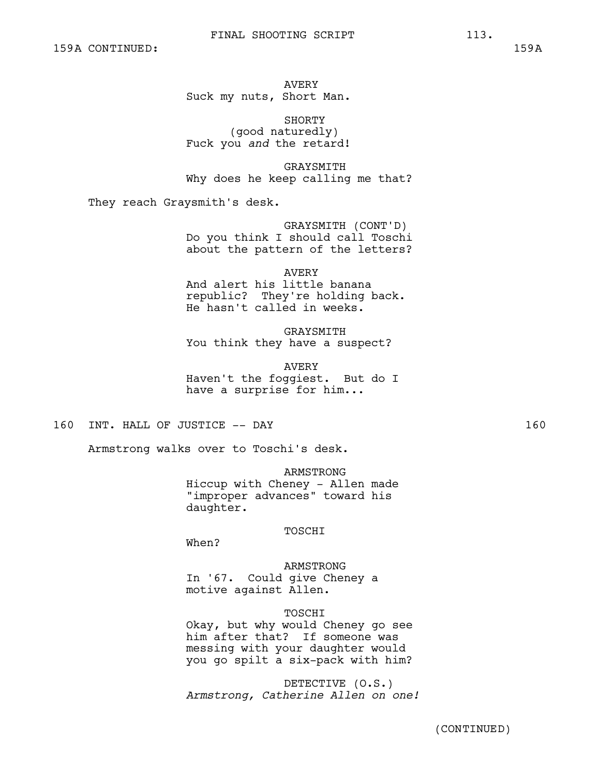AVERY Suck my nuts, Short Man.

SHORTY (good naturedly) Fuck you *and* the retard!

GRAYSMITH Why does he keep calling me that?

They reach Graysmith's desk.

GRAYSMITH (CONT'D) Do you think I should call Toschi about the pattern of the letters?

AVERY And alert his little banana republic? They're holding back. He hasn't called in weeks.

GRAYSMITH You think they have a suspect?

AVERY Haven't the foggiest. But do I have a surprise for him...

160 INT. HALL OF JUSTICE -- DAY 160

Armstrong walks over to Toschi's desk.

ARMSTRONG Hiccup with Cheney - Allen made "improper advances" toward his daughter.

# TOSCHI

When?

ARMSTRONG In '67. Could give Cheney a motive against Allen.

# TOSCHI

Okay, but why would Cheney go see him after that? If someone was messing with your daughter would you go spilt a six-pack with him?

DETECTIVE (O.S.) *Armstrong, Catherine Allen on one!*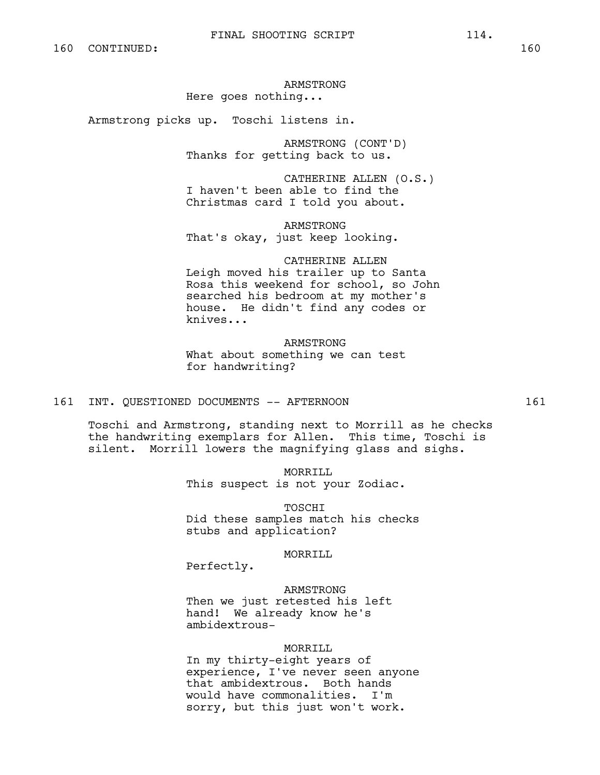# ARMSTRONG Here goes nothing...

Armstrong picks up. Toschi listens in.

ARMSTRONG (CONT'D) Thanks for getting back to us.

CATHERINE ALLEN (O.S.) I haven't been able to find the Christmas card I told you about.

ARMSTRONG That's okay, just keep looking.

CATHERINE ALLEN Leigh moved his trailer up to Santa Rosa this weekend for school, so John searched his bedroom at my mother's house. He didn't find any codes or knives...

ARMSTRONG What about something we can test for handwriting?

# 161 INT. QUESTIONED DOCUMENTS -- AFTERNOON 161

Toschi and Armstrong, standing next to Morrill as he checks the handwriting exemplars for Allen. This time, Toschi is silent. Morrill lowers the magnifying glass and sighs.

> MORRILL This suspect is not your Zodiac.

TOSCHI Did these samples match his checks stubs and application?

MORRILL

Perfectly.

#### ARMSTRONG

Then we just retested his left hand! We already know he's ambidextrous-

#### MORRILL

In my thirty-eight years of experience, I've never seen anyone that ambidextrous. Both hands would have commonalities. I'm sorry, but this just won't work.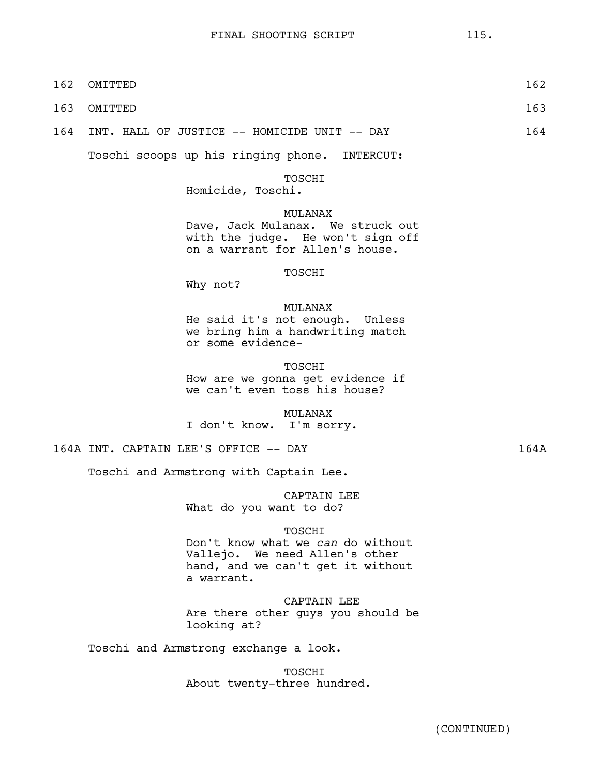162 OMITTED 162

| 163 | OMITTED                                                                                                                          | 163  |
|-----|----------------------------------------------------------------------------------------------------------------------------------|------|
| 164 | INT. HALL OF JUSTICE -- HOMICIDE UNIT -- DAY                                                                                     | 164  |
|     | Toschi scoops up his ringing phone.<br>INTERCUT:                                                                                 |      |
|     | TOSCHI<br>Homicide, Toschi.                                                                                                      |      |
|     | MULANAX<br>Dave, Jack Mulanax. We struck out<br>with the judge. He won't sign off<br>on a warrant for Allen's house.             |      |
|     | TOSCHI<br>Why not?                                                                                                               |      |
|     | MULANAX<br>He said it's not enough. Unless<br>we bring him a handwriting match<br>or some evidence-                              |      |
|     | TOSCHI<br>How are we gonna get evidence if<br>we can't even toss his house?                                                      |      |
|     | MULANAX<br>I don't know.<br>I'm sorry.                                                                                           |      |
|     | 164A INT. CAPTAIN LEE'S OFFICE -- DAY                                                                                            | 164A |
|     | Toschi and Armstrong with Captain Lee.                                                                                           |      |
|     | CAPTAIN LEE<br>What do you want to do?                                                                                           |      |
|     | TOSCHI<br>Don't know what we can do without<br>Vallejo. We need Allen's other<br>hand, and we can't get it without<br>a warrant. |      |
|     | CAPTAIN LEE<br>Are there other guys you should be<br>looking at?                                                                 |      |
|     | Toschi and Armstrong exchange a look.                                                                                            |      |
|     | TOSCHI<br>About twenty-three hundred.                                                                                            |      |
|     |                                                                                                                                  |      |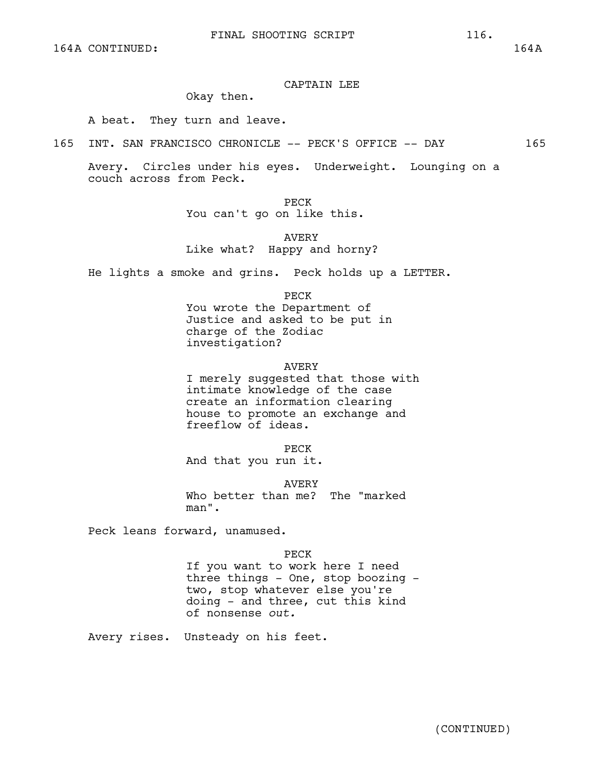# CAPTAIN LEE

# Okay then.

A beat. They turn and leave.

165 INT. SAN FRANCISCO CHRONICLE -- PECK'S OFFICE -- DAY 165

Avery. Circles under his eyes. Underweight. Lounging on a couch across from Peck.

PECK

You can't go on like this.

AVERY Like what? Happy and horny?

He lights a smoke and grins. Peck holds up a LETTER.

PECK

You wrote the Department of Justice and asked to be put in charge of the Zodiac investigation?

#### AVERY

I merely suggested that those with intimate knowledge of the case create an information clearing house to promote an exchange and freeflow of ideas.

PECK

And that you run it.

AVERY

Who better than me? The "marked man".

Peck leans forward, unamused.

PECK

If you want to work here I need three things - One, stop boozing two, stop whatever else you're doing - and three, cut this kind of nonsense *out.*

Avery rises. Unsteady on his feet.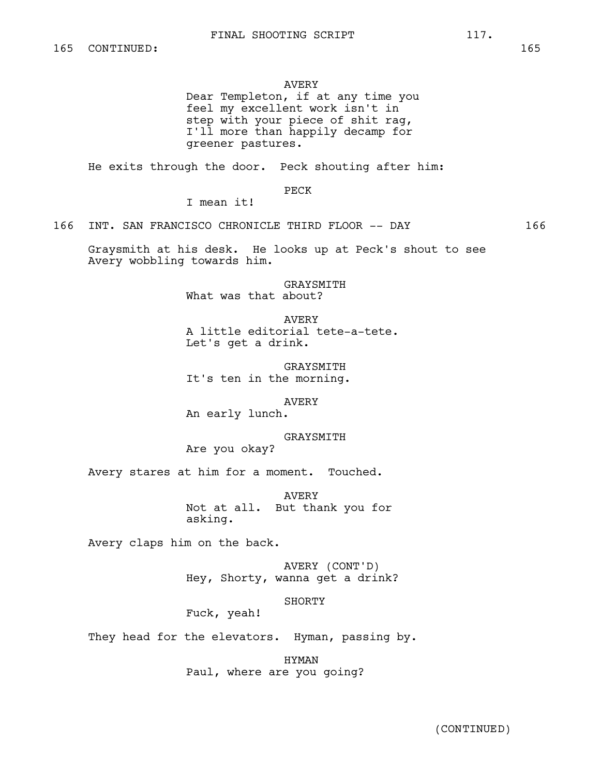# AVERY

Dear Templeton, if at any time you feel my excellent work isn't in step with your piece of shit rag, I'll more than happily decamp for greener pastures.

He exits through the door. Peck shouting after him:

PECK

I mean it!

166 INT. SAN FRANCISCO CHRONICLE THIRD FLOOR -- DAY 166

Graysmith at his desk. He looks up at Peck's shout to see Avery wobbling towards him.

> GRAYSMITH What was that about?

AVERY A little editorial tete-a-tete. Let's get a drink.

GRAYSMITH It's ten in the morning.

AVERY

An early lunch.

GRAYSMITH

Are you okay?

Avery stares at him for a moment. Touched.

AVERY Not at all. But thank you for asking.

Avery claps him on the back.

AVERY (CONT'D) Hey, Shorty, wanna get a drink?

SHORTY

Fuck, yeah!

They head for the elevators. Hyman, passing by.

HYMAN Paul, where are you going?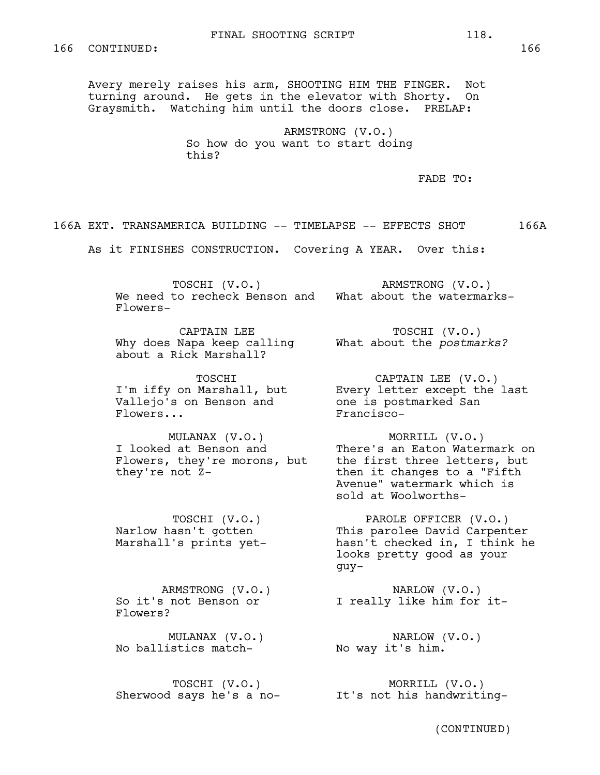Avery merely raises his arm, SHOOTING HIM THE FINGER. Not turning around. He gets in the elevator with Shorty. On Graysmith. Watching him until the doors close. PRELAP:

> ARMSTRONG (V.O.) So how do you want to start doing this?

> > FADE TO:

166A EXT. TRANSAMERICA BUILDING -- TIMELAPSE -- EFFECTS SHOT 166A

As it FINISHES CONSTRUCTION. Covering A YEAR. Over this:

TOSCHI (V.O.) We need to recheck Benson and What about the watermarks-Flowers-ARMSTRONG (V.O.)

CAPTAIN LEE Why does Napa keep calling about a Rick Marshall?

TOSCHI I'm iffy on Marshall, but Vallejo's on Benson and Flowers...

MULANAX (V.O.) I looked at Benson and Flowers, they're morons, but they're not Z-

TOSCHI (V.O.) Narlow hasn't gotten Marshall's prints yet-

ARMSTRONG (V.O.) So it's not Benson or Flowers?

MULANAX (V.O.) No ballistics match-No way it's him.

TOSCHI (V.O.) Sherwood says he's a no-

TOSCHI (V.O.) What about the *postmarks?*

CAPTAIN LEE (V.O.) Every letter except the last one is postmarked San Francisco-

MORRILL (V.O.) There's an Eaton Watermark on the first three letters, but then it changes to a "Fifth Avenue" watermark which is sold at Woolworths-

PAROLE OFFICER (V.O.) This parolee David Carpenter hasn't checked in, I think he looks pretty good as your guy-

NARLOW (V.O.) I really like him for it-

NARLOW (V.O.)

MORRILL (V.O.) It's not his handwriting-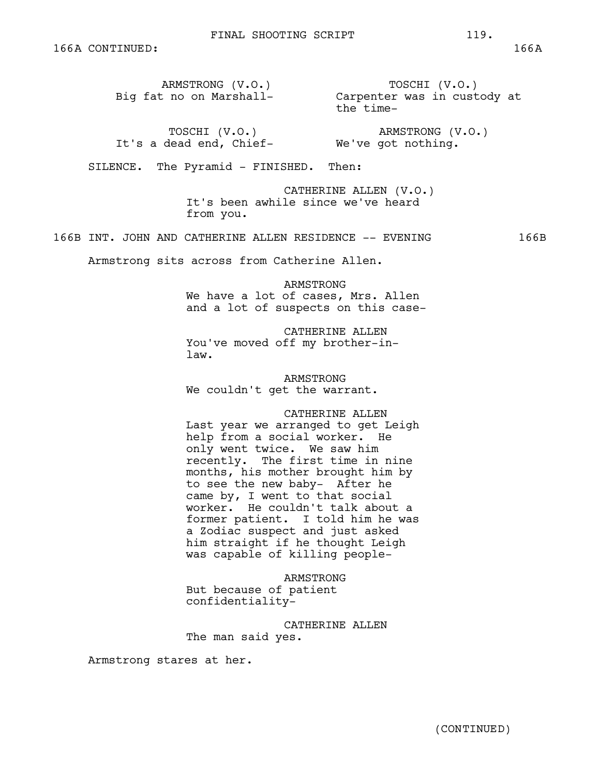ARMSTRONG (V.O.) Big fat no on Marshall-TOSCHI (V.O.) Carpenter was in custody at the time-

TOSCHI (V.O.) It's a dead end, Chief-We've got nothing.

# ARMSTRONG (V.O.)

SILENCE. The Pyramid - FINISHED. Then:

CATHERINE ALLEN (V.O.) It's been awhile since we've heard from you.

166B INT. JOHN AND CATHERINE ALLEN RESIDENCE -- EVENING 166B

Armstrong sits across from Catherine Allen.

ARMSTRONG We have a lot of cases, Mrs. Allen and a lot of suspects on this case-

CATHERINE ALLEN You've moved off my brother-inlaw.

ARMSTRONG We couldn't get the warrant.

CATHERINE ALLEN

Last year we arranged to get Leigh help from a social worker. He only went twice. We saw him recently. The first time in nine months, his mother brought him by to see the new baby- After he came by, I went to that social worker. He couldn't talk about a former patient. I told him he was a Zodiac suspect and just asked him straight if he thought Leigh was capable of killing people-

ARMSTRONG But because of patient confidentiality-

CATHERINE ALLEN The man said yes.

Armstrong stares at her.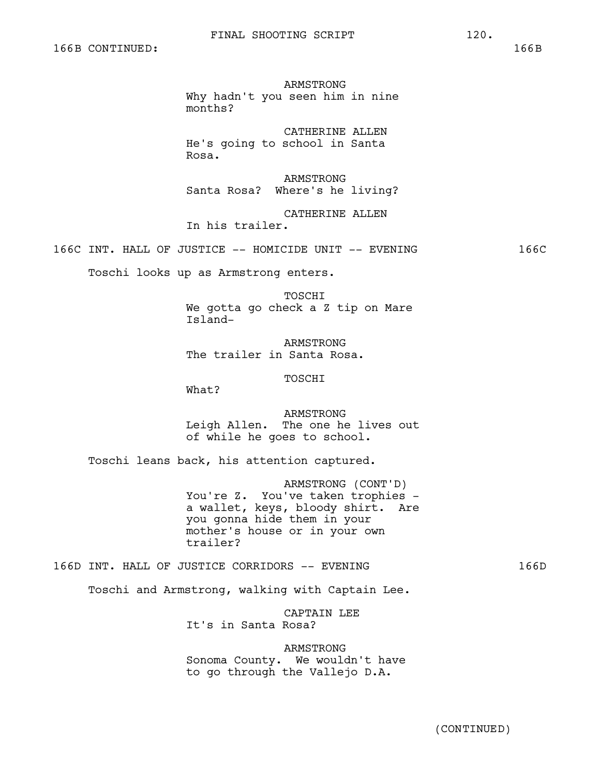ARMSTRONG Why hadn't you seen him in nine months?

CATHERINE ALLEN He's going to school in Santa Rosa.

ARMSTRONG Santa Rosa? Where's he living?

CATHERINE ALLEN In his trailer.

166C INT. HALL OF JUSTICE -- HOMICIDE UNIT -- EVENING 166C

Toschi looks up as Armstrong enters.

TOSCHI We gotta go check a Z tip on Mare Island-

ARMSTRONG The trailer in Santa Rosa.

TOSCHI

What?

ARMSTRONG Leigh Allen. The one he lives out of while he goes to school.

Toschi leans back, his attention captured.

ARMSTRONG (CONT'D) You're Z. You've taken trophies a wallet, keys, bloody shirt. Are you gonna hide them in your mother's house or in your own trailer?

166D INT. HALL OF JUSTICE CORRIDORS -- EVENING 166D

Toschi and Armstrong, walking with Captain Lee.

CAPTAIN LEE It's in Santa Rosa?

ARMSTRONG Sonoma County. We wouldn't have to go through the Vallejo D.A.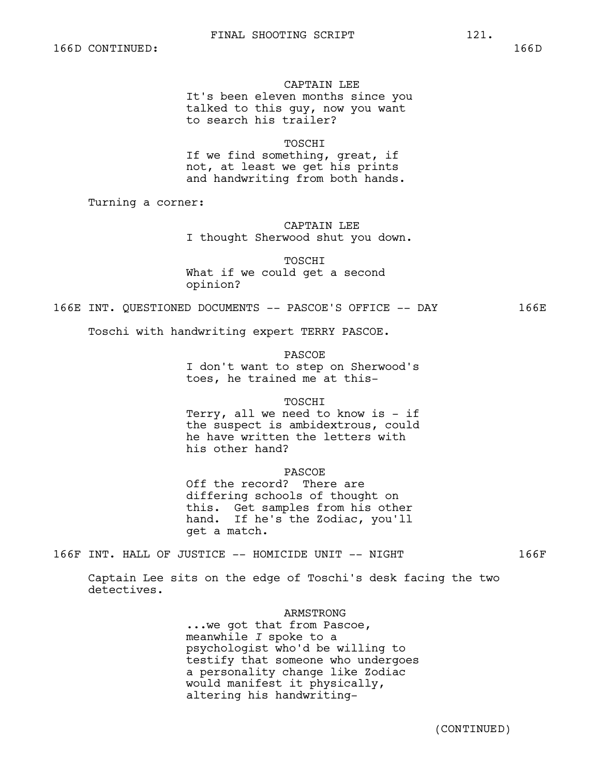#### CAPTAIN LEE

It's been eleven months since you talked to this guy, now you want to search his trailer?

**TOSCHT** 

If we find something, great, if not, at least we get his prints and handwriting from both hands.

Turning a corner:

# CAPTAIN LEE

I thought Sherwood shut you down.

TOSCHI

What if we could get a second opinion?

# 166E INT. QUESTIONED DOCUMENTS -- PASCOE'S OFFICE -- DAY 166E

Toschi with handwriting expert TERRY PASCOE.

PASCOE

I don't want to step on Sherwood's toes, he trained me at this-

#### TOSCHI

Terry, all we need to know is - if the suspect is ambidextrous, could he have written the letters with his other hand?

#### PASCOE

Off the record? There are differing schools of thought on this. Get samples from his other hand. If he's the Zodiac, you'll get a match.

166F INT. HALL OF JUSTICE -- HOMICIDE UNIT -- NIGHT 166F

Captain Lee sits on the edge of Toschi's desk facing the two detectives.

#### ARMSTRONG

...we got that from Pascoe, meanwhile *I* spoke to a psychologist who'd be willing to testify that someone who undergoes a personality change like Zodiac would manifest it physically, altering his handwriting-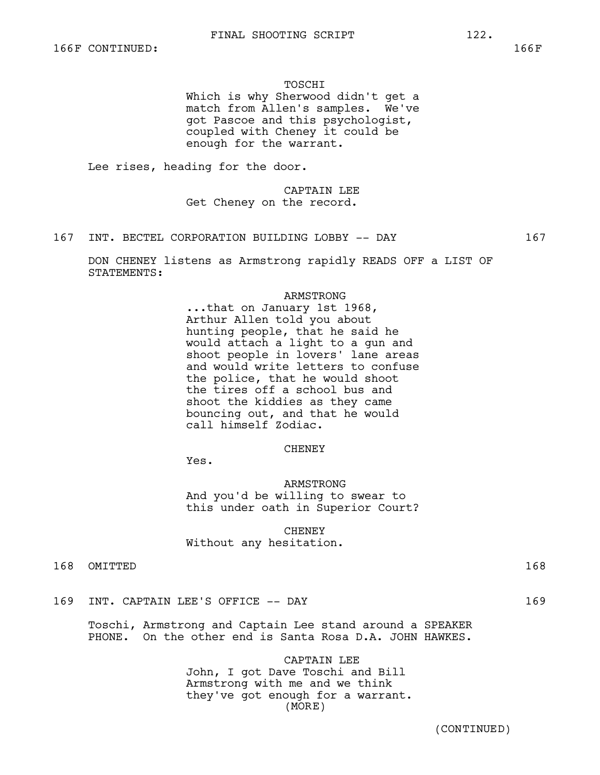#### TOSCHI

Which is why Sherwood didn't get a match from Allen's samples. We've got Pascoe and this psychologist, coupled with Cheney it could be enough for the warrant.

Lee rises, heading for the door.

CAPTAIN LEE Get Cheney on the record.

167 INT. BECTEL CORPORATION BUILDING LOBBY -- DAY 167

DON CHENEY listens as Armstrong rapidly READS OFF a LIST OF STATEMENTS:

# ARMSTRONG

...that on January 1st 1968, Arthur Allen told you about hunting people, that he said he would attach a light to a gun and shoot people in lovers' lane areas and would write letters to confuse the police, that he would shoot the tires off a school bus and shoot the kiddies as they came bouncing out, and that he would call himself Zodiac.

#### **CHENEY**

Yes.

ARMSTRONG And you'd be willing to swear to this under oath in Superior Court?

**CHENEY** Without any hesitation.

| 168<br>OMITTED |  |
|----------------|--|
|----------------|--|

169 INT. CAPTAIN LEE'S OFFICE -- DAY 169

Toschi, Armstrong and Captain Lee stand around a SPEAKER PHONE. On the other end is Santa Rosa D.A. JOHN HAWKES.

> CAPTAIN LEE John, I got Dave Toschi and Bill Armstrong with me and we think they've got enough for a warrant. (MORE)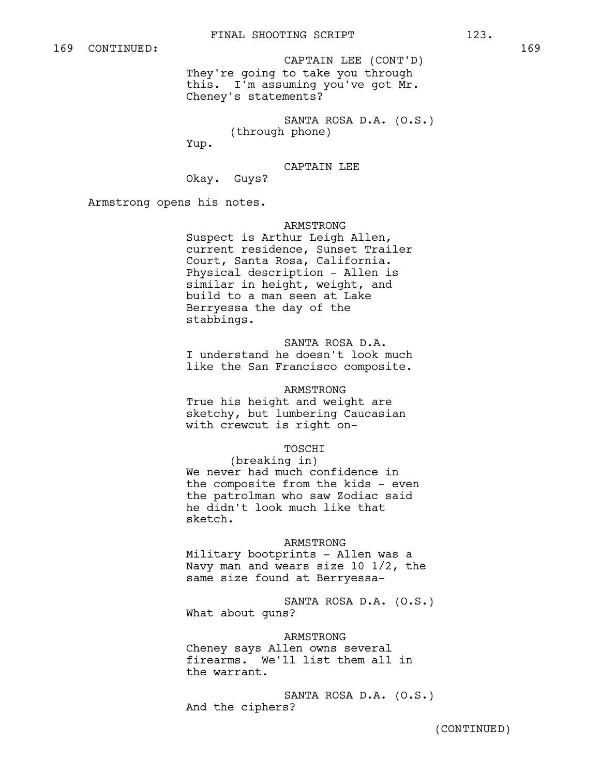They're going to take you through this. I'm assuming you've got Mr. Cheney's statements? CAPTAIN LEE (CONT'D)

SANTA ROSA D.A. (O.S.) (through phone)

Yup.

CAPTAIN LEE

Okay. Guys?

Armstrong opens his notes.

# ARMSTRONG

Suspect is Arthur Leigh Allen, current residence, Sunset Trailer Court, Santa Rosa, California. Physical description - Allen is similar in height, weight, and build to a man seen at Lake Berryessa the day of the stabbings.

SANTA ROSA D.A. I understand he doesn't look much like the San Francisco composite.

#### ARMSTRONG

True his height and weight are sketchy, but lumbering Caucasian with crewcut is right on-

#### TOSCHI

(breaking in) We never had much confidence in the composite from the kids - even the patrolman who saw Zodiac said he didn't look much like that sketch.

#### ARMSTRONG

Military bootprints - Allen was a Navy man and wears size 10 1/2, the same size found at Berryessa-

SANTA ROSA D.A. (O.S.) What about guns?

#### ARMSTRONG

Cheney says Allen owns several firearms. We'll list them all in the warrant.

SANTA ROSA D.A. (O.S.) And the ciphers?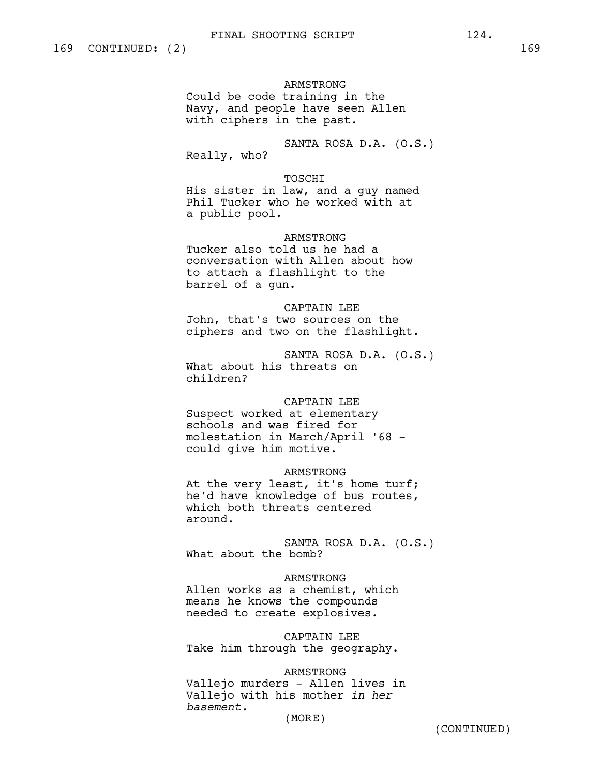ARMSTRONG

Could be code training in the Navy, and people have seen Allen with ciphers in the past.

SANTA ROSA D.A. (O.S.) Really, who?

# TOSCHI

His sister in law, and a guy named Phil Tucker who he worked with at a public pool.

# ARMSTRONG

Tucker also told us he had a conversation with Allen about how to attach a flashlight to the barrel of a gun.

CAPTAIN LEE John, that's two sources on the ciphers and two on the flashlight.

SANTA ROSA D.A. (O.S.) What about his threats on children?

# CAPTAIN LEE

Suspect worked at elementary schools and was fired for molestation in March/April '68 could give him motive.

ARMSTRONG At the very least, it's home turf; he'd have knowledge of bus routes, which both threats centered around.

SANTA ROSA D.A. (O.S.) What about the bomb?

# ARMSTRONG

Allen works as a chemist, which means he knows the compounds needed to create explosives.

CAPTAIN LEE Take him through the geography.

# ARMSTRONG

Vallejo murders - Allen lives in Vallejo with his mother *in her basement.*

(MORE)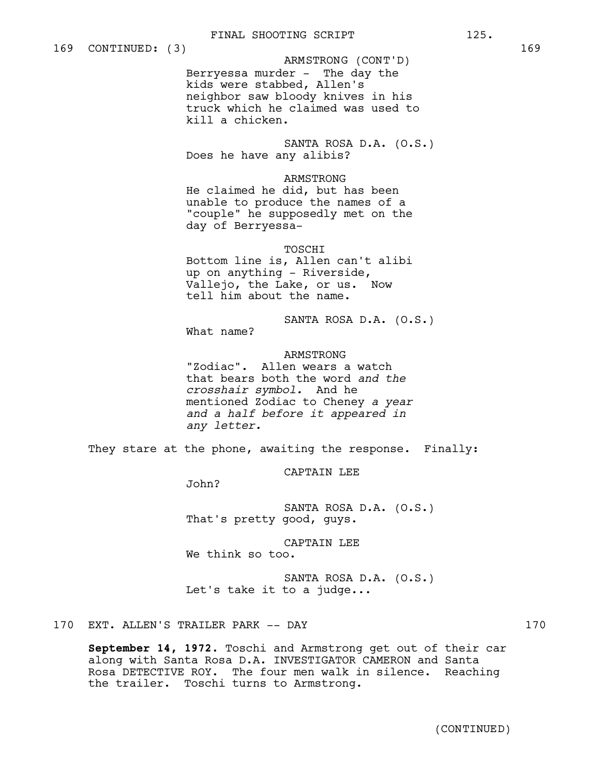ARMSTRONG (CONT'D)

Berryessa murder - The day the kids were stabbed, Allen's neighbor saw bloody knives in his truck which he claimed was used to kill a chicken.

SANTA ROSA D.A. (O.S.) Does he have any alibis?

# ARMSTRONG

He claimed he did, but has been unable to produce the names of a "couple" he supposedly met on the day of Berryessa-

# TOSCHI

Bottom line is, Allen can't alibi up on anything - Riverside, Vallejo, the Lake, or us. Now tell him about the name.

SANTA ROSA D.A. (O.S.)

What name?

# ARMSTRONG

"Zodiac". Allen wears a watch that bears both the word *and the crosshair symbol.* And he mentioned Zodiac to Cheney *a year and a half before it appeared in any letter.* 

They stare at the phone, awaiting the response. Finally:

CAPTAIN LEE

John?

SANTA ROSA D.A. (O.S.) That's pretty good, guys.

CAPTAIN LEE

We think so too.

SANTA ROSA D.A. (O.S.) Let's take it to a judge...

170 EXT. ALLEN'S TRAILER PARK -- DAY 170

**September 14, 1972.** Toschi and Armstrong get out of their car along with Santa Rosa D.A. INVESTIGATOR CAMERON and Santa Rosa DETECTIVE ROY. The four men walk in silence. Reaching the trailer. Toschi turns to Armstrong.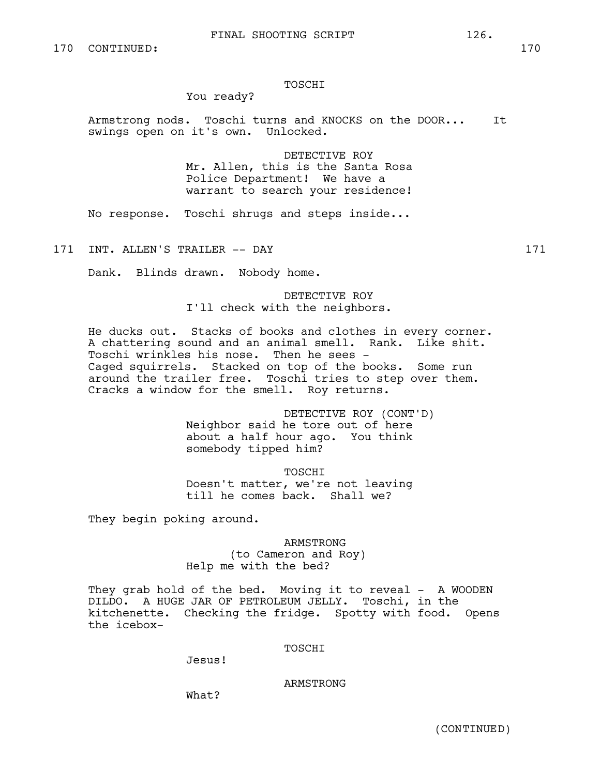## TOSCHI

# You ready?

Armstrong nods. Toschi turns and KNOCKS on the DOOR... It swings open on it's own. Unlocked.

> DETECTIVE ROY Mr. Allen, this is the Santa Rosa Police Department! We have a warrant to search your residence!

No response. Toschi shrugs and steps inside...

171 INT. ALLEN'S TRAILER -- DAY 171

Dank. Blinds drawn. Nobody home.

DETECTIVE ROY I'll check with the neighbors.

He ducks out. Stacks of books and clothes in every corner. A chattering sound and an animal smell. Rank. Like shit. Toschi wrinkles his nose. Then he sees - Caged squirrels. Stacked on top of the books. Some run around the trailer free. Toschi tries to step over them. Cracks a window for the smell. Roy returns.

> DETECTIVE ROY (CONT'D) Neighbor said he tore out of here about a half hour ago. You think somebody tipped him?

TOSCHI Doesn't matter, we're not leaving till he comes back. Shall we?

They begin poking around.

ARMSTRONG (to Cameron and Roy) Help me with the bed?

They grab hold of the bed. Moving it to reveal - A WOODEN DILDO. A HUGE JAR OF PETROLEUM JELLY. Toschi, in the kitchenette. Checking the fridge. Spotty with food. Opens the icebox-

#### TOSCHI

Jesus!

ARMSTRONG

What?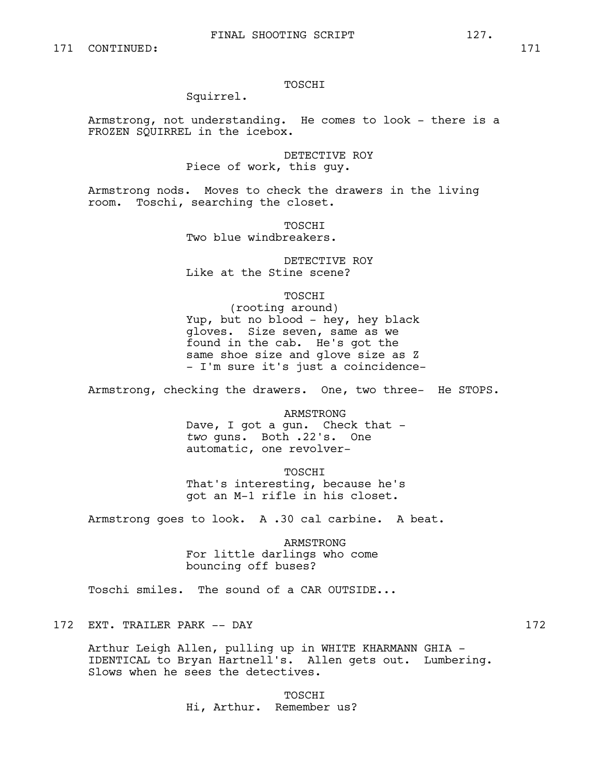#### TOSCHI

# Squirrel.

Armstrong, not understanding. He comes to look - there is a FROZEN SQUIRREL in the icebox.

> DETECTIVE ROY Piece of work, this guy.

Armstrong nods. Moves to check the drawers in the living room. Toschi, searching the closet.

> TOSCHI Two blue windbreakers.

DETECTIVE ROY Like at the Stine scene?

TOSCHI

(rooting around) Yup, but no blood - hey, hey black gloves. Size seven, same as we found in the cab. He's got the same shoe size and glove size as Z - I'm sure it's just a coincidence-

Armstrong, checking the drawers. One, two three- He STOPS.

ARMSTRONG Dave, I got a gun. Check that *two* guns. Both .22's. One automatic, one revolver-

TOSCHI That's interesting, because he's got an M-1 rifle in his closet.

Armstrong goes to look. A .30 cal carbine. A beat.

ARMSTRONG For little darlings who come bouncing off buses?

Toschi smiles. The sound of a CAR OUTSIDE...

172 EXT. TRAILER PARK -- DAY 172

Arthur Leigh Allen, pulling up in WHITE KHARMANN GHIA - IDENTICAL to Bryan Hartnell's. Allen gets out. Lumbering. Slows when he sees the detectives.

> TOSCHI Hi, Arthur. Remember us?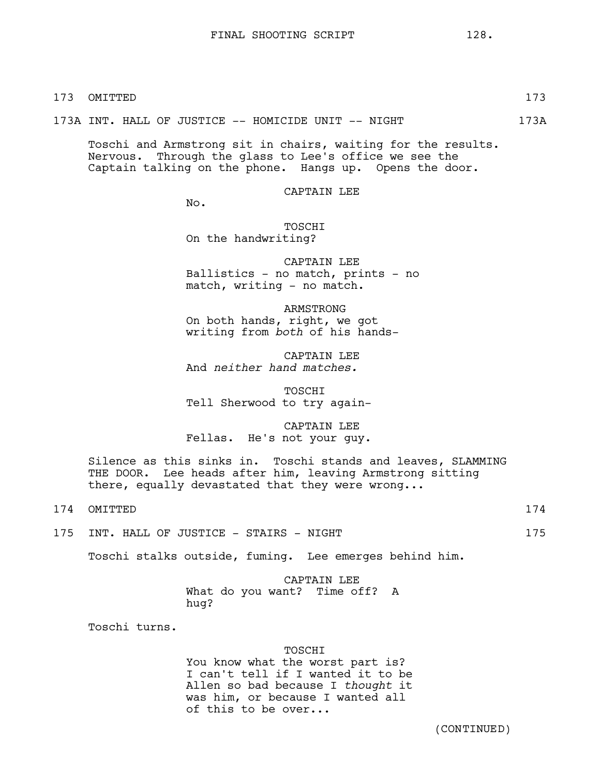173A INT. HALL OF JUSTICE -- HOMICIDE UNIT -- NIGHT 173A

Toschi and Armstrong sit in chairs, waiting for the results. Nervous. Through the glass to Lee's office we see the Captain talking on the phone. Hangs up. Opens the door.

CAPTAIN LEE

No.

TOSCHI On the handwriting?

CAPTAIN LEE Ballistics - no match, prints - no match, writing - no match.

ARMSTRONG On both hands, right, we got writing from *both* of his hands-

CAPTAIN LEE And *neither hand matches.*

TOSCHI Tell Sherwood to try again-

CAPTAIN LEE Fellas. He's not your guy.

Silence as this sinks in. Toschi stands and leaves, SLAMMING THE DOOR. Lee heads after him, leaving Armstrong sitting there, equally devastated that they were wrong...

174 OMITTED 174

175 INT. HALL OF JUSTICE - STAIRS - NIGHT 175

Toschi stalks outside, fuming. Lee emerges behind him.

CAPTAIN LEE What do you want? Time off? A hug?

Toschi turns.

# TOSCHI

You know what the worst part is? I can't tell if I wanted it to be Allen so bad because I *thought* it was him, or because I wanted all of this to be over...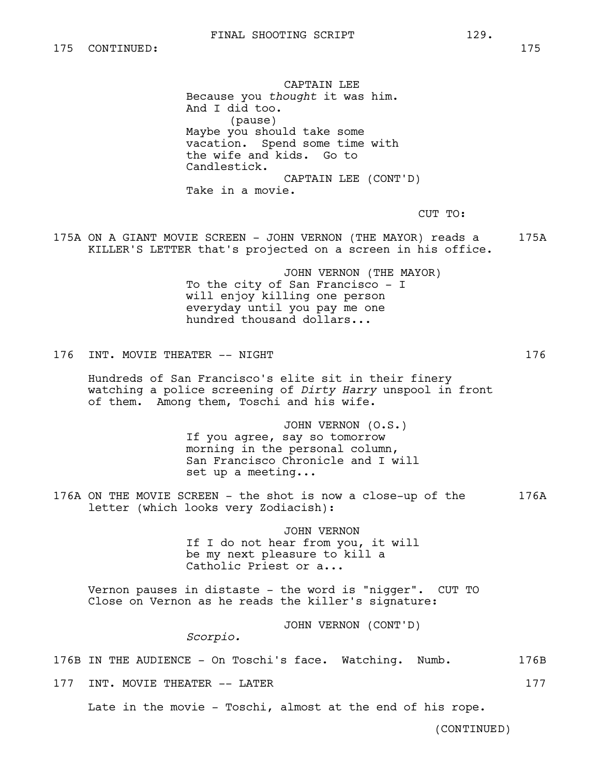CAPTAIN LEE Because you *thought* it was him. And I did too. (pause) Maybe you should take some vacation. Spend some time with the wife and kids. Go to Candlestick. CAPTAIN LEE (CONT'D) Take in a movie.

CUT TO:

175A ON A GIANT MOVIE SCREEN - JOHN VERNON (THE MAYOR) reads a 175A KILLER'S LETTER that's projected on a screen in his office.

> JOHN VERNON (THE MAYOR) To the city of San Francisco - I will enjoy killing one person everyday until you pay me one hundred thousand dollars...

176 INT. MOVIE THEATER -- NIGHT

Hundreds of San Francisco's elite sit in their finery watching a police screening of *Dirty Harry* unspool in front of them. Among them, Toschi and his wife.

> JOHN VERNON (O.S.) If you agree, say so tomorrow morning in the personal column, San Francisco Chronicle and I will set up a meeting...

176A ON THE MOVIE SCREEN - the shot is now a close-up of the 176A letter (which looks very Zodiacish):

> JOHN VERNON If I do not hear from you, it will be my next pleasure to kill a Catholic Priest or a...

Vernon pauses in distaste - the word is "nigger". CUT TO Close on Vernon as he reads the killer's signature:

JOHN VERNON (CONT'D)

*Scorpio.*

176B IN THE AUDIENCE - On Toschi's face. Watching. Numb. 176B

177 INT. MOVIE THEATER -- LATER 177

Late in the movie - Toschi, almost at the end of his rope.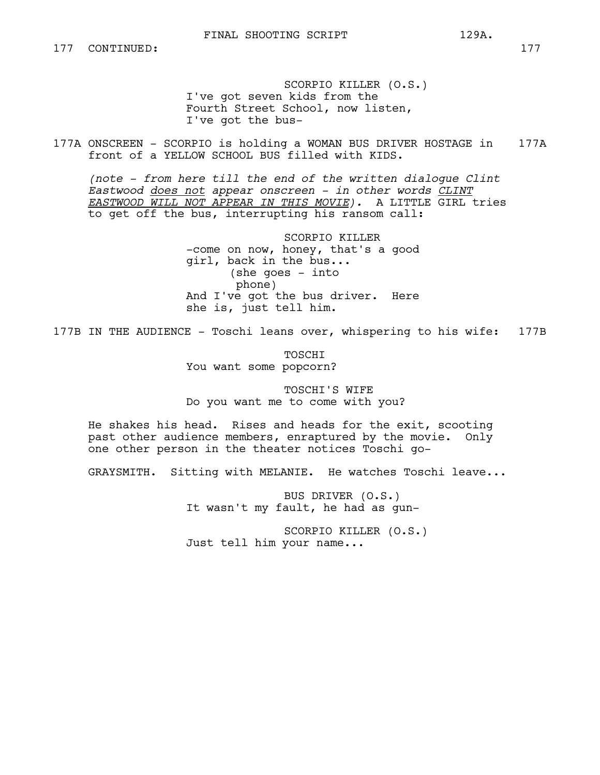SCORPIO KILLER (O.S.) I've got seven kids from the Fourth Street School, now listen, I've got the bus-

177A ONSCREEN - SCORPIO is holding a WOMAN BUS DRIVER HOSTAGE in 177A front of a YELLOW SCHOOL BUS filled with KIDS.

*(note - from here till the end of the written dialogue Clint Eastwood does not appear onscreen - in other words CLINT EASTWOOD WILL NOT APPEAR IN THIS MOVIE).* A LITTLE GIRL tries to get off the bus, interrupting his ransom call:

> SCORPIO KILLER -come on now, honey, that's a good girl, back in the bus... (she goes - into phone) And I've got the bus driver. Here she is, just tell him.

177B IN THE AUDIENCE - Toschi leans over, whispering to his wife: 177B

TOSCHI You want some popcorn?

TOSCHI'S WIFE Do you want me to come with you?

He shakes his head. Rises and heads for the exit, scooting past other audience members, enraptured by the movie. Only one other person in the theater notices Toschi go-

GRAYSMITH. Sitting with MELANIE. He watches Toschi leave...

BUS DRIVER (O.S.) It wasn't my fault, he had as gun-

SCORPIO KILLER (O.S.) Just tell him your name...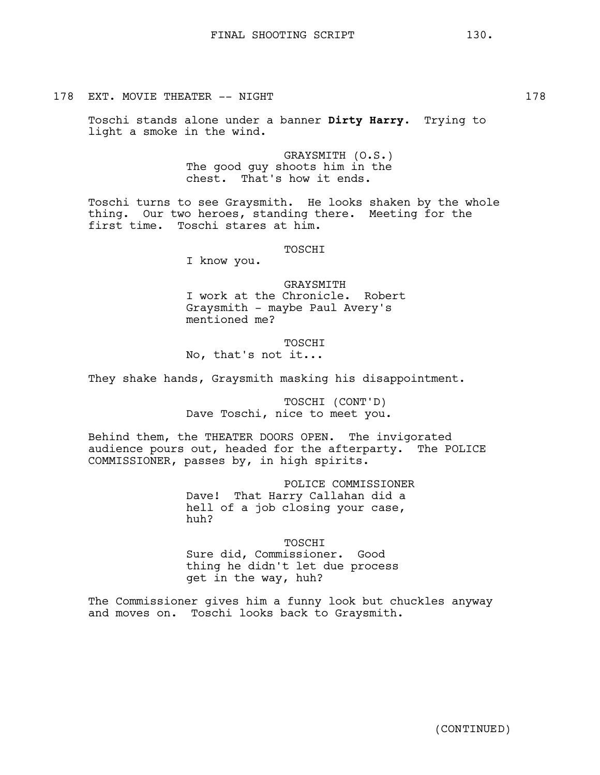Toschi stands alone under a banner **Dirty Harry**. Trying to light a smoke in the wind.

> GRAYSMITH (O.S.) The good guy shoots him in the chest. That's how it ends.

Toschi turns to see Graysmith. He looks shaken by the whole thing. Our two heroes, standing there. Meeting for the first time. Toschi stares at him.

TOSCHI

I know you.

GRAYSMITH I work at the Chronicle. Robert Graysmith - maybe Paul Avery's mentioned me?

TOSCHI No, that's not it...

They shake hands, Graysmith masking his disappointment.

TOSCHI (CONT'D) Dave Toschi, nice to meet you.

Behind them, the THEATER DOORS OPEN. The invigorated audience pours out, headed for the afterparty. The POLICE COMMISSIONER, passes by, in high spirits.

> POLICE COMMISSIONER Dave! That Harry Callahan did a hell of a job closing your case, huh?

TOSCHI Sure did, Commissioner. Good thing he didn't let due process get in the way, huh?

The Commissioner gives him a funny look but chuckles anyway and moves on. Toschi looks back to Graysmith.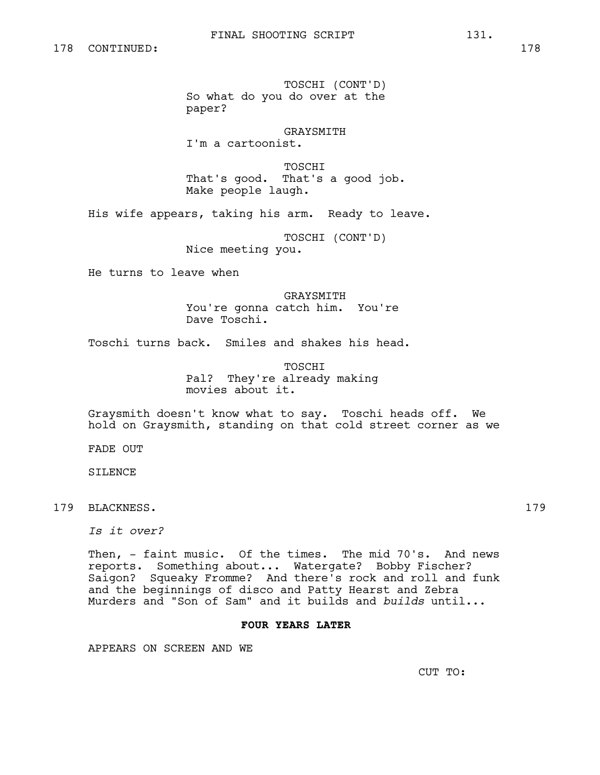TOSCHI (CONT'D) So what do you do over at the paper?

GRAYSMITH I'm a cartoonist.

TOSCHI That's good. That's a good job. Make people laugh.

His wife appears, taking his arm. Ready to leave.

TOSCHI (CONT'D) Nice meeting you.

He turns to leave when

GRAYSMITH You're gonna catch him. You're Dave Toschi.

Toschi turns back. Smiles and shakes his head.

TOSCHI Pal? They're already making movies about it.

Graysmith doesn't know what to say. Toschi heads off. We hold on Graysmith, standing on that cold street corner as we

FADE OUT

SILENCE

179 BLACKNESS. 179

*Is it over?*

Then, - faint music. Of the times. The mid 70's. And news reports. Something about... Watergate? Bobby Fischer? Saigon? Squeaky Fromme? And there's rock and roll and funk and the beginnings of disco and Patty Hearst and Zebra Murders and "Son of Sam" and it builds and *builds* until...

# **FOUR YEARS LATER**

APPEARS ON SCREEN AND WE

CUT TO: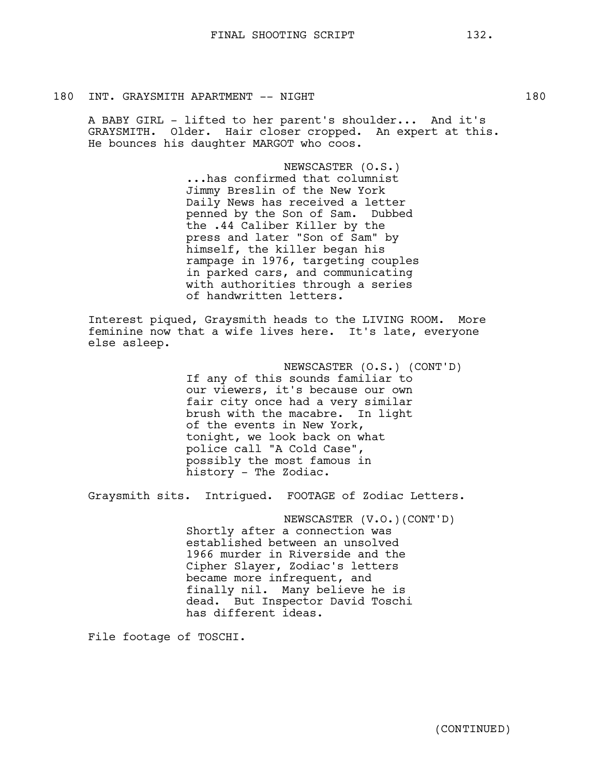# 180 INT. GRAYSMITH APARTMENT -- NIGHT 180

A BABY GIRL - lifted to her parent's shoulder... And it's GRAYSMITH. Older. Hair closer cropped. An expert at this. He bounces his daughter MARGOT who coos.

> NEWSCASTER (O.S.) ...has confirmed that columnist Jimmy Breslin of the New York Daily News has received a letter penned by the Son of Sam. Dubbed the .44 Caliber Killer by the press and later "Son of Sam" by himself, the killer began his rampage in 1976, targeting couples in parked cars, and communicating with authorities through a series of handwritten letters.

Interest piqued, Graysmith heads to the LIVING ROOM. More feminine now that a wife lives here. It's late, everyone else asleep.

> NEWSCASTER (O.S.) (CONT'D) If any of this sounds familiar to our viewers, it's because our own fair city once had a very similar brush with the macabre. In light of the events in New York, tonight, we look back on what police call "A Cold Case", possibly the most famous in history - The Zodiac.

Graysmith sits. Intrigued. FOOTAGE of Zodiac Letters.

NEWSCASTER (V.O.)(CONT'D) Shortly after a connection was established between an unsolved 1966 murder in Riverside and the Cipher Slayer, Zodiac's letters became more infrequent, and finally nil. Many believe he is dead. But Inspector David Toschi has different ideas.

File footage of TOSCHI.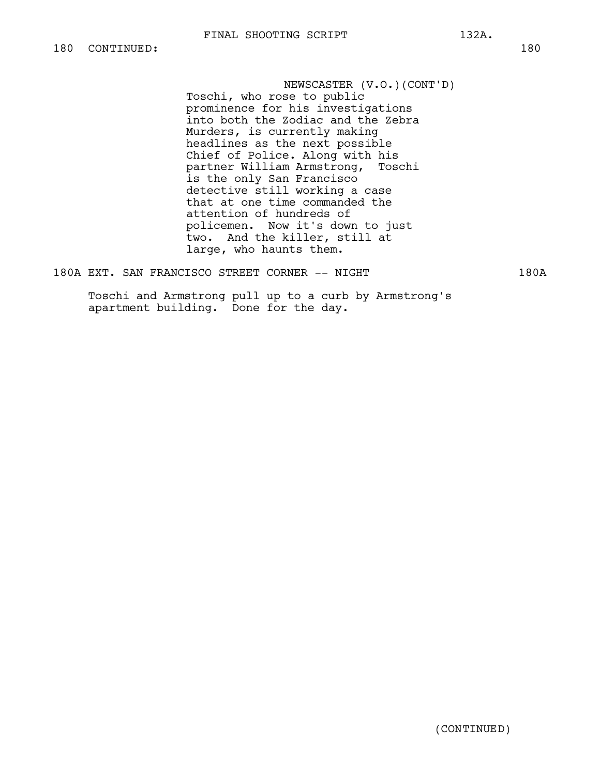NEWSCASTER (V.O.)(CONT'D) Toschi, who rose to public prominence for his investigations into both the Zodiac and the Zebra Murders, is currently making headlines as the next possible Chief of Police. Along with his partner William Armstrong, Toschi is the only San Francisco detective still working a case that at one time commanded the attention of hundreds of policemen. Now it's down to just two. And the killer, still at large, who haunts them.

180A EXT. SAN FRANCISCO STREET CORNER -- NIGHT 180A

Toschi and Armstrong pull up to a curb by Armstrong's apartment building. Done for the day.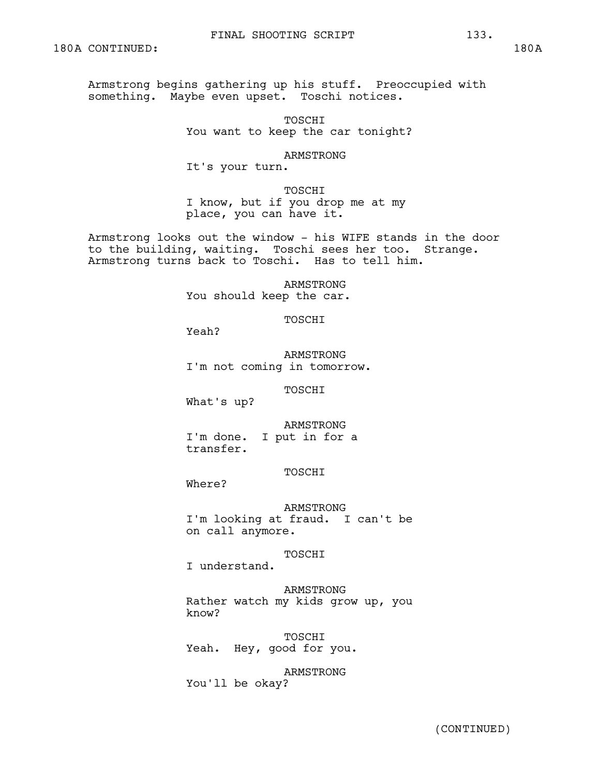Armstrong begins gathering up his stuff. Preoccupied with something. Maybe even upset. Toschi notices.

> TOSCHI You want to keep the car tonight?

> > ARMSTRONG

It's your turn.

TOSCHI I know, but if you drop me at my place, you can have it.

Armstrong looks out the window - his WIFE stands in the door to the building, waiting. Toschi sees her too. Strange. Armstrong turns back to Toschi. Has to tell him.

> ARMSTRONG You should keep the car.

> > TOSCHI

Yeah?

ARMSTRONG I'm not coming in tomorrow.

TOSCHI

What's up?

ARMSTRONG

I'm done. I put in for a transfer.

# TOSCHI

Where?

ARMSTRONG I'm looking at fraud. I can't be on call anymore.

TOSCHI

I understand.

ARMSTRONG Rather watch my kids grow up, you know?

TOSCHI Yeah. Hey, good for you.

ARMSTRONG You'll be okay?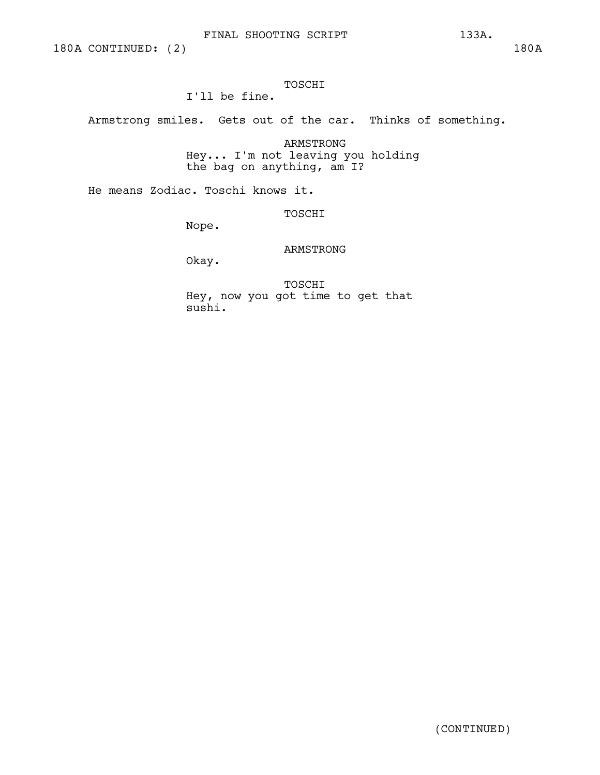# FINAL SHOOTING SCRIPT 133A.

# TOSCHI

I'll be fine.

Armstrong smiles. Gets out of the car. Thinks of something.

ARMSTRONG Hey... I'm not leaving you holding the bag on anything, am I?

He means Zodiac. Toschi knows it.

TOSCHI

Nope.

# ARMSTRONG

Okay.

TOSCHI Hey, now you got time to get that sushi.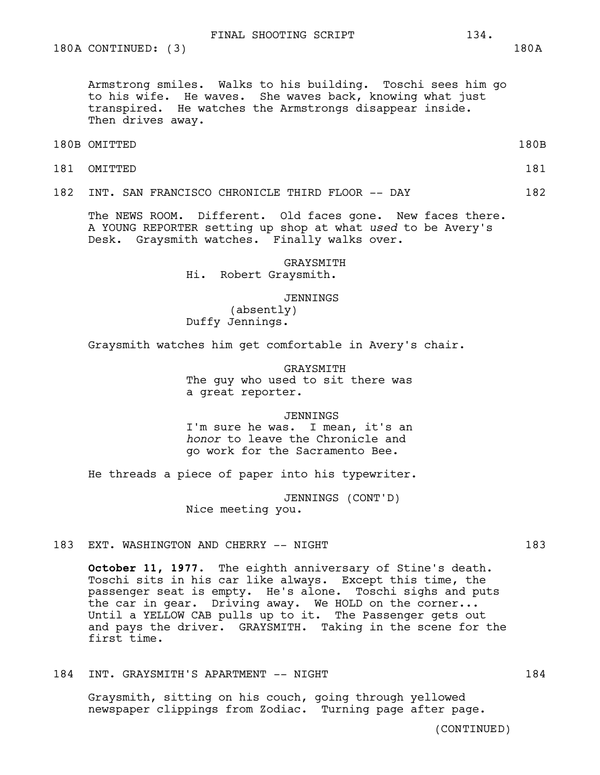180A CONTINUED: (3) 180A

Armstrong smiles. Walks to his building. Toschi sees him go to his wife. He waves. She waves back, knowing what just transpired. He watches the Armstrongs disappear inside. Then drives away.

- 180B OMITTED 180B
	-
- 181 OMITTED 181

182 INT. SAN FRANCISCO CHRONICLE THIRD FLOOR -- DAY 182

The NEWS ROOM. Different. Old faces gone. New faces there. A YOUNG REPORTER setting up shop at what *used* to be Avery's Desk. Graysmith watches. Finally walks over.

> GRAYSMITH Hi. Robert Graysmith.

> > **JENNINGS**

(absently) Duffy Jennings.

Graysmith watches him get comfortable in Avery's chair.

GRAYSMITH The guy who used to sit there was a great reporter.

JENNINGS

I'm sure he was. I mean, it's an *honor* to leave the Chronicle and go work for the Sacramento Bee.

He threads a piece of paper into his typewriter.

JENNINGS (CONT'D) Nice meeting you.

183 EXT. WASHINGTON AND CHERRY -- NIGHT 183

**October 11, 1977.** The eighth anniversary of Stine's death. Toschi sits in his car like always. Except this time, the passenger seat is empty. He's alone. Toschi sighs and puts the car in gear. Driving away. We HOLD on the corner... Until a YELLOW CAB pulls up to it. The Passenger gets out and pays the driver. GRAYSMITH. Taking in the scene for the first time.

184 INT. GRAYSMITH'S APARTMENT -- NIGHT 184

Graysmith, sitting on his couch, going through yellowed newspaper clippings from Zodiac. Turning page after page.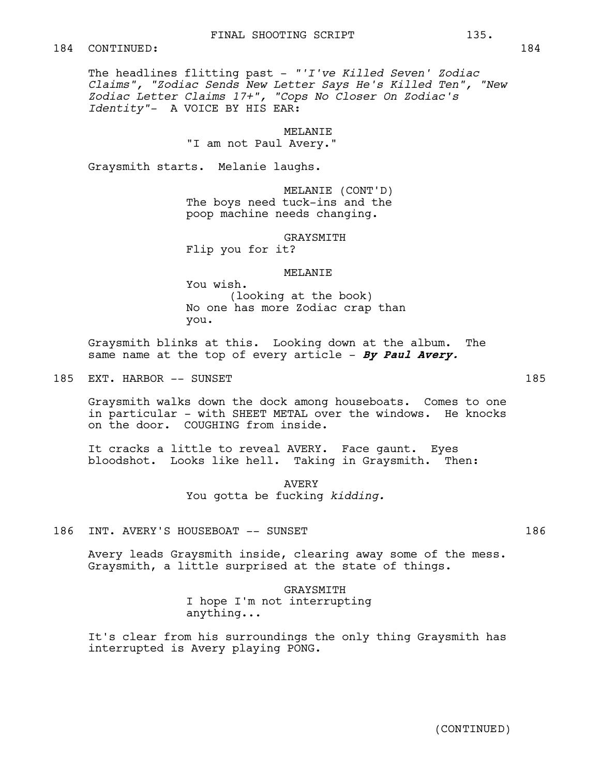The headlines flitting past - *"'I've Killed Seven' Zodiac Claims", "Zodiac Sends New Letter Says He's Killed Ten", "New Zodiac Letter Claims 17+", "Cops No Closer On Zodiac's Identity"-* A VOICE BY HIS EAR:

MELANIE

"I am not Paul Avery."

Graysmith starts. Melanie laughs.

MELANIE (CONT'D) The boys need tuck-ins and the poop machine needs changing.

GRAYSMITH

Flip you for it?

# MELANIE

You wish. (looking at the book) No one has more Zodiac crap than you.

Graysmith blinks at this. Looking down at the album. The same name at the top of every article - **By Paul Avery.**

185 EXT. HARBOR -- SUNSET

Graysmith walks down the dock among houseboats. Comes to one in particular - with SHEET METAL over the windows. He knocks on the door. COUGHING from inside.

It cracks a little to reveal AVERY. Face gaunt. Eyes bloodshot. Looks like hell. Taking in Graysmith. Then:

> AVERY You gotta be fucking *kidding.*

# 186 INT. AVERY'S HOUSEBOAT -- SUNSET 186

Avery leads Graysmith inside, clearing away some of the mess. Graysmith, a little surprised at the state of things.

> GRAYSMITH I hope I'm not interrupting anything...

It's clear from his surroundings the only thing Graysmith has interrupted is Avery playing PONG.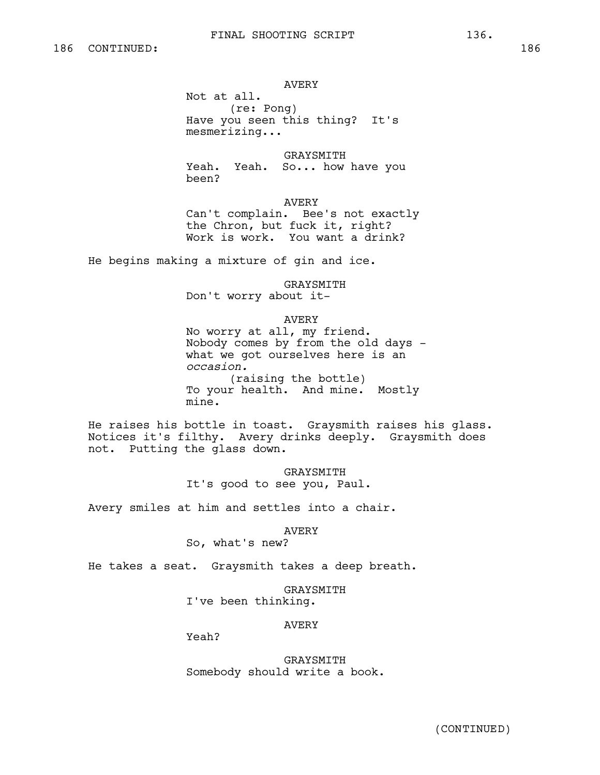#### AVERY

Not at all. (re: Pong) Have you seen this thing? It's mesmerizing...

GRAYSMITH Yeah. Yeah. So... how have you been?

AVERY Can't complain. Bee's not exactly the Chron, but fuck it, right? Work is work. You want a drink?

He begins making a mixture of gin and ice.

GRAYSMITH

Don't worry about it-

# AVERY

No worry at all, my friend. Nobody comes by from the old days what we got ourselves here is an *occasion.* (raising the bottle) To your health. And mine. Mostly mine.

He raises his bottle in toast. Graysmith raises his glass. Notices it's filthy. Avery drinks deeply. Graysmith does not. Putting the glass down.

> GRAYSMITH It's good to see you, Paul.

Avery smiles at him and settles into a chair.

AVERY

So, what's new?

He takes a seat. Graysmith takes a deep breath.

GRAYSMITH I've been thinking.

#### AVERY

Yeah?

GRAYSMITH Somebody should write a book.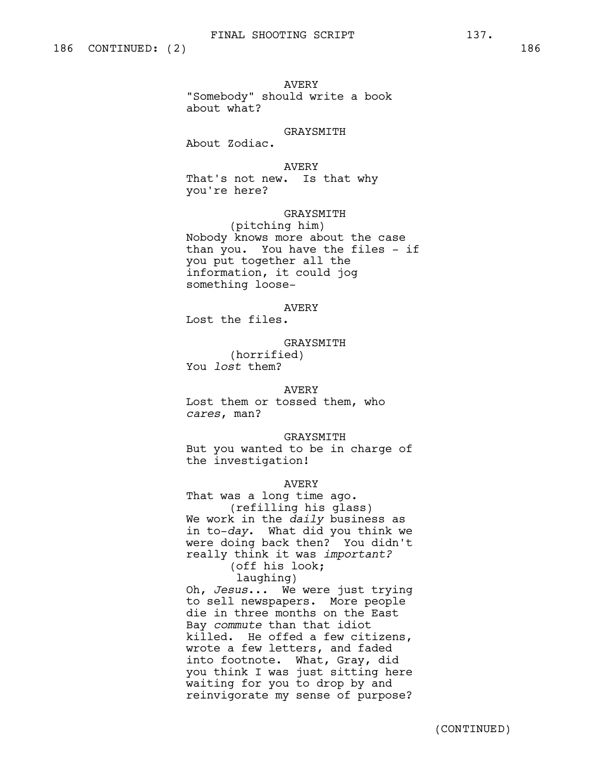AVERY

"Somebody" should write a book about what?

GRAYSMITH

About Zodiac.

AVERY That's not new. Is that why you're here?

GRAYSMITH (pitching him) Nobody knows more about the case than you. You have the files - if you put together all the information, it could jog something loose-

AVERY Lost the files.

GRAYSMITH (horrified) You *lost* them?

# AVERY

Lost them or tossed them, who *cares*, man?

GRAYSMITH

But you wanted to be in charge of the investigation!

# AVERY

That was a long time ago. (refilling his glass) We work in the *daily* business as in to-*day*. What did you think we were doing back then? You didn't really think it was *important?* (off his look;

laughing)

Oh, *Jesus*... We were just trying to sell newspapers. More people die in three months on the East Bay *commute* than that idiot killed. He offed a few citizens, wrote a few letters, and faded into footnote. What, Gray, did you think I was just sitting here waiting for you to drop by and reinvigorate my sense of purpose?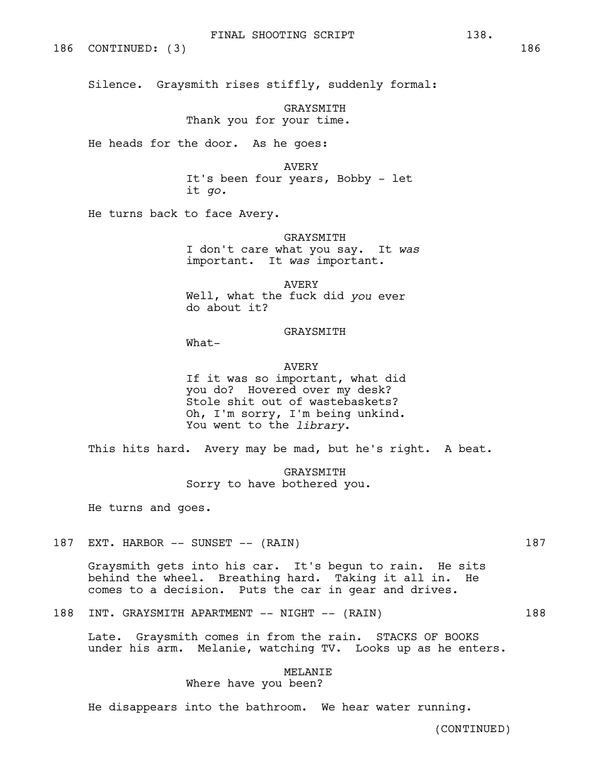186 CONTINUED: (3) 186

Silence. Graysmith rises stiffly, suddenly formal:

GRAYSMITH Thank you for your time.

He heads for the door. As he goes:

AVERY

It's been four years, Bobby - let it *go.*

He turns back to face Avery.

GRAYSMITH I don't care what you say. It *was*  important. It *was* important.

AVERY Well, what the fuck did *you* ever do about it?

#### GRAYSMITH

What-

#### AVERY

If it was so important, what did you do? Hovered over my desk? Stole shit out of wastebaskets? Oh, I'm sorry, I'm being unkind. You went to the *library*.

This hits hard*.* Avery may be mad, but he's right. A beat.

GRAYSMITH Sorry to have bothered you.

He turns and goes.

187 EXT. HARBOR -- SUNSET -- (RAIN) 187

Graysmith gets into his car. It's begun to rain. He sits behind the wheel. Breathing hard. Taking it all in. He comes to a decision. Puts the car in gear and drives.

188 INT. GRAYSMITH APARTMENT -- NIGHT -- (RAIN) 188

Late. Graysmith comes in from the rain. STACKS OF BOOKS under his arm. Melanie, watching TV. Looks up as he enters.

# MELANIE

Where have you been?

He disappears into the bathroom. We hear water running.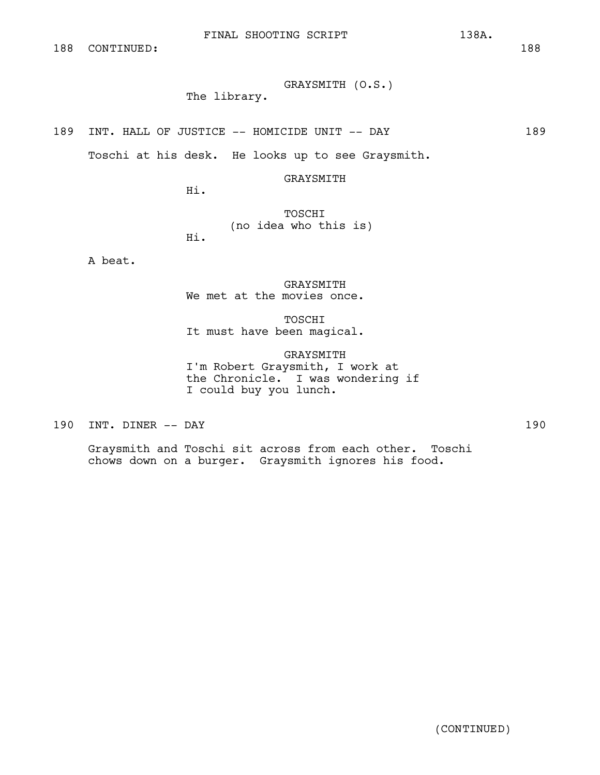# GRAYSMITH (O.S.)

# The library.

189 INT. HALL OF JUSTICE -- HOMICIDE UNIT -- DAY 189

Toschi at his desk. He looks up to see Graysmith.

GRAYSMITH

Hi.

TOSCHI (no idea who this is) Hi.

A beat.

GRAYSMITH We met at the movies once.

TOSCHI It must have been magical.

GRAYSMITH I'm Robert Graysmith, I work at the Chronicle. I was wondering if I could buy you lunch.

190 INT. DINER -- DAY 190

Graysmith and Toschi sit across from each other. Toschi chows down on a burger. Graysmith ignores his food.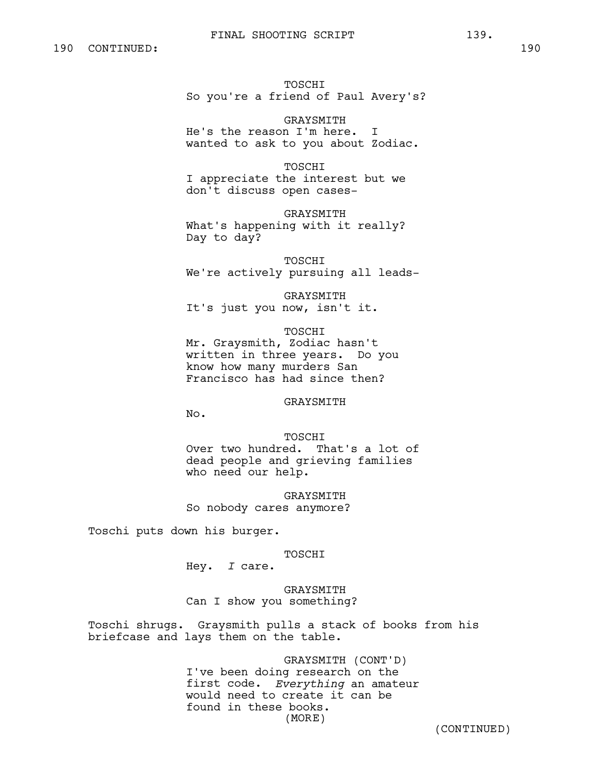## FINAL SHOOTING SCRIPT 139.

TOSCHI So you're a friend of Paul Avery's?

GRAYSMITH He's the reason I'm here. I wanted to ask to you about Zodiac.

TOSCHI I appreciate the interest but we don't discuss open cases-

GRAYSMITH What's happening with it really? Day to day?

TOSCHI We're actively pursuing all leads-

GRAYSMITH It's just you now, isn't it.

TOSCHI Mr. Graysmith, Zodiac hasn't written in three years. Do you know how many murders San Francisco has had since then?

GRAYSMITH

No.

TOSCHI Over two hundred. That's a lot of dead people and grieving families who need our help.

GRAYSMITH So nobody cares anymore?

Toschi puts down his burger.

TOSCHI

Hey. *I* care.

GRAYSMITH Can I show you something?

Toschi shrugs. Graysmith pulls a stack of books from his briefcase and lays them on the table.

> GRAYSMITH (CONT'D) I've been doing research on the first code. *Everything* an amateur would need to create it can be found in these books. (MORE)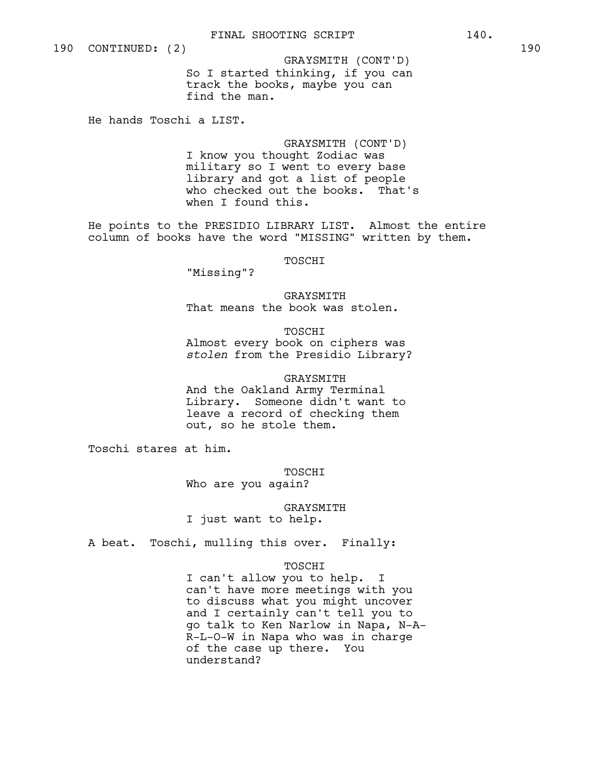So I started thinking, if you can track the books, maybe you can find the man. GRAYSMITH (CONT'D)

He hands Toschi a LIST.

GRAYSMITH (CONT'D) I know you thought Zodiac was military so I went to every base library and got a list of people who checked out the books. That's when I found this.

He points to the PRESIDIO LIBRARY LIST. Almost the entire column of books have the word "MISSING" written by them.

TOSCHI

"Missing"?

GRAYSMITH That means the book was stolen.

TOSCHI Almost every book on ciphers was *stolen* from the Presidio Library?

GRAYSMITH And the Oakland Army Terminal Library. Someone didn't want to leave a record of checking them out, so he stole them.

Toschi stares at him.

TOSCHI Who are you again?

GRAYSMITH I just want to help.

A beat. Toschi, mulling this over. Finally:

TOSCHI

I can't allow you to help. I can't have more meetings with you to discuss what you might uncover and I certainly can't tell you to go talk to Ken Narlow in Napa, N-A-R-L-O-W in Napa who was in charge of the case up there. You understand?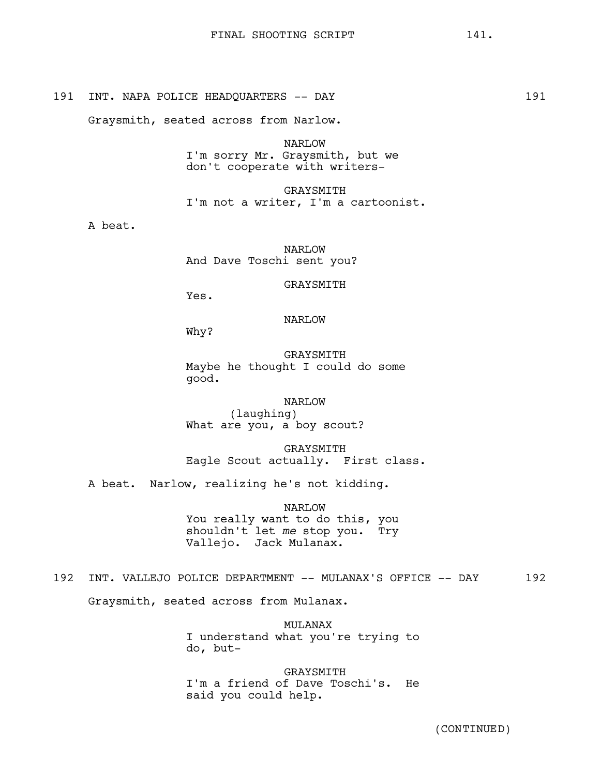# 191 INT. NAPA POLICE HEADQUARTERS -- DAY 191

Graysmith, seated across from Narlow.

NARLOW I'm sorry Mr. Graysmith, but we don't cooperate with writers-

GRAYSMITH I'm not a writer, I'm a cartoonist.

A beat.

NARLOW And Dave Toschi sent you?

GRAYSMITH

Yes.

## NARLOW

Why?

GRAYSMITH Maybe he thought I could do some good.

NARLOW (laughing) What are you, a boy scout?

GRAYSMITH Eagle Scout actually. First class.

A beat. Narlow, realizing he's not kidding.

NARLOW You really want to do this, you shouldn't let *me* stop you. Try Vallejo. Jack Mulanax.

# 192 INT. VALLEJO POLICE DEPARTMENT -- MULANAX'S OFFICE -- DAY 192

Graysmith, seated across from Mulanax.

MULANAX I understand what you're trying to do, but-

GRAYSMITH I'm a friend of Dave Toschi's. He said you could help.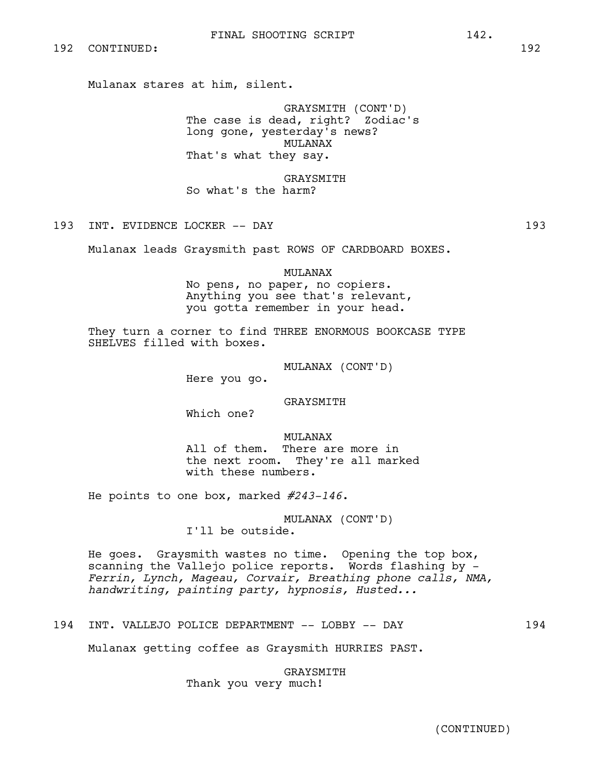Mulanax stares at him, silent.

GRAYSMITH (CONT'D) The case is dead, right? Zodiac's long gone, yesterday's news? MULANAX That's what they say.

GRAYSMITH So what's the harm?

## 193 INT. EVIDENCE LOCKER -- DAY 193

Mulanax leads Graysmith past ROWS OF CARDBOARD BOXES.

MULANAX

No pens, no paper, no copiers. Anything you see that's relevant, you gotta remember in your head.

They turn a corner to find THREE ENORMOUS BOOKCASE TYPE SHELVES filled with boxes.

MULANAX (CONT'D)

Here you go.

GRAYSMITH

Which one?

MULANAX All of them. There are more in the next room. They're all marked with these numbers.

He points to one box, marked *#243-146*.

MULANAX (CONT'D) I'll be outside.

He goes. Graysmith wastes no time. Opening the top box, scanning the Vallejo police reports. Words flashing by - *Ferrin, Lynch, Mageau, Corvair, Breathing phone calls, NMA, handwriting, painting party, hypnosis, Husted...*

## 194 INT. VALLEJO POLICE DEPARTMENT -- LOBBY -- DAY 194

Mulanax getting coffee as Graysmith HURRIES PAST.

GRAYSMITH Thank you very much!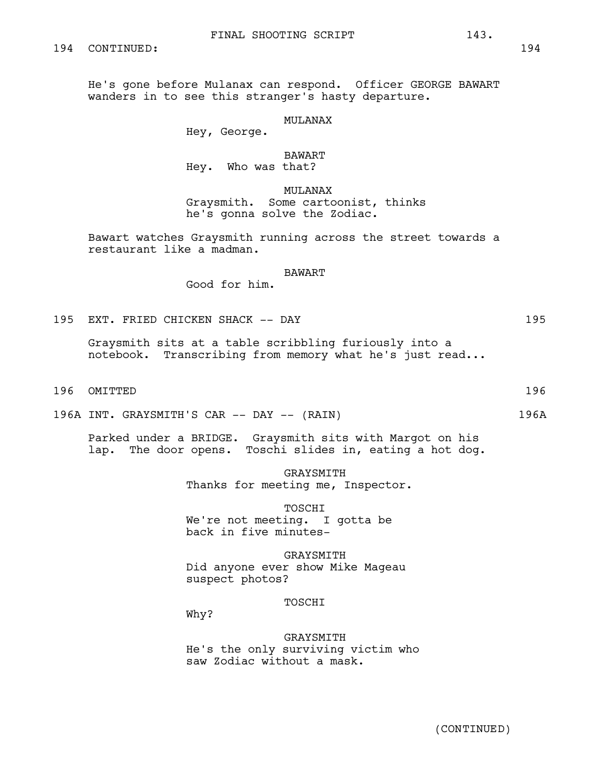He's gone before Mulanax can respond. Officer GEORGE BAWART wanders in to see this stranger's hasty departure.

## MULANAX

Hey, George.

# BAWART

Hey. Who was that?

MULANAX

Graysmith. Some cartoonist, thinks he's gonna solve the Zodiac.

Bawart watches Graysmith running across the street towards a restaurant like a madman.

#### BAWART

Good for him.

195 EXT. FRIED CHICKEN SHACK -- DAY 195

Graysmith sits at a table scribbling furiously into a notebook. Transcribing from memory what he's just read...

196 OMITTED 196

196A INT. GRAYSMITH'S CAR -- DAY -- (RAIN) 196A

Parked under a BRIDGE. Graysmith sits with Margot on his lap. The door opens. Toschi slides in, eating a hot dog.

> GRAYSMITH Thanks for meeting me, Inspector.

TOSCHI We're not meeting. I gotta be back in five minutes-

GRAYSMITH Did anyone ever show Mike Mageau suspect photos?

## TOSCHI

Why?

GRAYSMITH He's the only surviving victim who saw Zodiac without a mask.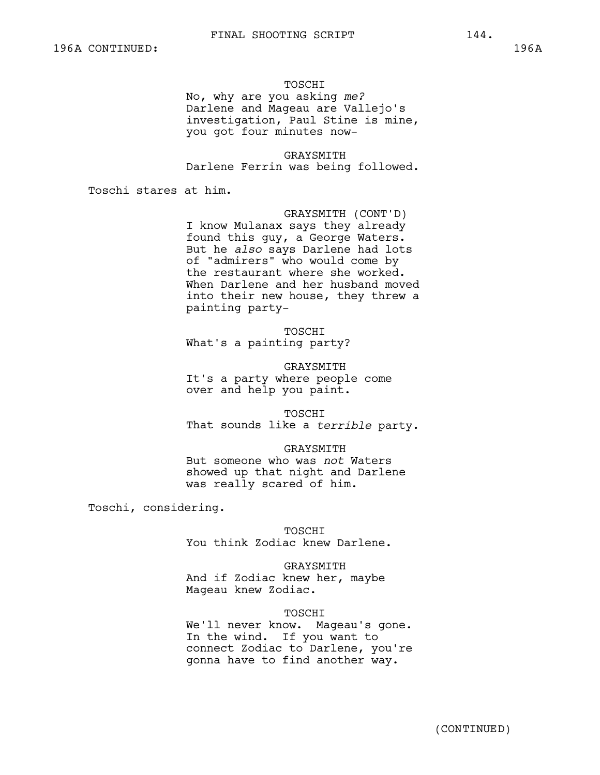TOSCHI<br>No, why are you asking me? Darlene and Mageau are Vallejo's investigation, Paul Stine is mine, you got four minutes now-

GRAYSMITH Darlene Ferrin was being followed.

Toschi stares at him.

GRAYSMITH (CONT'D) I know Mulanax says they already found this guy, a George Waters. But he *also* says Darlene had lots of "admirers" who would come by the restaurant where she worked. When Darlene and her husband moved into their new house, they threw a painting party-

TOSCHI What's a painting party?

GRAYSMITH It's a party where people come over and help you paint.

TOSCHI

That sounds like a *terrible* party.

#### GRAYSMITH

But someone who was *not* Waters showed up that night and Darlene was really scared of him.

Toschi, considering.

**TOSCHT** 

You think Zodiac knew Darlene.

GRAYSMITH

And if Zodiac knew her, maybe Mageau knew Zodiac.

## TOSCHI

We'll never know. Mageau's gone. In the wind. If you want to connect Zodiac to Darlene, you're gonna have to find another way.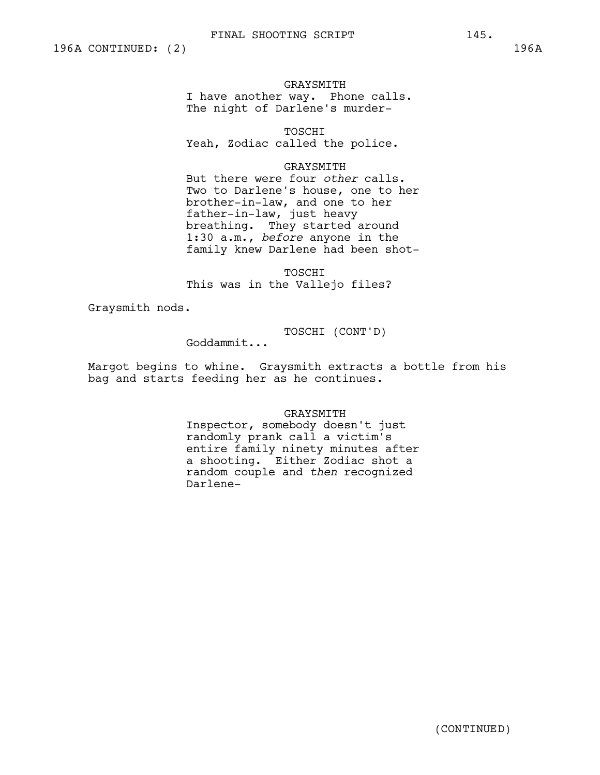GRAYSMITH I have another way. Phone calls. The night of Darlene's murder-

TOSCHI Yeah, Zodiac called the police.

## GRAYSMITH

But there were four *other* calls. Two to Darlene's house, one to her brother-in-law, and one to her father-in-law, just heavy breathing. They started around 1:30 a.m., *before* anyone in the family knew Darlene had been shot-

TOSCHI This was in the Vallejo files?

Graysmith nods.

TOSCHI (CONT'D)

Goddammit...

Margot begins to whine. Graysmith extracts a bottle from his bag and starts feeding her as he continues.

GRAYSMITH

Inspector, somebody doesn't just randomly prank call a victim's entire family ninety minutes after a shooting. Either Zodiac shot a random couple and *then* recognized Darlene-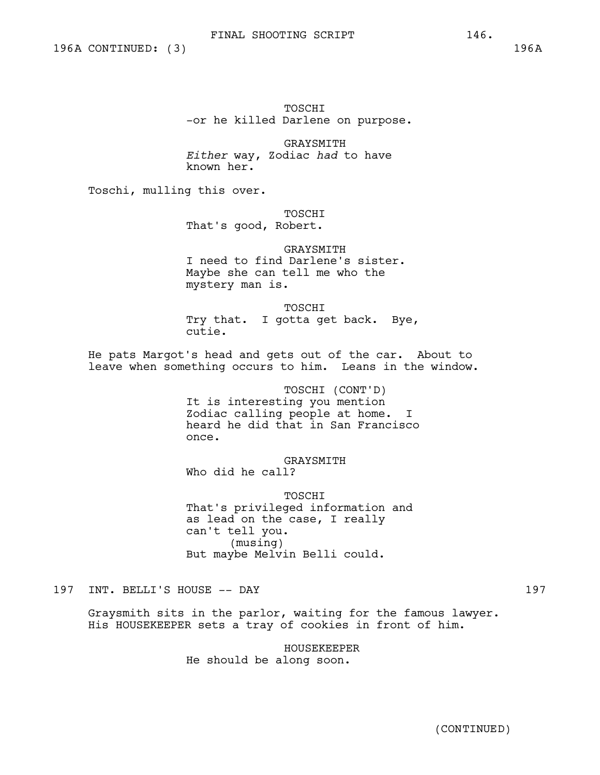TOSCHI -or he killed Darlene on purpose.

GRAYSMITH *Either* way, Zodiac *had* to have known her.

Toschi, mulling this over.

TOSCHI

That's good, Robert.

GRAYSMITH I need to find Darlene's sister. Maybe she can tell me who the mystery man is.

TOSCHI Try that. I gotta get back. Bye, cutie.

He pats Margot's head and gets out of the car. About to leave when something occurs to him. Leans in the window.

> TOSCHI (CONT'D) It is interesting you mention Zodiac calling people at home. I heard he did that in San Francisco once.

GRAYSMITH Who did he call?

TOSCHI That's privileged information and as lead on the case, I really can't tell you. (musing) But maybe Melvin Belli could.

197 INT. BELLI'S HOUSE -- DAY 197

Graysmith sits in the parlor, waiting for the famous lawyer. His HOUSEKEEPER sets a tray of cookies in front of him.

> HOUSEKEEPER He should be along soon.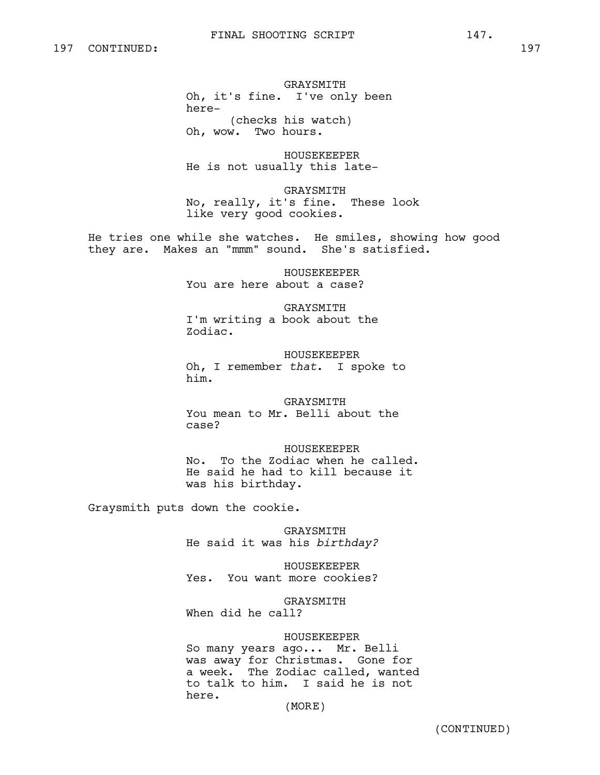GRAYSMITH Oh, it's fine. I've only been here- (checks his watch) Oh, wow. Two hours.

HOUSEKEEPER He is not usually this late-

GRAYSMITH No, really, it's fine. These look like very good cookies.

He tries one while she watches. He smiles, showing how good they are. Makes an "mmm" sound. She's satisfied.

> HOUSEKEEPER You are here about a case?

GRAYSMITH I'm writing a book about the Zodiac.

HOUSEKEEPER Oh, I remember *that*. I spoke to him.

GRAYSMITH You mean to Mr. Belli about the case?

HOUSEKEEPER No. To the Zodiac when he called. He said he had to kill because it was his birthday.

Graysmith puts down the cookie.

GRAYSMITH He said it was his *birthday?*

HOUSEKEEPER Yes. You want more cookies?

GRAYSMITH When did he call?

HOUSEKEEPER

So many years ago... Mr. Belli was away for Christmas. Gone for a week. The Zodiac called, wanted to talk to him. I said he is not here.

(MORE)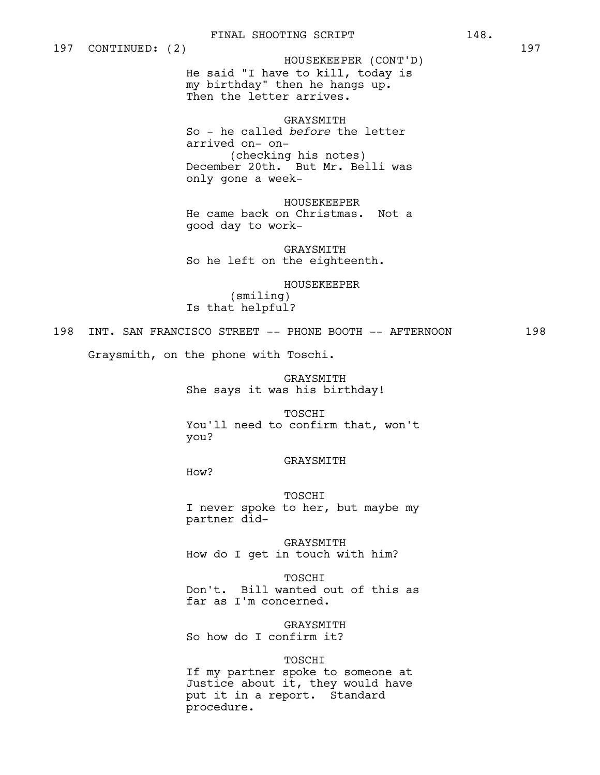He said "I have to kill, today is my birthday" then he hangs up. Then the letter arrives. HOUSEKEEPER (CONT'D)

GRAYSMITH So - he called *before* the letter arrived on- on- (checking his notes) December 20th. But Mr. Belli was only gone a week-

HOUSEKEEPER He came back on Christmas. Not a good day to work-

GRAYSMITH So he left on the eighteenth.

HOUSEKEEPER

(smiling) Is that helpful?

198 INT. SAN FRANCISCO STREET -- PHONE BOOTH -- AFTERNOON 198

Graysmith, on the phone with Toschi.

GRAYSMITH She says it was his birthday!

TOSCHI You'll need to confirm that, won't you?

GRAYSMITH

How?

TOSCHI I never spoke to her, but maybe my partner did-

GRAYSMITH How do I get in touch with him?

TOSCHI Don't. Bill wanted out of this as far as I'm concerned.

GRAYSMITH So how do I confirm it?

TOSCHI

If my partner spoke to someone at Justice about it, they would have put it in a report. Standard procedure.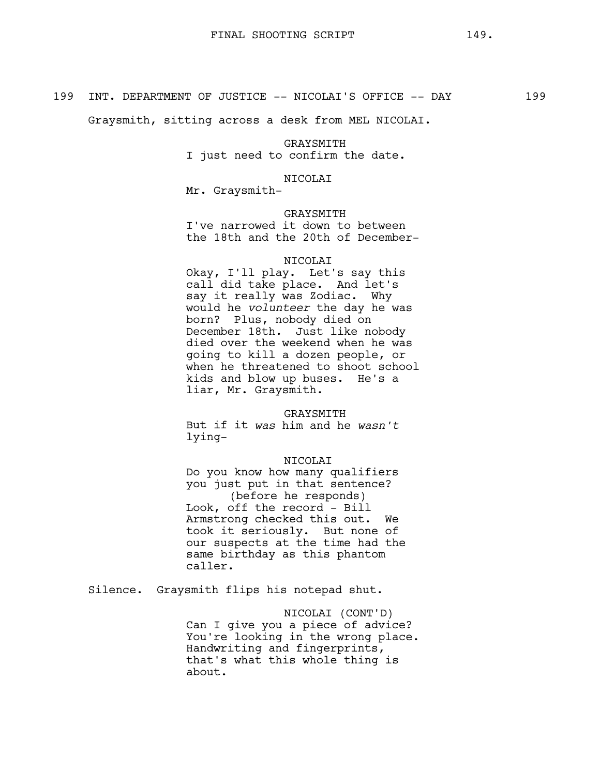Graysmith, sitting across a desk from MEL NICOLAI.

GRAYSMITH I just need to confirm the date.

NICOLAI

Mr. Graysmith-

## GRAYSMITH

I've narrowed it down to between the 18th and the 20th of December-

#### NICOLAI

Okay, I'll play. Let's say this call did take place. And let's say it really was Zodiac. Why would he *volunteer* the day he was born? Plus, nobody died on December 18th. Just like nobody died over the weekend when he was going to kill a dozen people, or when he threatened to shoot school kids and blow up buses. He's a liar, Mr. Graysmith.

GRAYSMITH

But if it *was* him and he *wasn't* lying-

## NICOLAI

Do you know how many qualifiers you just put in that sentence? (before he responds) Look, off the record - Bill Armstrong checked this out. We took it seriously. But none of our suspects at the time had the same birthday as this phantom caller.

Silence. Graysmith flips his notepad shut.

NICOLAI (CONT'D) Can I give you a piece of advice? You're looking in the wrong place. Handwriting and fingerprints, that's what this whole thing is about.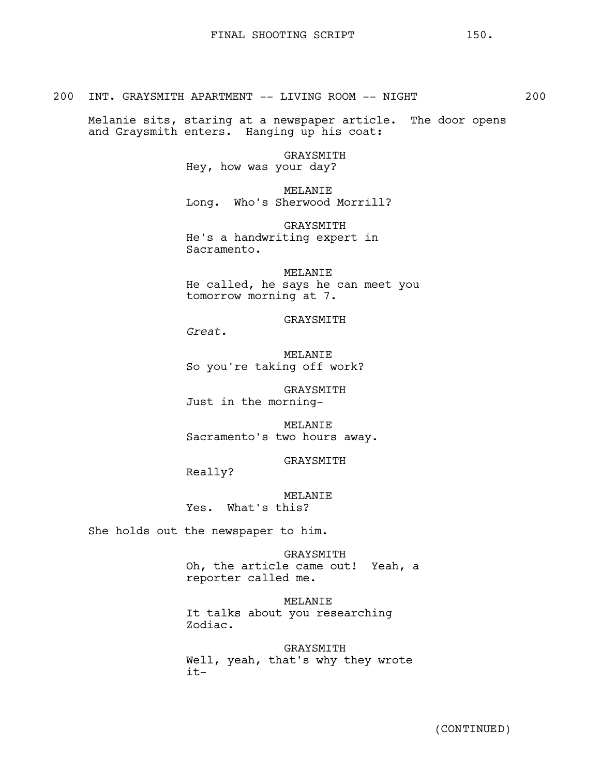200 INT. GRAYSMITH APARTMENT -- LIVING ROOM -- NIGHT 200

Melanie sits, staring at a newspaper article. The door opens and Graysmith enters. Hanging up his coat:

> GRAYSMITH Hey, how was your day?

MELANIE Long. Who's Sherwood Morrill?

GRAYSMITH He's a handwriting expert in Sacramento.

MELANIE He called, he says he can meet you tomorrow morning at 7.

GRAYSMITH

*Great.*

MELANIE So you're taking off work?

GRAYSMITH Just in the morning-

MELANIE Sacramento's two hours away.

GRAYSMITH

Really?

MELANIE Yes. What's this?

She holds out the newspaper to him.

GRAYSMITH Oh, the article came out! Yeah, a reporter called me.

MELANIE It talks about you researching Zodiac.

GRAYSMITH Well, yeah, that's why they wrote it-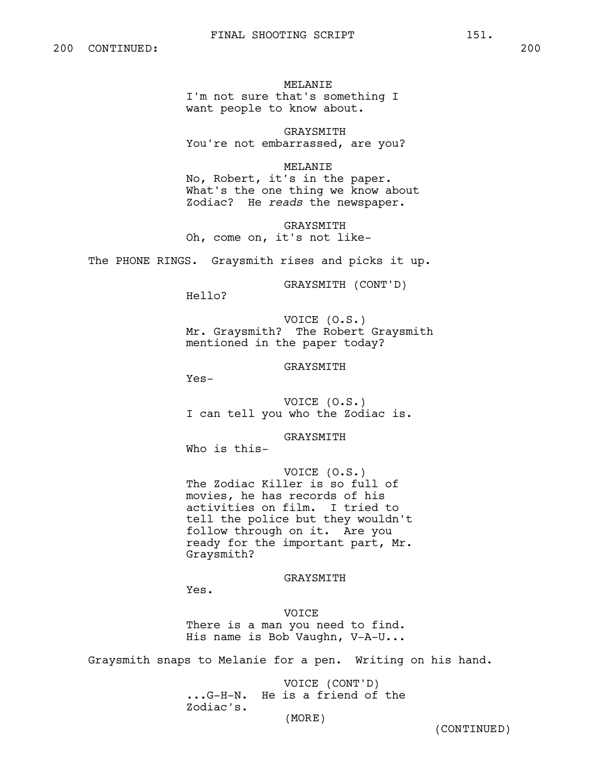MELANIE I'm not sure that's something I want people to know about.

GRAYSMITH You're not embarrassed, are you?

MELANIE

No, Robert, it's in the paper. What's the one thing we know about Zodiac? He *reads* the newspaper.

GRAYSMITH Oh, come on, it's not like-

The PHONE RINGS. Graysmith rises and picks it up.

GRAYSMITH (CONT'D)

Hello?

VOICE (O.S.) Mr. Graysmith? The Robert Graysmith mentioned in the paper today?

GRAYSMITH

Yes-

VOICE (O.S.) I can tell you who the Zodiac is.

GRAYSMITH

Who is this-

VOICE (O.S.) The Zodiac Killer is so full of movies, he has records of his activities on film. I tried to tell the police but they wouldn't follow through on it. Are you ready for the important part, Mr. Graysmith?

#### GRAYSMITH

Yes.

VOICE There is a man you need to find. His name is Bob Vaughn, V-A-U...

Graysmith snaps to Melanie for a pen. Writing on his hand.

VOICE (CONT'D) ...G-H-N. He is a friend of the Zodiac's.

(MORE)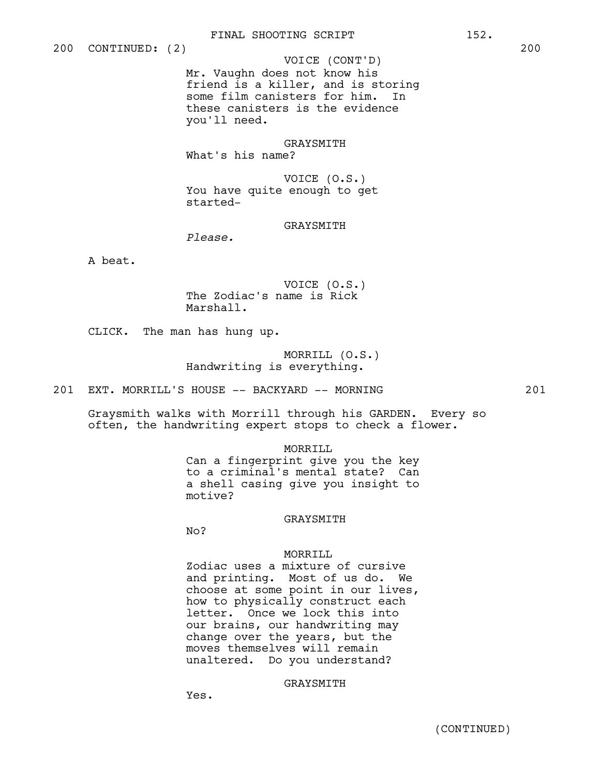Mr. Vaughn does not know his friend is a killer, and is storing some film canisters for him. In these canisters is the evidence you'll need. VOICE (CONT'D)

# GRAYSMITH

What's his name?

VOICE (O.S.) You have quite enough to get started-

# GRAYSMITH

*Please.*

A beat.

VOICE (O.S.) The Zodiac's name is Rick Marshall.

CLICK. The man has hung up.

MORRILL (O.S.) Handwriting is everything.

201 EXT. MORRILL'S HOUSE -- BACKYARD -- MORNING 201

Graysmith walks with Morrill through his GARDEN. Every so often, the handwriting expert stops to check a flower.

#### MORRILL

Can a fingerprint give you the key to a criminal's mental state? Can a shell casing give you insight to motive?

## GRAYSMITH

No?

## MORRILL

Zodiac uses a mixture of cursive and printing. Most of us do. We choose at some point in our lives, how to physically construct each letter. Once we lock this into our brains, our handwriting may change over the years, but the moves themselves will remain unaltered. Do you understand?

## GRAYSMITH

Yes.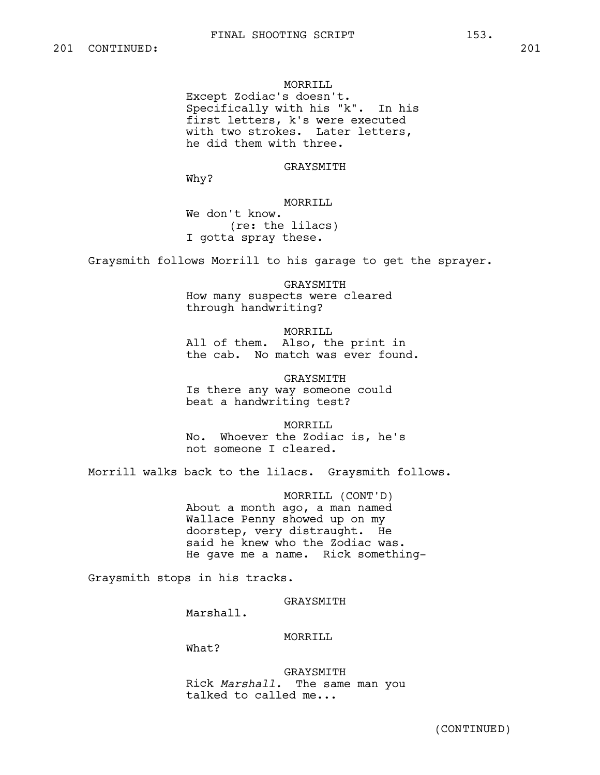MORRILL Except Zodiac's doesn't. Specifically with his "k". In his first letters, k's were executed with two strokes. Later letters, he did them with three.

GRAYSMITH

Why?

MORRILL

We don't know. (re: the lilacs) I gotta spray these.

Graysmith follows Morrill to his garage to get the sprayer.

GRAYSMITH How many suspects were cleared through handwriting?

MORRILL All of them. Also, the print in the cab. No match was ever found.

GRAYSMITH Is there any way someone could beat a handwriting test?

MORRILL No. Whoever the Zodiac is, he's not someone I cleared.

Morrill walks back to the lilacs. Graysmith follows.

MORRILL (CONT'D) About a month ago, a man named Wallace Penny showed up on my doorstep, very distraught. He said he knew who the Zodiac was. He gave me a name. Rick something-

Graysmith stops in his tracks.

GRAYSMITH

Marshall.

MORRILL

What?

GRAYSMITH Rick *Marshall.* The same man you talked to called me...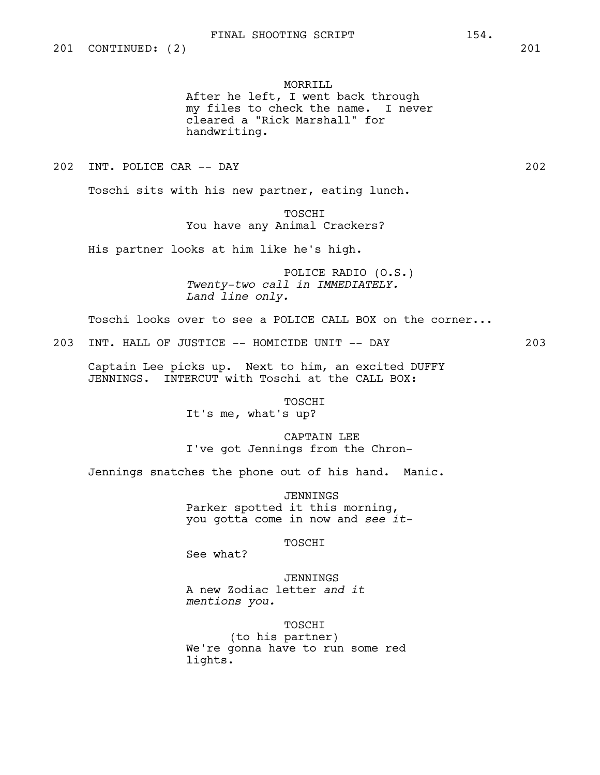MORRILL After he left, I went back through my files to check the name. I never cleared a "Rick Marshall" for handwriting.

202 INT. POLICE CAR -- DAY 202

Toschi sits with his new partner, eating lunch.

TOSCHI You have any Animal Crackers?

His partner looks at him like he's high.

POLICE RADIO (O.S.) *Twenty-two call in IMMEDIATELY. Land line only.*

Toschi looks over to see a POLICE CALL BOX on the corner...

203 INT. HALL OF JUSTICE -- HOMICIDE UNIT -- DAY 203

Captain Lee picks up. Next to him, an excited DUFFY JENNINGS. INTERCUT with Toschi at the CALL BOX:

> **TOSCHT** It's me, what's up?

CAPTAIN LEE I've got Jennings from the Chron-

Jennings snatches the phone out of his hand. Manic.

JENNINGS Parker spotted it this morning, you gotta come in now and *see it-*

TOSCHI

See what?

JENNINGS A new Zodiac letter *and it mentions you.*

TOSCHI

(to his partner) We're gonna have to run some red lights.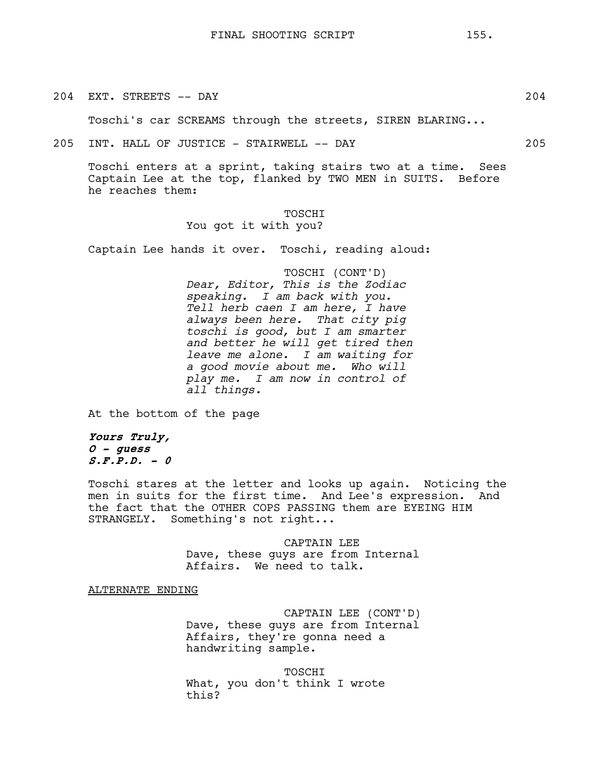204 EXT. STREETS -- DAY 204

Toschi's car SCREAMS through the streets, SIREN BLARING...

205 INT. HALL OF JUSTICE - STAIRWELL -- DAY 205

Toschi enters at a sprint, taking stairs two at a time. Sees Captain Lee at the top, flanked by TWO MEN in SUITS. Before he reaches them:

> TOSCHI You got it with you?

Captain Lee hands it over. Toschi, reading aloud:

TOSCHI (CONT'D) *Dear, Editor, This is the Zodiac speaking. I am back with you. Tell herb caen I am here, I have always been here. That city pig toschi is good, but I am smarter and better he will get tired then leave me alone. I am waiting for a good movie about me. Who will play me. I am now in control of all things.*

At the bottom of the page

**Yours Truly, O - guess S.F.P.D. - 0**

Toschi stares at the letter and looks up again. Noticing the men in suits for the first time. And Lee's expression. And the fact that the OTHER COPS PASSING them are EYEING HIM STRANGELY. Something's not right...

> CAPTAIN LEE Dave, these guys are from Internal Affairs. We need to talk.

ALTERNATE ENDING

CAPTAIN LEE (CONT'D) Dave, these guys are from Internal Affairs, they're gonna need a handwriting sample.

TOSCHI What, you don't think I wrote this?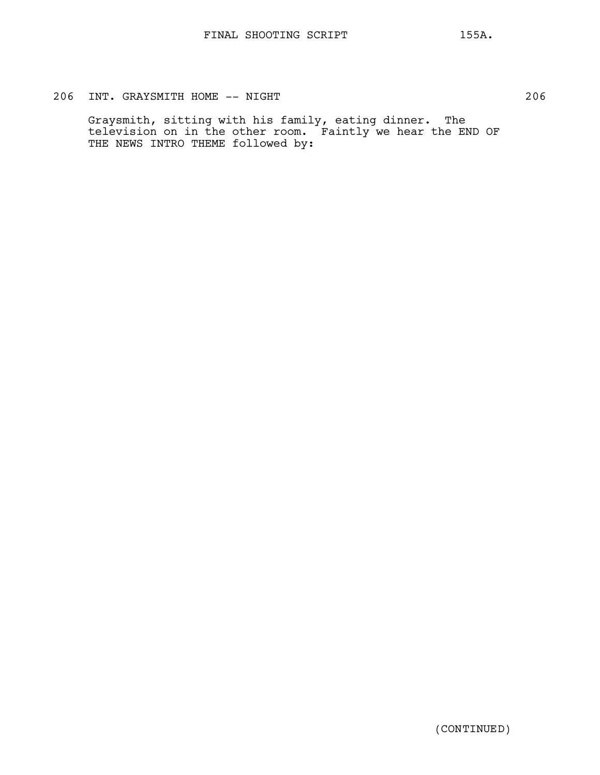# 206 INT. GRAYSMITH HOME -- NIGHT 206

Graysmith, sitting with his family, eating dinner. The television on in the other room. Faintly we hear the END OF THE NEWS INTRO THEME followed by: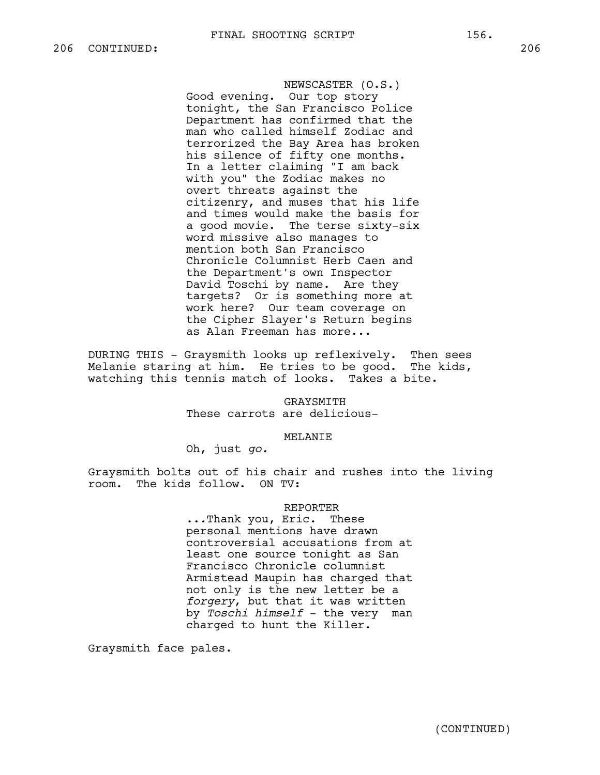NEWSCASTER (O.S.) Good evening. Our top story tonight, the San Francisco Police Department has confirmed that the man who called himself Zodiac and terrorized the Bay Area has broken his silence of fifty one months. In a letter claiming "I am back with you" the Zodiac makes no overt threats against the citizenry, and muses that his life and times would make the basis for a good movie. The terse sixty-six word missive also manages to mention both San Francisco Chronicle Columnist Herb Caen and the Department's own Inspector David Toschi by name. Are they targets? Or is something more at work here? Our team coverage on the Cipher Slayer's Return begins as Alan Freeman has more...

DURING THIS - Graysmith looks up reflexively. Then sees Melanie staring at him. He tries to be good. The kids, watching this tennis match of looks. Takes a bite.

> GRAYSMITH These carrots are delicious-

## MELANIE

Oh, just *go.*

Graysmith bolts out of his chair and rushes into the living room. The kids follow. ON TV:

## REPORTER

...Thank you, Eric. These personal mentions have drawn controversial accusations from at least one source tonight as San Francisco Chronicle columnist Armistead Maupin has charged that not only is the new letter be a *forgery*, but that it was written by *Toschi himself* - the very man charged to hunt the Killer.

Graysmith face pales.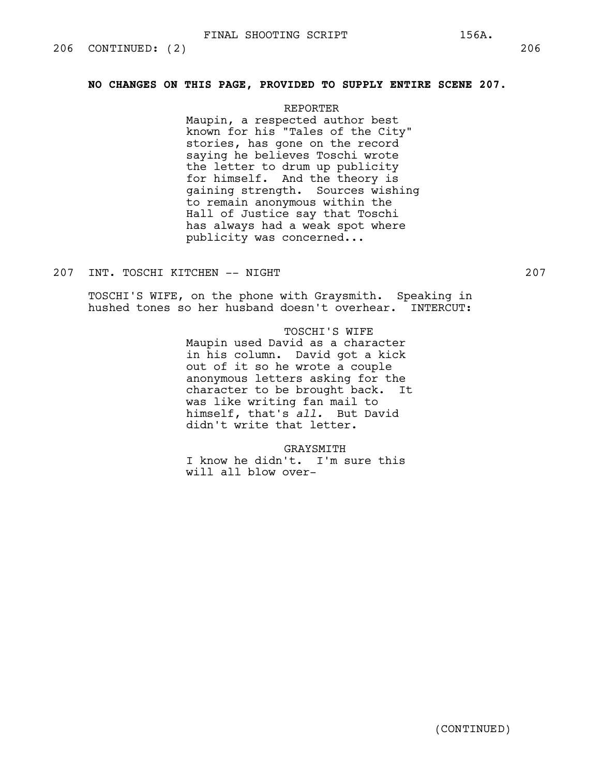## **NO CHANGES ON THIS PAGE, PROVIDED TO SUPPLY ENTIRE SCENE 207.**

#### REPORTER

Maupin, a respected author best known for his "Tales of the City" stories, has gone on the record saying he believes Toschi wrote the letter to drum up publicity for himself. And the theory is gaining strength. Sources wishing to remain anonymous within the Hall of Justice say that Toschi has always had a weak spot where publicity was concerned...

## 207 INT. TOSCHI KITCHEN -- NIGHT 207

TOSCHI'S WIFE, on the phone with Graysmith. Speaking in hushed tones so her husband doesn't overhear. INTERCUT:

## TOSCHI'S WIFE

Maupin used David as a character in his column. David got a kick out of it so he wrote a couple anonymous letters asking for the character to be brought back. It was like writing fan mail to himself, that's *all.* But David didn't write that letter.

#### GRAYSMITH

I know he didn't. I'm sure this will all blow over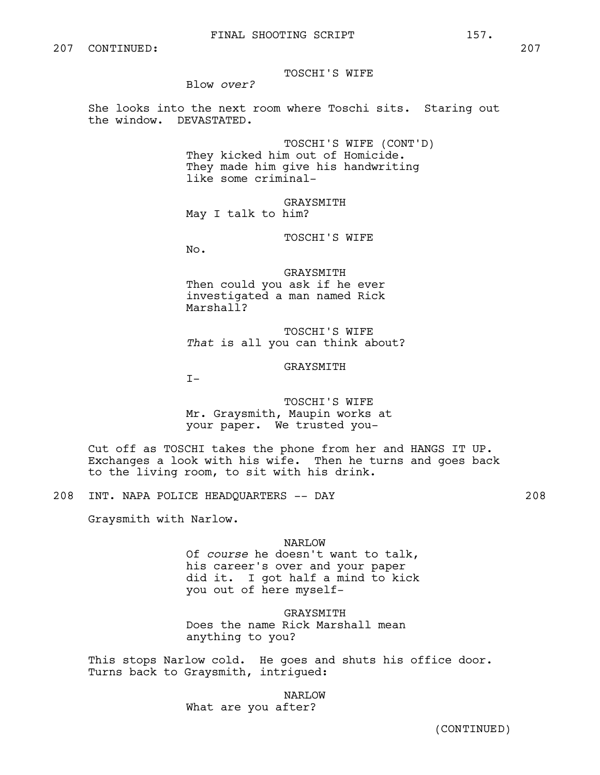Blow *over?*

She looks into the next room where Toschi sits. Staring out the window. DEVASTATED.

> TOSCHI'S WIFE (CONT'D) They kicked him out of Homicide. They made him give his handwriting like some criminal-

GRAYSMITH May I talk to him?

TOSCHI'S WIFE

No.

GRAYSMITH Then could you ask if he ever investigated a man named Rick Marshall?

TOSCHI'S WIFE *That* is all you can think about?

## GRAYSMITH

 $T-$ 

TOSCHI'S WIFE Mr. Graysmith, Maupin works at your paper. We trusted you-

Cut off as TOSCHI takes the phone from her and HANGS IT UP. Exchanges a look with his wife. Then he turns and goes back to the living room, to sit with his drink.

208 INT. NAPA POLICE HEADQUARTERS -- DAY 208

Graysmith with Narlow.

#### NARLOW

Of *course* he doesn't want to talk, his career's over and your paper did it. I got half a mind to kick you out of here myself-

GRAYSMITH

Does the name Rick Marshall mean anything to you?

This stops Narlow cold. He goes and shuts his office door. Turns back to Graysmith, intrigued:

NARLOW

What are you after?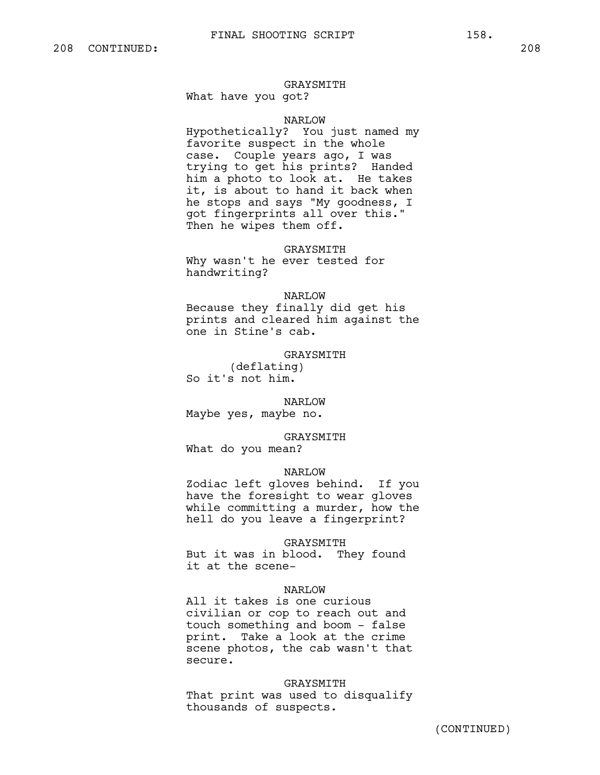#### GRAYSMITH

What have you got?

## NARLOW

Hypothetically? You just named my favorite suspect in the whole case. Couple years ago, I was trying to get his prints? Handed him a photo to look at. He takes it, is about to hand it back when he stops and says "My goodness, I got fingerprints all over this." Then he wipes them off.

#### GRAYSMITH

Why wasn't he ever tested for handwriting?

## NARLOW

Because they finally did get his prints and cleared him against the one in Stine's cab.

GRAYSMITH (deflating) So it's not him.

NARLOW

Maybe yes, maybe no.

GRAYSMITH What do you mean?

#### NARLOW

Zodiac left gloves behind. If you have the foresight to wear gloves while committing a murder, how the hell do you leave a fingerprint?

GRAYSMITH

But it was in blood. They found it at the scene-

## NARLOW

All it takes is one curious civilian or cop to reach out and touch something and boom - false print. Take a look at the crime scene photos, the cab wasn't that secure.

GRAYSMITH That print was used to disqualify thousands of suspects.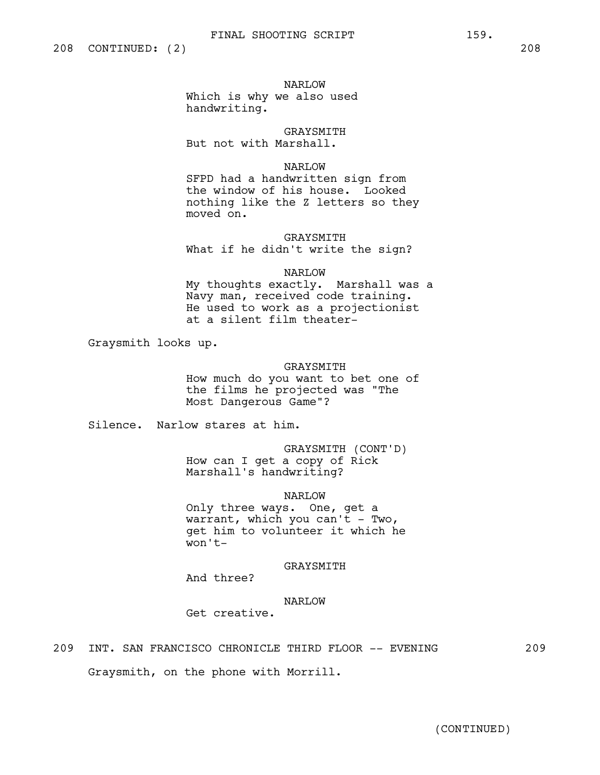NARLOW

Which is why we also used handwriting.

GRAYSMITH But not with Marshall.

## NARLOW

SFPD had a handwritten sign from the window of his house. Looked nothing like the Z letters so they moved on.

## GRAYSMITH

What if he didn't write the sign?

## NARLOW

My thoughts exactly. Marshall was a Navy man, received code training. He used to work as a projectionist at a silent film theater-

Graysmith looks up.

## GRAYSMITH

How much do you want to bet one of the films he projected was "The Most Dangerous Game"?

Silence. Narlow stares at him.

GRAYSMITH (CONT'D) How can I get a copy of Rick Marshall's handwriting?

NARLOW

Only three ways. One, get a warrant, which you can't - Two, get him to volunteer it which he won't-

## GRAYSMITH

And three?

## NARLOW

Get creative.

## 209 INT. SAN FRANCISCO CHRONICLE THIRD FLOOR -- EVENING 209

Graysmith, on the phone with Morrill.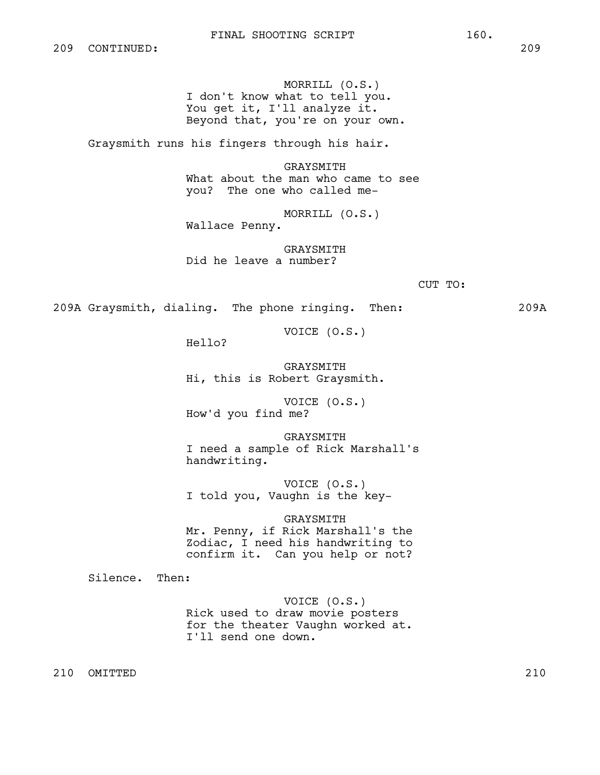MORRILL (O.S.) I don't know what to tell you. You get it, I'll analyze it. Beyond that, you're on your own.

Graysmith runs his fingers through his hair.

GRAYSMITH What about the man who came to see you? The one who called me-

MORRILL (O.S.) Wallace Penny.

GRAYSMITH Did he leave a number?

CUT TO:

209A Graysmith, dialing. The phone ringing. Then: 209A

VOICE (O.S.)

Hello?

GRAYSMITH Hi, this is Robert Graysmith.

VOICE (O.S.) How'd you find me?

GRAYSMITH I need a sample of Rick Marshall's handwriting.

VOICE (O.S.) I told you, Vaughn is the key-

#### GRAYSMITH

Mr. Penny, if Rick Marshall's the Zodiac, I need his handwriting to confirm it. Can you help or not?

Silence. Then:

VOICE (O.S.) Rick used to draw movie posters for the theater Vaughn worked at. I'll send one down.

210 OMITTED 210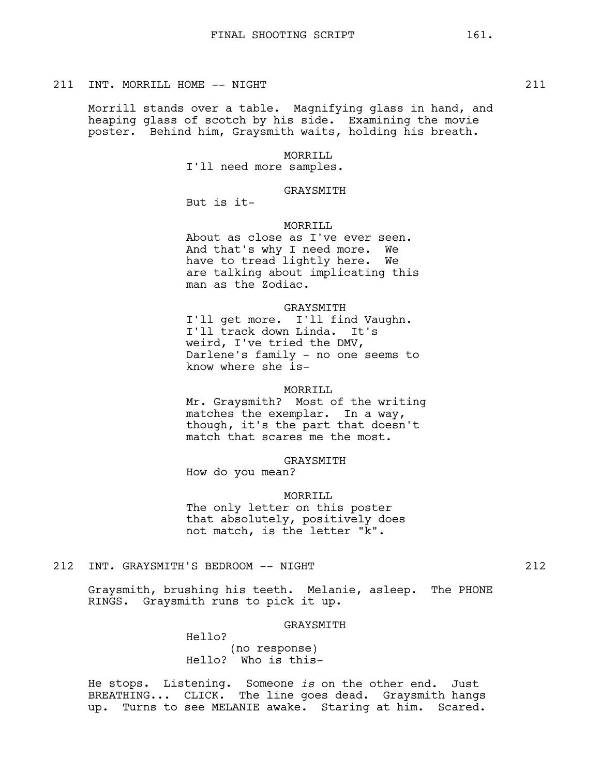#### 211 INT. MORRILL HOME -- NIGHT 211

Morrill stands over a table. Magnifying glass in hand, and heaping glass of scotch by his side. Examining the movie poster. Behind him, Graysmith waits, holding his breath.

## MORRILL

I'll need more samples.

#### GRAYSMITH

But is it-

## MORRTIJL

About as close as I've ever seen. And that's why I need more. We have to tread lightly here. We are talking about implicating this man as the Zodiac.

## GRAYSMITH

I'll get more. I'll find Vaughn. I'll track down Linda. It's weird, I've tried the DMV, Darlene's family - no one seems to know where she is-

#### MORRILL

Mr. Graysmith? Most of the writing matches the exemplar. In a way, though, it's the part that doesn't match that scares me the most.

#### GRAYSMITH

How do you mean?

#### MORRILL

The only letter on this poster that absolutely, positively does not match, is the letter "k".

## 212 INT. GRAYSMITH'S BEDROOM -- NIGHT 212

Graysmith, brushing his teeth. Melanie, asleep. The PHONE RINGS. Graysmith runs to pick it up.

#### GRAYSMITH

Hello?

(no response) Hello? Who is this-

He stops. Listening. Someone *is* on the other end. Just BREATHING... CLICK. The line goes dead. Graysmith hangs up. Turns to see MELANIE awake. Staring at him. Scared.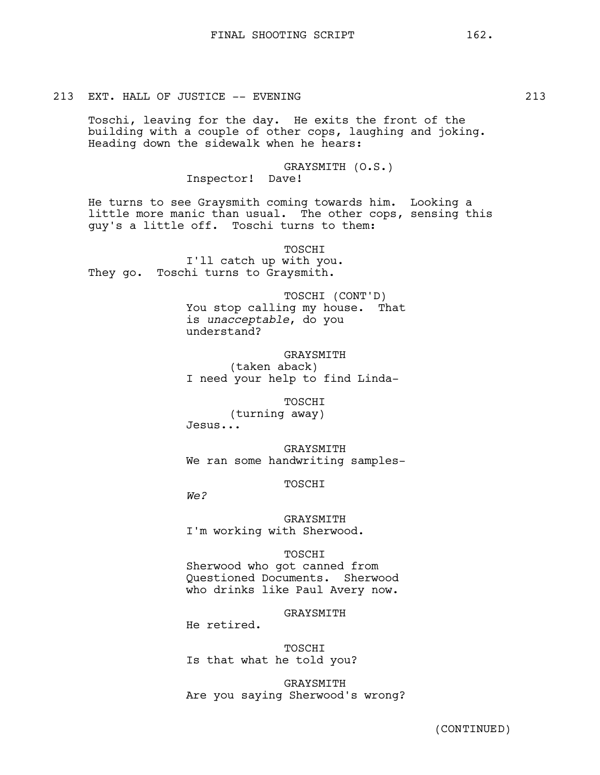## 213 EXT. HALL OF JUSTICE -- EVENING 213

Toschi, leaving for the day. He exits the front of the building with a couple of other cops, laughing and joking. Heading down the sidewalk when he hears:

> GRAYSMITH (O.S.) Inspector! Dave!

He turns to see Graysmith coming towards him. Looking a little more manic than usual. The other cops, sensing this guy's a little off. Toschi turns to them:

TOSCHI I'll catch up with you. They go. Toschi turns to Graysmith.

> TOSCHI (CONT'D) You stop calling my house. That is *unacceptable*, do you understand?

**GRAYSMITH** (taken aback) I need your help to find Linda-

TOSCHI (turning away) Jesus...

GRAYSMITH We ran some handwriting samples-

TOSCHI

*We?*

GRAYSMITH I'm working with Sherwood.

#### TOSCHI

Sherwood who got canned from Questioned Documents. Sherwood who drinks like Paul Avery now.

**GRAYSMITH** 

He retired.

TOSCHI Is that what he told you?

GRAYSMITH Are you saying Sherwood's wrong?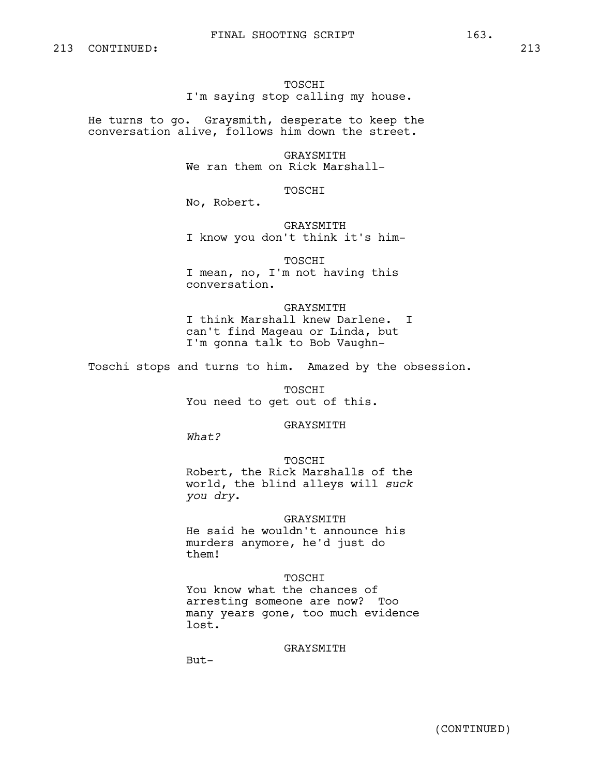## FINAL SHOOTING SCRIPT 163.

## TOSCHI I'm saying stop calling my house.

He turns to go. Graysmith, desperate to keep the conversation alive, follows him down the street.

> GRAYSMITH We ran them on Rick Marshall-

> > TOSCHI

No, Robert.

GRAYSMITH I know you don't think it's him-

TOSCHI I mean, no, I'm not having this conversation.

GRAYSMITH I think Marshall knew Darlene. I can't find Mageau or Linda, but I'm gonna talk to Bob Vaughn-

Toschi stops and turns to him. Amazed by the obsession.

TOSCHI You need to get out of this.

GRAYSMITH

*What?* 

TOSCHI

Robert, the Rick Marshalls of the world, the blind alleys will *suck you dry*.

#### GRAYSMITH

He said he wouldn't announce his murders anymore, he'd just do them!

#### TOSCHI

You know what the chances of arresting someone are now? Too many years gone, too much evidence lost.

GRAYSMITH

But-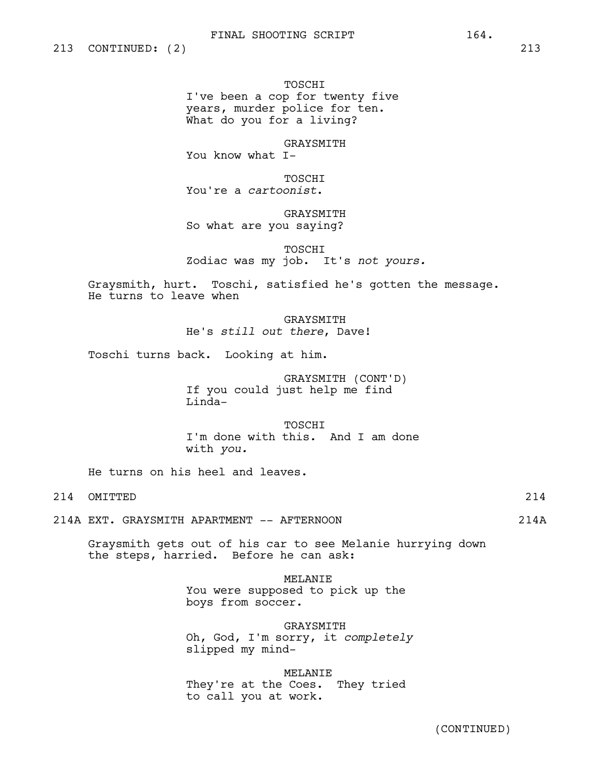TOSCHI I've been a cop for twenty five years, murder police for ten. What do you for a living?

GRAYSMITH You know what I-

TOSCHI You're a *cartoonist*.

GRAYSMITH So what are you saying?

TOSCHI Zodiac was my job. It's *not yours.*

Graysmith, hurt. Toschi, satisfied he's gotten the message. He turns to leave when

> GRAYSMITH He's *still out there*, Dave!

Toschi turns back. Looking at him.

GRAYSMITH (CONT'D) If you could just help me find Linda-

TOSCHI I'm done with this. And I am done with *you.*

He turns on his heel and leaves.

214 OMITTED 214

214A EXT. GRAYSMITH APARTMENT -- AFTERNOON 214A

Graysmith gets out of his car to see Melanie hurrying down the steps, harried. Before he can ask:

> MELANIE You were supposed to pick up the boys from soccer.

GRAYSMITH Oh, God, I'm sorry, it *completely* slipped my mind-

MELANIE

They're at the Coes. They tried to call you at work.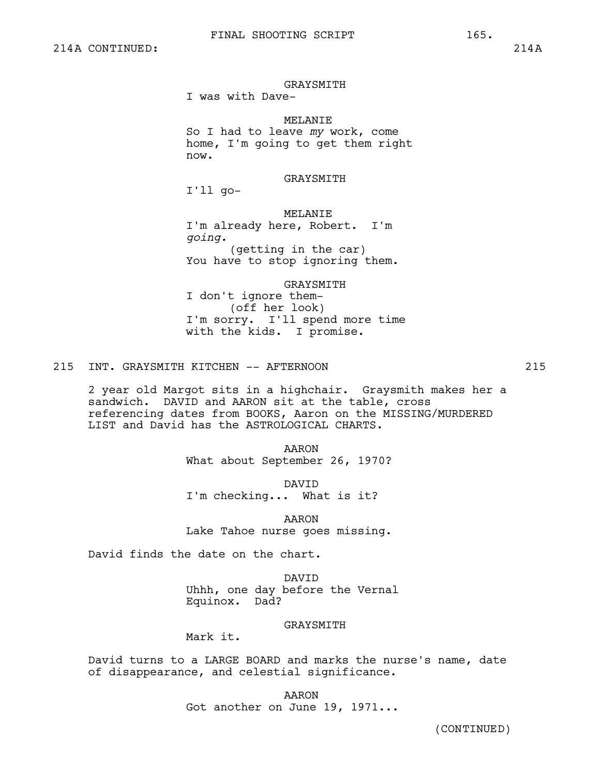GRAYSMITH

I was with Dave-

MELANIE

So I had to leave *my* work, come home, I'm going to get them right now.

GRAYSMITH

I'll go-

#### MELANIE

I'm already here, Robert. I'm *going.* (getting in the car) You have to stop ignoring them.

GRAYSMITH

I don't ignore them- (off her look) I'm sorry. I'll spend more time with the kids. I promise.

215 INT. GRAYSMITH KITCHEN -- AFTERNOON 215

2 year old Margot sits in a highchair. Graysmith makes her a sandwich. DAVID and AARON sit at the table, cross referencing dates from BOOKS, Aaron on the MISSING/MURDERED LIST and David has the ASTROLOGICAL CHARTS.

> AARON What about September 26, 1970?

DAVID I'm checking... What is it?

AARON Lake Tahoe nurse goes missing.

David finds the date on the chart.

DAVID Uhhh, one day before the Vernal Equinox. Dad?

## GRAYSMITH

Mark it.

David turns to a LARGE BOARD and marks the nurse's name, date of disappearance, and celestial significance.

> AARON Got another on June 19, 1971...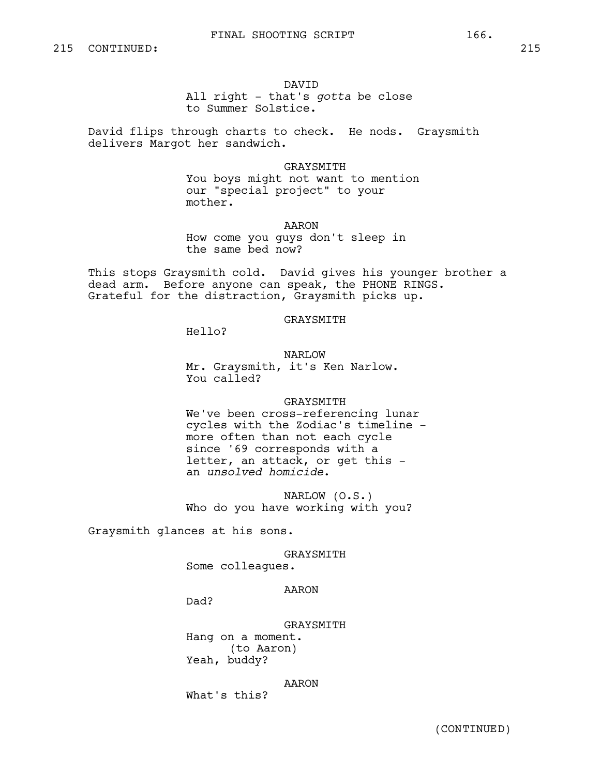#### DAVID

All right - that's *gotta* be close to Summer Solstice.

David flips through charts to check. He nods. Graysmith delivers Margot her sandwich.

## GRAYSMITH

You boys might not want to mention our "special project" to your mother.

AARON

How come you guys don't sleep in the same bed now?

This stops Graysmith cold. David gives his younger brother a dead arm. Before anyone can speak, the PHONE RINGS. Grateful for the distraction, Graysmith picks up.

#### GRAYSMITH

Hello?

NARLOW

Mr. Graysmith, it's Ken Narlow. You called?

#### GRAYSMITH

We've been cross-referencing lunar cycles with the Zodiac's timeline more often than not each cycle since '69 corresponds with a letter, an attack, or get this an *unsolved homicide*.

NARLOW (O.S.) Who do you have working with you?

Graysmith glances at his sons.

## GRAYSMITH

Some colleagues.

## AARON

Dad?

## GRAYSMITH Hang on a moment. (to Aaron) Yeah, buddy?

## AARON

What's this?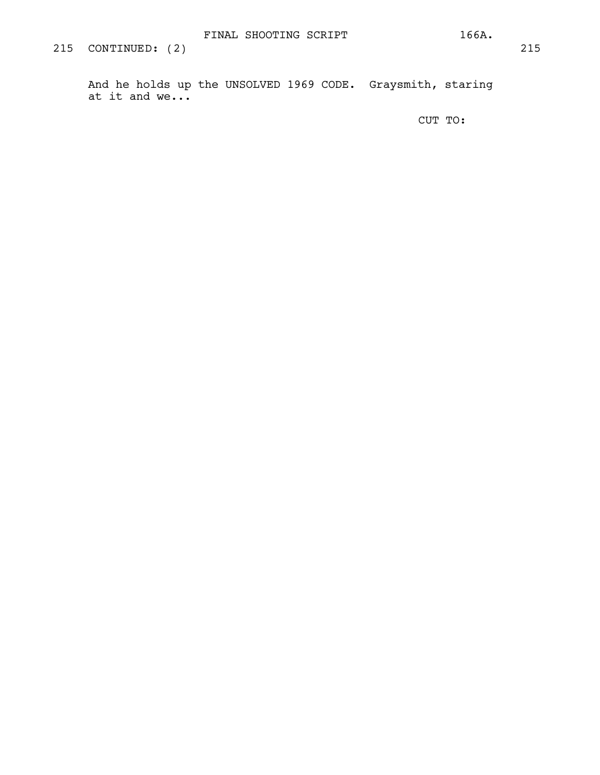And he holds up the UNSOLVED 1969 CODE. Graysmith, staring at it and we...

CUT TO: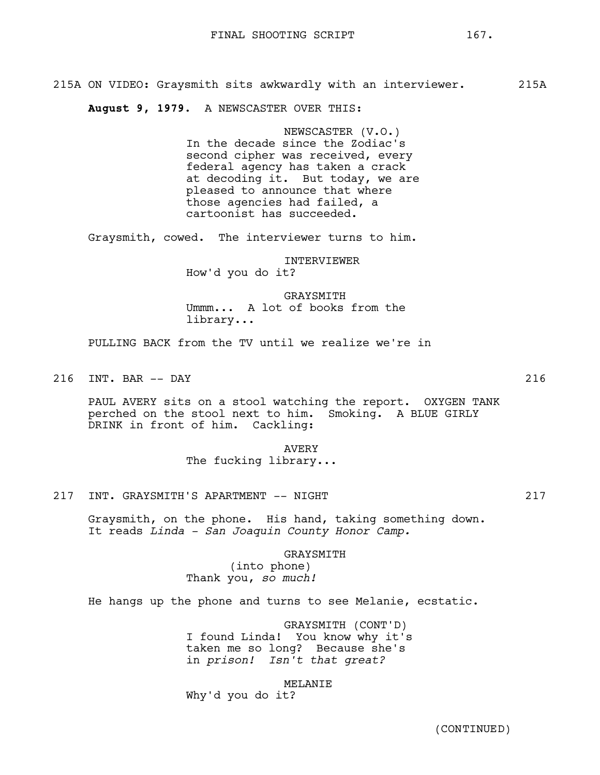215A ON VIDEO: Graysmith sits awkwardly with an interviewer. 215A

**August 9, 1979**. A NEWSCASTER OVER THIS:

NEWSCASTER (V.O.) In the decade since the Zodiac's second cipher was received, every federal agency has taken a crack at decoding it. But today, we are pleased to announce that where those agencies had failed, a cartoonist has succeeded.

Graysmith, cowed. The interviewer turns to him.

INTERVIEWER How'd you do it?

GRAYSMITH Ummm... A lot of books from the library...

PULLING BACK from the TV until we realize we're in

216 INT. BAR -- DAY 216

PAUL AVERY sits on a stool watching the report. OXYGEN TANK perched on the stool next to him. Smoking. A BLUE GIRLY DRINK in front of him. Cackling:

> AVERY The fucking library...

217 INT. GRAYSMITH'S APARTMENT -- NIGHT

Graysmith, on the phone. His hand, taking something down. It reads *Linda - San Joaquin County Honor Camp.*

> GRAYSMITH (into phone) Thank you, *so much!*

He hangs up the phone and turns to see Melanie, ecstatic.

GRAYSMITH (CONT'D) I found Linda! You know why it's taken me so long? Because she's in *prison! Isn't that great?*

MELANIE

Why'd you do it?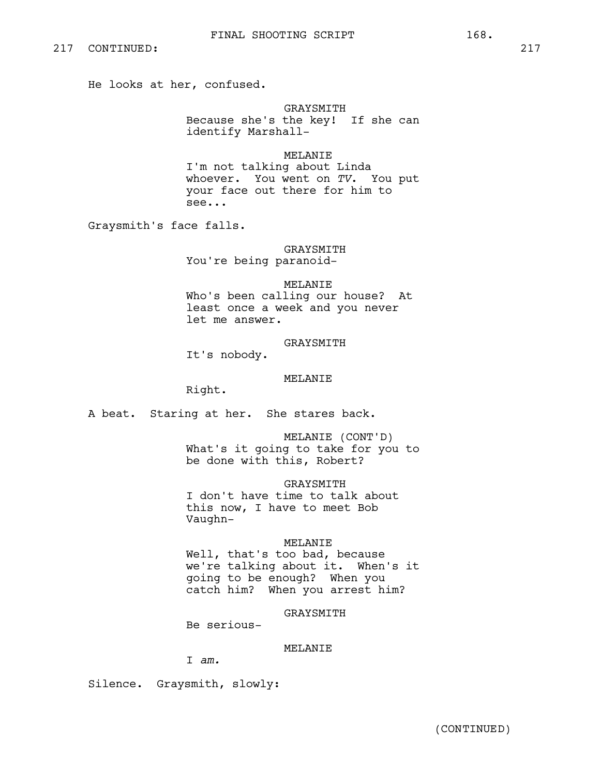He looks at her, confused.

## GRAYSMITH

Because she's the key! If she can identify Marshall-

## MELANIE

I'm not talking about Linda whoever. You went on *TV*. You put your face out there for him to see...

Graysmith's face falls.

## GRAYSMITH

You're being paranoid-

## MELANIE

Who's been calling our house? At least once a week and you never let me answer.

## GRAYSMITH

It's nobody.

## MELANIE

Right.

A beat. Staring at her. She stares back.

MELANIE (CONT'D) What's it going to take for you to be done with this, Robert?

## GRAYSMITH

I don't have time to talk about this now, I have to meet Bob Vaughn-

## MELANIE

Well, that's too bad, because we're talking about it. When's it going to be enough? When you catch him? When you arrest him?

## GRAYSMITH

Be serious-

## MELANIE

I *am.*

Silence. Graysmith, slowly: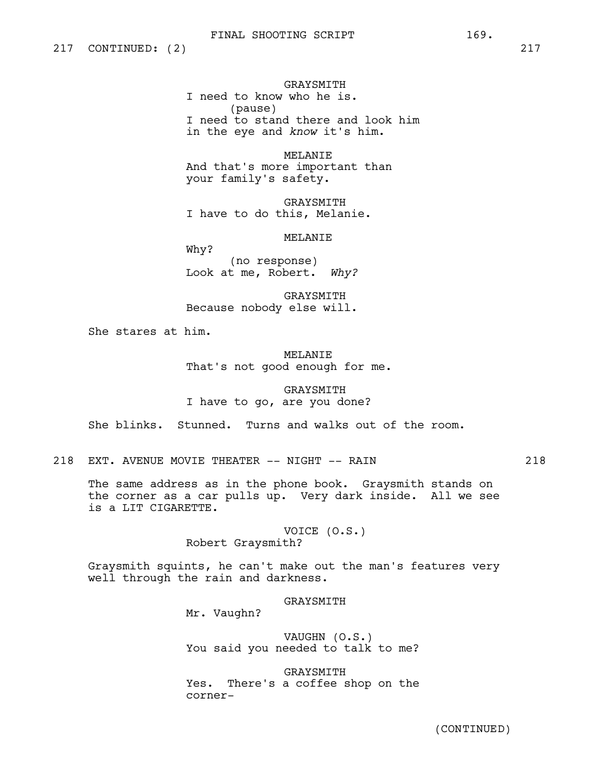GRAYSMITH

I need to know who he is. (pause) I need to stand there and look him in the eye and *know* it's him.

MELANIE And that's more important than your family's safety.

GRAYSMITH I have to do this, Melanie.

MELANIE

Why? (no response) Look at me, Robert. *Why?*

GRAYSMITH Because nobody else will.

She stares at him.

MELANIE That's not good enough for me.

GRAYSMITH I have to go, are you done?

She blinks. Stunned. Turns and walks out of the room.

218 EXT. AVENUE MOVIE THEATER -- NIGHT -- RAIN 218

The same address as in the phone book. Graysmith stands on the corner as a car pulls up. Very dark inside. All we see is a LIT CIGARETTE.

> VOICE (O.S.) Robert Graysmith?

Graysmith squints, he can't make out the man's features very well through the rain and darkness.

GRAYSMITH

Mr. Vaughn?

VAUGHN (O.S.) You said you needed to talk to me?

GRAYSMITH Yes. There's a coffee shop on the corner-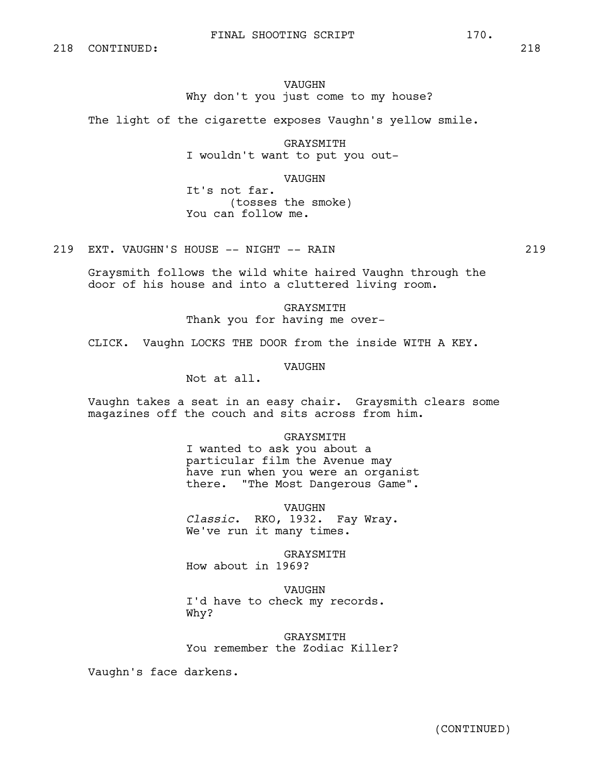## FINAL SHOOTING SCRIPT 170.

# VAUGHN Why don't you just come to my house?

The light of the cigarette exposes Vaughn's yellow smile.

GRAYSMITH I wouldn't want to put you out-

VAUGHN

It's not far. (tosses the smoke) You can follow me.

219 EXT. VAUGHN'S HOUSE -- NIGHT -- RAIN 219

Graysmith follows the wild white haired Vaughn through the door of his house and into a cluttered living room.

> GRAYSMITH Thank you for having me over-

CLICK. Vaughn LOCKS THE DOOR from the inside WITH A KEY.

VAUGHN

Not at all.

Vaughn takes a seat in an easy chair. Graysmith clears some magazines off the couch and sits across from him.

## GRAYSMITH

I wanted to ask you about a particular film the Avenue may have run when you were an organist there. "The Most Dangerous Game".

VAUGHN

*Classic*. RKO, 1932. Fay Wray. We've run it many times.

GRAYSMITH How about in 1969?

VAUGHN I'd have to check my records. Why?

GRAYSMITH You remember the Zodiac Killer?

Vaughn's face darkens.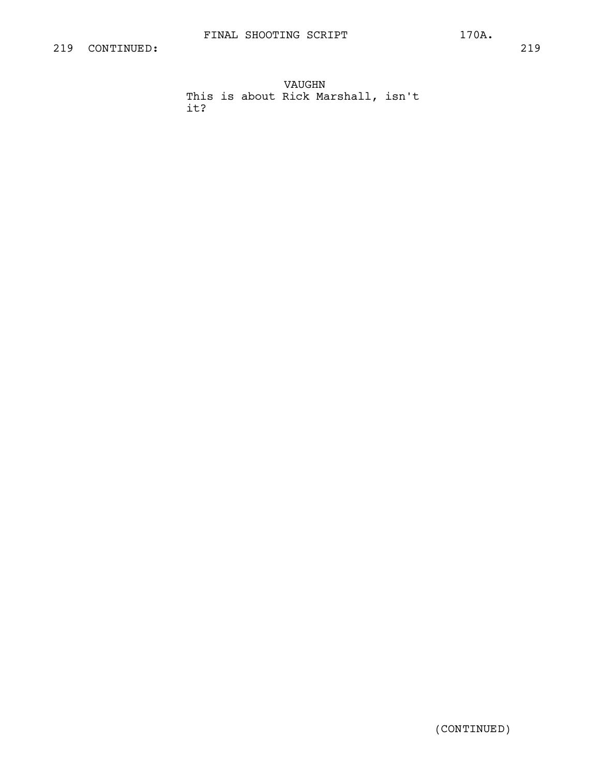it?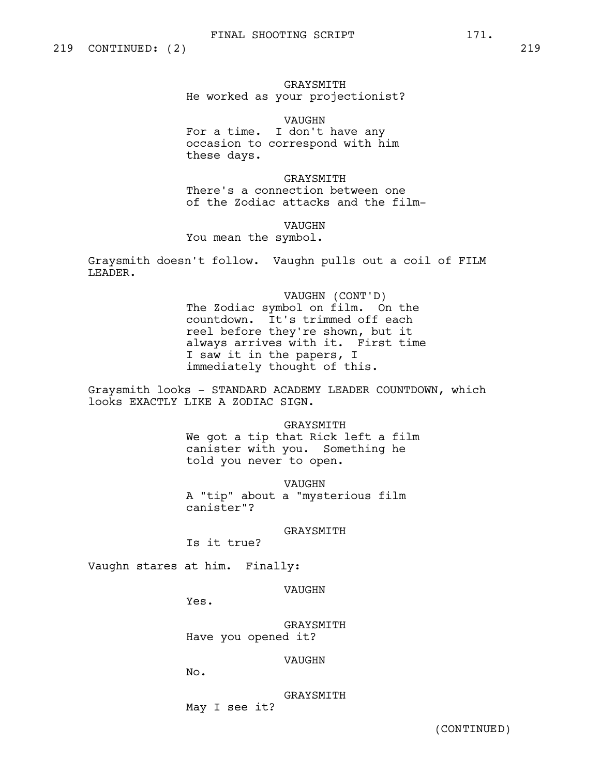GRAYSMITH He worked as your projectionist?

VAUGHN For a time. I don't have any occasion to correspond with him these days.

GRAYSMITH There's a connection between one of the Zodiac attacks and the film-

VAUGHN

You mean the symbol.

Graysmith doesn't follow. Vaughn pulls out a coil of FILM LEADER.

> VAUGHN (CONT'D) The Zodiac symbol on film. On the countdown. It's trimmed off each reel before they're shown, but it always arrives with it. First time I saw it in the papers, I immediately thought of this.

Graysmith looks - STANDARD ACADEMY LEADER COUNTDOWN, which looks EXACTLY LIKE A ZODIAC SIGN.

> GRAYSMITH We got a tip that Rick left a film canister with you. Something he told you never to open.

VAUGHN A "tip" about a "mysterious film canister"?

GRAYSMITH

Is it true?

Vaughn stares at him. Finally:

VAUGHN

Yes.

GRAYSMITH Have you opened it?

VAUGHN

No.

GRAYSMITH May I see it?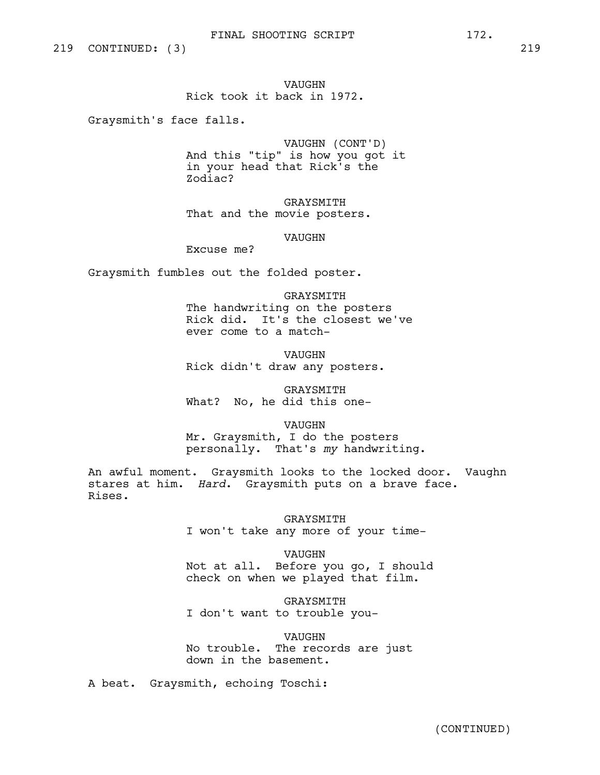# VAUGHN Rick took it back in 1972.

Graysmith's face falls.

VAUGHN (CONT'D) And this "tip" is how you got it in your head that Rick's the Zodiac?

GRAYSMITH That and the movie posters.

VAUGHN

Excuse me?

Graysmith fumbles out the folded poster.

GRAYSMITH The handwriting on the posters Rick did. It's the closest we've ever come to a match-

VAUGHN Rick didn't draw any posters.

GRAYSMITH What? No, he did this one-

VAUGHN Mr. Graysmith, I do the posters personally. That's *my* handwriting.

An awful moment. Graysmith looks to the locked door. Vaughn stares at him. *Hard*. Graysmith puts on a brave face. Rises.

> GRAYSMITH I won't take any more of your time-

VAUGHN Not at all. Before you go, I should check on when we played that film.

GRAYSMITH I don't want to trouble you-

VAUGHN No trouble. The records are just down in the basement.

A beat. Graysmith, echoing Toschi: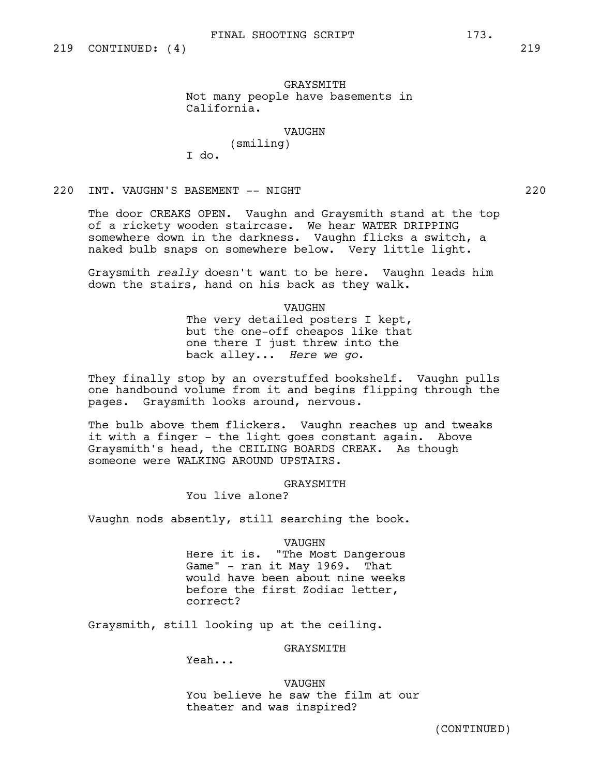GRAYSMITH Not many people have basements in California.

VAUGHN

(smiling) I do.

220 INT. VAUGHN'S BASEMENT -- NIGHT 220

The door CREAKS OPEN. Vaughn and Graysmith stand at the top of a rickety wooden staircase. We hear WATER DRIPPING somewhere down in the darkness. Vaughn flicks a switch, a naked bulb snaps on somewhere below. Very little light.

Graysmith *really* doesn't want to be here. Vaughn leads him down the stairs, hand on his back as they walk.

VAUGHN

The very detailed posters I kept, but the one-off cheapos like that one there I just threw into the back alley... *Here we go*.

They finally stop by an overstuffed bookshelf. Vaughn pulls one handbound volume from it and begins flipping through the pages. Graysmith looks around, nervous.

The bulb above them flickers. Vaughn reaches up and tweaks it with a finger - the light goes constant again. Above Graysmith's head, the CEILING BOARDS CREAK. As though someone were WALKING AROUND UPSTAIRS.

GRAYSMITH

You live alone?

Vaughn nods absently, still searching the book.

VAUGHN

Here it is. "The Most Dangerous Game" - ran it May 1969. That would have been about nine weeks before the first Zodiac letter, correct?

Graysmith, still looking up at the ceiling.

GRAYSMITH

Yeah...

VAUGHN You believe he saw the film at our theater and was inspired?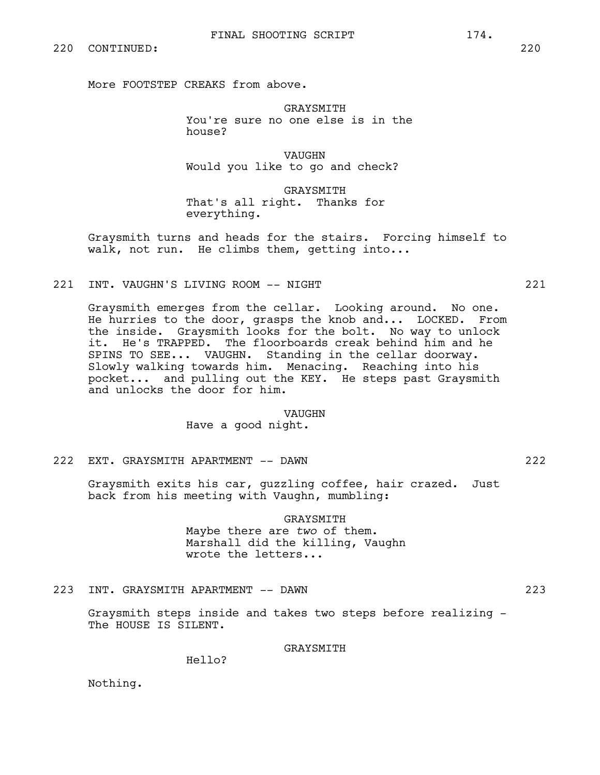More FOOTSTEP CREAKS from above.

GRAYSMITH You're sure no one else is in the house?

VAUGHN Would you like to go and check?

GRAYSMITH That's all right. Thanks for everything.

Graysmith turns and heads for the stairs. Forcing himself to walk, not run. He climbs them, getting into...

221 INT. VAUGHN'S LIVING ROOM -- NIGHT 221

Graysmith emerges from the cellar. Looking around. No one. He hurries to the door, grasps the knob and... LOCKED. From the inside. Graysmith looks for the bolt. No way to unlock it. He's TRAPPED. The floorboards creak behind him and he SPINS TO SEE... VAUGHN. Standing in the cellar doorway. Slowly walking towards him. Menacing. Reaching into his pocket... and pulling out the KEY. He steps past Graysmith and unlocks the door for him.

#### VAUGHN

Have a good night.

222 EXT. GRAYSMITH APARTMENT -- DAWN 222

Graysmith exits his car, guzzling coffee, hair crazed. Just back from his meeting with Vaughn, mumbling:

#### GRAYSMITH

Maybe there are *two* of them. Marshall did the killing, Vaughn wrote the letters...

223 INT. GRAYSMITH APARTMENT -- DAWN 223

Graysmith steps inside and takes two steps before realizing - The HOUSE IS SILENT.

# GRAYSMITH

Hello?

Nothing.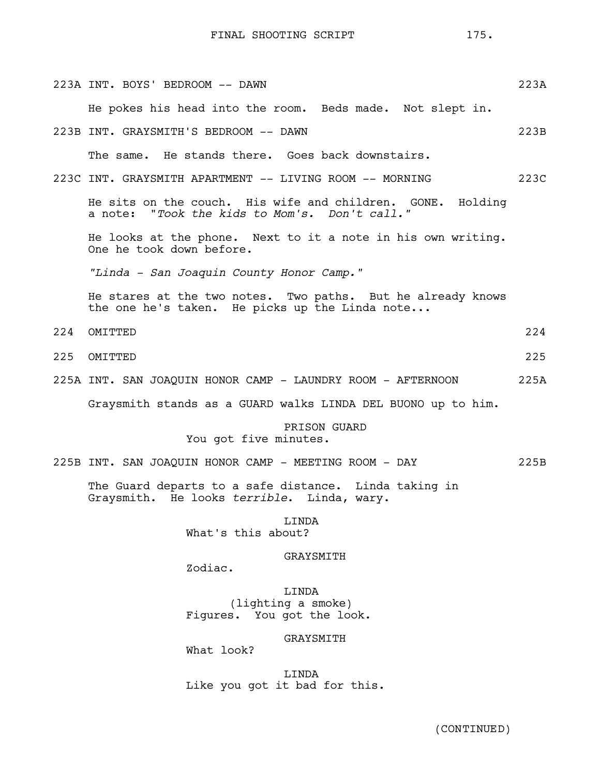FINAL SHOOTING SCRIPT 175.

|     | 223A INT. BOYS' BEDROOM -- DAWN                                                                               | 223A |
|-----|---------------------------------------------------------------------------------------------------------------|------|
|     | He pokes his head into the room. Beds made. Not slept in.                                                     |      |
|     | 223B INT. GRAYSMITH'S BEDROOM -- DAWN                                                                         | 223B |
|     | The same. He stands there. Goes back downstairs.                                                              |      |
|     | 223C INT. GRAYSMITH APARTMENT -- LIVING ROOM -- MORNING                                                       | 223C |
|     | He sits on the couch. His wife and children. GONE. Holding<br>a note: "Took the kids to Mom's. Don't call."   |      |
|     | He looks at the phone. Next to it a note in his own writing.<br>One he took down before.                      |      |
|     | "Linda - San Joaquin County Honor Camp."                                                                      |      |
|     | He stares at the two notes. Two paths. But he already knows<br>the one he's taken. He picks up the Linda note |      |
| 224 | OMITTED                                                                                                       | 224  |
| 225 | OMITTED                                                                                                       | 225  |
|     | 225A INT. SAN JOAQUIN HONOR CAMP - LAUNDRY ROOM - AFTERNOON                                                   | 225A |
|     | Graysmith stands as a GUARD walks LINDA DEL BUONO up to him.                                                  |      |
|     | PRISON GUARD<br>You got five minutes.                                                                         |      |
|     | 225B INT. SAN JOAQUIN HONOR CAMP - MEETING ROOM - DAY                                                         | 225B |
|     | The Guard departs to a safe distance. Linda taking in<br>Graysmith. He looks terrible. Linda, wary.           |      |
|     | LINDA<br>What's this about?                                                                                   |      |
|     | GRAYSMITH<br>Zodiac.                                                                                          |      |
|     | LINDA<br>(lighting a smoke)<br>Figures. You got the look.                                                     |      |
|     | GRAYSMITH<br>What look?                                                                                       |      |
|     | LINDA<br>Like you got it bad for this.                                                                        |      |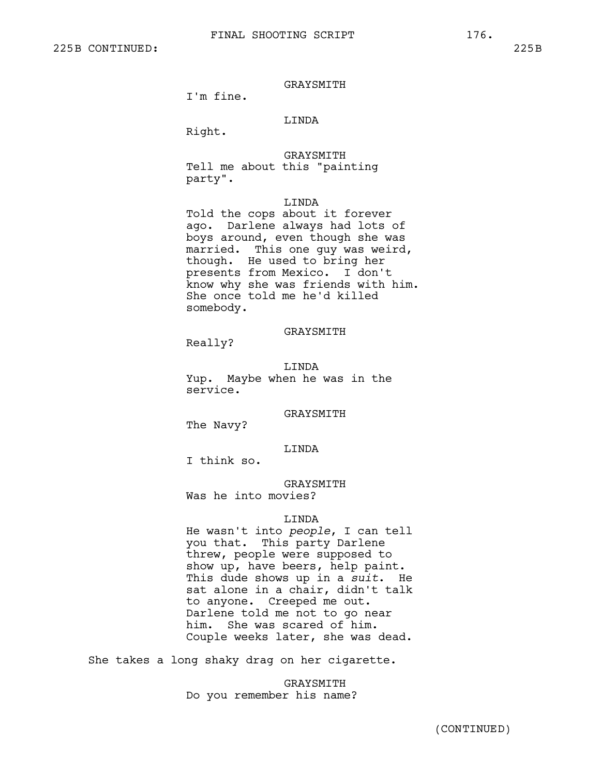I'm fine.

# LINDA

Right.

GRAYSMITH Tell me about this "painting party".

#### LINDA

Told the cops about it forever ago. Darlene always had lots of boys around, even though she was married. This one guy was weird, though. He used to bring her presents from Mexico. I don't know why she was friends with him. She once told me he'd killed somebody.

### GRAYSMITH

Really?

LINDA Yup. Maybe when he was in the service.

# GRAYSMITH

The Navy?

#### LINDA

I think so.

# GRAYSMITH

Was he into movies?

#### LINDA

He wasn't into *people*, I can tell you that. This party Darlene threw, people were supposed to show up, have beers, help paint. This dude shows up in a *suit*. He sat alone in a chair, didn't talk to anyone. Creeped me out. Darlene told me not to go near him. She was scared of him. Couple weeks later, she was dead.

She takes a long shaky drag on her cigarette.

GRAYSMITH Do you remember his name?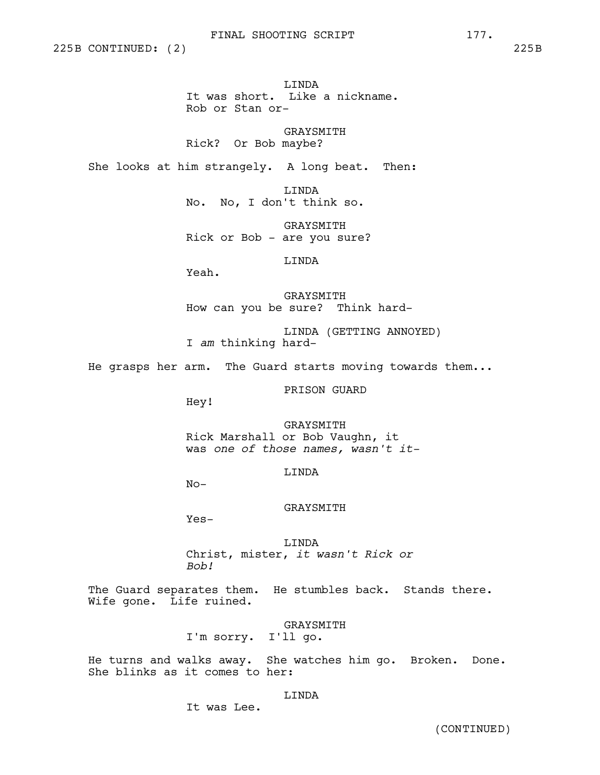225B CONTINUED: (2) 225B

LINDA It was short. Like a nickname. Rob or Stan or-

GRAYSMITH Rick? Or Bob maybe?

She looks at him strangely. A long beat. Then:

LINDA No. No, I don't think so.

GRAYSMITH Rick or Bob - are you sure?

LINDA

Yeah.

GRAYSMITH How can you be sure? Think hard-

LINDA (GETTING ANNOYED) I *am* thinking hard-

He grasps her arm. The Guard starts moving towards them...

PRISON GUARD

Hey!

GRAYSMITH Rick Marshall or Bob Vaughn, it was *one of those names, wasn't it-*

LINDA

 $No-$ 

### GRAYSMITH

Yes-

LINDA Christ, mister, *it wasn't Rick or Bob!*

The Guard separates them. He stumbles back. Stands there. Wife gone. Life ruined.

# GRAYSMITH

I'm sorry. I'll go.

He turns and walks away. She watches him go. Broken. Done. She blinks as it comes to her:

# LINDA

It was Lee.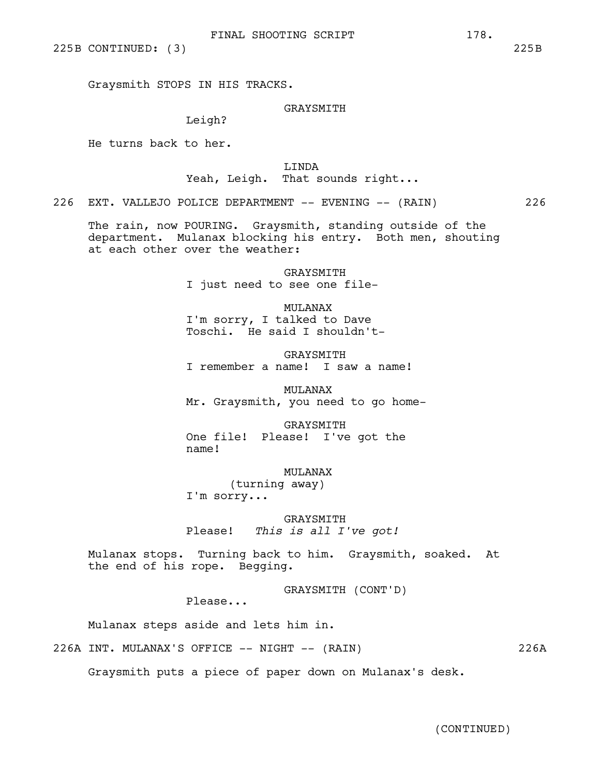225B CONTINUED: (3) 225B

Graysmith STOPS IN HIS TRACKS.

# GRAYSMITH

Leigh?

He turns back to her.

LINDA

Yeah, Leigh. That sounds right...

226 EXT. VALLEJO POLICE DEPARTMENT -- EVENING -- (RAIN) 226

The rain, now POURING. Graysmith, standing outside of the department. Mulanax blocking his entry. Both men, shouting at each other over the weather:

> **GRAYSMITH** I just need to see one file-

MULANAX I'm sorry, I talked to Dave Toschi. He said I shouldn't-

GRAYSMITH I remember a name! I saw a name!

MULANAX Mr. Graysmith, you need to go home-

GRAYSMITH One file! Please! I've got the name!

MULANAX (turning away) I'm sorry...

GRAYSMITH Please! *This is all I've got!*

Mulanax stops. Turning back to him. Graysmith, soaked. At the end of his rope. Begging.

GRAYSMITH (CONT'D)

Please...

Mulanax steps aside and lets him in.

226A INT. MULANAX'S OFFICE -- NIGHT -- (RAIN) 226A

Graysmith puts a piece of paper down on Mulanax's desk.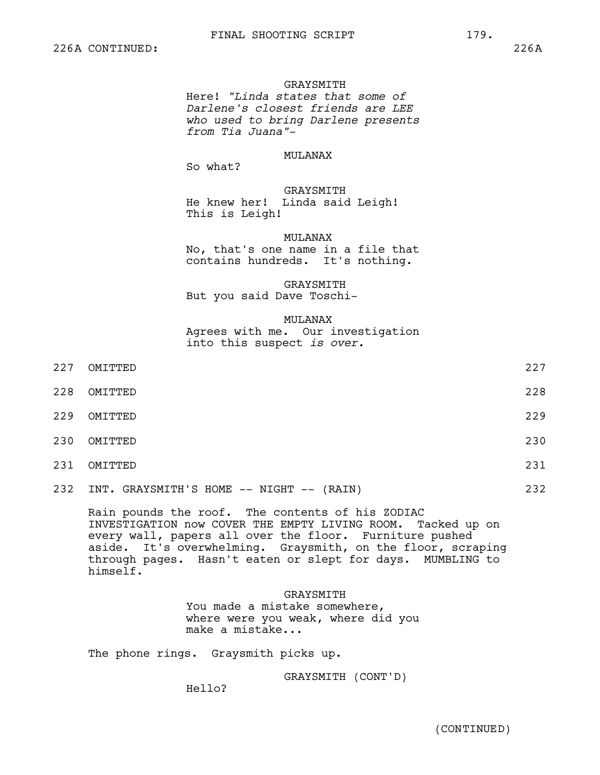#### GRAYSMITH

Here! *"Linda states that some of Darlene's closest friends are LEE who used to bring Darlene presents from Tia Juana"*-

# MULANAX

So what?

GRAYSMITH He knew her! Linda said Leigh! This is Leigh!

#### MULANAX

No, that's one name in a file that contains hundreds. It's nothing.

# GRAYSMITH

But you said Dave Toschi-

#### MULANAX

Agrees with me. Our investigation into this suspect *is over.*

| 227 | OMITTED | 227 |
|-----|---------|-----|
| 228 | OMITTED | 228 |
| 229 | OMITTED | 229 |
| 230 | OMITTED | 230 |
| 231 | OMITTED | 231 |
|     |         |     |

232 INT. GRAYSMITH'S HOME -- NIGHT -- (RAIN) 232

Rain pounds the roof. The contents of his ZODIAC INVESTIGATION now COVER THE EMPTY LIVING ROOM. Tacked up on every wall, papers all over the floor. Furniture pushed aside. It's overwhelming. Graysmith, on the floor, scraping through pages. Hasn't eaten or slept for days. MUMBLING to himself.

#### GRAYSMITH

You made a mistake somewhere, where were you weak, where did you make a mistake...

The phone rings. Graysmith picks up.

GRAYSMITH (CONT'D)

Hello?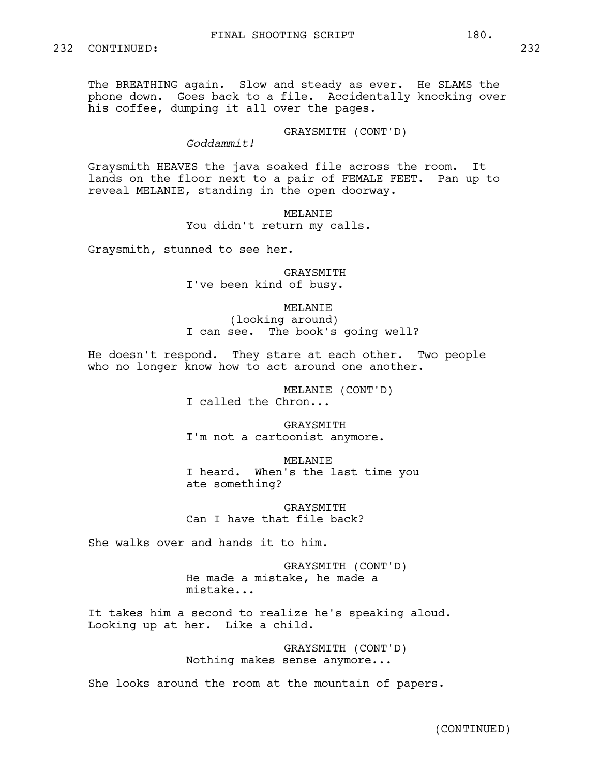The BREATHING again. Slow and steady as ever. He SLAMS the phone down. Goes back to a file. Accidentally knocking over his coffee, dumping it all over the pages.

GRAYSMITH (CONT'D)

*Goddammit!*

Graysmith HEAVES the java soaked file across the room. It lands on the floor next to a pair of FEMALE FEET. Pan up to reveal MELANIE, standing in the open doorway.

> MELANIE You didn't return my calls.

Graysmith, stunned to see her.

**GRAYSMITH** I've been kind of busy.

MELANIE (looking around) I can see. The book's going well?

He doesn't respond. They stare at each other. Two people who no longer know how to act around one another.

> MELANIE (CONT'D) I called the Chron...

GRAYSMITH I'm not a cartoonist anymore.

MELANTE I heard. When's the last time you ate something?

GRAYSMITH Can I have that file back?

She walks over and hands it to him.

GRAYSMITH (CONT'D) He made a mistake, he made a mistake...

It takes him a second to realize he's speaking aloud. Looking up at her. Like a child.

> GRAYSMITH (CONT'D) Nothing makes sense anymore...

She looks around the room at the mountain of papers.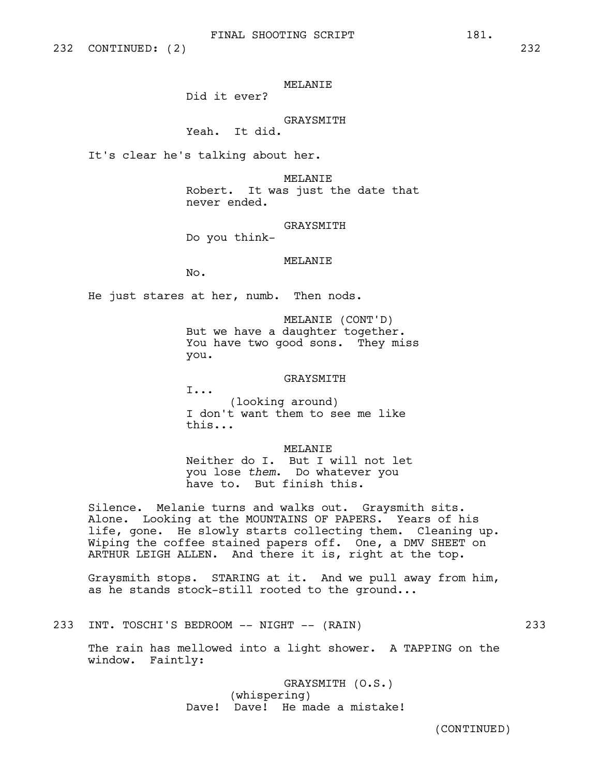# MELANIE

Did it ever?

# GRAYSMITH

Yeah. It did.

It's clear he's talking about her.

MELANIE Robert. It was just the date that never ended.

GRAYSMITH

Do you think-

MELANIE

No.

He just stares at her, numb. Then nods.

MELANIE (CONT'D) But we have a daughter together. You have two good sons. They miss you.

#### GRAYSMITH

I...

(looking around) I don't want them to see me like this...

MELANIE

Neither do I. But I will not let you lose *them*. Do whatever you have to. But finish this.

Silence. Melanie turns and walks out. Graysmith sits. Alone. Looking at the MOUNTAINS OF PAPERS. Years of his life, gone. He slowly starts collecting them. Cleaning up. Wiping the coffee stained papers off. One, a DMV SHEET on ARTHUR LEIGH ALLEN. And there it is, right at the top.

Graysmith stops. STARING at it. And we pull away from him, as he stands stock-still rooted to the ground...

233 INT. TOSCHI'S BEDROOM -- NIGHT -- (RAIN) 233

The rain has mellowed into a light shower. A TAPPING on the window. Faintly:

> GRAYSMITH (O.S.) (whispering) Dave! Dave! He made a mistake!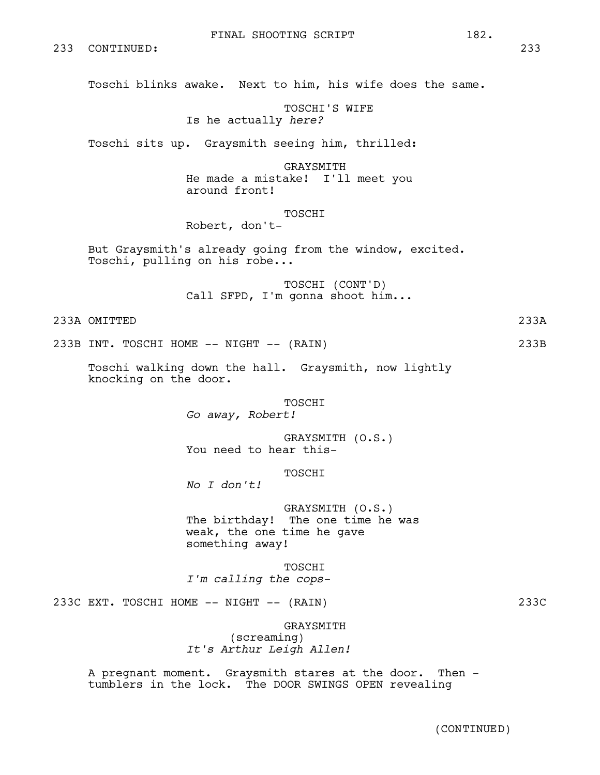Toschi blinks awake. Next to him, his wife does the same.

TOSCHI'S WIFE Is he actually *here?*

Toschi sits up. Graysmith seeing him, thrilled:

GRAYSMITH He made a mistake! I'll meet you around front!

TOSCHI

Robert, don't-

But Graysmith's already going from the window, excited. Toschi, pulling on his robe...

> TOSCHI (CONT'D) Call SFPD, I'm gonna shoot him...

233A OMITTED 233A

233B INT. TOSCHI HOME -- NIGHT -- (RAIN) 233B

Toschi walking down the hall. Graysmith, now lightly knocking on the door.

> TOSCHI *Go away, Robert!*

GRAYSMITH (O.S.) You need to hear this-

# TOSCHI

*No I don't!* 

GRAYSMITH (O.S.) The birthday! The one time he was weak, the one time he gave something away!

TOSCHI *I'm calling the cops-*

233C EXT. TOSCHI HOME -- NIGHT -- (RAIN) 233C

GRAYSMITH (screaming) *It's Arthur Leigh Allen!*

A pregnant moment. Graysmith stares at the door. Then tumblers in the lock. The DOOR SWINGS OPEN revealing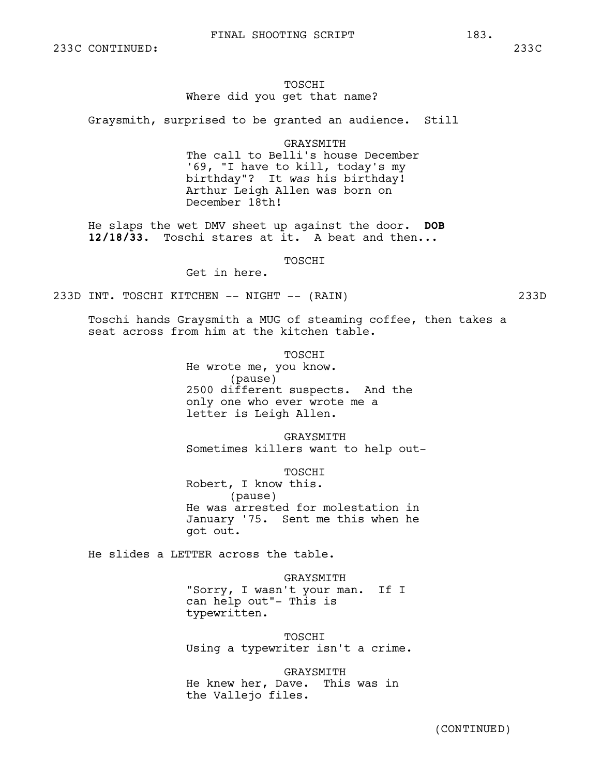# TOSCHI Where did you get that name?

Graysmith, surprised to be granted an audience. Still

GRAYSMITH

The call to Belli's house December '69, "I have to kill, today's my birthday"? It *was* his birthday! Arthur Leigh Allen was born on December 18th!

He slaps the wet DMV sheet up against the door. **DOB 12/18/33**. Toschi stares at it. A beat and then...

**TOSCHT** 

Get in here.

233D INT. TOSCHI KITCHEN -- NIGHT -- (RAIN) 233D

Toschi hands Graysmith a MUG of steaming coffee, then takes a seat across from him at the kitchen table.

TOSCHI

He wrote me, you know. (pause) 2500 different suspects. And the only one who ever wrote me a letter is Leigh Allen.

GRAYSMITH Sometimes killers want to help out-

TOSCHI Robert, I know this. (pause) He was arrested for molestation in January '75. Sent me this when he got out.

He slides a LETTER across the table.

GRAYSMITH "Sorry, I wasn't your man. If I can help out"- This is typewritten.

TOSCHI Using a typewriter isn't a crime.

GRAYSMITH He knew her, Dave. This was in the Vallejo files.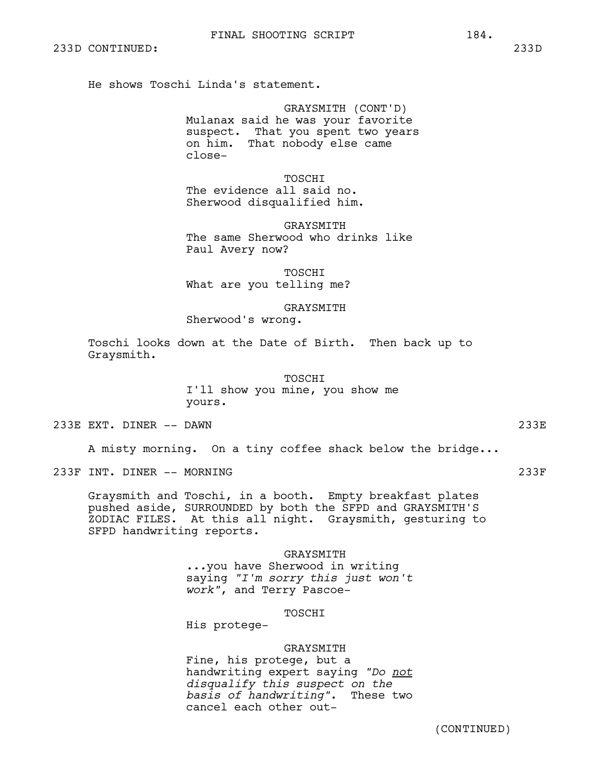He shows Toschi Linda's statement.

GRAYSMITH (CONT'D) Mulanax said he was your favorite suspect. That you spent two years on him. That nobody else came close-

TOSCHI The evidence all said no. Sherwood disqualified him.

**GRAYSMITH** The same Sherwood who drinks like Paul Avery now?

TOSCHI What are you telling me?

GRAYSMITH Sherwood's wrong.

Toschi looks down at the Date of Birth. Then back up to Graysmith.

> TOSCHI I'll show you mine, you show me yours.

233E EXT. DINER -- DAWN 233E

A misty morning. On a tiny coffee shack below the bridge...

233F INT. DINER -- MORNING 233F

Graysmith and Toschi, in a booth. Empty breakfast plates pushed aside, SURROUNDED by both the SFPD and GRAYSMITH'S ZODIAC FILES. At this all night. Graysmith, gesturing to SFPD handwriting reports.

### GRAYSMITH

...you have Sherwood in writing saying *"I'm sorry this just won't work"*, and Terry Pascoe-

TOSCHI

His protege-

#### GRAYSMITH

Fine, his protege, but a handwriting expert saying *"Do not disqualify this suspect on the basis of handwriting"*. cancel each other out-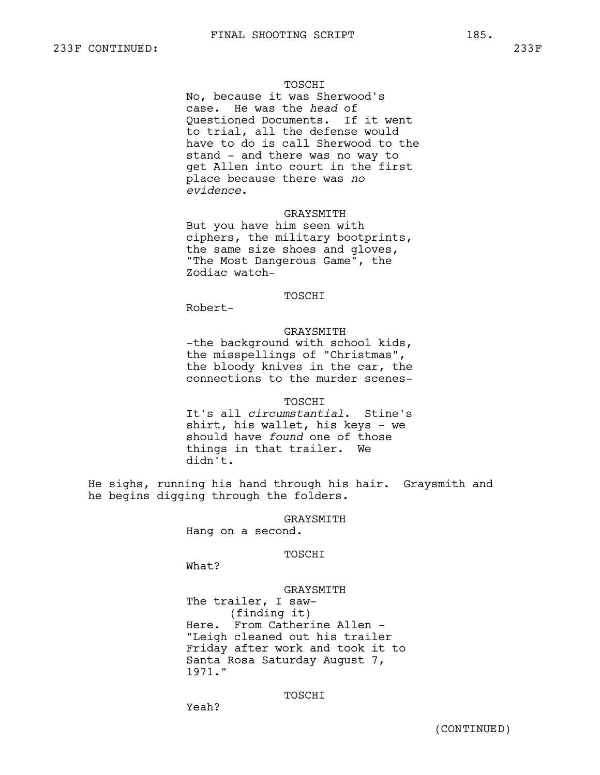## TOSCHI

No, because it was Sherwood's case. He was the *head* of Questioned Documents. If it went to trial, all the defense would have to do is call Sherwood to the stand - and there was no way to get Allen into court in the first place because there was *no evidence*.

#### GRAYSMITH

But you have him seen with ciphers, the military bootprints, the same size shoes and gloves, "The Most Dangerous Game", the Zodiac watch-

# TOSCHI

Robert-

#### GRAYSMITH

-the background with school kids, the misspellings of "Christmas", the bloody knives in the car, the connections to the murder scenes-

#### **TOSCHT**

It's all *circumstantial*. Stine's shirt, his wallet, his keys - we should have *found* one of those things in that trailer. We didn't.

He sighs, running his hand through his hair. Graysmith and he begins digging through the folders.

# GRAYSMITH

Hang on a second.

# TOSCHI

What?

#### GRAYSMITH

The trailer, I saw- (finding it) Here. From Catherine Allen - "Leigh cleaned out his trailer Friday after work and took it to Santa Rosa Saturday August 7, 1971."

# TOSCHI

Yeah?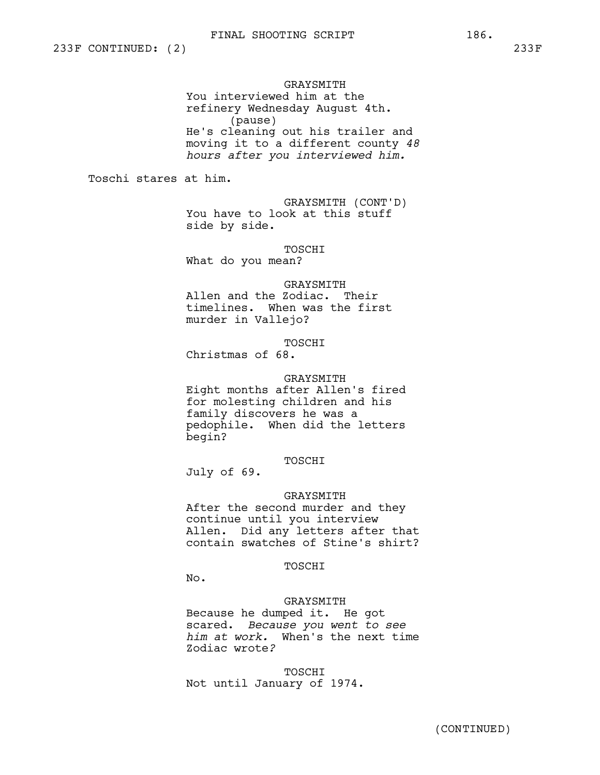# GRAYSMITH You interviewed him at the refinery Wednesday August 4th. (pause) He's cleaning out his trailer and moving it to a different county *48 hours after you interviewed him.*

Toschi stares at him.

GRAYSMITH (CONT'D) You have to look at this stuff side by side.

TOSCHI

What do you mean?

#### GRAYSMITH

Allen and the Zodiac. Their timelines. When was the first murder in Vallejo?

TOSCHI

Christmas of 68.

#### GRAYSMITH

Eight months after Allen's fired for molesting children and his family discovers he was a pedophile. When did the letters begin?

# TOSCHI

July of 69.

#### GRAYSMITH

After the second murder and they continue until you interview Allen. Did any letters after that contain swatches of Stine's shirt?

# TOSCHI

No.

#### GRAYSMITH

Because he dumped it. He got scared. *Because you went to see him at work.* When's the next time Zodiac wrote*?*

TOSCHI Not until January of 1974.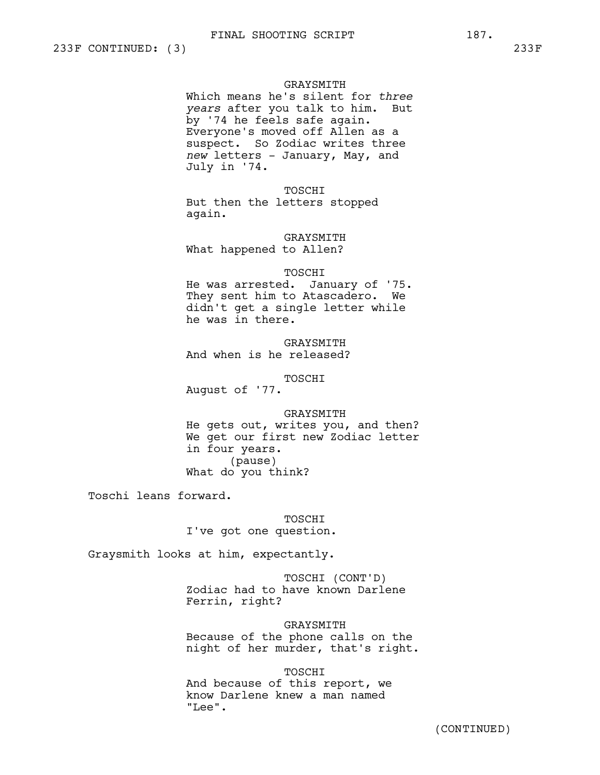#### GRAYSMITH

Which means he's silent for *three years* after you talk to him. But by '74 he feels safe again. Everyone's moved off Allen as a suspect. So Zodiac writes three *new* letters - January, May, and July in '74.

TOSCHI

But then the letters stopped again.

GRAYSMITH What happened to Allen?

#### TOSCHI

He was arrested. January of '75. They sent him to Atascadero. We didn't get a single letter while he was in there.

GRAYSMITH And when is he released?

TOSCHI

August of '77.

GRAYSMITH

He gets out, writes you, and then? We get our first new Zodiac letter in four years. (pause) What do you think?

Toschi leans forward.

TOSCHI I've got one question.

Graysmith looks at him, expectantly.

TOSCHI (CONT'D) Zodiac had to have known Darlene Ferrin, right?

GRAYSMITH Because of the phone calls on the night of her murder, that's right.

TOSCHI

And because of this report, we know Darlene knew a man named "Lee".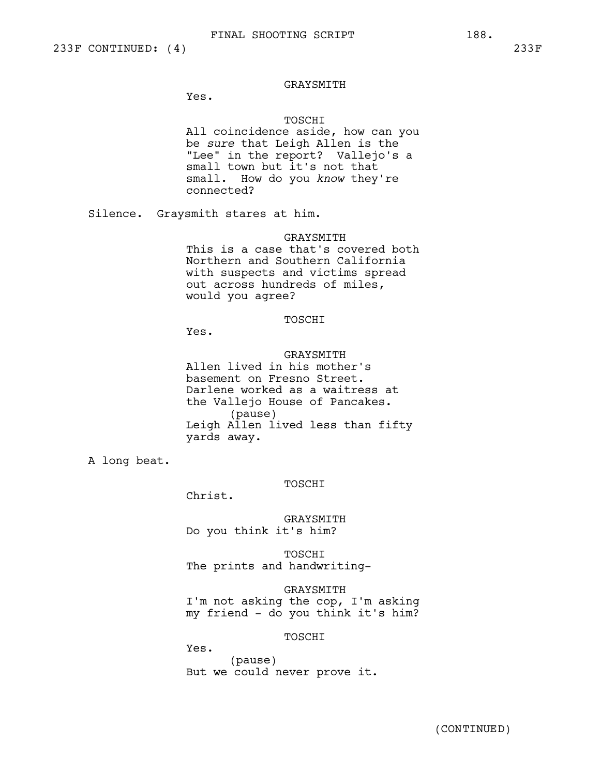Yes.

# TOSCHI

All coincidence aside, how can you be *sure* that Leigh Allen is the "Lee" in the report? Vallejo's a small town but it's not that small. How do you *know* they're connected?

Silence. Graysmith stares at him.

GRAYSMITH

This is a case that's covered both Northern and Southern California with suspects and victims spread out across hundreds of miles, would you agree?

#### TOSCHI

Yes.

# GRAYSMITH

Allen lived in his mother's basement on Fresno Street. Darlene worked as a waitress at the Vallejo House of Pancakes. (pause) Leigh Allen lived less than fifty yards away.

A long beat.

TOSCHI

Christ.

GRAYSMITH Do you think it's him?

TOSCHI The prints and handwriting-

GRAYSMITH I'm not asking the cop, I'm asking my friend - do you think it's him?

TOSCHI

Yes. (pause) But we could never prove it.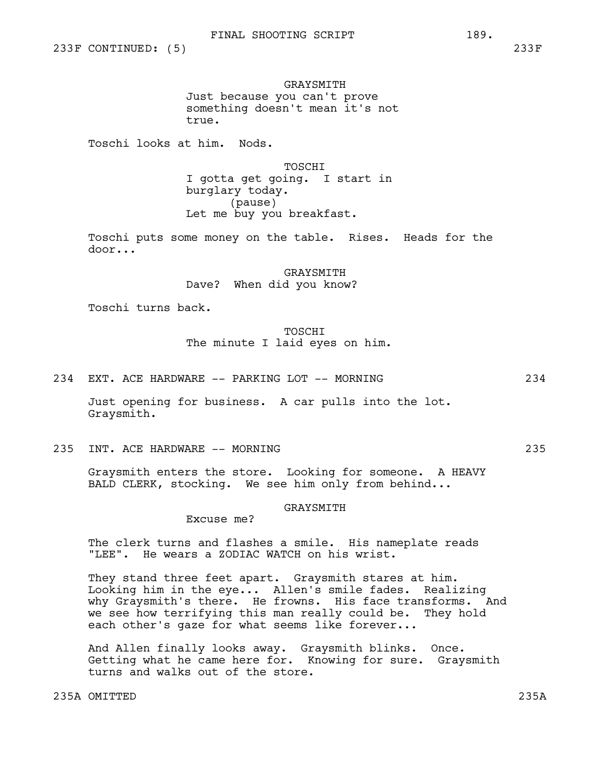GRAYSMITH Just because you can't prove something doesn't mean it's not true.

Toschi looks at him. Nods.

TOSCHI I gotta get going. I start in burglary today. (pause) Let me buy you breakfast.

Toschi puts some money on the table. Rises. Heads for the door...

> **GRAYSMITH** Dave? When did you know?

Toschi turns back.

# **TOSCHT** The minute I laid eyes on him.

234 EXT. ACE HARDWARE -- PARKING LOT -- MORNING 234

Just opening for business. A car pulls into the lot. Graysmith.

235 INT. ACE HARDWARE -- MORNING 235

Graysmith enters the store. Looking for someone. A HEAVY BALD CLERK, stocking. We see him only from behind...

### GRAYSMITH

Excuse me?

The clerk turns and flashes a smile. His nameplate reads "LEE". He wears a ZODIAC WATCH on his wrist.

They stand three feet apart. Graysmith stares at him. Looking him in the eye... Allen's smile fades. Realizing why Graysmith's there. He frowns. His face transforms. And we see how terrifying this man really could be. They hold each other's gaze for what seems like forever...

And Allen finally looks away. Graysmith blinks. Once. Getting what he came here for. Knowing for sure. Graysmith turns and walks out of the store.

235A OMITTED 235A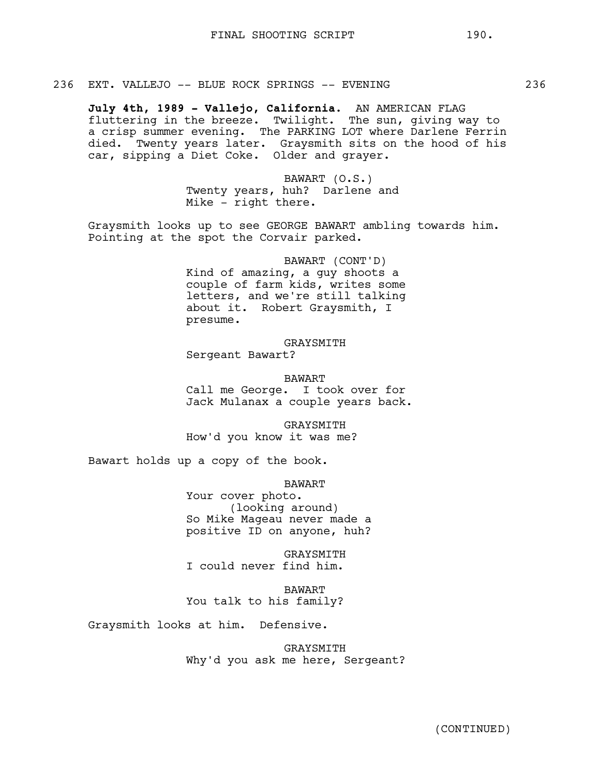**July 4th, 1989 - Vallejo, California.** AN AMERICAN FLAG fluttering in the breeze. Twilight. The sun, giving way to a crisp summer evening. The PARKING LOT where Darlene Ferrin died. Twenty years later. Graysmith sits on the hood of his car, sipping a Diet Coke. Older and grayer.

> BAWART (O.S.) Twenty years, huh? Darlene and Mike - right there.

Graysmith looks up to see GEORGE BAWART ambling towards him. Pointing at the spot the Corvair parked.

> BAWART (CONT'D) Kind of amazing, a guy shoots a couple of farm kids, writes some letters, and we're still talking about it. Robert Graysmith, I presume.

GRAYSMITH Sergeant Bawart?

BAWART Call me George. I took over for Jack Mulanax a couple years back.

GRAYSMITH How'd you know it was me?

Bawart holds up a copy of the book.

BAWART

Your cover photo. (looking around) So Mike Mageau never made a positive ID on anyone, huh?

GRAYSMITH I could never find him.

BAWART You talk to his family?

Graysmith looks at him. Defensive.

GRAYSMITH Why'd you ask me here, Sergeant?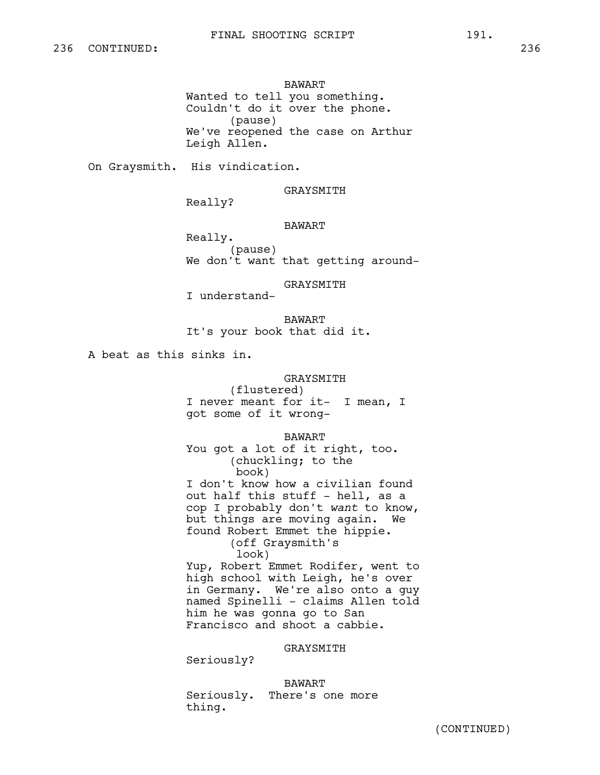# BAWART Wanted to tell you something. Couldn't do it over the phone. (pause) We've reopened the case on Arthur Leigh Allen.

On Graysmith. His vindication.

GRAYSMITH

Really?

# BAWART

Really. (pause) We don't want that getting around-

GRAYSMITH

I understand-

BAWART It's your book that did it.

A beat as this sinks in.

# GRAYSMITH

(flustered) I never meant for it- I mean, I got some of it wrong-

BAWART

You got a lot of it right, too. (chuckling; to the book) I don't know how a civilian found out half this stuff - hell, as a cop I probably don't *want* to know, but things are moving again. We found Robert Emmet the hippie. (off Graysmith's look) Yup, Robert Emmet Rodifer, went to high school with Leigh, he's over in Germany. We're also onto a guy

named Spinelli - claims Allen told him he was gonna go to San Francisco and shoot a cabbie.

GRAYSMITH

Seriously?

BAWART Seriously. There's one more thing.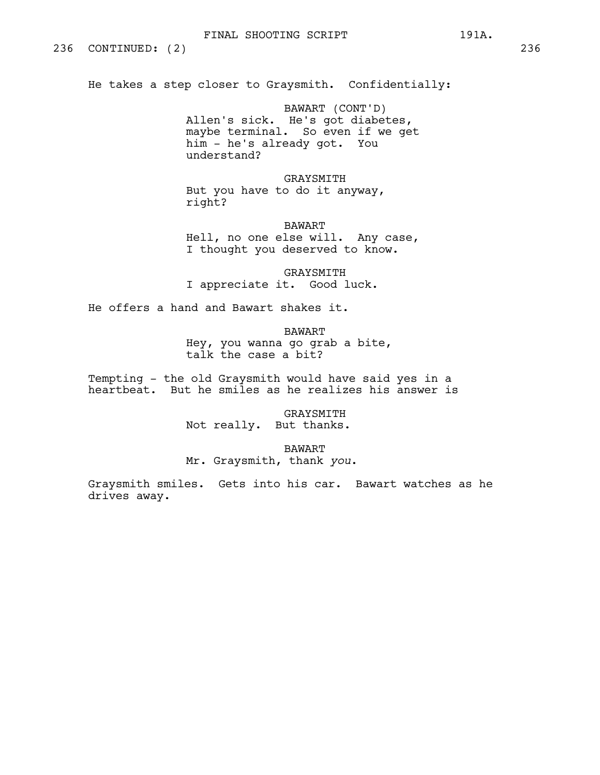He takes a step closer to Graysmith. Confidentially:

BAWART (CONT'D) Allen's sick. He's got diabetes, maybe terminal. So even if we get him - he's already got. You understand?

GRAYSMITH But you have to do it anyway, right?

BAWART Hell, no one else will. Any case, I thought you deserved to know.

**GRAYSMITH** I appreciate it. Good luck.

He offers a hand and Bawart shakes it.

BAWART Hey, you wanna go grab a bite, talk the case a bit?

Tempting - the old Graysmith would have said yes in a heartbeat. But he smiles as he realizes his answer is

> GRAYSMITH Not really. But thanks.

> > BAWART

Mr. Graysmith, thank *you*.

Graysmith smiles. Gets into his car. Bawart watches as he drives away.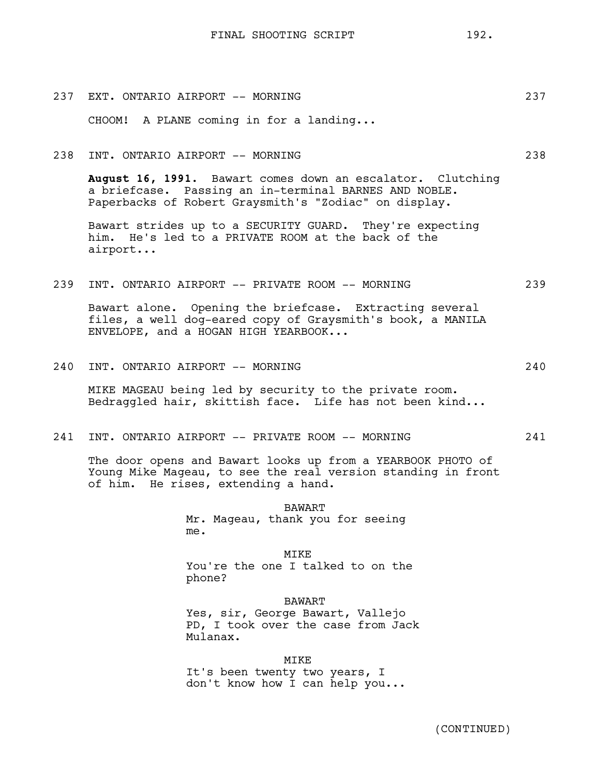| 237 | EXT. ONTARIO AIRPORT -- MORNING        | 237 |
|-----|----------------------------------------|-----|
|     | CHOOM! A PLANE coming in for a landing |     |
|     |                                        |     |

238 INT. ONTARIO AIRPORT -- MORNING 238

**August 16, 1991.** Bawart comes down an escalator. Clutching a briefcase. Passing an in-terminal BARNES AND NOBLE. Paperbacks of Robert Graysmith's "Zodiac" on display.

Bawart strides up to a SECURITY GUARD. They're expecting him. He's led to a PRIVATE ROOM at the back of the airport...

# 239 INT. ONTARIO AIRPORT -- PRIVATE ROOM -- MORNING 239

Bawart alone. Opening the briefcase. Extracting several files, a well dog-eared copy of Graysmith's book, a MANILA ENVELOPE, and a HOGAN HIGH YEARBOOK...

240 INT. ONTARIO AIRPORT -- MORNING 240

MIKE MAGEAU being led by security to the private room. Bedraggled hair, skittish face. Life has not been kind...

241 INT. ONTARIO AIRPORT -- PRIVATE ROOM -- MORNING 241

The door opens and Bawart looks up from a YEARBOOK PHOTO of Young Mike Mageau, to see the real version standing in front of him. He rises, extending a hand.

> BAWART Mr. Mageau, thank you for seeing me.

MIKE You're the one I talked to on the phone?

BAWART Yes, sir, George Bawart, Vallejo PD, I took over the case from Jack Mulanax.

MIKE It's been twenty two years, I don't know how I can help you...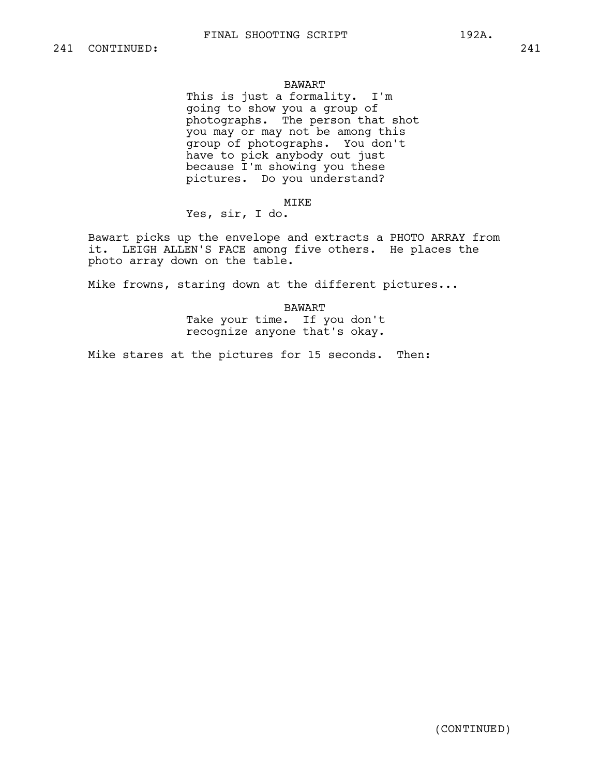# BAWART

This is just a formality. I'm going to show you a group of photographs. The person that shot you may or may not be among this group of photographs. You don't have to pick anybody out just because I'm showing you these pictures. Do you understand?

# MIKE

Yes, sir, I do.

Bawart picks up the envelope and extracts a PHOTO ARRAY from it. LEIGH ALLEN'S FACE among five others. He places the photo array down on the table.

Mike frowns, staring down at the different pictures...

BAWART Take your time. If you don't recognize anyone that's okay.

Mike stares at the pictures for 15 seconds. Then: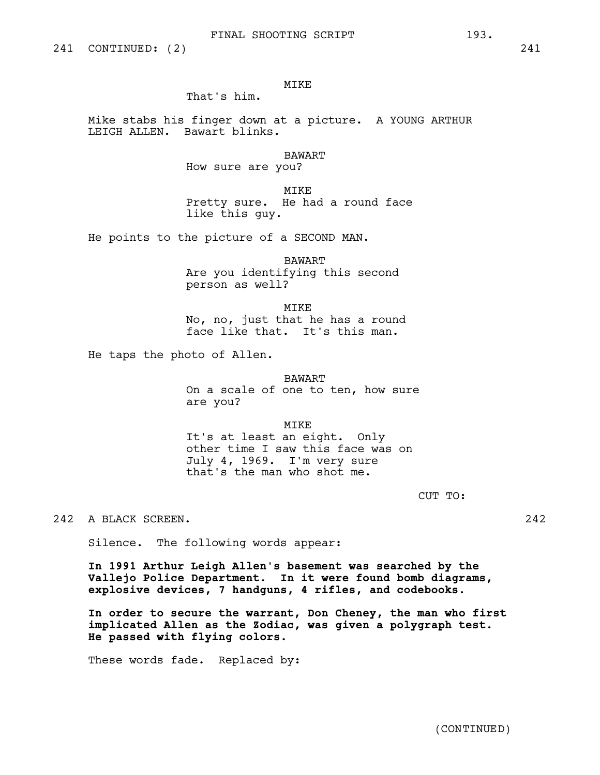# MIKE

That's him.

Mike stabs his finger down at a picture. A YOUNG ARTHUR LEIGH ALLEN. Bawart blinks.

BAWART

How sure are you?

MIKE Pretty sure. He had a round face like this guy.

He points to the picture of a SECOND MAN.

BAWART Are you identifying this second person as well?

MIKE No, no, just that he has a round face like that. It's this man.

He taps the photo of Allen.

# BAWART

On a scale of one to ten, how sure are you?

MIKE

It's at least an eight. Only other time I saw this face was on July 4, 1969. I'm very sure that's the man who shot me.

CUT TO:

242 A BLACK SCREEN. 242

Silence. The following words appear:

**In 1991 Arthur Leigh Allen's basement was searched by the Vallejo Police Department. In it were found bomb diagrams, explosive devices, 7 handguns, 4 rifles, and codebooks.**

**In order to secure the warrant, Don Cheney, the man who first implicated Allen as the Zodiac, was given a polygraph test. He passed with flying colors.** 

These words fade. Replaced by: